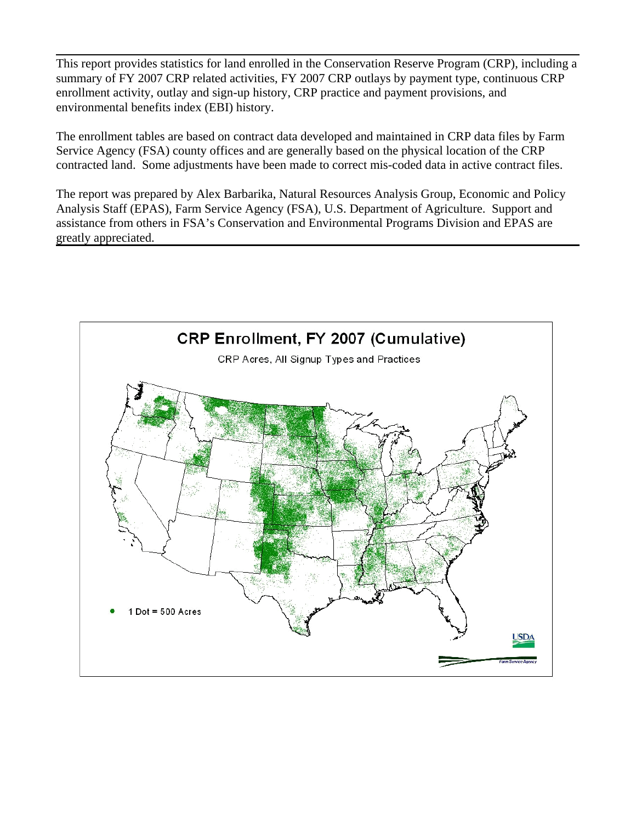This report provides statistics for land enrolled in the Conservation Reserve Program (CRP), including a summary of FY 2007 CRP related activities, FY 2007 CRP outlays by payment type, continuous CRP enrollment activity, outlay and sign-up history, CRP practice and payment provisions, and environmental benefits index (EBI) history.

The enrollment tables are based on contract data developed and maintained in CRP data files by Farm Service Agency (FSA) county offices and are generally based on the physical location of the CRP contracted land. Some adjustments have been made to correct mis-coded data in active contract files.

The report was prepared by Alex Barbarika, Natural Resources Analysis Group, Economic and Policy Analysis Staff (EPAS), Farm Service Agency (FSA), U.S. Department of Agriculture. Support and assistance from others in FSA's Conservation and Environmental Programs Division and EPAS are greatly appreciated.

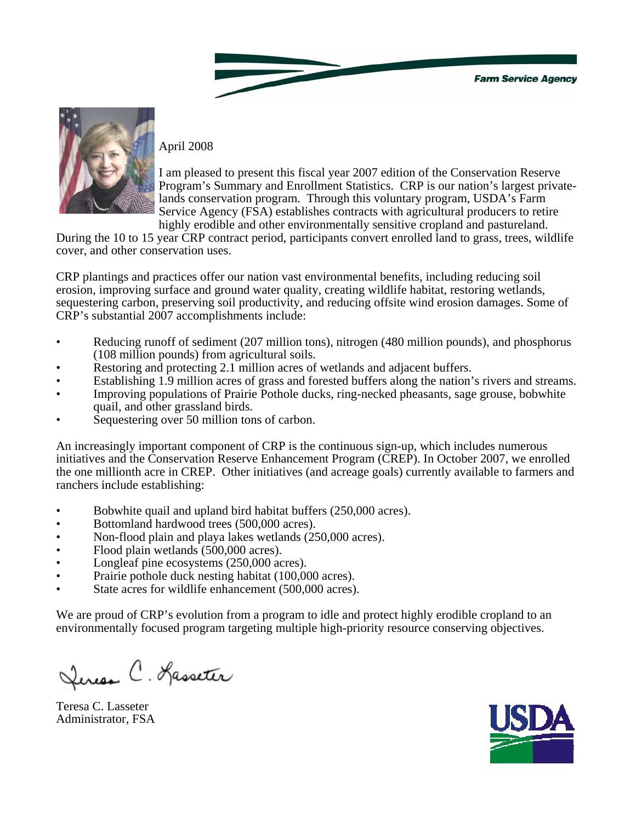

#### April 2008

I am pleased to present this fiscal year 2007 edition of the Conservation Reserve Program's Summary and Enrollment Statistics. CRP is our nation's largest privatelands conservation program. Through this voluntary program, USDA's Farm Service Agency (FSA) establishes contracts with agricultural producers to retire highly erodible and other environmentally sensitive cropland and pastureland.

During the 10 to 15 year CRP contract period, participants convert enrolled land to grass, trees, wildlife cover, and other conservation uses.

CRP plantings and practices offer our nation vast environmental benefits, including reducing soil erosion, improving surface and ground water quality, creating wildlife habitat, restoring wetlands, sequestering carbon, preserving soil productivity, and reducing offsite wind erosion damages. Some of CRP's substantial 2007 accomplishments include:

- Reducing runoff of sediment (207 million tons), nitrogen (480 million pounds), and phosphorus (108 million pounds) from agricultural soils.
- Restoring and protecting 2.1 million acres of wetlands and adjacent buffers.
- Establishing 1.9 million acres of grass and forested buffers along the nation's rivers and streams.
- Improving populations of Prairie Pothole ducks, ring-necked pheasants, sage grouse, bobwhite quail, and other grassland birds.
- Sequestering over 50 million tons of carbon.

An increasingly important component of CRP is the continuous sign-up, which includes numerous initiatives and the Conservation Reserve Enhancement Program (CREP). In October 2007, we enrolled the one millionth acre in CREP. Other initiatives (and acreage goals) currently available to farmers and ranchers include establishing:

- Bobwhite quail and upland bird habitat buffers (250,000 acres).
- Bottomland hardwood trees (500,000 acres).
- Non-flood plain and playa lakes wetlands (250,000 acres).
- Flood plain wetlands (500,000 acres).
- Longleaf pine ecosystems (250,000 acres).
- Prairie pothole duck nesting habitat (100,000 acres).
- State acres for wildlife enhancement (500,000 acres).

We are proud of CRP's evolution from a program to idle and protect highly erodible cropland to an environmentally focused program targeting multiple high-priority resource conserving objectives.

Leresa C. Hasseter

Teresa C. Lasseter Administrator, FSA

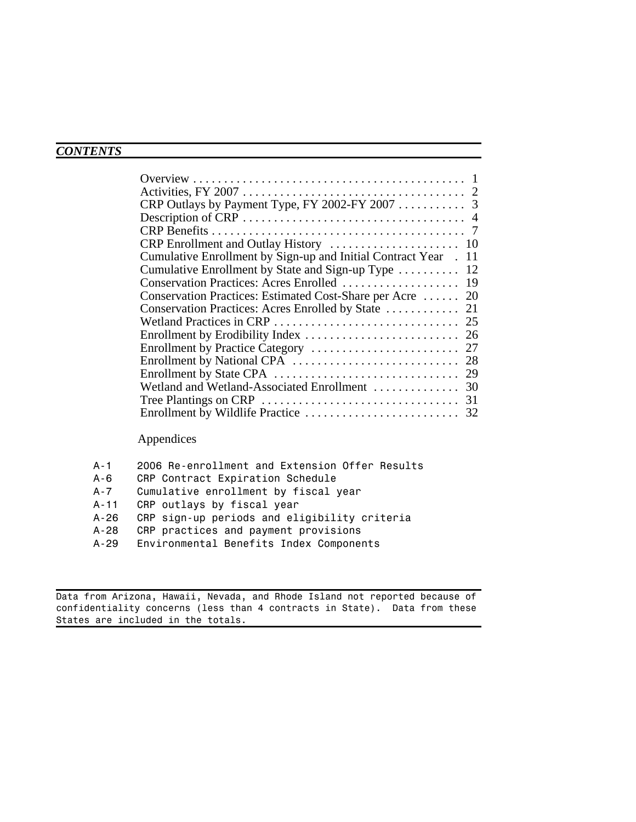## *CONTENTS*

 $\overline{a}$ 

| Cumulative Enrollment by Sign-up and Initial Contract Year . 11 |  |
|-----------------------------------------------------------------|--|
| Cumulative Enrollment by State and Sign-up Type  12             |  |
| Conservation Practices: Acres Enrolled  19                      |  |
| Conservation Practices: Estimated Cost-Share per Acre  20       |  |
|                                                                 |  |
|                                                                 |  |
|                                                                 |  |
|                                                                 |  |
|                                                                 |  |
|                                                                 |  |
|                                                                 |  |
|                                                                 |  |
|                                                                 |  |
|                                                                 |  |

### Appendices

| A-1      | 2006 Re-enrollment and Extension Offer Results |
|----------|------------------------------------------------|
| A-6      | CRP Contract Expiration Schedule               |
| A-7      | Cumulative enrollment by fiscal year           |
| $A - 11$ | CRP outlays by fiscal year                     |
| A-26     | CRP sign-up periods and eligibility criteria   |
| A-28     | CRP practices and payment provisions           |
| A-29     | Environmental Benefits Index Components        |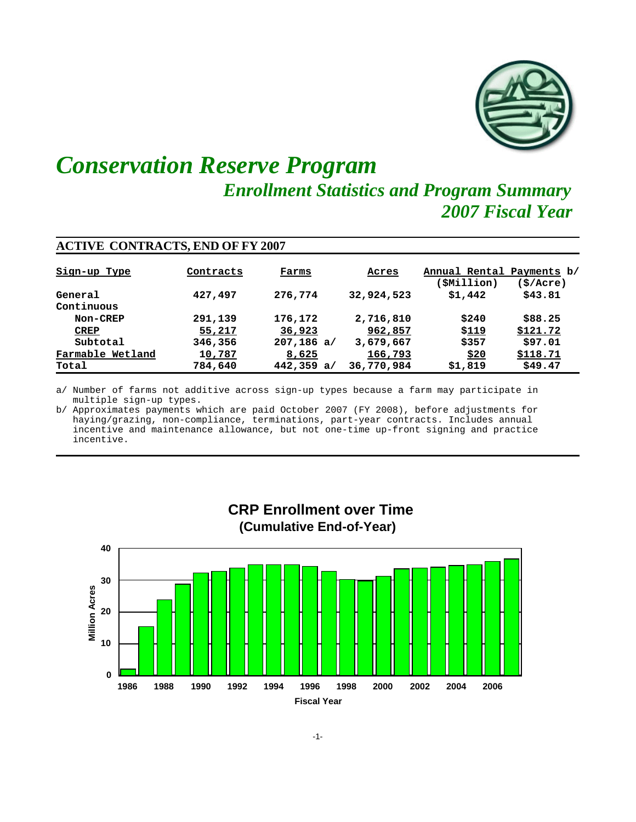

# *Conservation Reserve Program Enrollment Statistics and Program Summary 2007 Fiscal Year*

| <b>ACTIVE CONTRACTS, END OF FY 2007</b> |           |              |            |                                                |           |  |  |  |  |
|-----------------------------------------|-----------|--------------|------------|------------------------------------------------|-----------|--|--|--|--|
| Sign-up Type                            | Contracts | Farms        | Acres      | Annual Rental Payments b/<br><b>SMillion</b> ) | (\$/Acre) |  |  |  |  |
| General                                 | 427,497   | 276,774      | 32,924,523 | \$1,442                                        | \$43.81   |  |  |  |  |
| Continuous                              |           |              |            |                                                |           |  |  |  |  |
| Non-CREP                                | 291,139   | 176,172      | 2,716,810  | \$240                                          | \$88.25   |  |  |  |  |
| <b>CREP</b>                             | 55,217    | 36,923       | 962,857    | <u>\$119</u>                                   | \$121.72  |  |  |  |  |
| Subtotal                                | 346,356   | $207,186$ a/ | 3,679,667  | \$357                                          | \$97.01   |  |  |  |  |
| Farmable Wetland                        | 10,787    | 8,625        | 166,793    | \$20                                           | \$118.71  |  |  |  |  |
| Total                                   | 784,640   | 442,359a/    | 36,770,984 | \$1,819                                        | \$49.47   |  |  |  |  |

a/ Number of farms not additive across sign-up types because a farm may participate in multiple sign-up types.

b/ Approximates payments which are paid October 2007 (FY 2008), before adjustments for haying/grazing, non-compliance, terminations, part-year contracts. Includes annual incentive and maintenance allowance, but not one-time up-front signing and practice incentive.

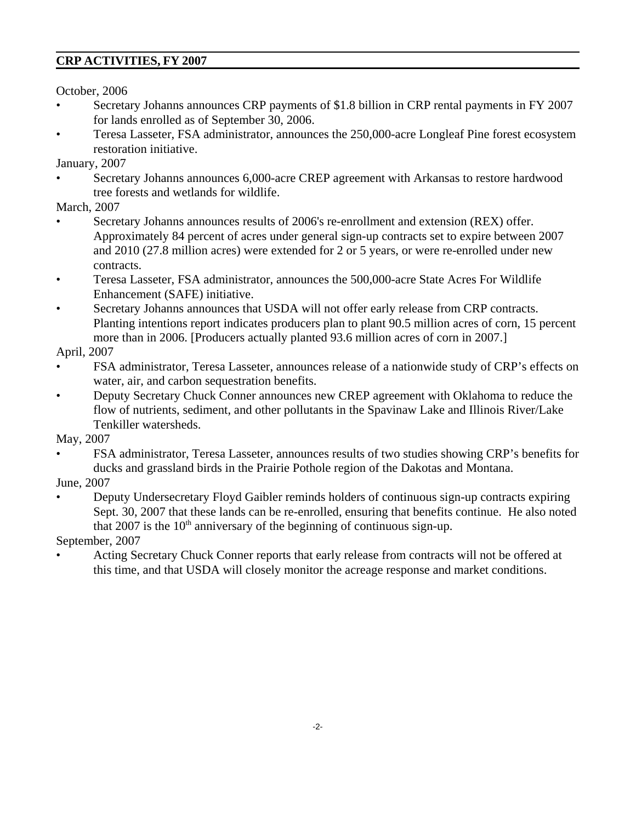### **CRP ACTIVITIES, FY 2007**

October, 2006

- Secretary Johanns announces CRP payments of \$1.8 billion in CRP rental payments in FY 2007 for lands enrolled as of September 30, 2006.
- Teresa Lasseter, FSA administrator, announces the 250,000-acre Longleaf Pine forest ecosystem restoration initiative.

January, 2007

• Secretary Johanns announces 6,000-acre CREP agreement with Arkansas to restore hardwood tree forests and wetlands for wildlife.

March, 2007

- Secretary Johanns announces results of 2006's re-enrollment and extension (REX) offer. Approximately 84 percent of acres under general sign-up contracts set to expire between 2007 and 2010 (27.8 million acres) were extended for 2 or 5 years, or were re-enrolled under new contracts.
- Teresa Lasseter, FSA administrator, announces the 500,000-acre State Acres For Wildlife Enhancement (SAFE) initiative.
- Secretary Johanns announces that USDA will not offer early release from CRP contracts. Planting intentions report indicates producers plan to plant 90.5 million acres of corn, 15 percent more than in 2006. [Producers actually planted 93.6 million acres of corn in 2007.]

April, 2007

- FSA administrator, Teresa Lasseter, announces release of a nationwide study of CRP's effects on water, air, and carbon sequestration benefits.
- Deputy Secretary Chuck Conner announces new CREP agreement with Oklahoma to reduce the flow of nutrients, sediment, and other pollutants in the Spavinaw Lake and Illinois River/Lake Tenkiller watersheds.

May, 2007

• FSA administrator, Teresa Lasseter, announces results of two studies showing CRP's benefits for ducks and grassland birds in the Prairie Pothole region of the Dakotas and Montana.

June, 2007

• Deputy Undersecretary Floyd Gaibler reminds holders of continuous sign-up contracts expiring Sept. 30, 2007 that these lands can be re-enrolled, ensuring that benefits continue. He also noted that  $2007$  is the  $10<sup>th</sup>$  anniversary of the beginning of continuous sign-up.

September, 2007

• Acting Secretary Chuck Conner reports that early release from contracts will not be offered at this time, and that USDA will closely monitor the acreage response and market conditions.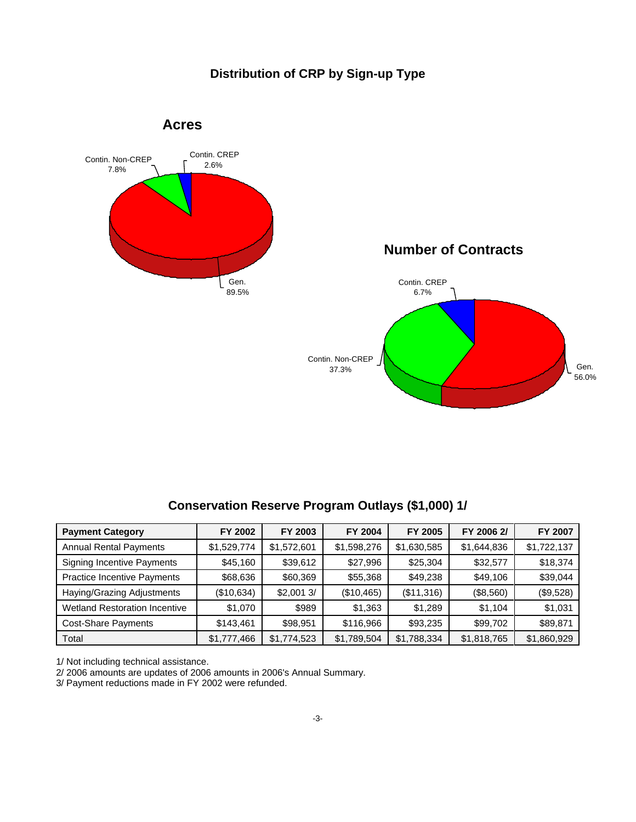### **Distribution of CRP by Sign-up Type**



### **Conservation Reserve Program Outlays (\$1,000) 1/**

| <b>Payment Category</b>              | FY 2002     | FY 2003     | FY 2004     | FY 2005     | FY 2006 2/  | <b>FY 2007</b> |
|--------------------------------------|-------------|-------------|-------------|-------------|-------------|----------------|
| <b>Annual Rental Payments</b>        | \$1,529,774 | \$1,572,601 | \$1,598,276 | \$1,630,585 | \$1,644,836 | \$1,722,137    |
| <b>Signing Incentive Payments</b>    | \$45,160    | \$39,612    | \$27,996    | \$25,304    | \$32,577    | \$18,374       |
| <b>Practice Incentive Payments</b>   | \$68,636    | \$60,369    | \$55,368    | \$49,238    | \$49,106    | \$39,044       |
| Haying/Grazing Adjustments           | (\$10,634)  | \$2,0013/   | (\$10,465)  | (\$11,316)  | (\$8,560)   | (\$9,528)      |
| <b>Wetland Restoration Incentive</b> | \$1,070     | \$989       | \$1,363     | \$1,289     | \$1,104     | \$1,031        |
| <b>Cost-Share Payments</b>           | \$143,461   | \$98,951    | \$116,966   | \$93,235    | \$99,702    | \$89,871       |
| Total                                | \$1,777,466 | \$1,774,523 | \$1,789,504 | \$1,788,334 | \$1,818,765 | \$1,860,929    |

1/ Not including technical assistance.

2/ 2006 amounts are updates of 2006 amounts in 2006's Annual Summary.

3/ Payment reductions made in FY 2002 were refunded.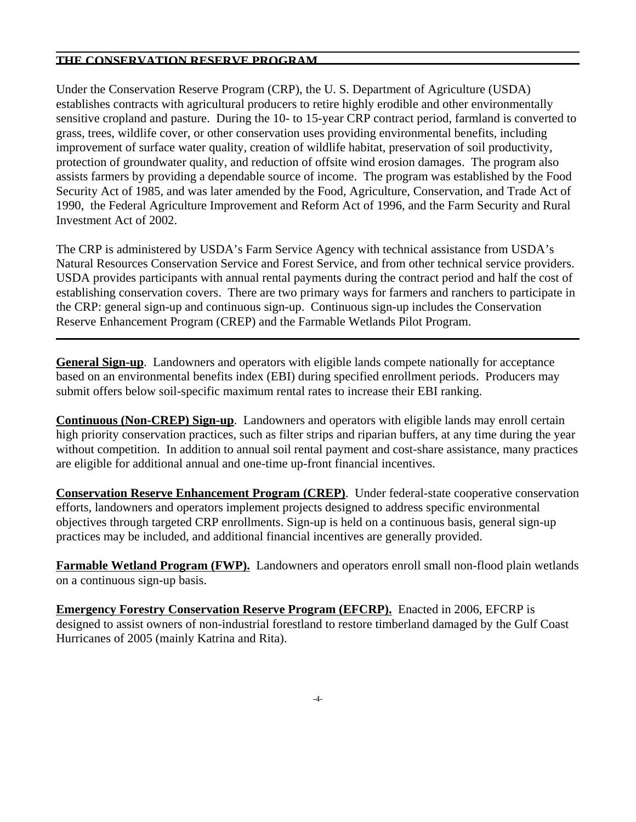#### **THE CONSERVATION RESERVE PROGRAM**

Under the Conservation Reserve Program (CRP), the U. S. Department of Agriculture (USDA) establishes contracts with agricultural producers to retire highly erodible and other environmentally sensitive cropland and pasture. During the 10- to 15-year CRP contract period, farmland is converted to grass, trees, wildlife cover, or other conservation uses providing environmental benefits, including improvement of surface water quality, creation of wildlife habitat, preservation of soil productivity, protection of groundwater quality, and reduction of offsite wind erosion damages. The program also assists farmers by providing a dependable source of income. The program was established by the Food Security Act of 1985, and was later amended by the Food, Agriculture, Conservation, and Trade Act of 1990, the Federal Agriculture Improvement and Reform Act of 1996, and the Farm Security and Rural Investment Act of 2002.

The CRP is administered by USDA's Farm Service Agency with technical assistance from USDA's Natural Resources Conservation Service and Forest Service, and from other technical service providers. USDA provides participants with annual rental payments during the contract period and half the cost of establishing conservation covers. There are two primary ways for farmers and ranchers to participate in the CRP: general sign-up and continuous sign-up. Continuous sign-up includes the Conservation Reserve Enhancement Program (CREP) and the Farmable Wetlands Pilot Program.

**General Sign-up**. Landowners and operators with eligible lands compete nationally for acceptance based on an environmental benefits index (EBI) during specified enrollment periods. Producers may submit offers below soil-specific maximum rental rates to increase their EBI ranking.

**Continuous (Non-CREP) Sign-up**. Landowners and operators with eligible lands may enroll certain high priority conservation practices, such as filter strips and riparian buffers, at any time during the year without competition. In addition to annual soil rental payment and cost-share assistance, many practices are eligible for additional annual and one-time up-front financial incentives.

**Conservation Reserve Enhancement Program (CREP)**. Under federal-state cooperative conservation efforts, landowners and operators implement projects designed to address specific environmental objectives through targeted CRP enrollments. Sign-up is held on a continuous basis, general sign-up practices may be included, and additional financial incentives are generally provided.

**Farmable Wetland Program (FWP).** Landowners and operators enroll small non-flood plain wetlands on a continuous sign-up basis.

**Emergency Forestry Conservation Reserve Program (EFCRP).** Enacted in 2006, EFCRP is designed to assist owners of non-industrial forestland to restore timberland damaged by the Gulf Coast Hurricanes of 2005 (mainly Katrina and Rita).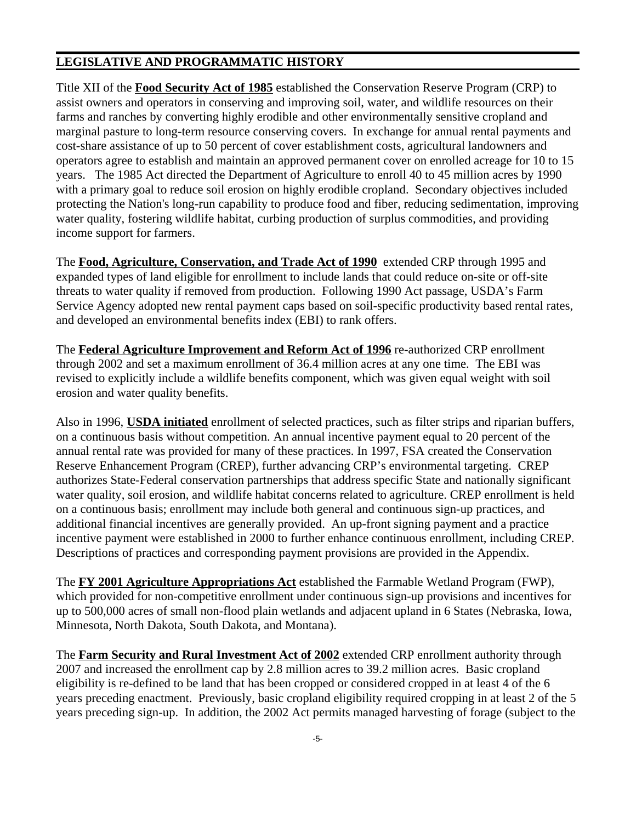#### **LEGISLATIVE AND PROGRAMMATIC HISTORY**

Title XII of the **Food Security Act of 1985** established the Conservation Reserve Program (CRP) to assist owners and operators in conserving and improving soil, water, and wildlife resources on their farms and ranches by converting highly erodible and other environmentally sensitive cropland and marginal pasture to long-term resource conserving covers. In exchange for annual rental payments and cost-share assistance of up to 50 percent of cover establishment costs, agricultural landowners and operators agree to establish and maintain an approved permanent cover on enrolled acreage for 10 to 15 years. The 1985 Act directed the Department of Agriculture to enroll 40 to 45 million acres by 1990 with a primary goal to reduce soil erosion on highly erodible cropland. Secondary objectives included protecting the Nation's long-run capability to produce food and fiber, reducing sedimentation, improving water quality, fostering wildlife habitat, curbing production of surplus commodities, and providing income support for farmers.

The **Food, Agriculture, Conservation, and Trade Act of 1990** extended CRP through 1995 and expanded types of land eligible for enrollment to include lands that could reduce on-site or off-site threats to water quality if removed from production. Following 1990 Act passage, USDA's Farm Service Agency adopted new rental payment caps based on soil-specific productivity based rental rates, and developed an environmental benefits index (EBI) to rank offers.

The **Federal Agriculture Improvement and Reform Act of 1996** re-authorized CRP enrollment through 2002 and set a maximum enrollment of 36.4 million acres at any one time. The EBI was revised to explicitly include a wildlife benefits component, which was given equal weight with soil erosion and water quality benefits.

Also in 1996, **USDA initiated** enrollment of selected practices, such as filter strips and riparian buffers, on a continuous basis without competition. An annual incentive payment equal to 20 percent of the annual rental rate was provided for many of these practices. In 1997, FSA created the Conservation Reserve Enhancement Program (CREP), further advancing CRP's environmental targeting. CREP authorizes State-Federal conservation partnerships that address specific State and nationally significant water quality, soil erosion, and wildlife habitat concerns related to agriculture. CREP enrollment is held on a continuous basis; enrollment may include both general and continuous sign-up practices, and additional financial incentives are generally provided. An up-front signing payment and a practice incentive payment were established in 2000 to further enhance continuous enrollment, including CREP. Descriptions of practices and corresponding payment provisions are provided in the Appendix.

The **FY 2001 Agriculture Appropriations Act** established the Farmable Wetland Program (FWP), which provided for non-competitive enrollment under continuous sign-up provisions and incentives for up to 500,000 acres of small non-flood plain wetlands and adjacent upland in 6 States (Nebraska, Iowa, Minnesota, North Dakota, South Dakota, and Montana).

The **Farm Security and Rural Investment Act of 2002** extended CRP enrollment authority through 2007 and increased the enrollment cap by 2.8 million acres to 39.2 million acres. Basic cropland eligibility is re-defined to be land that has been cropped or considered cropped in at least 4 of the 6 years preceding enactment. Previously, basic cropland eligibility required cropping in at least 2 of the 5 years preceding sign-up. In addition, the 2002 Act permits managed harvesting of forage (subject to the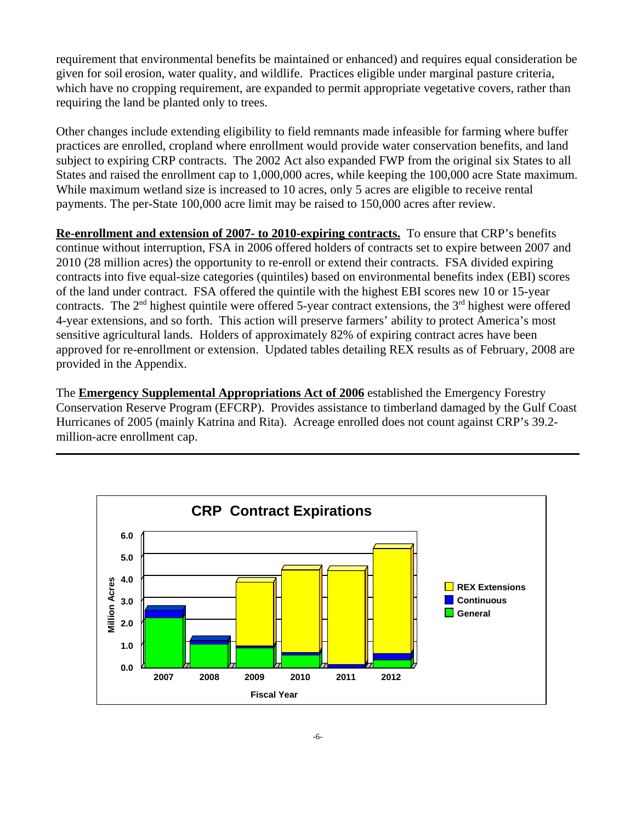requirement that environmental benefits be maintained or enhanced) and requires equal consideration be given for soil erosion, water quality, and wildlife. Practices eligible under marginal pasture criteria, which have no cropping requirement, are expanded to permit appropriate vegetative covers, rather than requiring the land be planted only to trees.

Other changes include extending eligibility to field remnants made infeasible for farming where buffer practices are enrolled, cropland where enrollment would provide water conservation benefits, and land subject to expiring CRP contracts. The 2002 Act also expanded FWP from the original six States to all States and raised the enrollment cap to 1,000,000 acres, while keeping the 100,000 acre State maximum. While maximum wetland size is increased to 10 acres, only 5 acres are eligible to receive rental payments. The per-State 100,000 acre limit may be raised to 150,000 acres after review.

**Re-enrollment and extension of 2007- to 2010-expiring contracts.** To ensure that CRP's benefits continue without interruption, FSA in 2006 offered holders of contracts set to expire between 2007 and 2010 (28 million acres) the opportunity to re-enroll or extend their contracts. FSA divided expiring contracts into five equal-size categories (quintiles) based on environmental benefits index (EBI) scores of the land under contract. FSA offered the quintile with the highest EBI scores new 10 or 15-year contracts. The  $2<sup>nd</sup>$  highest quintile were offered 5-year contract extensions, the  $3<sup>rd</sup>$  highest were offered 4-year extensions, and so forth. This action will preserve farmers' ability to protect America's most sensitive agricultural lands. Holders of approximately 82% of expiring contract acres have been approved for re-enrollment or extension. Updated tables detailing REX results as of February, 2008 are provided in the Appendix.

The **Emergency Supplemental Appropriations Act of 2006** established the Emergency Forestry Conservation Reserve Program (EFCRP). Provides assistance to timberland damaged by the Gulf Coast Hurricanes of 2005 (mainly Katrina and Rita). Acreage enrolled does not count against CRP's 39.2 million-acre enrollment cap.

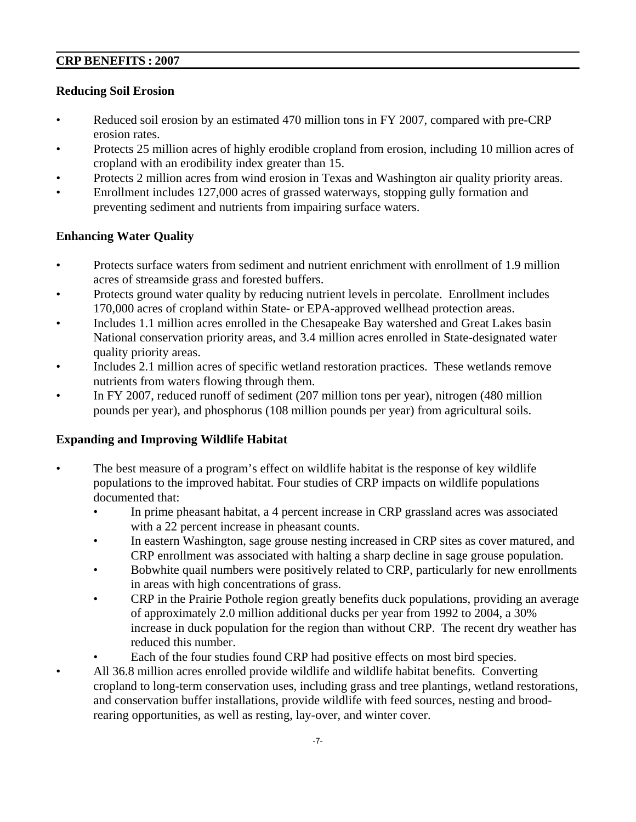#### **CRP BENEFITS : 2007**

#### **Reducing Soil Erosion**

- Reduced soil erosion by an estimated 470 million tons in FY 2007, compared with pre-CRP erosion rates.
- Protects 25 million acres of highly erodible cropland from erosion, including 10 million acres of cropland with an erodibility index greater than 15.
- Protects 2 million acres from wind erosion in Texas and Washington air quality priority areas.
- Enrollment includes 127,000 acres of grassed waterways, stopping gully formation and preventing sediment and nutrients from impairing surface waters.

#### **Enhancing Water Quality**

- Protects surface waters from sediment and nutrient enrichment with enrollment of 1.9 million acres of streamside grass and forested buffers.
- Protects ground water quality by reducing nutrient levels in percolate. Enrollment includes 170,000 acres of cropland within State- or EPA-approved wellhead protection areas.
- Includes 1.1 million acres enrolled in the Chesapeake Bay watershed and Great Lakes basin National conservation priority areas, and 3.4 million acres enrolled in State-designated water quality priority areas.
- Includes 2.1 million acres of specific wetland restoration practices. These wetlands remove nutrients from waters flowing through them.
- In FY 2007, reduced runoff of sediment (207 million tons per year), nitrogen (480 million pounds per year), and phosphorus (108 million pounds per year) from agricultural soils.

#### **Expanding and Improving Wildlife Habitat**

- The best measure of a program's effect on wildlife habitat is the response of key wildlife populations to the improved habitat. Four studies of CRP impacts on wildlife populations documented that:
	- In prime pheasant habitat, a 4 percent increase in CRP grassland acres was associated with a 22 percent increase in pheasant counts.
	- In eastern Washington, sage grouse nesting increased in CRP sites as cover matured, and CRP enrollment was associated with halting a sharp decline in sage grouse population.
	- Bobwhite quail numbers were positively related to CRP, particularly for new enrollments in areas with high concentrations of grass.
	- CRP in the Prairie Pothole region greatly benefits duck populations, providing an average of approximately 2.0 million additional ducks per year from 1992 to 2004, a 30% increase in duck population for the region than without CRP. The recent dry weather has reduced this number.
	- Each of the four studies found CRP had positive effects on most bird species.
- All 36.8 million acres enrolled provide wildlife and wildlife habitat benefits. Converting cropland to long-term conservation uses, including grass and tree plantings, wetland restorations, and conservation buffer installations, provide wildlife with feed sources, nesting and broodrearing opportunities, as well as resting, lay-over, and winter cover.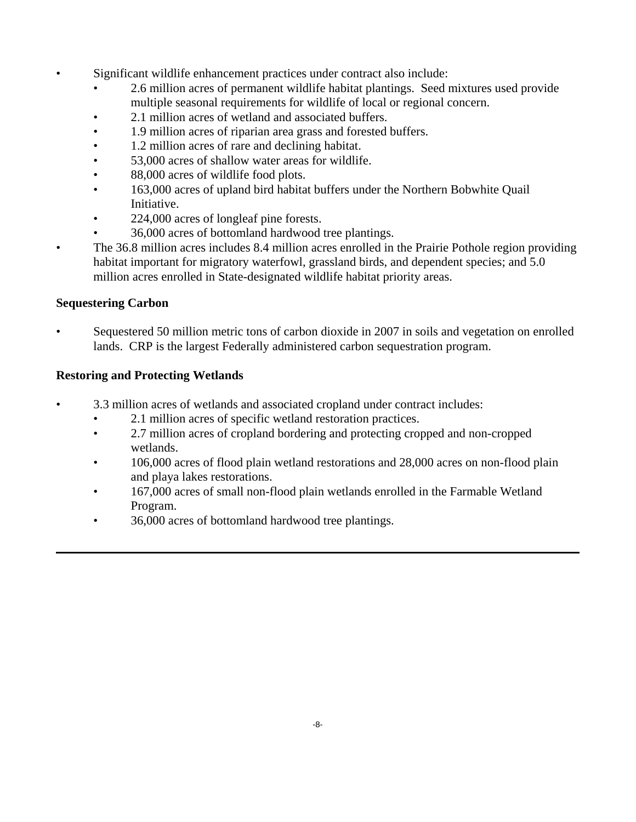- Significant wildlife enhancement practices under contract also include:
	- 2.6 million acres of permanent wildlife habitat plantings. Seed mixtures used provide multiple seasonal requirements for wildlife of local or regional concern.
	- 2.1 million acres of wetland and associated buffers.
	- 1.9 million acres of riparian area grass and forested buffers.
	- 1.2 million acres of rare and declining habitat.
	- 53,000 acres of shallow water areas for wildlife.
	- 88,000 acres of wildlife food plots.
	- 163,000 acres of upland bird habitat buffers under the Northern Bobwhite Quail Initiative.
	- 224,000 acres of longleaf pine forests.
	- 36,000 acres of bottomland hardwood tree plantings.
- The 36.8 million acres includes 8.4 million acres enrolled in the Prairie Pothole region providing habitat important for migratory waterfowl, grassland birds, and dependent species; and 5.0 million acres enrolled in State-designated wildlife habitat priority areas.

#### **Sequestering Carbon**

• Sequestered 50 million metric tons of carbon dioxide in 2007 in soils and vegetation on enrolled lands. CRP is the largest Federally administered carbon sequestration program.

#### **Restoring and Protecting Wetlands**

- 3.3 million acres of wetlands and associated cropland under contract includes:
	- 2.1 million acres of specific wetland restoration practices.
	- 2.7 million acres of cropland bordering and protecting cropped and non-cropped wetlands.
	- 106,000 acres of flood plain wetland restorations and 28,000 acres on non-flood plain and playa lakes restorations.
	- 167,000 acres of small non-flood plain wetlands enrolled in the Farmable Wetland Program.
	- 36,000 acres of bottomland hardwood tree plantings.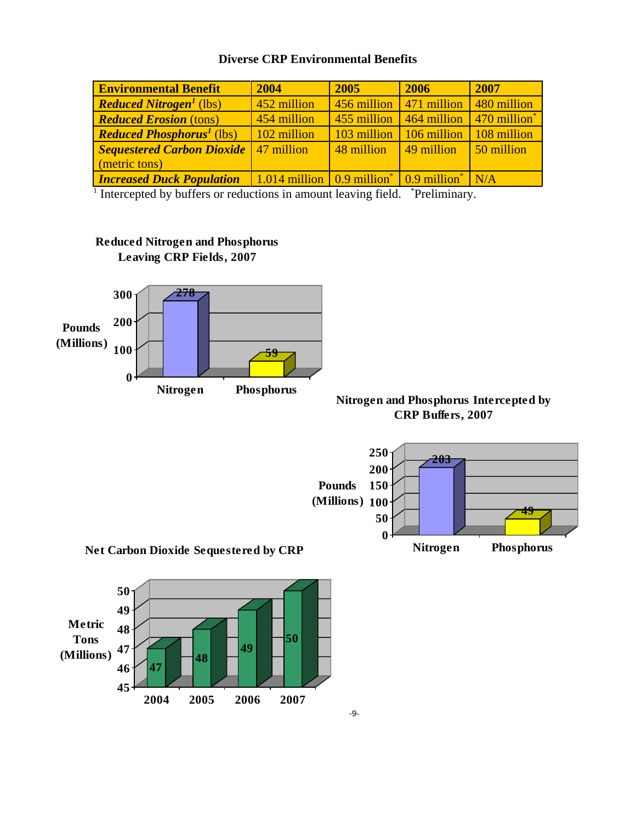|  |  | <b>Diverse CRP Environmental Benefits</b> |  |
|--|--|-------------------------------------------|--|
|--|--|-------------------------------------------|--|

| <b>Environmental Benefit</b>                | 2004                                       | 2005        | 2006                              | 2007                              |
|---------------------------------------------|--------------------------------------------|-------------|-----------------------------------|-----------------------------------|
| <b>Reduced Nitrogen<sup>1</sup></b> (lbs)   | 452 million                                | 456 million | 471 million                       | 480 million                       |
| <b>Reduced Erosion (tons)</b>               | 454 million                                | 455 million | 464 million                       | $\sqrt{470}$ million <sup>*</sup> |
| <b>Reduced Phosphorus<sup>1</sup></b> (lbs) | 102 million                                | 103 million | 106 million                       | 108 million                       |
| <b>Sequestered Carbon Dioxide</b>           | 47 million                                 | 48 million  | 49 million                        | 50 million                        |
| (metric tons)                               |                                            |             |                                   |                                   |
| <b>Increased Duck Population</b>            | $1.014$ million $0.9$ million <sup>*</sup> |             | $\sqrt{0.9}$ million <sup>*</sup> | N/A                               |

<sup>1</sup> Intercepted by buffers or reductions in amount leaving field. <sup>\*</sup>Preliminary.





#### **Nitrogen and Phosphorus Intercepted by CRP Buffers, 2007**





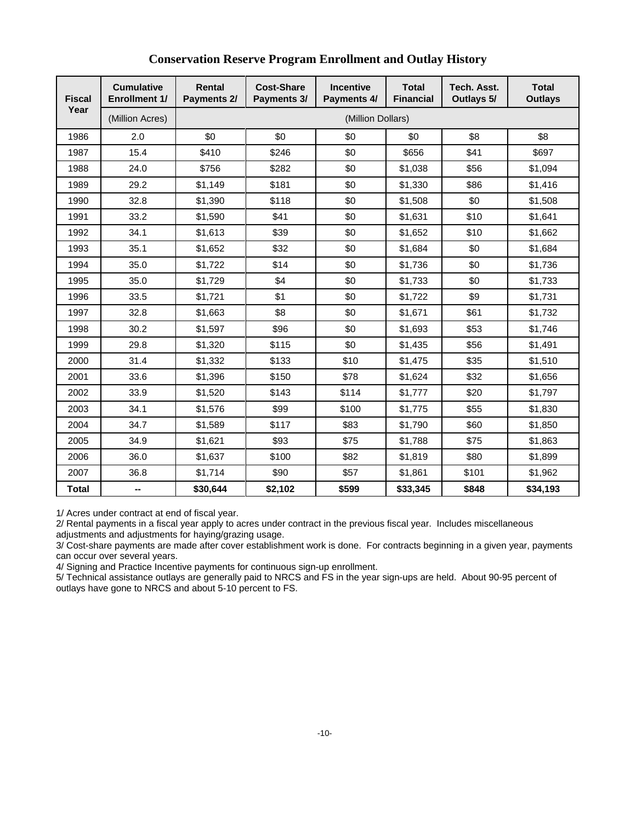| <b>Fiscal</b> | <b>Cumulative</b><br><b>Enrollment 1/</b> | <b>Rental</b><br>Payments 2/ | <b>Cost-Share</b><br>Payments 3/ | <b>Incentive</b><br>Payments 4/ | <b>Total</b><br><b>Financial</b> | Tech. Asst.<br>Outlays 5/ | <b>Total</b><br><b>Outlays</b> |  |  |
|---------------|-------------------------------------------|------------------------------|----------------------------------|---------------------------------|----------------------------------|---------------------------|--------------------------------|--|--|
| Year          | (Million Acres)                           |                              | (Million Dollars)                |                                 |                                  |                           |                                |  |  |
| 1986          | 2.0                                       | \$0                          | \$0                              | \$0                             | \$0                              | \$8                       | \$8                            |  |  |
| 1987          | 15.4                                      | \$410                        | \$246                            | \$0                             | \$656                            | \$41                      | \$697                          |  |  |
| 1988          | 24.0                                      | \$756                        | \$282                            | \$0                             | \$1,038                          | \$56                      | \$1,094                        |  |  |
| 1989          | 29.2                                      | \$1,149                      | \$181                            | \$0                             | \$1,330                          | \$86                      | \$1,416                        |  |  |
| 1990          | 32.8                                      | \$1,390                      | \$118                            | \$0                             | \$1,508                          | \$0                       | \$1,508                        |  |  |
| 1991          | 33.2                                      | \$1,590                      | \$41                             | \$0                             | \$1,631                          | \$10                      | \$1,641                        |  |  |
| 1992          | 34.1                                      | \$1,613                      | \$39                             | \$0                             | \$1,652                          | \$10                      | \$1,662                        |  |  |
| 1993          | 35.1                                      | \$1,652                      | \$32                             | \$0                             | \$1,684                          | \$0                       | \$1,684                        |  |  |
| 1994          | 35.0                                      | \$1,722                      | \$14                             | \$0                             | \$1,736                          | \$0                       | \$1,736                        |  |  |
| 1995          | 35.0                                      | \$1,729                      | \$4                              | \$0                             | \$1,733                          | \$0                       | \$1,733                        |  |  |
| 1996          | 33.5                                      | \$1,721                      | \$1                              | \$0                             | \$1,722                          | \$9                       | \$1,731                        |  |  |
| 1997          | 32.8                                      | \$1,663                      | \$8                              | \$0                             | \$1,671                          | \$61                      | \$1,732                        |  |  |
| 1998          | 30.2                                      | \$1,597                      | \$96                             | \$0                             | \$1,693                          | \$53                      | \$1,746                        |  |  |
| 1999          | 29.8                                      | \$1,320                      | \$115                            | \$0                             | \$1,435                          | \$56                      | \$1,491                        |  |  |
| 2000          | 31.4                                      | \$1,332                      | \$133                            | \$10                            | \$1,475                          | \$35                      | \$1,510                        |  |  |
| 2001          | 33.6                                      | \$1,396                      | \$150                            | \$78                            | \$1,624                          | \$32                      | \$1,656                        |  |  |
| 2002          | 33.9                                      | \$1,520                      | \$143                            | \$114                           | \$1,777                          | \$20                      | \$1,797                        |  |  |
| 2003          | 34.1                                      | \$1,576                      | \$99                             | \$100                           | \$1,775                          | \$55                      | \$1,830                        |  |  |
| 2004          | 34.7                                      | \$1,589                      | \$117                            | \$83                            | \$1,790                          | \$60                      | \$1,850                        |  |  |
| 2005          | 34.9                                      | \$1,621                      | \$93                             | \$75                            | \$1,788                          | \$75                      | \$1,863                        |  |  |
| 2006          | 36.0                                      | \$1,637                      | \$100                            | \$82                            | \$1,819                          | \$80                      | \$1,899                        |  |  |
| 2007          | 36.8                                      | \$1,714                      | \$90                             | \$57                            | \$1,861                          | \$101                     | \$1,962                        |  |  |
| <b>Total</b>  | --                                        | \$30,644                     | \$2,102                          | \$599                           | \$33,345                         | \$848                     | \$34,193                       |  |  |

#### **Conservation Reserve Program Enrollment and Outlay History**

1/ Acres under contract at end of fiscal year.

2/ Rental payments in a fiscal year apply to acres under contract in the previous fiscal year. Includes miscellaneous adjustments and adjustments for haying/grazing usage.

3/ Cost-share payments are made after cover establishment work is done. For contracts beginning in a given year, payments can occur over several years.

4/ Signing and Practice Incentive payments for continuous sign-up enrollment.

5/ Technical assistance outlays are generally paid to NRCS and FS in the year sign-ups are held. About 90-95 percent of outlays have gone to NRCS and about 5-10 percent to FS.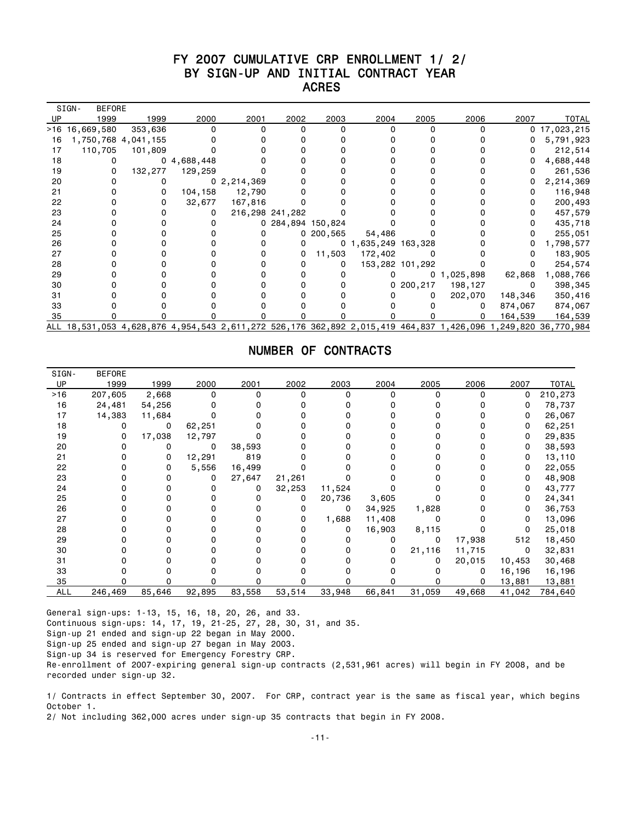## FY 2007 CUMULATIVE CRP ENROLLMENT 1/ 2/ BY SIGN-UP AND INITIAL CONTRACT YEAR<br>ACRES ACRES

|    | SIGN-<br><b>BEFORE</b>                                                                   |         |            |                |                   |             |                     |                 |                |         |                     |
|----|------------------------------------------------------------------------------------------|---------|------------|----------------|-------------------|-------------|---------------------|-----------------|----------------|---------|---------------------|
| UP | 1999                                                                                     | 1999    | 2000       | 2001           | 2002              | 2003        | 2004                | 2005            | 2006           | 2007    | TOTAL               |
|    | >16 16,669,580                                                                           | 353,636 |            |                |                   |             |                     |                 |                |         | $0$ 17,023,215      |
| 16 | 1,750,768 4,041,155                                                                      |         |            |                |                   |             |                     |                 |                |         | 5,791,923           |
| 17 | 110,705                                                                                  | 101,809 |            |                |                   |             |                     |                 |                |         | 212,514             |
| 18 | 0                                                                                        |         | 04,688,448 |                |                   |             |                     |                 |                |         | 4,688,448           |
| 19 | 0                                                                                        | 132,277 | 129,259    |                |                   |             |                     |                 |                |         | 261,536             |
| 20 |                                                                                          |         |            | 0, 2, 214, 369 |                   |             |                     |                 |                |         | 2,214,369           |
| 21 |                                                                                          |         | 104,158    | 12,790         |                   |             |                     |                 |                |         | 116,948             |
| 22 |                                                                                          |         | 32,677     | 167,816        |                   |             |                     |                 |                |         | 200,493             |
| 23 |                                                                                          |         |            |                | 216,298 241,282   |             |                     |                 |                |         | 457,579             |
| 24 |                                                                                          |         |            |                | 0 284,894 150,824 |             |                     |                 |                |         | 435,718             |
| 25 |                                                                                          |         |            |                |                   | 0, 200, 565 | 54,486              |                 |                |         | 255,051             |
| 26 |                                                                                          |         |            |                | o                 |             | 0 1,635,249 163,328 |                 |                |         | 1,798,577           |
| 27 |                                                                                          |         |            |                | 0                 | 11,503      | 172,402             |                 |                |         | 183,905             |
| 28 |                                                                                          |         |            |                |                   |             |                     | 153,282 101,292 |                |         | 254,574             |
| 29 |                                                                                          |         |            |                |                   |             |                     |                 | 0, 1, 025, 898 | 62,868  | 1,088,766           |
| 30 |                                                                                          |         |            |                |                   |             |                     | 0200,217        | 198,127        | 0       | 398,345             |
| 31 |                                                                                          |         |            |                |                   |             |                     | 0               | 202,070        | 148,346 | 350,416             |
| 33 |                                                                                          |         |            |                |                   |             |                     |                 |                | 874,067 | 874,067             |
| 35 |                                                                                          |         |            |                |                   |             |                     |                 |                | 164,539 | 164,539             |
|    | ALL 18,531,053 4,628,876 4,954,543 2,611,272 526,176 362,892 2,015,419 464,837 1,426,096 |         |            |                |                   |             |                     |                 |                |         | ,249,820 36,770,984 |

#### NUMBER OF CONTRACTS

| UP<br>1999<br>2001<br>2002<br>2003<br>2004<br>2005<br>2006<br>1999<br>2000<br>2007<br>$>16$<br>207,605<br>2,668<br>$\Omega$<br>0<br>0<br>O<br>ŋ<br>16<br>24,481<br>54,256<br>0<br>14,383<br>17<br>11,684<br>18<br>62,251<br>0<br>19<br>17,038<br>12,797<br>0<br>20<br>0<br>38,593<br>0<br>0<br>819<br>21<br>12,291<br>0<br>0<br>22<br>5,556<br>16,499<br>0<br>0<br>23<br>27,647<br>21,261<br>0<br>0<br>24<br>32,253<br>11,524<br>25<br>20,736<br>3,605<br>0<br>26<br>1,828<br>34,925<br>0<br>27<br>1,688<br>11,408<br>0<br>28<br>16,903<br>8,115<br>0<br>0<br>29<br>17,938<br>512<br>0<br>30<br>21,116<br>11,715<br>0<br>0<br>31<br>20,015<br>10,453<br>0<br>33<br>16,196<br>35<br>13,881<br>246,469<br>85,646<br>92,895<br>53,514<br>33,948<br>66,841<br>31,059<br><b>ALL</b><br>83,558<br>49,668<br>41,042 | SIGN- | <b>BEFORE</b> |  |  |  |  |              |
|--------------------------------------------------------------------------------------------------------------------------------------------------------------------------------------------------------------------------------------------------------------------------------------------------------------------------------------------------------------------------------------------------------------------------------------------------------------------------------------------------------------------------------------------------------------------------------------------------------------------------------------------------------------------------------------------------------------------------------------------------------------------------------------------------------------|-------|---------------|--|--|--|--|--------------|
|                                                                                                                                                                                                                                                                                                                                                                                                                                                                                                                                                                                                                                                                                                                                                                                                              |       |               |  |  |  |  | <b>TOTAL</b> |
|                                                                                                                                                                                                                                                                                                                                                                                                                                                                                                                                                                                                                                                                                                                                                                                                              |       |               |  |  |  |  | 210,273      |
|                                                                                                                                                                                                                                                                                                                                                                                                                                                                                                                                                                                                                                                                                                                                                                                                              |       |               |  |  |  |  | 78,737       |
|                                                                                                                                                                                                                                                                                                                                                                                                                                                                                                                                                                                                                                                                                                                                                                                                              |       |               |  |  |  |  | 26,067       |
|                                                                                                                                                                                                                                                                                                                                                                                                                                                                                                                                                                                                                                                                                                                                                                                                              |       |               |  |  |  |  | 62,251       |
|                                                                                                                                                                                                                                                                                                                                                                                                                                                                                                                                                                                                                                                                                                                                                                                                              |       |               |  |  |  |  | 29,835       |
|                                                                                                                                                                                                                                                                                                                                                                                                                                                                                                                                                                                                                                                                                                                                                                                                              |       |               |  |  |  |  | 38,593       |
|                                                                                                                                                                                                                                                                                                                                                                                                                                                                                                                                                                                                                                                                                                                                                                                                              |       |               |  |  |  |  | 13,110       |
|                                                                                                                                                                                                                                                                                                                                                                                                                                                                                                                                                                                                                                                                                                                                                                                                              |       |               |  |  |  |  | 22,055       |
|                                                                                                                                                                                                                                                                                                                                                                                                                                                                                                                                                                                                                                                                                                                                                                                                              |       |               |  |  |  |  | 48,908       |
|                                                                                                                                                                                                                                                                                                                                                                                                                                                                                                                                                                                                                                                                                                                                                                                                              |       |               |  |  |  |  | 43,777       |
|                                                                                                                                                                                                                                                                                                                                                                                                                                                                                                                                                                                                                                                                                                                                                                                                              |       |               |  |  |  |  | 24,341       |
|                                                                                                                                                                                                                                                                                                                                                                                                                                                                                                                                                                                                                                                                                                                                                                                                              |       |               |  |  |  |  | 36,753       |
|                                                                                                                                                                                                                                                                                                                                                                                                                                                                                                                                                                                                                                                                                                                                                                                                              |       |               |  |  |  |  | 13,096       |
|                                                                                                                                                                                                                                                                                                                                                                                                                                                                                                                                                                                                                                                                                                                                                                                                              |       |               |  |  |  |  | 25,018       |
|                                                                                                                                                                                                                                                                                                                                                                                                                                                                                                                                                                                                                                                                                                                                                                                                              |       |               |  |  |  |  | 18,450       |
|                                                                                                                                                                                                                                                                                                                                                                                                                                                                                                                                                                                                                                                                                                                                                                                                              |       |               |  |  |  |  | 32,831       |
|                                                                                                                                                                                                                                                                                                                                                                                                                                                                                                                                                                                                                                                                                                                                                                                                              |       |               |  |  |  |  | 30,468       |
|                                                                                                                                                                                                                                                                                                                                                                                                                                                                                                                                                                                                                                                                                                                                                                                                              |       |               |  |  |  |  | 16,196       |
|                                                                                                                                                                                                                                                                                                                                                                                                                                                                                                                                                                                                                                                                                                                                                                                                              |       |               |  |  |  |  | 13,881       |
|                                                                                                                                                                                                                                                                                                                                                                                                                                                                                                                                                                                                                                                                                                                                                                                                              |       |               |  |  |  |  | 784,640      |

General sign-ups: 1-13, 15, 16, 18, 20, 26, and 33. Continuous sign-ups: 14, 17, 19, 21-25, 27, 28, 30, 31, and 35. Sign-up 21 ended and sign-up 22 began in May 2000. Sign-up 25 ended and sign-up 27 began in May 2003. Sign-up 34 is reserved for Emergency Forestry CRP. Re-enrollment of 2007-expiring general sign-up contracts (2,531,961 acres) will begin in FY 2008, and be recorded under sign-up 32.

1/ Contracts in effect September 30, 2007. For CRP, contract year is the same as fiscal year, which begins October 1.

2/ Not including 362,000 acres under sign-up 35 contracts that begin in FY 2008.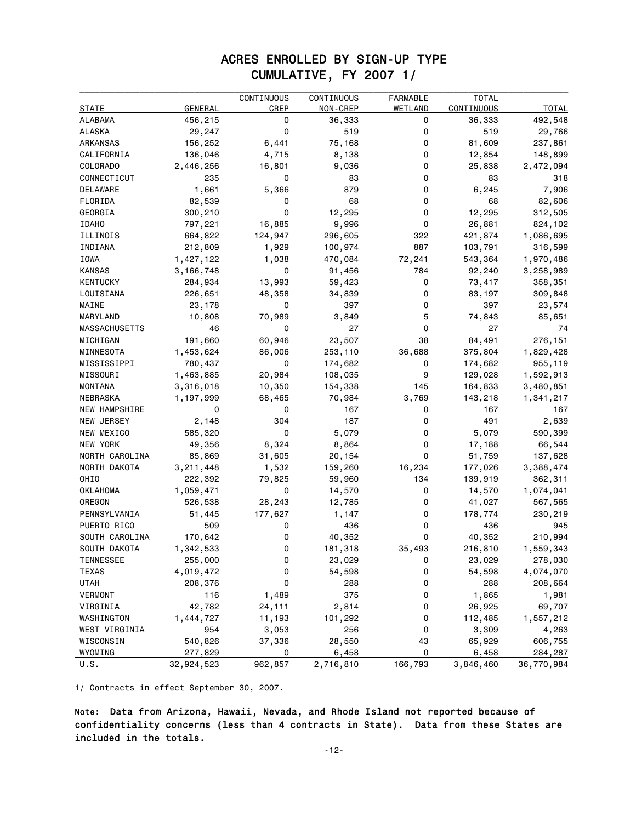### ACRES ENROLLED BY SIGN-UP TYPE CUMULATIVE, FY 2007 1/

|                   |                | CONTINUOUS | CONTINUOUS | <b>FARMABLE</b> | <b>TOTAL</b> |              |
|-------------------|----------------|------------|------------|-----------------|--------------|--------------|
| STATE             | <b>GENERAL</b> | CREP       | NON-CREP   | WETLAND         | CONTINUOUS   | <b>TOTAL</b> |
| ALABAMA           | 456,215        | 0          | 36,333     | 0               | 36,333       | 492,548      |
| ALASKA            | 29,247         | 0          | 519        | 0               | 519          | 29,766       |
| ARKANSAS          | 156,252        | 6,441      | 75,168     | 0               | 81,609       | 237,861      |
| CALIFORNIA        | 136,046        | 4,715      | 8,138      | 0               | 12,854       | 148,899      |
| <b>COLORADO</b>   | 2,446,256      | 16,801     | 9,036      | 0               | 25,838       | 2,472,094    |
| CONNECTICUT       | 235            | 0          | 83         | 0               | 83           | 318          |
| DELAWARE          | 1,661          | 5,366      | 879        | 0               | 6,245        | 7,906        |
| FLORIDA           | 82,539         | 0          | 68         | 0               | 68           | 82,606       |
| GEORGIA           | 300,210        | 0          | 12,295     | 0               | 12,295       | 312,505      |
| <b>IDAHO</b>      | 797,221        | 16,885     | 9,996      | 0               | 26,881       | 824,102      |
| ILLINOIS          | 664,822        | 124,947    | 296,605    | 322             | 421,874      | 1,086,695    |
| INDIANA           | 212,809        | 1,929      | 100,974    | 887             | 103,791      | 316,599      |
| IOWA              | 1,427,122      | 1,038      | 470,084    | 72,241          | 543,364      | 1,970,486    |
| <b>KANSAS</b>     | 3,166,748      | 0          | 91,456     | 784             | 92,240       | 3,258,989    |
| <b>KENTUCKY</b>   | 284,934        | 13,993     | 59,423     | 0               | 73,417       | 358,351      |
| LOUISIANA         | 226,651        | 48,358     | 34,839     | 0               | 83,197       | 309,848      |
| MAINE             | 23,178         | 0          | 397        | 0               | 397          | 23,574       |
| MARYLAND          | 10,808         | 70,989     | 3,849      | 5               | 74,843       | 85,651       |
| MASSACHUSETTS     | 46             | 0          | 27         | 0               | 27           | 74           |
| MICHIGAN          | 191,660        | 60,946     | 23,507     | 38              | 84,491       | 276,151      |
| MINNESOTA         | 1,453,624      | 86,006     | 253,110    | 36,688          | 375,804      | 1,829,428    |
| MISSISSIPPI       | 780,437        | 0          | 174,682    | 0               | 174,682      | 955,119      |
| MISSOURI          | 1,463,885      | 20,984     | 108,035    | 9               | 129,028      | 1,592,913    |
| MONTANA           | 3,316,018      | 10,350     | 154,338    | 145             | 164,833      | 3,480,851    |
| NEBRASKA          | 1,197,999      | 68,465     | 70,984     | 3,769           | 143,218      | 1,341,217    |
| NEW HAMPSHIRE     | 0              | 0          | 167        | 0               | 167          | 167          |
| <b>NEW JERSEY</b> | 2,148          | 304        | 187        | 0               | 491          | 2,639        |
| NEW MEXICO        | 585,320        | 0          | 5,079      | 0               | 5,079        | 590,399      |
| NEW YORK          | 49,356         | 8,324      | 8,864      | 0               | 17,188       | 66,544       |
| NORTH CAROLINA    | 85,869         | 31,605     | 20,154     | 0               | 51,759       | 137,628      |
| NORTH DAKOTA      | 3,211,448      | 1,532      | 159,260    | 16,234          | 177,026      | 3,388,474    |
| OHIO              | 222,392        | 79,825     | 59,960     | 134             | 139,919      | 362,311      |
| OKLAHOMA          | 1,059,471      | 0          | 14,570     | 0               | 14,570       | 1,074,041    |
| OREGON            | 526,538        | 28,243     | 12,785     | 0               | 41,027       | 567,565      |
| PENNSYLVANIA      | 51,445         | 177,627    | 1,147      | 0               | 178,774      | 230,219      |
| PUERTO RICO       | 509            | 0          | 436        | 0               | 436          | 945          |
| SOUTH CAROLINA    | 170,642        | 0          | 40,352     | 0               | 40,352       | 210,994      |
| SOUTH DAKOTA      | 1,342,533      | 0          | 181,318    | 35,493          | 216,810      | 1,559,343    |
| TENNESSEE         | 255,000        | 0          | 23,029     | 0               | 23,029       | 278,030      |
| <b>TEXAS</b>      | 4,019,472      | 0          | 54,598     | 0               | 54,598       | 4,074,070    |
| <b>UTAH</b>       | 208,376        | 0          | 288        | 0               | 288          | 208,664      |
| <b>VERMONT</b>    | 116            | 1,489      | 375        | 0               | 1,865        | 1,981        |
| VIRGINIA          | 42,782         | 24,111     | 2,814      | 0               | 26,925       | 69,707       |
| WASHINGTON        | 1,444,727      | 11,193     | 101,292    | 0               | 112,485      | 1,557,212    |
| WEST VIRGINIA     | 954            | 3,053      | 256        | 0               | 3,309        | 4,263        |
| WISCONSIN         | 540,826        | 37,336     | 28,550     | 43              | 65,929       | 606,755      |
| WYOMING           | 277,829        | 0          | 6,458      | 0               | 6,458        | 284,287      |
| U.S.              | 32,924,523     | 962,857    | 2,716,810  | 166,793         | 3,846,460    | 36,770,984   |

1/ Contracts in effect September 30, 2007.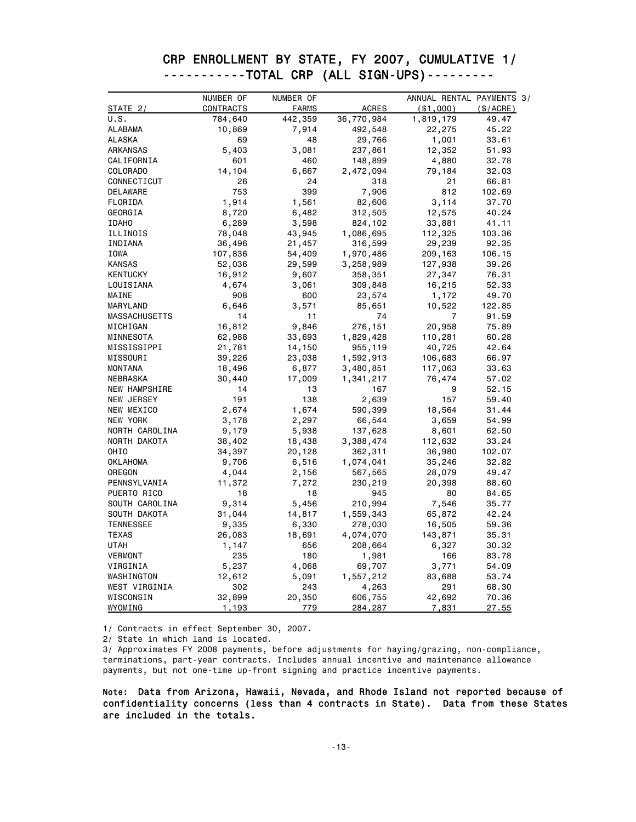|                                              |  | CRP ENROLLMENT BY STATE, FY 2007, CUMULATIVE 1/ |
|----------------------------------------------|--|-------------------------------------------------|
| -----------TOTAL CRP (ALL SIGN-UPS)--------- |  |                                                 |
|                                              |  |                                                 |

|                      | NUMBER OF | NUMBER OF    |              | ANNUAL RENTAL PAYMENTS 3/ |             |
|----------------------|-----------|--------------|--------------|---------------------------|-------------|
| STATE 2/             | CONTRACTS | <b>FARMS</b> | <b>ACRES</b> | ( \$1,000)                | $(\$/ACRE)$ |
| U.S.                 | 784,640   | 442,359      | 36,770,984   | 1,819,179                 | 49.47       |
| ALABAMA              | 10,869    | 7,914        | 492,548      | 22,275                    | 45.22       |
| ALASKA               | 69        | 48           | 29,766       | 1,001                     | 33.61       |
| ARKANSAS             | 5,403     | 3,081        | 237,861      | 12,352                    | 51.93       |
| CALIFORNIA           | 601       | 460          | 148,899      | 4,880                     | 32.78       |
| COLORADO             | 14,104    | 6,667        | 2,472,094    | 79,184                    | 32.03       |
| CONNECTICUT          | 26        | 24           | 318          | 21                        | 66.81       |
| DELAWARE             | 753       | 399          | 7,906        | 812                       | 102.69      |
| FLORIDA              | 1,914     | 1,561        | 82,606       | 3,114                     | 37.70       |
| GEORGIA              | 8,720     | 6,482        | 312,505      | 12,575                    | 40.24       |
| <b>IDAHO</b>         | 6,289     | 3,598        | 824,102      | 33,881                    | 41.11       |
| ILLINOIS             | 78,048    | 43,945       | 1,086,695    | 112,325                   | 103.36      |
| INDIANA              | 36,496    | 21,457       | 316,599      | 29,239                    | 92.35       |
| IOWA                 | 107,836   | 54,409       | 1,970,486    | 209,163                   | 106.15      |
| <b>KANSAS</b>        | 52,036    | 29,599       | 3,258,989    | 127,938                   | 39.26       |
| <b>KENTUCKY</b>      | 16,912    | 9,607        | 358,351      | 27,347                    | 76.31       |
| LOUISIANA            | 4,674     | 3,061        | 309,848      | 16,215                    | 52.33       |
| MAINE                | 908       | 600          | 23,574       | 1,172                     | 49.70       |
| MARYLAND             | 6,646     | 3,571        | 85,651       | 10,522                    | 122.85      |
| MASSACHUSETTS        | 14        | 11           | 74           | 7                         | 91.59       |
| MICHIGAN             | 16,812    | 9,846        | 276,151      | 20,958                    | 75.89       |
| MINNESOTA            | 62,988    | 33,693       | 1,829,428    | 110,281                   | 60.28       |
| MISSISSIPPI          | 21,781    | 14,150       | 955,119      | 40,725                    | 42.64       |
| MISSOURI             | 39,226    | 23,038       | 1,592,913    | 106,683                   | 66.97       |
| <b>MONTANA</b>       | 18,496    | 6,877        | 3,480,851    | 117,063                   | 33.63       |
| NEBRASKA             | 30,440    | 17,009       | 1,341,217    | 76,474                    | 57.02       |
| <b>NEW HAMPSHIRE</b> | 14        | 13           | 167          | 9                         | 52.15       |
| NEW JERSEY           | 191       | 138          | 2,639        | 157                       | 59.40       |
| NEW MEXICO           | 2,674     | 1,674        | 590,399      | 18,564                    | 31.44       |
| NEW YORK             | 3,178     | 2,297        | 66,544       | 3,659                     | 54.99       |
| NORTH CAROLINA       | 9,179     | 5,938        | 137,628      | 8,601                     | 62.50       |
| NORTH DAKOTA         | 38,402    | 18,438       | 3,388,474    | 112,632                   | 33.24       |
| OHIO                 | 34,397    | 20,128       | 362,311      | 36,980                    | 102.07      |
| OKLAHOMA             | 9,706     | 6,516        | 1,074,041    | 35,246                    | 32.82       |
| OREGON               | 4,044     | 2,156        | 567,565      | 28,079                    | 49.47       |
| PENNSYLVANIA         | 11,372    | 7,272        | 230,219      | 20,398                    | 88.60       |
| PUERTO RICO          | 18        | 18           | 945          | 80                        | 84.65       |
| SOUTH CAROLINA       | 9,314     | 5,456        | 210,994      | 7,546                     | 35.77       |
| SOUTH DAKOTA         | 31,044    | 14,817       | 1,559,343    | 65,872                    | 42.24       |
| <b>TENNESSEE</b>     | 9,335     | 6,330        | 278,030      | 16,505                    | 59.36       |
| <b>TEXAS</b>         | 26,083    | 18,691       | 4,074,070    | 143,871                   | 35.31       |
| UTAH                 | 1,147     | 656          | 208,664      | 6,327                     | 30.32       |
| VERMONT              | 235       | 180          | 1,981        | 166                       | 83.78       |
| VIRGINIA             | 5,237     | 4,068        | 69,707       | 3,771                     | 54.09       |
| WASHINGTON           | 12,612    | 5,091        | 1,557,212    | 83,688                    | 53.74       |
| WEST VIRGINIA        | 302       | 243          | 4,263        | 291                       | 68.30       |
| WISCONSIN            | 32,899    | 20,350       | 606,755      | 42,692                    | 70.36       |
| WYOMING              | 1,193     | 779          | 284,287      | 7,831                     | 27.55       |

1/ Contracts in effect September 30, 2007.

2/ State in which land is located.

3/ Approximates FY 2008 payments, before adjustments for haying/grazing, non-compliance, terminations, part-year contracts. Includes annual incentive and maintenance allowance payments, but not one-time up-front signing and practice incentive payments.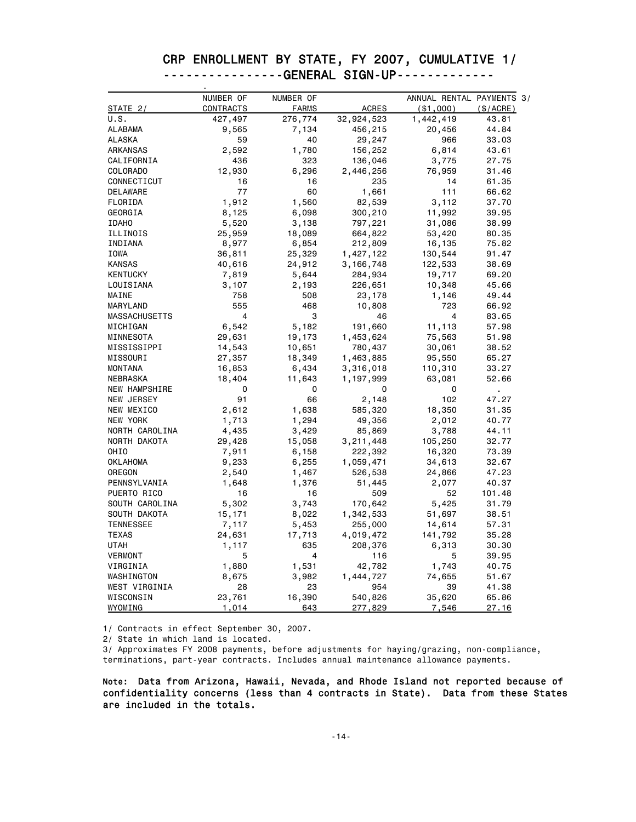#### CRP ENROLLMENT BY STATE, FY 2007, CUMULATIVE 1/ ----------------GENERAL SIGN-UP------------- -

|                      | NUMBER OF      | NUMBER OF    |              | ANNUAL RENTAL PAYMENTS 3/ |          |
|----------------------|----------------|--------------|--------------|---------------------------|----------|
| STATE 2/             | CONTRACTS      | <b>FARMS</b> | <b>ACRES</b> | ( \$1,000)                | (S/ACRE) |
| U.S.                 | 427,497        | 276,774      | 32,924,523   | 1,442,419                 | 43.81    |
| ALABAMA              | 9,565          | 7,134        | 456,215      | 20,456                    | 44.84    |
| ALASKA               | 59             | 40           | 29,247       | 966                       | 33.03    |
| ARKANSAS             | 2,592          | 1,780        | 156,252      | 6,814                     | 43.61    |
| CALIFORNIA           | 436            | 323          | 136,046      | 3,775                     | 27.75    |
| COLORADO             | 12,930         | 6,296        | 2,446,256    | 76,959                    | 31.46    |
| CONNECTICUT          | 16             | 16           | 235          | 14                        | 61.35    |
| DELAWARE             | 77             | 60           | 1,661        | 111                       | 66.62    |
| FLORIDA              | 1,912          | 1,560        | 82,539       | 3,112                     | 37.70    |
| GEORGIA              | 8,125          | 6,098        | 300,210      | 11,992                    | 39.95    |
| <b>IDAHO</b>         | 5,520          | 3,138        | 797,221      | 31,086                    | 38.99    |
| ILLINOIS             | 25,959         | 18,089       | 664,822      | 53,420                    | 80.35    |
| INDIANA              | 8,977          | 6,854        | 212,809      | 16,135                    | 75.82    |
| IOWA                 | 36,811         | 25,329       | 1,427,122    | 130,544                   | 91.47    |
| <b>KANSAS</b>        | 40,616         | 24,912       | 3,166,748    | 122,533                   | 38.69    |
| <b>KENTUCKY</b>      | 7,819          | 5,644        | 284,934      | 19,717                    | 69.20    |
| LOUISIANA            | 3,107          | 2,193        | 226,651      | 10,348                    | 45.66    |
| MAINE                | 758            | 508          | 23,178       | 1,146                     | 49.44    |
| MARYLAND             | 555            | 468          | 10,808       | 723                       | 66.92    |
| <b>MASSACHUSETTS</b> | $\overline{4}$ | 3            | 46           | 4                         | 83.65    |
| MICHIGAN             | 6,542          | 5,182        | 191,660      | 11,113                    | 57.98    |
| MINNESOTA            | 29,631         | 19,173       | 1,453,624    | 75,563                    | 51.98    |
| MISSISSIPPI          | 14,543         | 10,651       | 780,437      | 30,061                    | 38.52    |
| MISSOURI             | 27,357         | 18,349       | 1,463,885    | 95,550                    | 65.27    |
| <b>MONTANA</b>       | 16,853         | 6,434        | 3,316,018    | 110,310                   | 33.27    |
| NEBRASKA             | 18,404         | 11,643       | 1,197,999    | 63,081                    | 52.66    |
| <b>NEW HAMPSHIRE</b> | 0              | 0            | 0            | 0                         |          |
| NEW JERSEY           | 91             | 66           | 2,148        | 102                       | 47.27    |
| NEW MEXICO           | 2,612          | 1,638        | 585,320      | 18,350                    | 31.35    |
| NEW YORK             | 1,713          | 1,294        | 49,356       | 2,012                     | 40.77    |
| NORTH CAROLINA       | 4,435          | 3,429        | 85,869       | 3,788                     | 44.11    |
| NORTH DAKOTA         | 29,428         | 15,058       | 3,211,448    | 105,250                   | 32.77    |
| OHIO                 | 7,911          | 6,158        | 222,392      | 16,320                    | 73.39    |
| <b>OKLAHOMA</b>      | 9,233          | 6,255        | 1,059,471    | 34,613                    | 32.67    |
| OREGON               | 2,540          | 1,467        | 526,538      | 24,866                    | 47.23    |
| PENNSYLVANIA         | 1,648          | 1,376        | 51,445       | 2,077                     | 40.37    |
| PUERTO RICO          | 16             | 16           | 509          | 52                        | 101.48   |
| SOUTH CAROLINA       | 5,302          | 3,743        | 170,642      | 5,425                     | 31.79    |
| SOUTH DAKOTA         | 15,171         | 8,022        | 1,342,533    | 51,697                    | 38.51    |
| <b>TENNESSEE</b>     | 7,117          | 5,453        | 255,000      | 14,614                    | 57.31    |
| <b>TEXAS</b>         | 24,631         | 17,713       | 4,019,472    | 141,792                   | 35.28    |
| UTAH                 | 1,117          | 635          | 208,376      | 6,313                     | 30.30    |
| VERMONT              | 5              | 4            | 116          | 5                         | 39.95    |
| VIRGINIA             | 1,880          | 1,531        | 42,782       | 1,743                     | 40.75    |
| WASHINGTON           | 8,675          | 3,982        | 1,444,727    | 74,655                    | 51.67    |
| WEST VIRGINIA        | 28             | 23           | 954          | 39                        | 41.38    |
| WISCONSIN            | 23,761         | 16,390       | 540,826      | 35,620                    | 65.86    |
| WYOMING              | 1,014          | 643          | 277,829      | 7,546                     | 27.16    |

1/ Contracts in effect September 30, 2007.

2/ State in which land is located.

3/ Approximates FY 2008 payments, before adjustments for haying/grazing, non-compliance, terminations, part-year contracts. Includes annual maintenance allowance payments.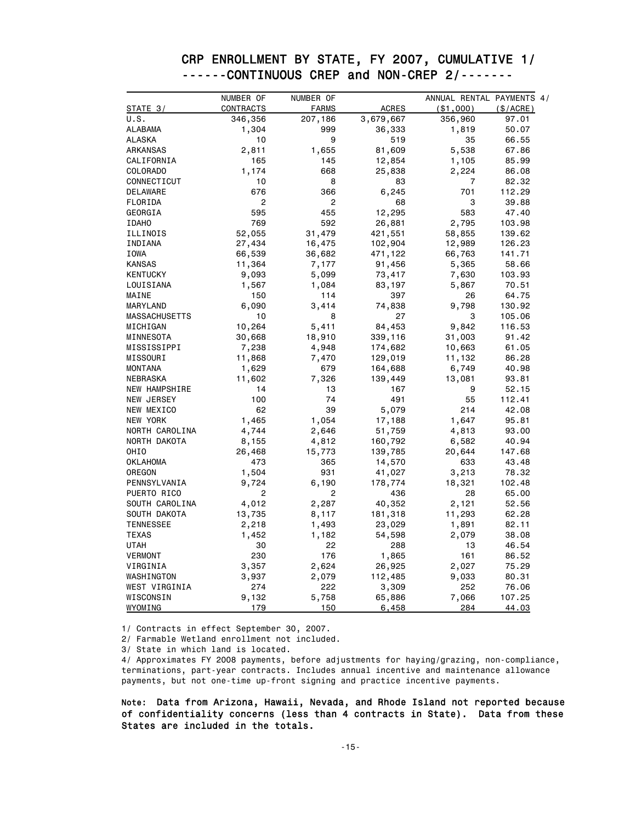#### ------CONTINUOUS CREP and NON-CREP 2/-------<br>
NUMBER OF NUMBER OF ANNUAL RENTAL PAYM NUMBER OF ANNUAL RENTAL PAYMENTS 4/<br>FARMS ACRES (\$1,000) (\$/ACRE) STATE 3/ CONTRACTS FARMS ACRES (\$1,000) (\$/ACRE) U.S. 346,356 207,186 3,679,667 356,960 97.01 ALABAMA 1,304 999 36,333 1,819 50.07 ALASKA 10 9 519 35 66.55 ARKANSAS 2,811 1,655 81,609 5,538 67.86 CALIFORNIA 165 145 12,854 1,105 85.99 COLORADO 1,174 668 25,838 2,224 86.08 CONNECTICUT 10 8 83 7 82.32 DELAWARE 676 366 6,245 701 112.29 FLORIDA 2 2 68 3 39.88 GEORGIA 595 455 12,295 583 47.40 IDAHO 769 592 26,881 2,795 103.98 ILLINOIS 52,055 31,479 421,551 58,855 139.62 INDIANA 27,434 16,475 102,904 12,989 126.23 IOWA 66,539 36,682 471,122 66,763 141.71 KANSAS 11,364 7,177 91,456 5,365 58.66 KENTUCKY 9,093 5,099 73,417 7,630 103.93 LOUISIANA 1,567 1,084 83,197 5,867 70.51 MAINE 150 114 397 26 64.75 MARYLAND 6,090 3,414 74,838 9,798 130.92 MASSACHUSETTS 10 8 27 3 105.06 MICHIGAN 10,264 5,411 84,453 9,842 116.53 MINNESOTA 30,668 18,910 339,116 31,003 91.42

 MISSISSIPPI 7,238 4,948 174,682 10,663 61.05 MISSOURI 11,868 7,470 129,019 11,132 86.28 MONTANA 1,629 679 164,688 6,749 40.98 NEBRASKA 11,602 7,326 139,449 13,081 93.81 NEW HAMPSHIRE 14 13 167 9 52.15 NEW JERSEY 100 74 491 55 112.41 NEW MEXICO 62 39 5,079 214 42.08 NEW YORK 1,465 1,054 17,188 1,647 95.81 NORTH CAROLINA 4,744 2,646 51,759 4,813 93.00 NORTH DAKOTA 8,155 4,812 160,792 6,582 40.94 OHIO 26,468 15,773 139,785 20,644 147.68 OKLAHOMA 473 365 14,570 633 43.48 0REGON 1,504 931 41,027 3,213 78.32 PENNSYLVANIA 9,724 6,190 178,774 18,321 102.48 PUERTO RICO 2 2 436 28 65.00 SOUTH CAROLINA 4,012 2,287 40,352 2,121 52.56 SOUTH DAKOTA 13,735 8,117 181,318 11,293 62.28 TENNESSEE 2,218 1,493 23,029 1,891 82.11 TEXAS 1,452 1,182 54,598 2,079 38.08 UTAH 30 22 288 13 46.54 VERMONT 230 176 1,865 161 86.52 VIRGINIA 3,357 2,624 26,925 2,027 75.29 WASHINGTON 3,937 2,079 112,485 9,033 80.31 WEST VIRGINIA 274 222 3,309 252 76.06 WISCONSIN 9,132 5,758 65,886 7,066 107.25 <u>WYOMING 179 150 6,458 284 44.03</u>

# CRP ENROLLMENT BY STATE, FY 2007, CUMULATIVE 1/

1/ Contracts in effect September 30, 2007.

2/ Farmable Wetland enrollment not included.

3/ State in which land is located.

4/ Approximates FY 2008 payments, before adjustments for haying/grazing, non-compliance, terminations, part-year contracts. Includes annual incentive and maintenance allowance payments, but not one-time up-front signing and practice incentive payments.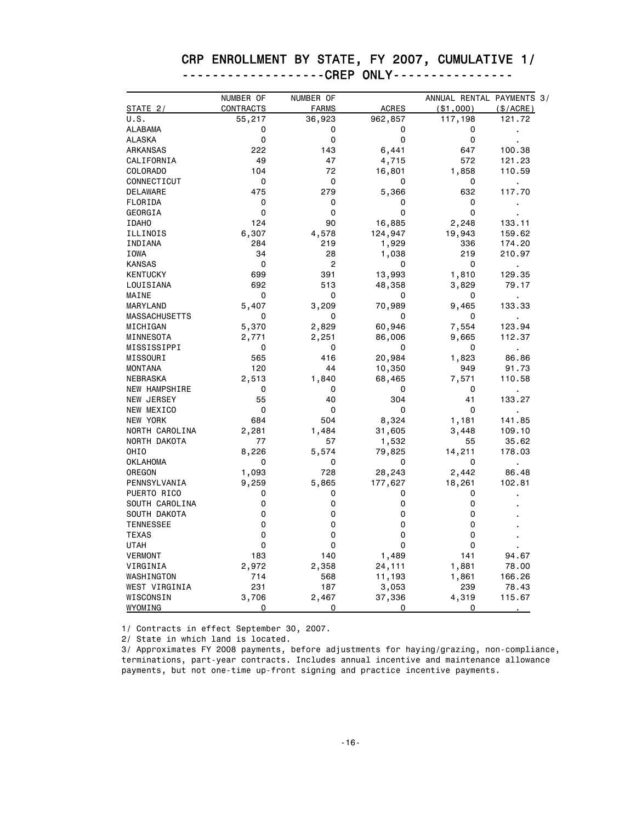## CRP ENROLLMENT BY STATE, FY 2007, CUMULATIVE 1/

| -------------------CREP ONLY---------------- |  |  |
|----------------------------------------------|--|--|
|                                              |  |  |

|                      | NUMBER OF | NUMBER OF    |              | ANNUAL RENTAL PAYMENTS 3/ |                |
|----------------------|-----------|--------------|--------------|---------------------------|----------------|
| STATE 2/             | CONTRACTS | <b>FARMS</b> | <b>ACRES</b> | ( \$1,000)                | (\$/ACRE)      |
| U.S.                 | 55,217    | 36,923       | 962,857      | 117,198                   | 121.72         |
| ALABAMA              | 0         | 0            | 0            | 0                         |                |
| ALASKA               | 0         | 0            | 0            | 0                         |                |
| ARKANSAS             | 222       | 143          | 6,441        | 647                       | 100.38         |
| CALIFORNIA           | 49        | 47           | 4,715        | 572                       | 121.23         |
| COLORADO             | 104       | 72           | 16,801       | 1,858                     | 110.59         |
| CONNECTICUT          | 0         | 0            | 0            | 0                         |                |
| DELAWARE             | 475       | 279          | 5,366        | 632                       | 117.70         |
| FLORIDA              | 0         | 0            | 0            | 0                         |                |
| GEORGIA              | 0         | 0            | 0            | 0                         |                |
| <b>IDAHO</b>         | 124       | 90           | 16,885       | 2,248                     | 133.11         |
| ILLINOIS             | 6,307     | 4,578        | 124,947      | 19,943                    | 159.62         |
| INDIANA              | 284       | 219          | 1,929        | 336                       | 174.20         |
| IOWA                 | 34        | 28           | 1,038        | 219                       | 210.97         |
| <b>KANSAS</b>        | 0         | 2            | 0            | 0                         | $\blacksquare$ |
| <b>KENTUCKY</b>      | 699       | 391          | 13,993       | 1,810                     | 129.35         |
| LOUISIANA            | 692       | 513          | 48,358       | 3,829                     | 79.17          |
| MAINE                | 0         | 0            | 0            | 0                         | ä,             |
| MARYLAND             | 5,407     | 3,209        | 70,989       | 9,465                     | 133.33         |
| MASSACHUSETTS        | 0         | 0            | 0            | 0                         |                |
| MICHIGAN             | 5,370     | 2,829        | 60,946       | 7,554                     | 123.94         |
| MINNESOTA            | 2,771     | 2,251        | 86,006       | 9,665                     | 112.37         |
| MISSISSIPPI          | 0         | 0            | 0            | 0                         |                |
| MISSOURI             | 565       | 416          | 20,984       | 1,823                     | 86.86          |
| <b>MONTANA</b>       | 120       | 44           | 10,350       | 949                       | 91.73          |
| NEBRASKA             | 2,513     | 1,840        | 68,465       | 7,571                     | 110.58         |
| <b>NEW HAMPSHIRE</b> | 0         | 0            | 0            | 0                         |                |
| NEW JERSEY           | 55        | 40           | 304          | 41                        | 133.27         |
| NEW MEXICO           | 0         | 0            | 0            | 0                         |                |
| NEW YORK             | 684       | 504          | 8,324        | 1,181                     | 141.85         |
| NORTH CAROLINA       | 2,281     | 1,484        | 31,605       | 3,448                     | 109.10         |
| NORTH DAKOTA         | 77        | 57           | 1,532        | 55                        | 35.62          |
| OHIO                 | 8,226     | 5,574        | 79,825       | 14,211                    | 178.03         |
| <b>OKLAHOMA</b>      | 0         | 0            | 0            | 0                         |                |
| OREGON               | 1,093     | 728          | 28,243       | 2,442                     | 86.48          |
| PENNSYLVANIA         | 9,259     | 5,865        | 177,627      | 18,261                    | 102.81         |
| PUERTO RICO          | 0         | 0            | 0            | 0                         |                |
| SOUTH CAROLINA       | 0         | 0            | 0            | 0                         |                |
| SOUTH DAKOTA         | 0         | 0            | 0            | 0                         |                |
| <b>TENNESSEE</b>     | 0         | 0            | 0            | 0                         |                |
| <b>TEXAS</b>         | 0         | 0            | 0            | 0                         |                |
| UTAH                 | 0         | 0            | 0            | 0                         |                |
| VERMONT              | 183       | 140          | 1,489        | 141                       | 94.67          |
| VIRGINIA             | 2,972     | 2,358        | 24,111       | 1,881                     | 78.00          |
| WASHINGTON           | 714       | 568          | 11,193       | 1,861                     | 166.26         |
| WEST VIRGINIA        | 231       | 187          | 3,053        | 239                       | 78.43          |
| WISCONSIN            | 3,706     | 2,467        | 37,336       | 4,319                     | 115.67         |
| WYOMING              | 0         | 0            | 0            | 0                         |                |

1/ Contracts in effect September 30, 2007.

2/ State in which land is located.

3/ Approximates FY 2008 payments, before adjustments for haying/grazing, non-compliance, terminations, part-year contracts. Includes annual incentive and maintenance allowance payments, but not one-time up-front signing and practice incentive payments.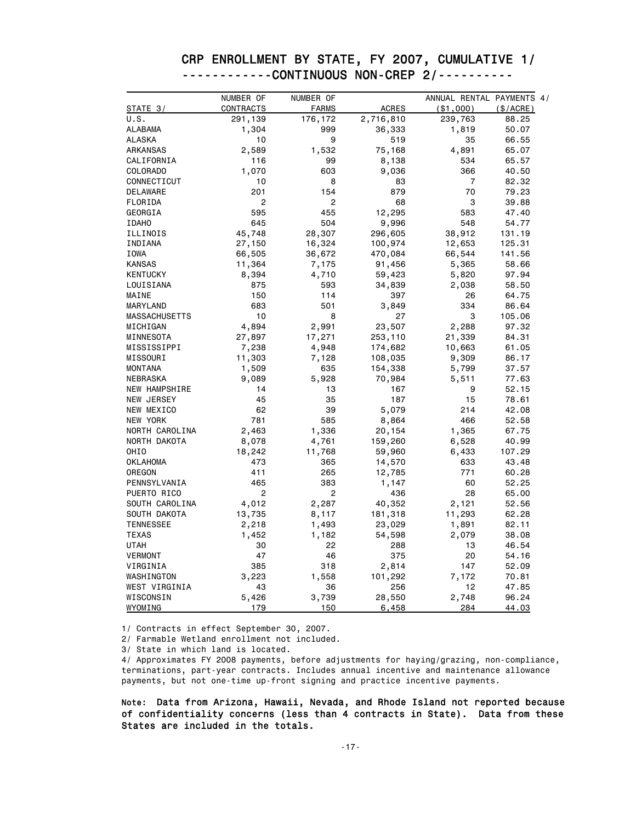#### CRP ENROLLMENT BY STATE, FY 2007, CUMULATIVE 1/ ------------CONTINUOUS NON-CREP 2/----------

|                      | NUMBER OF      | NUMBER OF    |           | ANNUAL RENTAL PAYMENTS 4/ |           |
|----------------------|----------------|--------------|-----------|---------------------------|-----------|
| STATE 3/             | CONTRACTS      | <b>FARMS</b> | ACRES     | ( \$1,000)                | (\$/ACRE) |
| U.S.                 | 291,139        | 176,172      | 2,716,810 | 239,763                   | 88.25     |
| <b>ALABAMA</b>       | 1,304          | 999          | 36,333    | 1,819                     | 50.07     |
| ALASKA               | 10             | 9            | 519       | 35                        | 66.55     |
| ARKANSAS             | 2,589          | 1,532        | 75,168    | 4,891                     | 65.07     |
| CALIFORNIA           | 116            | 99           | 8,138     | 534                       | 65.57     |
| COLORADO             | 1,070          | 603          | 9,036     | 366                       | 40.50     |
| CONNECTICUT          | 10             | 8            | 83        | 7                         | 82.32     |
| DELAWARE             | 201            | 154          | 879       | 70                        | 79.23     |
| FLORIDA              | 2              | 2            | 68        | 3                         | 39.88     |
| GEORGIA              | 595            | 455          | 12,295    | 583                       | 47.40     |
| <b>IDAHO</b>         | 645            | 504          | 9,996     | 548                       | 54.77     |
| ILLINOIS             | 45,748         | 28,307       | 296,605   | 38,912                    | 131.19    |
| INDIANA              | 27,150         | 16,324       | 100,974   | 12,653                    | 125.31    |
| IOWA                 | 66,505         | 36,672       | 470,084   | 66,544                    | 141.56    |
| <b>KANSAS</b>        | 11,364         | 7,175        | 91,456    | 5,365                     | 58.66     |
| <b>KENTUCKY</b>      | 8,394          | 4,710        | 59,423    | 5,820                     | 97.94     |
| LOUISIANA            | 875            | 593          | 34,839    | 2,038                     | 58.50     |
| MAINE                | 150            | 114          | 397       | 26                        | 64.75     |
| MARYLAND             | 683            | 501          | 3,849     | 334                       | 86.64     |
| <b>MASSACHUSETTS</b> | 10             | 8            | 27        | 3                         | 105.06    |
| MICHIGAN             | 4,894          | 2,991        | 23,507    | 2,288                     | 97.32     |
| MINNESOTA            | 27,897         | 17,271       | 253,110   | 21,339                    | 84.31     |
| MISSISSIPPI          | 7,238          | 4,948        | 174,682   | 10,663                    | 61.05     |
| MISSOURI             | 11,303         | 7,128        | 108,035   | 9,309                     | 86.17     |
| <b>MONTANA</b>       | 1,509          | 635          | 154,338   | 5,799                     | 37.57     |
| NEBRASKA             | 9,089          | 5,928        | 70,984    | 5,511                     | 77.63     |
| NEW HAMPSHIRE        | 14             | 13           | 167       | 9                         | 52.15     |
| NEW JERSEY           | 45             | 35           | 187       | 15                        | 78.61     |
| NEW MEXICO           | 62             | 39           | 5,079     | 214                       | 42.08     |
| NEW YORK             | 781            | 585          | 8,864     | 466                       | 52.58     |
| NORTH CAROLINA       | 2,463          | 1,336        | 20,154    | 1,365                     | 67.75     |
| NORTH DAKOTA         | 8,078          | 4,761        | 159,260   | 6,528                     | 40.99     |
| OHIO                 | 18,242         | 11,768       | 59,960    | 6,433                     | 107.29    |
| <b>OKLAHOMA</b>      | 473            | 365          | 14,570    | 633                       | 43.48     |
| OREGON               | 411            | 265          | 12,785    | 771                       | 60.28     |
| PENNSYLVANIA         | 465            | 383          | 1,147     | 60                        | 52.25     |
| PUERTO RICO          | $\overline{c}$ | 2            | 436       | 28                        | 65.00     |
| SOUTH CAROLINA       | 4,012          | 2,287        | 40,352    | 2,121                     | 52.56     |
| SOUTH DAKOTA         | 13,735         | 8,117        | 181,318   | 11,293                    | 62.28     |
| <b>TENNESSEE</b>     | 2,218          | 1,493        | 23,029    | 1,891                     | 82.11     |
| <b>TEXAS</b>         | 1,452          | 1,182        | 54,598    | 2,079                     | 38.08     |
| UTAH                 | 30             | 22           | 288       | 13                        | 46.54     |
| VERMONT              | 47             | 46           | 375       | 20                        | 54.16     |
| VIRGINIA             | 385            | 318          | 2,814     | 147                       | 52.09     |
| WASHINGTON           | 3,223          | 1,558        | 101,292   | 7,172                     | 70.81     |
| WEST VIRGINIA        | 43             | 36           | 256       | 12                        | 47.85     |
| WISCONSIN            | 5,426          | 3,739        | 28,550    | 2,748                     | 96.24     |
| WYOMING              | 179            | 150          | 6,458     | 284                       | 44.03     |

1/ Contracts in effect September 30, 2007.

2/ Farmable Wetland enrollment not included.

3/ State in which land is located.

4/ Approximates FY 2008 payments, before adjustments for haying/grazing, non-compliance, terminations, part-year contracts. Includes annual incentive and maintenance allowance payments, but not one-time up-front signing and practice incentive payments.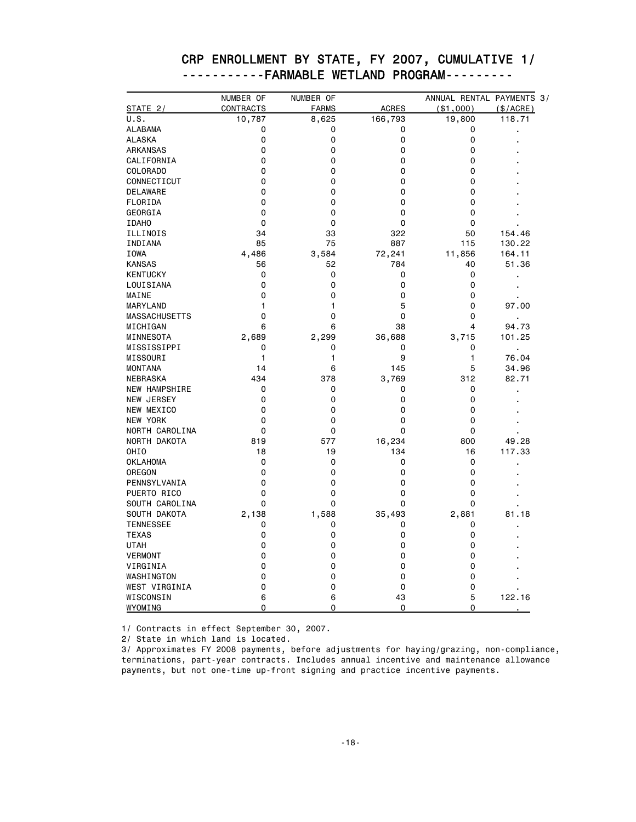|                      | NUMBER OF | NUMBER OF    |              | ANNUAL RENTAL PAYMENTS 3/ |                |
|----------------------|-----------|--------------|--------------|---------------------------|----------------|
| STATE 2/             | CONTRACTS | <b>FARMS</b> | <b>ACRES</b> | (\$1,000)                 | (\$/ACRE)      |
| U.S.                 | 10,787    | 8,625        | 166,793      | 19,800                    | 118.71         |
| <b>ALABAMA</b>       | 0         | 0            | 0            | 0                         |                |
| <b>ALASKA</b>        | 0         | 0            | 0            | 0                         |                |
| ARKANSAS             | 0         | 0            | 0            | 0                         |                |
| CALIFORNIA           | 0         | 0            | 0            | 0                         |                |
| COLORADO             | 0         | 0            | 0            | 0                         |                |
| CONNECTICUT          | 0         | 0            | 0            | 0                         |                |
| <b>DELAWARE</b>      | 0         | 0            | 0            | 0                         |                |
| FLORIDA              | 0         | 0            | 0            | 0                         |                |
| GEORGIA              | 0         | 0            | 0            | 0                         |                |
| <b>IDAHO</b>         | 0         | 0            | 0            | 0                         |                |
| ILLINOIS             | 34        | 33           | 322          | 50                        | 154.46         |
| INDIANA              | 85        | 75           | 887          | 115                       | 130.22         |
| <b>IOWA</b>          | 4,486     | 3,584        | 72,241       | 11,856                    | 164.11         |
| <b>KANSAS</b>        | 56        | 52           | 784          | 40                        | 51.36          |
| <b>KENTUCKY</b>      | 0         | 0            | 0            | 0                         | $\blacksquare$ |
| LOUISIANA            | 0         | 0            | 0            | 0                         |                |
| MAINE                | 0         | 0            | 0            | 0                         |                |
| MARYLAND             | 1         | 1            | 5            | 0                         | 97.00          |
| <b>MASSACHUSETTS</b> | 0         | 0            | 0            | 0                         |                |
| MICHIGAN             | 6         | 6            | 38           | 4                         | 94.73          |
| MINNESOTA            | 2,689     | 2,299        | 36,688       | 3,715                     | 101.25         |
| MISSISSIPPI          | 0         | 0            | 0            | 0                         |                |
| MISSOURI             | 1         | 1            | 9            | 1                         | 76.04          |
| <b>MONTANA</b>       | 14        | 6            | 145          | 5                         | 34.96          |
| NEBRASKA             | 434       | 378          | 3,769        | 312                       | 82.71          |
| <b>NEW HAMPSHIRE</b> | 0         | 0            | 0            | 0                         |                |
| <b>NEW JERSEY</b>    | 0         | 0            | 0            | 0                         |                |
| NEW MEXICO           | 0         | 0            | 0            | 0                         |                |
| NEW YORK             | 0         | 0            | 0            | 0                         |                |
| NORTH CAROLINA       | 0         | 0            | 0            | 0                         |                |
| NORTH DAKOTA         | 819       | 577          | 16,234       | 800                       | 49.28          |
| OHI <sub>0</sub>     | 18        | 19           | 134          | 16                        | 117.33         |
| <b>OKLAHOMA</b>      | 0         | 0            | 0            | 0                         | $\blacksquare$ |
| OREGON               | 0         | 0            | 0            | 0                         |                |
| PENNSYLVANIA         | 0         | 0            | 0            | 0                         |                |
| PUERTO RICO          | 0         | 0            | 0            | 0                         |                |
| SOUTH CAROLINA       | 0         | 0            | 0            | 0                         |                |
| SOUTH DAKOTA         | 2,138     | 1,588        | 35,493       | 2,881                     | 81.18          |
| <b>TENNESSEE</b>     | 0         | 0            | 0            | 0                         |                |
| <b>TEXAS</b>         | 0         | 0            | 0            | 0                         |                |
| <b>UTAH</b>          | 0         | 0            | 0            | 0                         |                |
| <b>VERMONT</b>       | 0         | 0            | 0            | 0                         |                |
| VIRGINIA             | 0         | 0            | 0            | 0                         |                |
| WASHINGTON           | 0         | 0            | 0            | 0                         |                |
| WEST VIRGINIA        | 0         | 0            | 0            | 0                         |                |
| WISCONSIN            | 6         | 6            | 43           | 5                         | 122.16         |
| WYOMING              | 0         | 0            | 0            | 0                         |                |

#### CRP ENROLLMENT BY STATE, FY 2007, CUMULATIVE 1/ -----------FARMABLE WETLAND PROGRAM---------

1/ Contracts in effect September 30, 2007.

2/ State in which land is located.

3/ Approximates FY 2008 payments, before adjustments for haying/grazing, non-compliance, terminations, part-year contracts. Includes annual incentive and maintenance allowance payments, but not one-time up-front signing and practice incentive payments.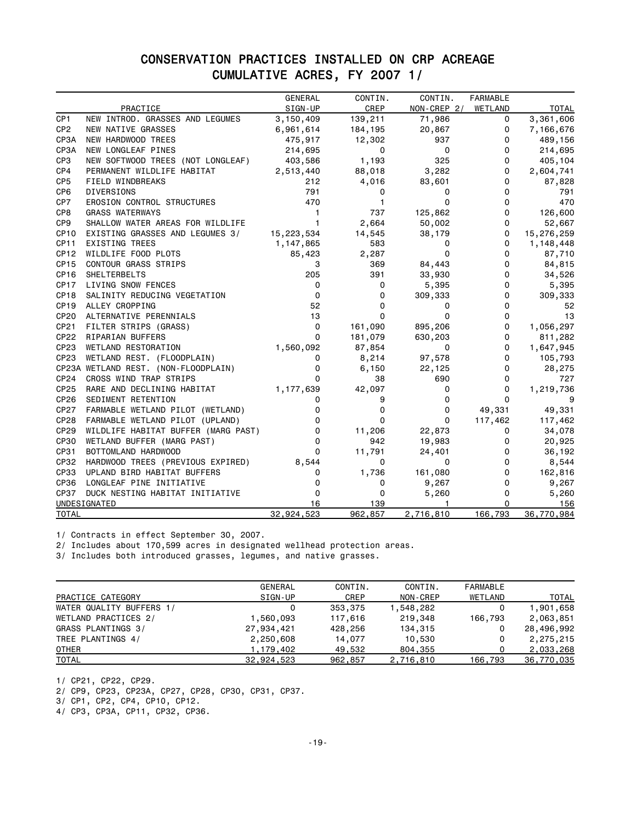### CONSERVATION PRACTICES INSTALLED ON CRP ACREAGE CUMULATIVE ACRES, FY 2007 1/

|                  |                                      | <b>GENERAL</b> | CONTIN.      | CONTIN.     | <b>FARMABLE</b> |              |
|------------------|--------------------------------------|----------------|--------------|-------------|-----------------|--------------|
|                  | PRACTICE                             | SIGN-UP        | CREP         | NON-CREP 2/ | WETLAND         | <b>TOTAL</b> |
| CP1              | NEW INTROD. GRASSES AND LEGUMES      | 3,150,409      | 139,211      | 71,986      | 0               | 3,361,606    |
| CP <sub>2</sub>  | NEW NATIVE GRASSES                   | 6,961,614      | 184,195      | 20,867      | 0               | 7,166,676    |
| CP3A             | NEW HARDWOOD TREES                   | 475,917        | 12,302       | 937         | 0               | 489,156      |
| CP3A             | NEW LONGLEAF PINES                   | 214,695        | 0            | 0           | 0               | 214,695      |
| CP3              | NEW SOFTWOOD TREES (NOT LONGLEAF)    | 403,586        | 1,193        | 325         | $\Omega$        | 405,104      |
| CP4              | PERMANENT WILDLIFE HABITAT           | 2,513,440      | 88,018       | 3,282       | 0               | 2,604,741    |
| CP <sub>5</sub>  | FIELD WINDBREAKS                     | 212            | 4,016        | 83,601      | 0               | 87,828       |
| CP <sub>6</sub>  | DIVERSIONS                           | 791            | 0            | 0           | 0               | 791          |
| CP7              | EROSION CONTROL STRUCTURES           | 470            | $\mathbf{1}$ | 0           | 0               | 470          |
| CP8              | <b>GRASS WATERWAYS</b>               | $\mathbf{1}$   | 737          | 125,862     | 0               | 126,600      |
| CP9              | SHALLOW WATER AREAS FOR WILDLIFE     | $\mathbf{1}$   | 2,664        | 50,002      | 0               | 52,667       |
| CP <sub>10</sub> | EXISTING GRASSES AND LEGUMES 3/      | 15,223,534     | 14,545       | 38,179      | 0               | 15,276,259   |
| CP <sub>11</sub> | <b>EXISTING TREES</b>                | 1,147,865      | 583          | 0           | 0               | 1,148,448    |
| CP <sub>12</sub> | WILDLIFE FOOD PLOTS                  | 85,423         | 2,287        | 0           | 0               | 87,710       |
| CP <sub>15</sub> | <b>CONTOUR GRASS STRIPS</b>          | 3              | 369          | 84,443      | 0               | 84,815       |
| CP <sub>16</sub> | <b>SHELTERBELTS</b>                  | 205            | 391          | 33,930      | 0               | 34,526       |
| CP <sub>17</sub> | LIVING SNOW FENCES                   | 0              | 0            | 5,395       | 0               | 5,395        |
| CP <sub>18</sub> | SALINITY REDUCING VEGETATION         | 0              | 0            | 309,333     | 0               | 309,333      |
| CP <sub>19</sub> | ALLEY CROPPING                       | 52             | 0            | 0           | 0               | 52           |
| <b>CP20</b>      | ALTERNATIVE PERENNIALS               | 13             | 0            | 0           | 0               | 13           |
| CP21             | FILTER STRIPS (GRASS)                | 0              | 161,090      | 895,206     | 0               | 1,056,297    |
| <b>CP22</b>      | RIPARIAN BUFFERS                     | 0              | 181,079      | 630,203     | 0               | 811,282      |
| CP <sub>23</sub> | WETLAND RESTORATION                  | 1,560,092      | 87,854       | 0           | 0               | 1,647,945    |
| CP <sub>23</sub> | WETLAND REST. (FLOODPLAIN)           | 0              | 8,214        | 97,578      | 0               | 105,793      |
|                  | CP23A WETLAND REST. (NON-FLOODPLAIN) | 0              | 6,150        | 22,125      | 0               | 28,275       |
| CP24             | CROSS WIND TRAP STRIPS               | $\Omega$       | 38           | 690         | 0               | 727          |
| CP <sub>25</sub> | RARE AND DECLINING HABITAT           | 1,177,639      | 42,097       | 0           | 0               | 1,219,736    |
| CP <sub>26</sub> | SEDIMENT RETENTION                   | 0              | 9            | 0           | 0               | 9            |
| <b>CP27</b>      | FARMABLE WETLAND PILOT (WETLAND)     | 0              | 0            | 0           | 49,331          | 49,331       |
| CP28             | FARMABLE WETLAND PILOT (UPLAND)      | 0              | 0            | 0           | 117,462         | 117,462      |
| CP29             | WILDLIFE HABITAT BUFFER (MARG PAST)  | 0              | 11,206       | 22,873      | 0               | 34,078       |
| <b>CP30</b>      | WETLAND BUFFER (MARG PAST)           | $\mathbf 0$    | 942          | 19,983      | 0               | 20,925       |
| CP31             | BOTTOMLAND HARDWOOD                  | $\mathbf{0}$   | 11,791       | 24,401      | 0               | 36,192       |
| CP32             | HARDWOOD TREES (PREVIOUS EXPIRED)    | 8,544          | 0            | 0           | 0               | 8,544        |
| CP33             | UPLAND BIRD HABITAT BUFFERS          | 0              | 1,736        | 161,080     | 0               | 162,816      |
| CP36             | LONGLEAF PINE INITIATIVE             | 0              | 0            | 9,267       | 0               | 9,267        |
| <b>CP37</b>      | DUCK NESTING HABITAT INITIATIVE      | 0              | 0            | 5,260       | 0               | 5,260        |
|                  | UNDESIGNATED                         | 16             | 139          |             | 0               | 156          |
| <b>TOTAL</b>     |                                      | 32,924,523     | 962,857      | 2,716,810   | 166,793         | 36,770,984   |

1/ Contracts in effect September 30, 2007.

2/ Includes about 170,599 acres in designated wellhead protection areas.

3/ Includes both introduced grasses, legumes, and native grasses.

|                          | GENERAL    | CONTIN. | CONTIN.   | <b>FARMABLE</b> |            |
|--------------------------|------------|---------|-----------|-----------------|------------|
| PRACTICE CATEGORY        | SIGN-UP    | CREP    | NON-CREP  | WETLAND         | TOTAL      |
| WATER QUALITY BUFFERS 1/ |            | 353,375 | ,548,282  | 0               | 1,901,658  |
| WETLAND PRACTICES 2/     | 1,560,093  | 117,616 | 219,348   | 166,793         | 2,063,851  |
| GRASS PLANTINGS 3/       | 27,934,421 | 428,256 | 134,315   | 0               | 28,496,992 |
| TREE PLANTINGS 4/        | 2,250,608  | 14,077  | 10,530    | 0               | 2,275,215  |
| <b>OTHER</b>             | 1,179,402  | 49,532  | 804,355   | 0               | 2,033,268  |
| <b>TOTAL</b>             | 32,924,523 | 962,857 | 2,716,810 | 166,793         | 36,770,035 |

1/ CP21, CP22, CP29.

2/ CP9, CP23, CP23A, CP27, CP28, CP30, CP31, CP37.

3/ CP1, CP2, CP4, CP10, CP12.

4/ CP3, CP3A, CP11, CP32, CP36.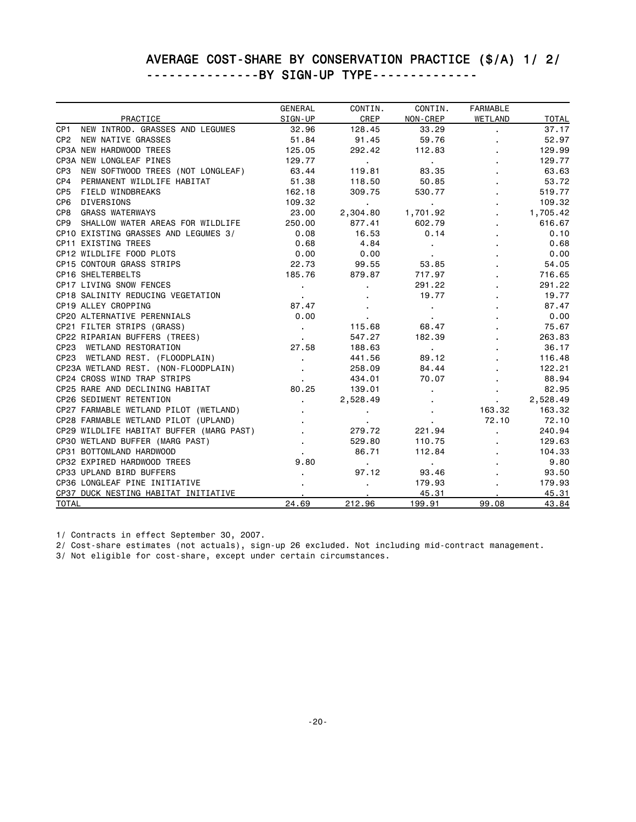#### AVERAGE COST-SHARE BY CONSERVATION PRACTICE (\$/A) 1/ 2/ ---------------BY SIGN-UP TYPE--------------

|                                                      | GENERAL         | CONTIN.                  | CONTIN.           | <b>FARMABLE</b> |              |
|------------------------------------------------------|-----------------|--------------------------|-------------------|-----------------|--------------|
| PRACTICE                                             | SIGN-UP         | <b>CREP</b>              | NON-CREP          | WETLAND         | <b>TOTAL</b> |
| NEW INTROD, GRASSES AND LEGUMES<br>CP <sub>1</sub>   | 32.96           | 128.45                   | 33.29             | ×.              | 37.17        |
| CP2 NEW NATIVE GRASSES                               | 51.84           | 91.45                    | 59.76             |                 | 52.97        |
| CP3A NEW HARDWOOD TREES                              | 125.05          | 292.42                   | 112.83            |                 | 129.99       |
| CP3A NEW LONGLEAF PINES                              | 129.77          | <b>Contract Contract</b> | <b>Contractor</b> |                 | 129.77       |
| CP <sub>3</sub><br>NEW SOFTWOOD TREES (NOT LONGLEAF) | 63.44           | 119.81                   | 83.35             |                 | 63.63        |
| CP4<br>PERMANENT WILDLIFE HABITAT                    | 51.38           | 118.50                   | 50.85             |                 | 53.72        |
| CP <sub>5</sub><br>FIELD WINDBREAKS                  | 162.18          | 309.75                   | 530.77            |                 | 519.77       |
| CP6<br><b>DIVERSIONS</b>                             | 109.32          | <b>Contractor</b>        | <b>Contractor</b> |                 | 109.32       |
| CP8<br><b>GRASS WATERWAYS</b>                        | 23.00           | 2,304.80                 | 1,701.92          |                 | 1,705.42     |
| CP9 SHALLOW WATER AREAS FOR WILDLIFE                 | 250.00          | 877.41                   | 602.79            |                 | 616.67       |
| CP10 EXISTING GRASSES AND LEGUMES 3/                 | 0.08            | 16.53                    | 0.14              |                 | 0.10         |
| CP11 EXISTING TREES                                  | 0.68            | 4.84                     | $\sim$            |                 | 0.68         |
| CP12 WILDLIFE FOOD PLOTS                             | 0.00            | 0.00                     | $\sim$            |                 | 0.00         |
| <b>CP15 CONTOUR GRASS STRIPS</b>                     | 22.73           | 99.55                    | 53.85             |                 | 54.05        |
| CP16 SHELTERBELTS                                    | 185.76          | 879.87                   | 717.97            |                 | 716.65       |
| CP17 LIVING SNOW FENCES                              | $\sim 100$      | $\blacksquare$           | 291.22            |                 | 291.22       |
| CP18 SALINITY REDUCING VEGETATION                    | $\sim 100$      |                          | 19.77             |                 | 19.77        |
| CP19 ALLEY CROPPING                                  | 87.47           |                          | $\bullet$         |                 | 87.47        |
| CP20 ALTERNATIVE PERENNIALS                          | 0.00            | $\sim$                   | <b>Contract</b>   |                 | 0.00         |
| CP21 FILTER STRIPS (GRASS)                           | <b>Contract</b> | 115.68                   | 68.47             |                 | 75.67        |
| CP22 RIPARIAN BUFFERS (TREES)                        | <b>Contract</b> | 547.27                   | 182.39            |                 | 263.83       |
| CP23 WETLAND RESTORATION                             | 27.58           | 188.63                   | <b>Contractor</b> |                 | 36.17        |
| CP23 WETLAND REST. (FLOODPLAIN)                      |                 | 441.56                   | 89.12             |                 | 116.48       |
| CP23A WETLAND REST. (NON-FLOODPLAIN)                 |                 | 258.09                   | 84.44             |                 | 122.21       |
| CP24 CROSS WIND TRAP STRIPS                          |                 | 434.01                   | 70.07             |                 | 88.94        |
| CP25 RARE AND DECLINING HABITAT                      | 80.25           | 139.01                   |                   |                 | 82.95        |
| CP26 SEDIMENT RETENTION                              | $\mathbf{r}$    | 2,528.49                 |                   |                 | 2,528.49     |
| CP27 FARMABLE WETLAND PILOT (WETLAND)                |                 | $\blacksquare$           |                   | 163.32          | 163.32       |
| CP28 FARMABLE WETLAND PILOT (UPLAND)                 |                 |                          |                   | 72.10           | 72.10        |
| CP29 WILDLIFE HABITAT BUFFER (MARG PAST)             |                 | 279.72                   | 221.94            |                 | 240.94       |
| CP30 WETLAND BUFFER (MARG PAST)                      |                 | 529.80                   | 110.75            |                 | 129.63       |
| CP31 BOTTOMLAND HARDWOOD                             |                 | 86.71                    | 112.84            |                 | 104.33       |
| CP32 EXPIRED HARDWOOD TREES                          | 9.80            | $\sim 100$ km s $^{-1}$  | <b>Contract</b>   |                 | 9.80         |
| CP33 UPLAND BIRD BUFFERS                             |                 | 97.12                    | 93.46             |                 | 93.50        |
| CP36 LONGLEAF PINE INITIATIVE                        |                 | $\epsilon$               | 179.93            |                 | 179.93       |
| CP37 DUCK NESTING HABITAT INITIATIVE                 |                 |                          | 45.31             |                 | 45.31        |
| <b>TOTAL</b>                                         | 24.69           | 212,96                   | 199.91            | 99.08           | 43.84        |

1/ Contracts in effect September 30, 2007.

2/ Cost-share estimates (not actuals), sign-up 26 excluded. Not including mid-contract management.

3/ Not eligible for cost-share, except under certain circumstances.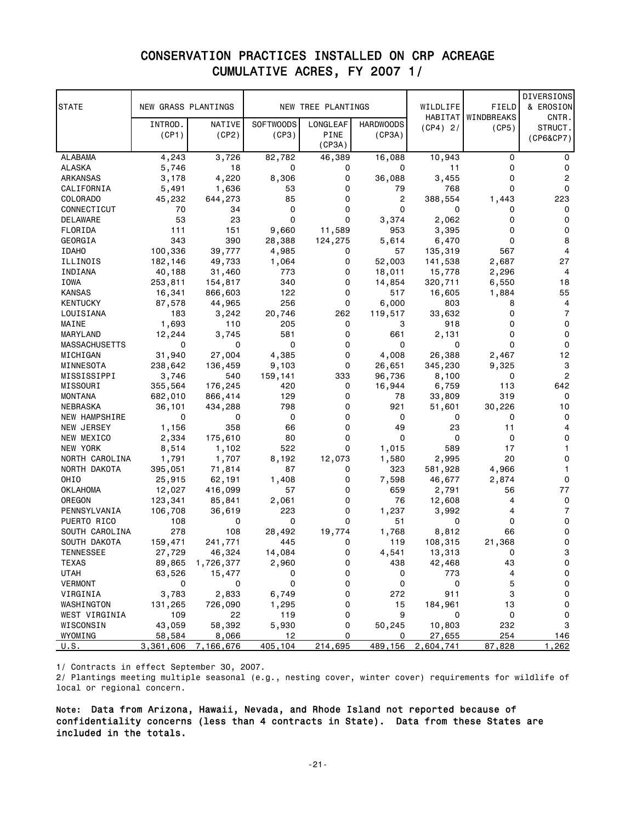### CONSERVATION PRACTICES INSTALLED ON CRP ACREAGE CUMULATIVE ACRES, FY 2007 1/

| <b>STATE</b>       | NEW GRASS PLANTINGS |                 |                  | NEW TREE PLANTINGS |                  | WILDLIFE      | FIELD              | DIVERSIONS<br>& EROSION |
|--------------------|---------------------|-----------------|------------------|--------------------|------------------|---------------|--------------------|-------------------------|
|                    |                     |                 |                  |                    |                  |               | HABITAT WINDBREAKS | CNTR.                   |
|                    | INTROD.             | NATIVE          | <b>SOFTWOODS</b> | LONGLEAF           | <b>HARDWOODS</b> | (CP4) 2/      | (CP5)              | STRUCT.                 |
|                    | (CP1)               | (CP2)           | (CP3)            | PINE               | (CP3A)           |               |                    | (CP6&CP7)               |
|                    |                     |                 |                  | (CP3A)             |                  |               |                    |                         |
| ALABAMA            | 4,243               | 3,726           | 82,782           | 46,389             | 16,088           | 10,943        | 0                  | 0                       |
| ALASKA             | 5,746               | 18              | 0                | 0                  | 0                | 11            | 0                  | 0                       |
| ARKANSAS           | 3,178               | 4,220           | 8,306            | 0                  | 36,088           | 3,455         | $\Omega$           | $\overline{2}$          |
| CALIFORNIA         | 5,491               | 1,636           | 53               | 0                  | 79               | 768           | 0                  | 0                       |
| COLORADO           | 45,232              | 644,273         | 85               | 0                  | 2                | 388,554       | 1,443              | 223                     |
| CONNECTICUT        | 70                  | 34              | 0                | 0                  | 0                | 0             | 0                  | 0                       |
| DELAWARE           | 53                  | 23              | 0                | 0                  | 3,374            | 2,062         | 0                  | 0                       |
| FLORIDA            | 111                 | 151             | 9,660            | 11,589             | 953              | 3,395         | 0                  | 0                       |
| GEORGIA            | 343                 | 390             | 28,388           | 124,275            | 5,614            | 6,470         | 0                  | 8                       |
| <b>IDAHO</b>       | 100,336             | 39,777          | 4,985            | 0                  | 57               | 135,319       | 567                | 4                       |
| ILLINOIS           | 182,146             | 49,733          | 1,064            | 0                  | 52,003           | 141,538       | 2,687              | 27                      |
| INDIANA            | 40,188              | 31,460          | 773              | 0                  | 18,011           | 15,778        | 2,296              | $\overline{4}$          |
| IOWA               | 253,811             | 154,817         | 340              | 0                  | 14,854           | 320,711       | 6,550              | 18                      |
| <b>KANSAS</b>      | 16,341              | 866,603         | 122<br>256       | 0<br>0             | 517              | 16,605        | 1,884              | 55                      |
| KENTUCKY           | 87,578              | 44,965<br>3,242 |                  |                    | 6,000            | 803           | 8                  | 4<br>7                  |
| LOUISIANA<br>MAINE | 183<br>1,693        | 110             | 20,746<br>205    | 262<br>0           | 119,517<br>3     | 33,632<br>918 | 0<br>0             | 0                       |
| MARYLAND           | 12,244              | 3,745           | 581              | 0                  | 661              | 2,131         | 0                  | 0                       |
| MASSACHUSETTS      | 0                   | 0               | 0                | 0                  | 0                | 0             | 0                  | 0                       |
| MICHIGAN           | 31,940              | 27,004          | 4,385            | 0                  | 4,008            | 26,388        | 2,467              | 12                      |
| MINNESOTA          | 238,642             | 136,459         | 9,103            | 0                  | 26,651           | 345,230       | 9,325              | 3                       |
| MISSISSIPPI        | 3,746               | 540             | 159,141          | 333                | 96,736           | 8,100         | 0                  | $\overline{c}$          |
| MISSOURI           | 355,564             | 176,245         | 420              | 0                  | 16,944           | 6,759         | 113                | 642                     |
| MONTANA            | 682,010             | 866,414         | 129              | 0                  | 78               | 33,809        | 319                | 0                       |
| NEBRASKA           | 36,101              | 434,288         | 798              | 0                  | 921              | 51,601        | 30,226             | 10                      |
| NEW HAMPSHIRE      | 0                   | 0               | 0                | 0                  | 0                | 0             | 0                  | 0                       |
| NEW JERSEY         | 1,156               | 358             | 66               | $\mathbf 0$        | 49               | 23            | 11                 | 4                       |
| NEW MEXICO         | 2,334               | 175,610         | 80               | 0                  | 0                | 0             | 0                  | 0                       |
| NEW YORK           | 8,514               | 1,102           | 522              | 0                  | 1,015            | 589           | 17                 | 1                       |
| NORTH CAROLINA     | 1,791               | 1,707           | 8,192            | 12,073             | 1,580            | 2,995         | 20                 | 0                       |
| NORTH DAKOTA       | 395,051             | 71,814          | 87               | 0                  | 323              | 581,928       | 4,966              | 1                       |
| OHIO               | 25,915              | 62,191          | 1,408            | 0                  | 7,598            | 46,677        | 2,874              | 0                       |
| OKLAHOMA           | 12,027              | 416,099         | 57               | 0                  | 659              | 2,791         | 56                 | 77                      |
| OREGON             | 123,341             | 85,841          | 2,061            | 0                  | 76               | 12,608        | 4                  | 0                       |
| PENNSYLVANIA       | 106,708             | 36,619          | 223              | 0                  | 1,237            | 3,992         | 4                  | 7                       |
| PUERTO RICO        | 108                 | 0               | 0                | 0                  | 51               | 0             | 0                  | 0                       |
| SOUTH CAROLINA     | 278                 | 108             | 28,492           | 19,774             | 1,768            | 8,812         | 66                 | 0                       |
| SOUTH DAKOTA       | 159,471             | 241,771         | 445              | 0                  | 119              | 108,315       | 21,368             | 0                       |
| TENNESSEE          | 27,729              | 46,324          | 14,084           | 0                  | 4,541            | 13,313        | 0                  | 3                       |
| TEXAS              | 89,865              | 1,726,377       | 2,960            | 0                  | 438              | 42,468        | 43                 | $\mathsf 0$             |
| <b>UTAH</b>        | 63,526              | 15,477          | 0                | 0                  | 0                | 773           | 4                  | 0                       |
| <b>VERMONT</b>     | 0                   | 0               | 0                | 0                  | 0                | 0             | 5                  | $\mathsf 0$             |
| VIRGINIA           | 3,783               | 2,833           | 6,749            | 0                  | 272              | 911           | 3                  | 0                       |
| WASHINGTON         | 131,265             | 726,090         | 1,295            | 0                  | 15               | 184,961       | 13                 | 0                       |
| WEST VIRGINIA      | 109                 | 22              | 119              | 0                  | 9                | 0             | 0                  | 0                       |
| WISCONSIN          | 43,059              | 58,392          | 5,930            | 0                  | 50,245           | 10,803        | 232                | 3                       |
| WYOMING            | 58,584              | 8,066           | 12               | 0                  | 0                | 27,655        | 254                | 146                     |
| U.S.               | 3,361,606           | 7,166,676       | 405,104          | 214,695            | 489,156          | 2,604,741     | 87,828             | 1,262                   |

1/ Contracts in effect September 30, 2007.

2/ Plantings meeting multiple seasonal (e.g., nesting cover, winter cover) requirements for wildlife of local or regional concern.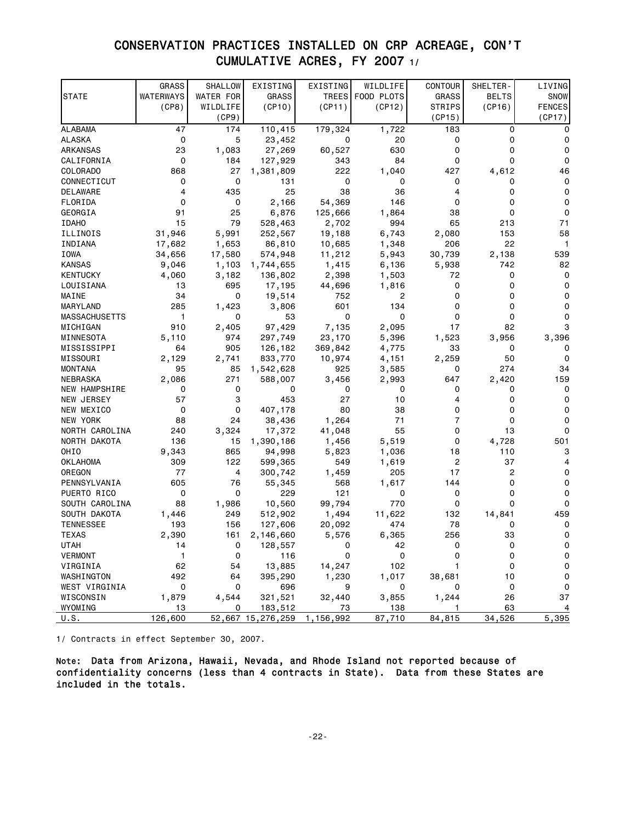### CONSERVATION PRACTICES INSTALLED ON CRP ACREAGE, CON'T CUMULATIVE ACRES, FY 2007 1/

|                      | <b>GRASS</b>        | <b>SHALLOW</b> | EXISTING          | EXISTING  | WILDLIFE         | <b>CONTOUR</b> | SHELTER-     | LIVING        |
|----------------------|---------------------|----------------|-------------------|-----------|------------------|----------------|--------------|---------------|
| <b>STATE</b>         | WATERWAYS           | WATER FOR      | <b>GRASS</b>      |           | TREES FOOD PLOTS | <b>GRASS</b>   | <b>BELTS</b> | SNOW          |
|                      | (CP8)               | WILDLIFE       | (CP10)            | (CP11)    | (CP12)           | <b>STRIPS</b>  | (CP16)       | <b>FENCES</b> |
|                      |                     | (CP9)          |                   |           |                  | (CP15)         |              | (CP17)        |
| ALABAMA              | 47                  | 174            | 110,415           | 179,324   | 1,722            | 183            | 0            | 0             |
| <b>ALASKA</b>        | 0                   | 5              | 23,452            | 0         | 20               | 0              | 0            | 0             |
| ARKANSAS             | 23                  | 1,083          | 27,269            | 60,527    | 630              | 0              | 0            | 0             |
| CALIFORNIA           | 0                   | 184            | 127,929           | 343       | 84               | 0              | 0            | $\Omega$      |
| COLORADO             | 868                 | 27             | 1,381,809         | 222       | 1,040            | 427            | 4,612        | 46            |
| CONNECTICUT          | 0                   | 0              | 131               | 0         | 0                | 0              | 0            | 0             |
| DELAWARE             | 4                   | 435            | 25                | 38        | 36               | 4              | 0            | 0             |
| FLORIDA              | 0                   | 0              | 2,166             | 54,369    | 146              | 0              | 0            | $\Omega$      |
| GEORGIA              | 91                  | 25             | 6,876             | 125,666   | 1,864            | 38             | 0            | 0             |
| <b>IDAHO</b>         | 15                  | 79             | 528,463           | 2,702     | 994              | 65             | 213          | 71            |
| ILLINOIS             | 31,946              | 5,991          | 252,567           | 19,188    | 6,743            | 2,080          | 153          | 58            |
| INDIANA              | 17,682              | 1,653          | 86,810            | 10,685    | 1,348            | 206            | 22           | $\mathbf{1}$  |
| IOWA                 | 34,656              | 17,580         | 574,948           | 11,212    | 5,943            | 30,739         | 2,138        | 539           |
| <b>KANSAS</b>        | 9,046               | 1,103          | 1,744,655         | 1,415     | 6,136            | 5,938          | 742          | 82            |
| KENTUCKY             | 4,060               | 3,182          | 136,802           | 2,398     | 1,503            | 72             | 0            | 0             |
| LOUISIANA            | 13                  | 695            | 17,195            | 44,696    | 1,816            | 0              | 0            | 0             |
| MAINE                | 34                  | 0              | 19,514            | 752       | 2                | 0              | 0            | 0             |
| MARYLAND             | 285                 | 1,423          | 3,806             | 601       | 134              | 0              | 0            | 0             |
| <b>MASSACHUSETTS</b> | $\mathbf{1}$        | 0              | 53                | $\Omega$  | 0                | 0              | 0            | 0             |
| MICHIGAN             | 910                 | 2,405          | 97,429            | 7,135     | 2,095            | 17             | 82           | 3             |
| MINNESOTA            | 5,110               | 974            | 297,749           | 23,170    | 5,396            | 1,523          | 3,956        | 3,396         |
| MISSISSIPPI          | 64                  | 905            | 126,182           | 369,842   | 4,775            | 33             | 0            |               |
| MISSOURI             | 2,129               | 2,741          | 833,770           | 10,974    | 4,151            | 2,259          | 50           | 0             |
| <b>MONTANA</b>       | 95                  | 85             | 1,542,628         | 925       | 3,585            | 0              | 274          | 34            |
| <b>NEBRASKA</b>      | 2,086               | 271            | 588,007           | 3,456     | 2,993            | 647            | 2,420        | 159           |
| NEW HAMPSHIRE        | 0                   | 0              | 0                 | 0         | 0                | 0              | 0            | 0             |
| NEW JERSEY           | 57                  | 3              | 453               | 27        | 10               | 4              | 0            | 0             |
| NEW MEXICO           | $\mathbf 0$         | 0              | 407,178           | 80        | 38               | 0              | 0            | $\Omega$      |
| NEW YORK             | 88                  | 24             | 38,436            | 1,264     | 71               | $\overline{7}$ | 0            | $\Omega$      |
| NORTH CAROLINA       | 240                 | 3,324          | 17,372            | 41,048    | 55               | 0              | 13           | 0             |
| NORTH DAKOTA         | 136                 | 15             | 1,390,186         | 1,456     | 5,519            | 0              | 4,728        | 501           |
| OHIO                 | 9,343               | 865            | 94,998            | 5,823     | 1,036            | 18             | 110          | з             |
| OKLAHOMA             | 309                 | 122            | 599,365           | 549       | 1,619            | 2              | 37           | 4             |
| OREGON               | 77                  | 4              | 300,742           | 1,459     | 205              | 17             | 2            | 0             |
| PENNSYLVANIA         | 605                 | 76             | 55,345            | 568       | 1,617            | 144            | 0            | 0             |
| PUERTO RICO          | 0                   | 0              | 229               | 121       | 0                | 0              | 0            | 0             |
| SOUTH CAROLINA       | 88                  | 1,986          | 10,560            | 99,794    | 770              | 0              | 0            | $\Omega$      |
| SOUTH DAKOTA         | 1,446               | 249            | 512,902           | 1,494     | 11,622           | 132            | 14,841       | 459           |
| <b>TENNESSEE</b>     | 193                 | 156            | 127,606           | 20,092    | 474              | 78             | 0            | 0             |
| <b>TEXAS</b>         | 2,390               | 161            | 2,146,660         | 5,576     | 6,365            | 256            | 33           | 0             |
| UTAH                 | 14                  | 0              | 128,557           | 0         | 42               | 0              | 0            | 0             |
| VERMONT              | $\mathbf{1}$        | 0              | 116               | 0         | 0                | 0              | 0            | 0             |
| VIRGINIA             | 62                  | 54             | 13,885            | 14,247    | 102              | 1              | 0            | $\mathsf 0$   |
| WASHINGTON           | 492                 | 64             | 395,290           | 1,230     | 1,017            | 38,681         | 10           | 0             |
| WEST VIRGINIA        | $\mathsf{O}\xspace$ | 0              | 696               | 9         | 0                | 0              | 0            | 0             |
| WISCONSIN            | 1,879               | 4,544          | 321,521           | 32,440    | 3,855            | 1,244          | 26           | 37            |
| WYOMING              | 13                  | 0              | 183,512           | 73        | 138              | 1              | 63           | 4             |
| U.S.                 | 126,600             |                | 52,667 15,276,259 | 1,156,992 | 87,710           | 84,815         | 34,526       | 5,395         |

1/ Contracts in effect September 30, 2007.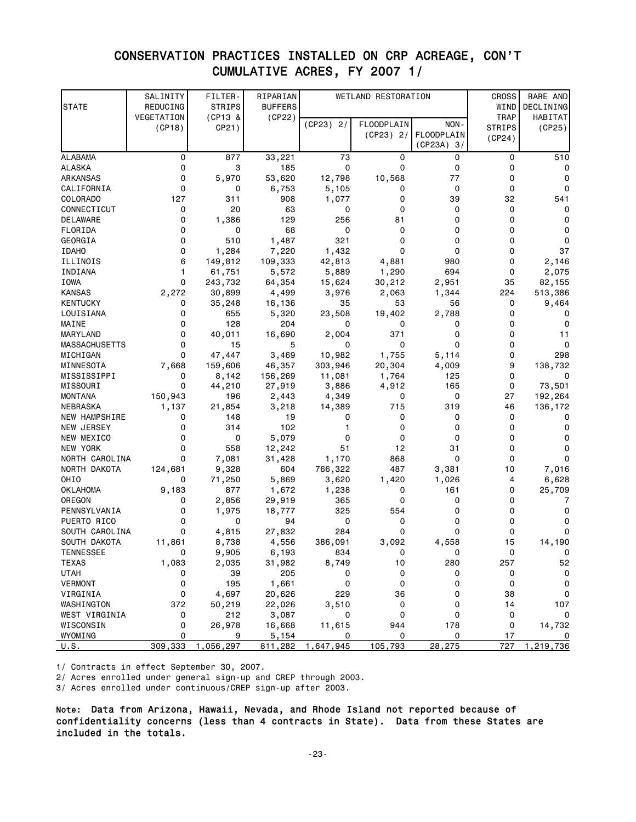### CONSERVATION PRACTICES INSTALLED ON CRP ACREAGE, CON'T CUMULATIVE ACRES, FY 2007 1/

| <b>STATE</b>         | SALINITY<br>REDUCING | FILTER-<br><b>STRIPS</b> | RIPARIAN<br><b>BUFFERS</b> |             | WETLAND RESTORATION |                                 | <b>CROSS</b><br>WIND         | RARE AND<br>DECLINING |
|----------------------|----------------------|--------------------------|----------------------------|-------------|---------------------|---------------------------------|------------------------------|-----------------------|
|                      | VEGETATION           | $(CP13 \&$               | (CP22)                     | $(CP23)$ 2/ | FLOODPLAIN          | NON-                            | <b>TRAP</b><br><b>STRIPS</b> | HABITAT<br>(CP25)     |
|                      | (CP18)               | CP21)                    |                            |             | $(CP23)$ 2/         | <b>FLOODPLAIN</b><br>(CP23A) 3/ | (CP24)                       |                       |
| <b>ALABAMA</b>       | 0                    | 877                      | 33,221                     | 73          | 0                   | 0                               | 0                            | 510                   |
| <b>ALASKA</b>        | 0                    | 3                        | 185                        | $\mathbf 0$ | 0                   | 0                               | 0                            | 0                     |
| ARKANSAS             | 0                    | 5,970                    | 53,620                     | 12,798      | 10,568              | 77                              | 0                            | 0                     |
| CALIFORNIA           | 0                    | 0                        | 6,753                      | 5,105       | 0                   | 0                               | 0                            | $\Omega$              |
| COLORADO             | 127                  | 311                      | 908                        | 1,077       | 0                   | 39                              | 32                           | 541                   |
| CONNECTICUT          | 0                    | 20                       | 63                         | 0           | 0                   | 0                               | 0                            | 0                     |
| DELAWARE             | 0                    | 1,386                    | 129                        | 256         | 81                  | 0                               | 0                            | 0                     |
| FLORIDA              | 0                    | 0                        | 68                         | 0           | 0                   | 0                               | 0                            | 0                     |
| GEORGIA              | 0                    | 510                      | 1,487                      | 321         | 0                   | 0                               | 0                            | 0                     |
| <b>IDAHO</b>         | 0                    | 1,284                    | 7,220                      | 1,432       | $\Omega$            | 0                               | 0                            | 37                    |
| ILLINOIS             | 6                    | 149,812                  | 109,333                    | 42,813      | 4,881               | 980                             | 0                            | 2,146                 |
| INDIANA              | 1                    | 61,751                   | 5,572                      | 5,889       | 1,290               | 694                             | 0                            | 2,075                 |
| IOWA                 | 0                    | 243,732                  | 64,354                     | 15,624      | 30,212              | 2,951                           | 35                           | 82,155                |
| KANSAS               | 2,272                | 30,899                   | 4,499                      | 3,976       | 2,063               | 1,344                           | 224                          | 513,386               |
| KENTUCKY             | 0                    | 35,248                   | 16,136                     | 35          | 53                  | 56                              | 0                            | 9,464                 |
| LOUISIANA            | 0                    | 655                      | 5,320                      | 23,508      | 19,402              | 2,788                           | 0                            |                       |
| MAINE                | 0                    | 128                      | 204                        | 0           | 0                   | 0                               | 0                            | 0                     |
| MARYLAND             | 0                    | 40,011                   | 16,690                     | 2,004       | 371                 | 0                               | 0                            | 11                    |
| <b>MASSACHUSETTS</b> | 0                    | 15                       | 5                          | 0           | 0                   | $\Omega$                        | 0                            | 0                     |
| MICHIGAN             | 0                    | 47,447                   | 3,469                      | 10,982      | 1,755               | 5,114                           | 0                            | 298                   |
| MINNESOTA            | 7,668                | 159,606                  | 46,357                     | 303,946     | 20,304              | 4,009                           | 9                            | 138,732               |
| MISSISSIPPI          | 0                    | 8,142                    | 156,269                    | 11,081      | 1,764               | 125                             | 0                            | 0                     |
| MISSOURI             | 0                    | 44,210                   | 27,919                     | 3,886       | 4,912               | 165                             | 0                            | 73,501                |
| MONTANA              | 150,943              | 196                      | 2,443                      | 4,349       | 0                   | 0                               | 27                           | 192,264               |
| NEBRASKA             | 1,137                | 21,854                   | 3,218                      | 14,389      | 715                 | 319                             | 46                           | 136,172               |
| <b>NEW HAMPSHIRE</b> | 0                    | 148                      | 19                         | 0           | 0                   | 0                               | 0                            | 0                     |
| NEW JERSEY           | 0                    | 314                      | 102                        | 1           | 0                   | 0                               | 0                            | 0                     |
| NEW MEXICO           | 0                    | 0                        | 5,079                      | 0           | 0                   | 0                               | 0                            | 0                     |
| NEW YORK             | 0                    | 558                      | 12,242                     | 51          | 12                  | 31                              | 0                            | 0                     |
| NORTH CAROLINA       | 0                    | 7,081                    | 31,428                     | 1,170       | 868                 | 0                               | 0                            | 0                     |
| NORTH DAKOTA         | 124,681              | 9,328                    | 604                        | 766,322     | 487                 | 3,381                           | 10                           | 7,016                 |
| OHIO                 | 0                    | 71,250                   | 5,869                      | 3,620       | 1,420               | 1,026                           | 4                            | 6,628                 |
| OKLAHOMA             | 9,183                | 877                      | 1,672                      | 1,238       | 0                   | 161                             | 0                            | 25,709                |
| OREGON               | 0                    | 2,856                    | 29,919                     | 365         | 0                   | 0                               | 0                            | 7                     |
| PENNSYLVANIA         | 0                    | 1,975                    | 18,777                     | 325         | 554                 | 0                               | 0                            | 0                     |
| PUERTO RICO          | 0                    | 0                        | 94                         | 0           | 0                   | 0                               | 0                            | 0                     |
| SOUTH CAROLINA       | 0                    | 4,815                    | 27,832                     | 284         | 0                   | 0                               | 0                            | 0                     |
| SOUTH DAKOTA         | 11,861               | 8,738                    | 4,556                      | 386,091     | 3,092               | 4,558                           | 15                           | 14,190                |
| <b>TENNESSEE</b>     | 0                    | 9,905                    | 6,193                      | 834         | 0                   | <sup>0</sup>                    | $\Omega$                     | - 0                   |
| TEXAS                | 1,083                | 2,035                    | 31,982                     | 8,749       | 10                  | 280                             | 257                          | 52                    |
| <b>UTAH</b>          | 0                    | 39                       | 205                        | 0           | 0                   | 0                               | 0                            | $\pmb{0}$             |
| <b>VERMONT</b>       | 0                    | 195                      | 1,661                      | 0           | 0                   | 0                               | 0                            | $\pmb{0}$             |
| VIRGINIA             | 0                    | 4,697                    | 20,626                     | 229         | 36                  | 0                               | 38                           | $\pmb{0}$             |
| WASHINGTON           | 372                  | 50,219<br>212            | 22,026                     | 3,510       | 0<br>0              | 0<br>0                          | 14<br>0                      | 107<br>$\pmb{0}$      |
| WEST VIRGINIA        | 0<br>0               | 26,978                   | 3,087<br>16,668            | 0           | 944                 | 178                             |                              | 14,732                |
| WISCONSIN<br>WYOMING | 0                    | 9                        | 5,154                      | 11,615<br>0 | 0                   | 0                               | 0<br>17                      | 0                     |
| U.S.                 | 309,333              | 1,056,297                | 811,282                    | 1,647,945   | 105,793             | 28,275                          | 727                          | 1,219,736             |

1/ Contracts in effect September 30, 2007.

2/ Acres enrolled under general sign-up and CREP through 2003.

3/ Acres enrolled under continuous/CREP sign-up after 2003.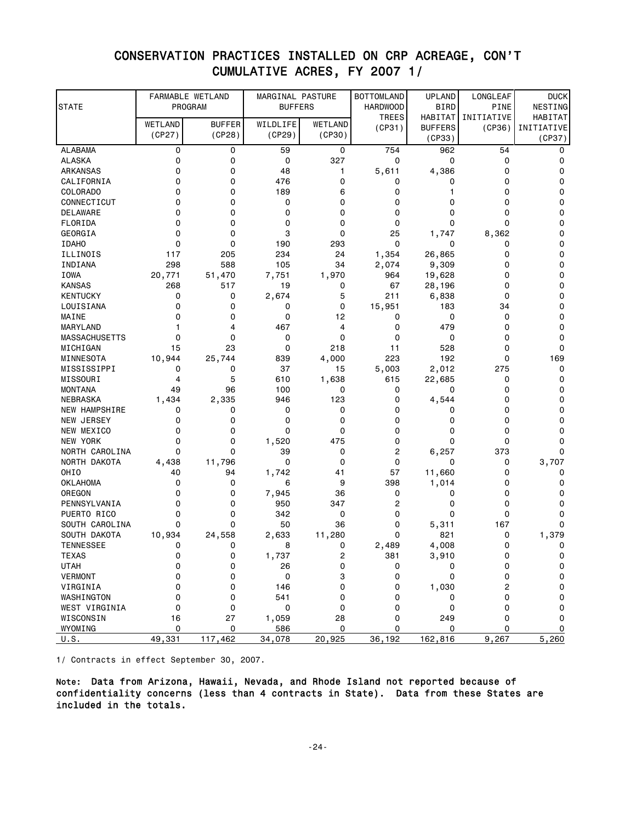| VUMULAIIVL AUNLO,<br><b>1</b><br>ZUU 1<br>., |                             |                         |                                    |                   |                                      |                              |                         |                        |
|----------------------------------------------|-----------------------------|-------------------------|------------------------------------|-------------------|--------------------------------------|------------------------------|-------------------------|------------------------|
| STATE                                        | FARMABLE WETLAND<br>PROGRAM |                         | MARGINAL PASTURE<br><b>BUFFERS</b> |                   | <b>BOTTOMLAND</b><br><b>HARDWOOD</b> | <b>UPLAND</b><br><b>BIRD</b> | LONGLEAF<br><b>PINE</b> | <b>DUCK</b><br>NESTING |
|                                              |                             |                         |                                    |                   | <b>TREES</b>                         | HABITAT                      | INITIATIVE              | HABITAT                |
|                                              | WETLAND<br>(CP27)           | <b>BUFFER</b><br>(CP28) | WILDLIFE<br>(CP29)                 | WETLAND<br>(CP30) | (CP31)                               | <b>BUFFERS</b>               | (CP36)                  | INITIATIVE             |
|                                              |                             |                         |                                    |                   |                                      | (CP33)                       |                         | (CP37)                 |
| <b>ALABAMA</b>                               | 0                           | 0                       | 59                                 | 0                 | 754                                  | 962                          | 54                      | 0                      |
| ALASKA                                       | 0                           | 0                       | 0                                  | 327               | 0                                    | 0                            | 0                       | 0                      |
| ARKANSAS                                     | 0                           | 0                       | 48                                 | 1                 | 5,611                                | 4,386                        | 0                       | 0                      |
| CALIFORNIA                                   | 0                           | 0                       | 476                                | 0                 | 0                                    | 0                            | 0                       | 0                      |
| COLORADO                                     | 0                           | 0                       | 189                                | 6                 | 0                                    | 1                            | 0                       | 0                      |
| CONNECTICUT                                  | 0                           | 0                       | 0                                  | 0                 | 0                                    | 0                            | 0                       | 0                      |
| <b>DELAWARE</b>                              | 0                           | 0                       | 0                                  | 0                 | 0                                    | 0                            | 0                       | 0                      |
| FLORIDA                                      | 0                           | 0                       | 0                                  | 0                 | 0                                    | 0                            | 0                       | 0                      |
| GEORGIA                                      | 0                           | 0                       | 3                                  | 0                 | 25                                   | 1,747                        | 8,362                   | 0                      |
| <b>IDAHO</b>                                 | 0                           | 0                       | 190                                | 293               | 0                                    | 0                            | 0                       | 0                      |
| ILLINOIS                                     | 117                         | 205                     | 234                                | 24                | 1,354                                | 26,865                       | 0                       | 0                      |
| INDIANA                                      | 298                         | 588                     | 105                                | 34<br>1,970       | 2,074                                | 9,309                        | 0                       | 0                      |
| <b>IOWA</b>                                  | 20,771                      | 51,470                  | 7,751                              |                   | 964                                  | 19,628                       | 0<br>0                  | 0<br>0                 |
| KANSAS                                       | 268                         | 517                     | 19                                 | 0<br>5            | 67<br>211                            | 28,196                       | 0                       | 0                      |
| KENTUCKY<br>LOUISIANA                        | 0<br>0                      | 0<br>0                  | 2,674<br>0                         | 0                 | 15,951                               | 6,838<br>183                 | 34                      | 0                      |
| MAINE                                        | 0                           | 0                       | 0                                  | 12                | 0                                    | 0                            | 0                       | 0                      |
| MARYLAND                                     | 1                           | 4                       | 467                                | 4                 | 0                                    | 479                          | 0                       | 0                      |
| <b>MASSACHUSETTS</b>                         | 0                           | 0                       | 0                                  | 0                 | 0                                    | 0                            | 0                       | 0                      |
| MICHIGAN                                     | 15                          | 23                      | 0                                  | 218               | 11                                   | 528                          | 0                       | 0                      |
| MINNESOTA                                    | 10,944                      | 25,744                  | 839                                | 4,000             | 223                                  | 192                          | 0                       | 169                    |
| MISSISSIPPI                                  | 0                           | 0                       | 37                                 | 15                | 5,003                                | 2,012                        | 275                     | 0                      |
| MISSOURI                                     | 4                           | 5                       | 610                                | 1,638             | 615                                  | 22,685                       | 0                       | 0                      |
| <b>MONTANA</b>                               | 49                          | 96                      | 100                                | 0                 | 0                                    | 0                            | 0                       | 0                      |
| NEBRASKA                                     | 1,434                       | 2,335                   | 946                                | 123               | 0                                    | 4,544                        | 0                       | 0                      |
| NEW HAMPSHIRE                                | 0                           | 0                       | 0                                  | 0                 | 0                                    | 0                            | 0                       | 0                      |
| NEW JERSEY                                   | 0                           | 0                       | 0                                  | 0                 | 0                                    | 0                            | 0                       | 0                      |
| NEW MEXICO                                   | 0                           | 0                       | 0                                  | 0                 | 0                                    | 0                            | 0                       | 0                      |
| NEW YORK                                     | 0                           | 0                       | 1,520                              | 475               | 0                                    | 0                            | 0                       | 0                      |
| NORTH CAROLINA                               | 0                           | 0                       | 39                                 | 0                 | 2                                    | 6,257                        | 373                     | 0                      |
| NORTH DAKOTA                                 | 4,438                       | 11,796                  | 0                                  | 0                 | 0                                    | 0                            | 0                       | 3,707                  |
| OHIO                                         | 40                          | 94                      | 1,742                              | 41                | 57                                   | 11,660                       | 0                       | 0                      |
| <b>OKLAHOMA</b>                              | 0                           | 0                       | 6                                  | 9                 | 398                                  | 1,014                        | 0                       | 0                      |
| OREGON                                       | 0                           | 0                       | 7,945                              | 36                | 0                                    | 0                            | 0                       | 0                      |
| PENNSYLVANIA                                 | 0                           | 0                       | 950                                | 347               | 2                                    | 0                            | 0                       | 0                      |
| PUERTO RICO                                  | 0                           | 0                       | 342                                | 0                 | 0                                    | 0                            | 0                       | 0                      |
| SOUTH CAROLINA                               | 0                           | 0                       | 50                                 | 36                | 0                                    | 5,311                        | 167                     | 0                      |
| SOUTH DAKOTA                                 | 10,934                      | 24,558                  | 2,633                              | 11,280            | 0                                    | 821                          | 0                       | 1,379                  |
| <b>TENNESSEE</b>                             | 0                           | 0                       | 8                                  | 0                 | 2,489                                | 4,008                        | 0                       | 0                      |
| <b>TEXAS</b>                                 | 0                           | 0                       | 1,737                              | $\overline{c}$    | 381                                  | 3,910                        | 0                       | 0                      |
| <b>UTAH</b>                                  | 0                           | 0                       | 26                                 | 0                 | 0                                    | 0                            | 0                       | 0                      |
| <b>VERMONT</b>                               | 0                           | 0                       | 0                                  | 3                 | 0                                    | 0                            | 0                       | 0                      |
| VIRGINIA                                     | 0                           | 0                       | 146                                | 0                 | 0                                    | 1,030                        | 2                       | 0                      |
| WASHINGTON                                   | 0                           | 0                       | 541                                | 0                 | 0                                    | 0                            | 0                       | 0                      |
| WEST VIRGINIA                                | 0                           | 0                       | 0                                  | 0                 | 0                                    | 0                            | 0                       | 0                      |
| WISCONSIN                                    | 16                          | 27                      | 1,059                              | 28                | 0                                    | 249                          | 0                       | 0                      |
| WYOMING                                      | 0                           | 0                       | 586                                | 0                 | 0                                    | 0                            | 0                       | 0                      |
| U.S.                                         | 49,331                      | 117,462                 | 34,078                             | 20,925            | 36,192                               | 162,816                      | 9,267                   | 5,260                  |

### CONSERVATION PRACTICES INSTALLED ON CRP ACREAGE, CON'T CUMULATIVE ACRES, EV 2007 1/

1/ Contracts in effect September 30, 2007.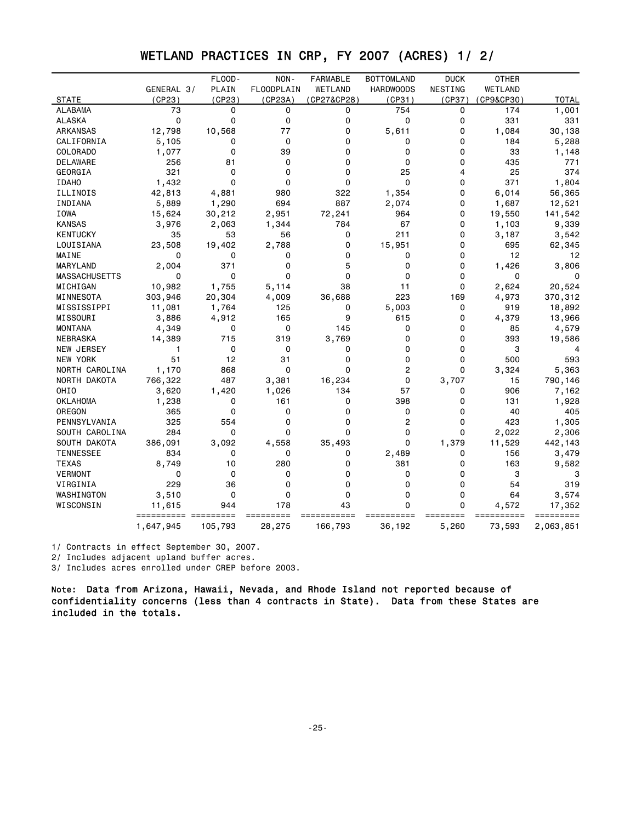# WETLAND PRACTICES IN CRP, FY 2007 (ACRES) 1/ 2/

|                      |            | FLOOD-   | NON-        | <b>FARMABLE</b> | <b>BOTTOMLAND</b> | <b>DUCK</b>  | <b>OTHER</b> |              |
|----------------------|------------|----------|-------------|-----------------|-------------------|--------------|--------------|--------------|
|                      | GENERAL 3/ | PLAIN    | FLOODPLAIN  | WETLAND         | <b>HARDWOODS</b>  | NESTING      | WETLAND      |              |
| <b>STATE</b>         | (CP23)     | (CP23)   | (CP23A)     | (CP27&CP28)     | (CP31)            | (CP37)       | (CP9&CP30)   | <b>TOTAL</b> |
| <b>ALABAMA</b>       | 73         | 0        | 0           | 0               | 754               | $\mathbf{0}$ | 174          | 1,001        |
| <b>ALASKA</b>        | 0          | $\Omega$ | 0           | 0               | 0                 | $\mathbf 0$  | 331          | 331          |
| ARKANSAS             | 12,798     | 10,568   | 77          | 0               | 5,611             | $\mathbf 0$  | 1,084        | 30,138       |
| CALIFORNIA           | 5,105      | 0        | $\Omega$    | 0               | 0                 | $\mathbf 0$  | 184          | 5,288        |
| COLORADO             | 1,077      | $\Omega$ | 39          | $\Omega$        | 0                 | $\mathbf 0$  | 33           | 1,148        |
| DELAWARE             | 256        | 81       | 0           | 0               | 0                 | 0            | 435          | 771          |
| GEORGIA              | 321        | 0        | $\Omega$    | $\Omega$        | 25                | 4            | 25           | 374          |
| <b>IDAHO</b>         | 1,432      | $\Omega$ | $\Omega$    | $\Omega$        | $\Omega$          | $\Omega$     | 371          | 1,804        |
| ILLINOIS             | 42,813     | 4,881    | 980         | 322             | 1,354             | 0            | 6,014        | 56,365       |
| INDIANA              | 5,889      | 1,290    | 694         | 887             | 2,074             | $\mathbf 0$  | 1,687        | 12,521       |
| IOWA                 | 15,624     | 30,212   | 2,951       | 72,241          | 964               | 0            | 19,550       | 141,542      |
| <b>KANSAS</b>        | 3,976      | 2,063    | 1,344       | 784             | 67                | 0            | 1,103        | 9,339        |
| <b>KENTUCKY</b>      | 35         | 53       | 56          | 0               | 211               | $\mathbf 0$  | 3,187        | 3,542        |
| LOUISIANA            | 23,508     | 19,402   | 2,788       | 0               | 15,951            | 0            | 695          | 62,345       |
| MAINE                | 0          | $\Omega$ | 0           | 0               | 0                 | 0            | 12           | 12           |
| MARYLAND             | 2,004      | 371      | $\Omega$    | 5               | 0                 | $\mathbf 0$  | 1,426        | 3,806        |
| <b>MASSACHUSETTS</b> | 0          | 0        | $\Omega$    | $\Omega$        | 0                 | 0            | 0            | 0            |
| MICHIGAN             | 10,982     | 1,755    | 5,114       | 38              | 11                | $\Omega$     | 2,624        | 20,524       |
| MINNESOTA            | 303,946    | 20,304   | 4,009       | 36,688          | 223               | 169          | 4,973        | 370,312      |
| MISSISSIPPI          | 11,081     | 1,764    | 125         | 0               | 5,003             | 0            | 919          | 18,892       |
| MISSOURI             | 3,886      | 4,912    | 165         | 9               | 615               | 0            | 4,379        | 13,966       |
| <b>MONTANA</b>       | 4,349      | $\Omega$ | $\mathbf 0$ | 145             | 0                 | $\mathbf 0$  | 85           | 4,579        |
| NEBRASKA             | 14,389     | 715      | 319         | 3,769           | 0                 | $\mathbf 0$  | 393          | 19,586       |
| NEW JERSEY           | 1          | 0        | 0           | 0               | 0                 | $\mathbf 0$  | 3            | 4            |
| <b>NEW YORK</b>      | 51         | 12       | 31          | $\mathbf 0$     | 0                 | $\mathbf 0$  | 500          | 593          |
| NORTH CAROLINA       | 1,170      | 868      | $\mathbf 0$ | 0               | $\overline{2}$    | 0            | 3,324        | 5,363        |
| NORTH DAKOTA         | 766,322    | 487      | 3,381       | 16,234          | 0                 | 3,707        | 15           | 790,146      |
| OHIO                 | 3,620      | 1,420    | 1,026       | 134             | 57                | 0            | 906          | 7,162        |
| <b>OKLAHOMA</b>      | 1,238      | 0        | 161         | 0               | 398               | $\mathbf 0$  | 131          | 1,928        |
| OREGON               | 365        | $\Omega$ | 0           | $\Omega$        | 0                 | $\Omega$     | 40           | 405          |
| PENNSYLVANIA         | 325        | 554      | 0           | 0               | $\overline{c}$    | 0            | 423          | 1,305        |
| SOUTH CAROLINA       | 284        | $\Omega$ | $\Omega$    | 0               | $\Omega$          | $\mathbf 0$  | 2,022        | 2,306        |
| SOUTH DAKOTA         | 386,091    | 3,092    | 4,558       | 35,493          | 0                 | 1,379        | 11,529       | 442,143      |
| <b>TENNESSEE</b>     | 834        | 0        | 0           | 0               | 2,489             | 0            | 156          | 3,479        |
| <b>TEXAS</b>         | 8,749      | 10       | 280         | 0               | 381               | 0            | 163          | 9,582        |
| <b>VERMONT</b>       | 0          | 0        | $\mathbf 0$ | 0               | 0                 | $\mathbf 0$  | 3            | з            |
| VIRGINIA             | 229        | 36       | 0           | 0               | 0                 | $\mathbf 0$  | 54           | 319          |
| WASHINGTON           | 3,510      | 0        | 0           | 0               | 0                 | 0            | 64           | 3,574        |
| WISCONSIN            | 11,615     | 944      | 178         | 43              | $\Omega$          | $\Omega$     | 4,572        | 17,352       |
|                      |            |          |             |                 |                   |              |              |              |
|                      | 1,647,945  | 105,793  | 28,275      | 166,793         | 36,192            | 5,260        | 73,593       | 2,063,851    |

1/ Contracts in effect September 30, 2007.

2/ Includes adjacent upland buffer acres.

3/ Includes acres enrolled under CREP before 2003.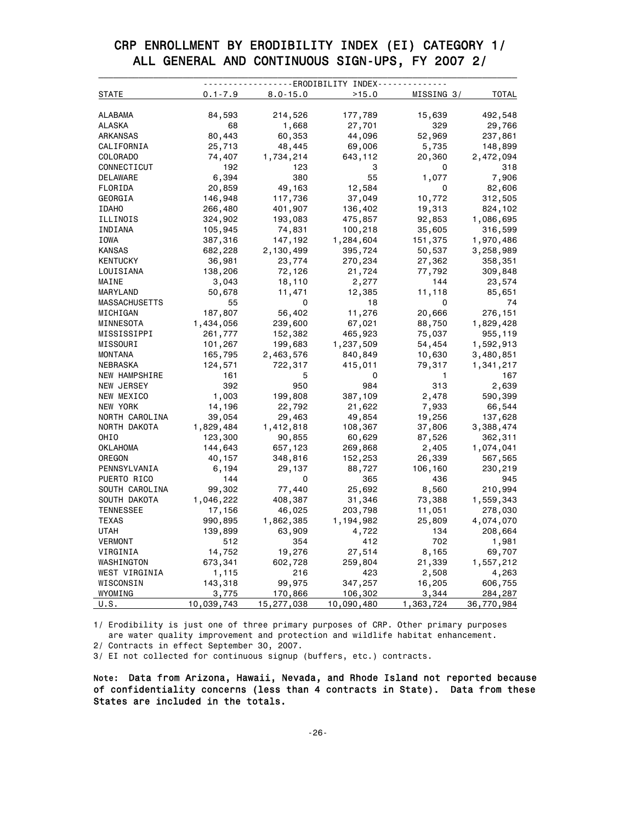### CRP ENROLLMENT BY ERODIBILITY INDEX (EI) CATEGORY 1/ ALL GENERAL AND CONTINUOUS SIGN-UPS, FY 2007 2/

| STATE            | $0.1 - 7.9$       | $8.0 - 15.0$      | >15.0             | MISSING 3/ | <b>TOTAL</b>         |
|------------------|-------------------|-------------------|-------------------|------------|----------------------|
|                  |                   |                   |                   |            |                      |
| ALABAMA          | 84,593            | 214,526           | 177,789           | 15,639     | 492,548              |
| ALASKA           | 68                | 1,668             | 27,701            | 329        | 29,766               |
| ARKANSAS         | 80,443            | 60,353            | 44,096            | 52,969     | 237,861              |
| CALIFORNIA       | 25,713            | 48,445            | 69,006            | 5,735      | 148,899              |
| <b>COLORADO</b>  | 74,407            | 1,734,214         | 643,112           | 20,360     | 2,472,094            |
| CONNECTICUT      | 192               | 123               | 3                 | 0          | 318                  |
| DELAWARE         | 6,394             | 380               | 55                | 1,077      | 7,906                |
| FLORIDA          | 20,859            | 49,163            | 12,584            | 0          | 82,606               |
| GEORGIA          | 146,948           | 117,736           | 37,049            | 10,772     | 312,505              |
| <b>IDAHO</b>     | 266,480           | 401,907           | 136,402           | 19,313     | 824,102              |
| ILLINOIS         | 324,902           | 193,083           | 475,857           | 92,853     | 1,086,695            |
| INDIANA          | 105,945           | 74,831            | 100,218           | 35,605     | 316,599              |
| IOWA             | 387,316           | 147,192           | 1,284,604         | 151,375    | 1,970,486            |
| KANSAS           | 682,228           | 2,130,499         | 395,724           | 50,537     | 3,258,989            |
| <b>KENTUCKY</b>  | 36,981            | 23,774            | 270,234           | 27,362     | 358,351              |
| LOUISIANA        | 138,206           | 72,126            | 21,724            | 77,792     | 309,848              |
| MAINE            | 3,043             | 18,110            | 2,277             | 144        | 23,574               |
| MARYLAND         | 50,678            | 11,471            | 12,385            | 11,118     | 85,651               |
| MASSACHUSETTS    | 55                | 0                 | 18                | 0          | 74                   |
| MICHIGAN         | 187,807           | 56,402            | 11,276            | 20,666     | 276,151              |
| MINNESOTA        | 1,434,056         | 239,600           | 67,021            | 88,750     | 1,829,428            |
| MISSISSIPPI      | 261,777           | 152,382           | 465,923           | 75,037     | 955,119              |
| MISSOURI         | 101,267           | 199,683           | 1,237,509         | 54,454     | 1,592,913            |
| MONTANA          | 165,795           | 2,463,576         | 840,849           | 10,630     | 3,480,851            |
| NEBRASKA         | 124,571           | 722,317           | 415,011           | 79,317     | 1,341,217            |
| NEW HAMPSHIRE    | 161               | 5                 | 0                 | 1          | 167                  |
| NEW JERSEY       | 392               | 950               | 984               | 313        | 2,639                |
| NEW MEXICO       | 1,003             | 199,808           | 387,109           | 2,478      | 590,399              |
| NEW YORK         | 14,196            | 22,792            | 21,622            | 7,933      | 66,544               |
| NORTH CAROLINA   | 39,054            | 29,463            | 49,854            | 19,256     | 137,628              |
| NORTH DAKOTA     | 1,829,484         | 1,412,818         | 108,367           | 37,806     | 3,388,474            |
| OHIO             | 123,300           | 90,855            | 60,629            | 87,526     | 362,311              |
| OKLAHOMA         | 144,643           | 657,123           | 269,868           | 2,405      | 1,074,041            |
| OREGON           | 40,157            | 348,816           | 152,253           | 26,339     | 567,565              |
| PENNSYLVANIA     | 6,194             | 29,137            | 88,727            | 106,160    | 230,219              |
| PUERTO RICO      | 144               | 0                 | 365               | 436        | 945                  |
| SOUTH CAROLINA   | 99,302            | 77,440            | 25,692            | 8,560      | 210,994              |
| SOUTH DAKOTA     | 1,046,222         | 408,387           | 31,346            | 73,388     | 1,559,343            |
| <b>TENNESSEE</b> | 17,156            | 46,025            | 203,798           | 11,051     | 278,030              |
| <b>TEXAS</b>     | 990,895           | 1,862,385         | 1,194,982         | 25,809     |                      |
| UTAH             | 139,899           | 63,909            | 4,722             | 134        | 4,074,070<br>208,664 |
|                  | 512               | 354               | 412               | 702        |                      |
| <b>VERMONT</b>   |                   |                   |                   |            | 1,981                |
| VIRGINIA         | 14,752            | 19,276            | 27,514            | 8,165      | 69,707               |
| WASHINGTON       | 673,341           | 602,728           | 259,804           | 21,339     | 1,557,212            |
| WEST VIRGINIA    | 1,115             | 216               | 423               | 2,508      | 4,263                |
| WISCONSIN        | 143,318           | 99,975            | 347,257           | 16,205     | 606,755              |
| WYOMING          | 3,775             | 170,866           | 106,302           | 3,344      | 284,287              |
| U.S.             | <u>10,039,743</u> | <u>15,277,038</u> | <u>10,090,480</u> | 1,363,724  | <u>984, 770</u>      |

1/ Erodibility is just one of three primary purposes of CRP. Other primary purposes are water quality improvement and protection and wildlife habitat enhancement.

2/ Contracts in effect September 30, 2007.

3/ EI not collected for continuous signup (buffers, etc.) contracts.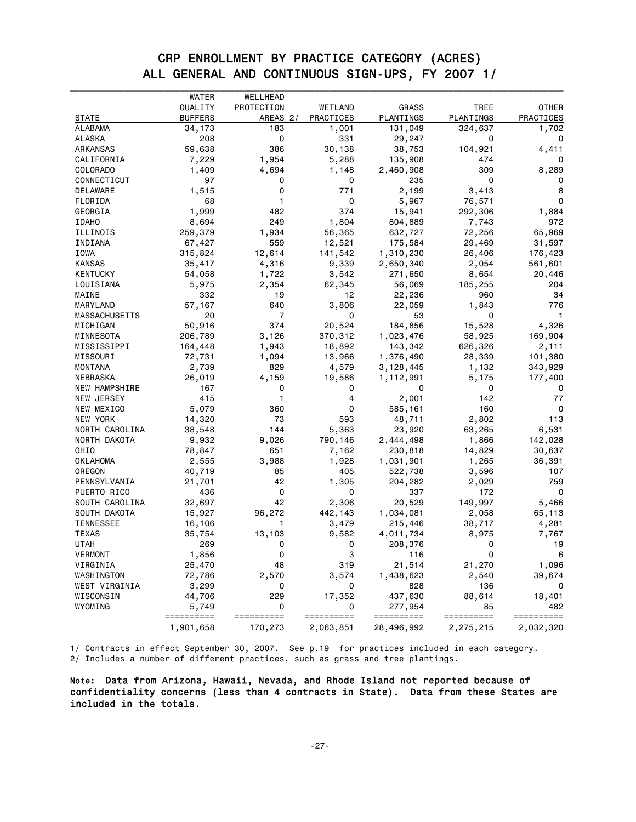### CRP ENROLLMENT BY PRACTICE CATEGORY (ACRES) ALL GENERAL AND CONTINUOUS SIGN-UPS, FY 2007 1/

|                      | WATER<br>QUALITY | WELLHEAD<br>PROTECTION |                      | <b>GRASS</b>       | TREE            | OTHER        |
|----------------------|------------------|------------------------|----------------------|--------------------|-----------------|--------------|
| <b>STATE</b>         | <b>BUFFERS</b>   | AREAS 2/               | WETLAND<br>PRACTICES | PLANTINGS          | PLANTINGS       | PRACTICES    |
| ALABAMA              | 34,173           | 183                    | 1,001                | 131,049            | 324,637         | 1,702        |
| ALASKA               | 208              | 0                      | 331                  | 29,247             | 0               | 0            |
| ARKANSAS             | 59,638           | 386                    | 30,138               | 38,753             |                 | 4,411        |
| CALIFORNIA           | 7,229            | 1,954                  | 5,288                | 135,908            | 104,921<br>474  | 0            |
| <b>COLORADO</b>      | 1,409            | 4,694                  | 1,148                | 2,460,908          | 309             | 8,289        |
| CONNECTICUT          | 97               | 0                      | 0                    | 235                | 0               | 0            |
| DELAWARE             | 1,515            | 0                      | 771                  | 2,199              | 3,413           | 8            |
| FLORIDA              | 68               | 1                      | 0                    | 5,967              | 76,571          | 0            |
| GEORGIA              | 1,999            | 482                    | 374                  | 15,941             | 292,306         | 1,884        |
|                      |                  | 249                    | 1,804                |                    |                 | 972          |
| <b>IDAHO</b>         | 8,694<br>259,379 | 1,934                  | 56,365               | 804,889            | 7,743<br>72,256 | 65,969       |
| ILLINOIS<br>INDIANA  | 67,427           | 559                    | 12,521               | 632,727<br>175,584 | 29,469          | 31,597       |
|                      |                  |                        |                      |                    |                 |              |
| IOWA                 | 315,824          | 12,614                 | 141,542              | 1,310,230          | 26,406          | 176,423      |
| KANSAS               | 35,417           | 4,316                  | 9,339                | 2,650,340          | 2,054           | 561,601      |
| <b>KENTUCKY</b>      | 54,058           | 1,722                  | 3,542                | 271,650            | 8,654           | 20,446       |
| LOUISIANA            | 5,975            | 2,354                  | 62,345               | 56,069             | 185,255         | 204          |
| MAINE                | 332              | 19                     | 12                   | 22,236             | 960             | 34           |
| MARYLAND             | 57,167           | 640                    | 3,806                | 22,059             | 1,843           | 776          |
| <b>MASSACHUSETTS</b> | 20               | 7                      | 0                    | 53                 | 0               | $\mathbf{1}$ |
| MICHIGAN             | 50,916           | 374                    | 20,524               | 184,856            | 15,528          | 4,326        |
| MINNESOTA            | 206,789          | 3,126                  | 370,312              | 1,023,476          | 58,925          | 169,904      |
| MISSISSIPPI          | 164,448          | 1,943                  | 18,892               | 143,342            | 626,326         | 2,111        |
| MISSOURI             | 72,731           | 1,094                  | 13,966               | 1,376,490          | 28,339          | 101,380      |
| <b>MONTANA</b>       | 2,739            | 829                    | 4,579                | 3,128,445          | 1,132           | 343,929      |
| NEBRASKA             | 26,019           | 4,159                  | 19,586               | 1,112,991          | 5,175           | 177,400      |
| NEW HAMPSHIRE        | 167              | 0                      | 0                    | 0                  | 0               | 0            |
| NEW JERSEY           | 415              | 1                      | 4                    | 2,001              | 142             | 77           |
| NEW MEXICO           | 5,079            | 360                    | 0                    | 585,161            | 160             | 0            |
| NEW YORK             | 14,320           | 73                     | 593                  | 48,711             | 2,802           | 113          |
| NORTH CAROLINA       | 38,548           | 144                    | 5,363                | 23,920             | 63,265          | 6,531        |
| NORTH DAKOTA         | 9,932            | 9,026                  | 790,146              | 2,444,498          | 1,866           | 142,028      |
| OHIO                 | 78,847           | 651                    | 7,162                | 230,818            | 14,829          | 30,637       |
| OKLAHOMA             | 2,555            | 3,988                  | 1,928                | 1,031,901          | 1,265           | 36,391       |
| OREGON               | 40,719           | 85                     | 405                  | 522,738            | 3,596           | 107          |
| PENNSYLVANIA         | 21,701           | 42                     | 1,305                | 204,282            | 2,029           | 759          |
| PUERTO RICO          | 436              | 0                      | 0                    | 337                | 172             | 0            |
| SOUTH CAROLINA       | 32,697           | 42                     | 2,306                | 20,529             | 149,997         | 5,466        |
| SOUTH DAKOTA         | 15,927           | 96,272                 | 442,143              | 1,034,081          | 2,058           | 65,113       |
| <b>TENNESSEE</b>     | 16,106           | 1                      | 3,479                | 215,446            | 38,717          | 4,281        |
| TEXAS                | 35,754           | 13,103                 | 9,582                | 4,011,734          | 8,975           | 7,767        |
| <b>UTAH</b>          | 269              | 0                      | 0                    | 208,376            | 0               | 19           |
| VERMONT              | 1,856            | 0                      | 3                    | 116                | 0               | 6            |
| VIRGINIA             | 25,470           | 48                     | 319                  | 21,514             | 21,270          | 1,096        |
| WASHINGTON           | 72,786           | 2,570                  | 3,574                | 1,438,623          | 2,540           | 39,674       |
| WEST VIRGINIA        | 3,299            | 0                      | 0                    | 828                | 136             | 0            |
| WISCONSIN            | 44,706           | 229                    | 17,352               | 437,630            | 88,614          | 18,401       |
| WYOMING              | 5,749            | 0                      | 0                    | 277,954            | 85              | 482          |
|                      | ==========       | ==========             | ==========           | ==========         | ==========      | ==========   |
|                      | 1,901,658        | 170,273                | 2,063,851            | 28,496,992         | 2,275,215       | 2,032,320    |

1/ Contracts in effect September 30, 2007. See p.19 for practices included in each category. 2/ Includes a number of different practices, such as grass and tree plantings.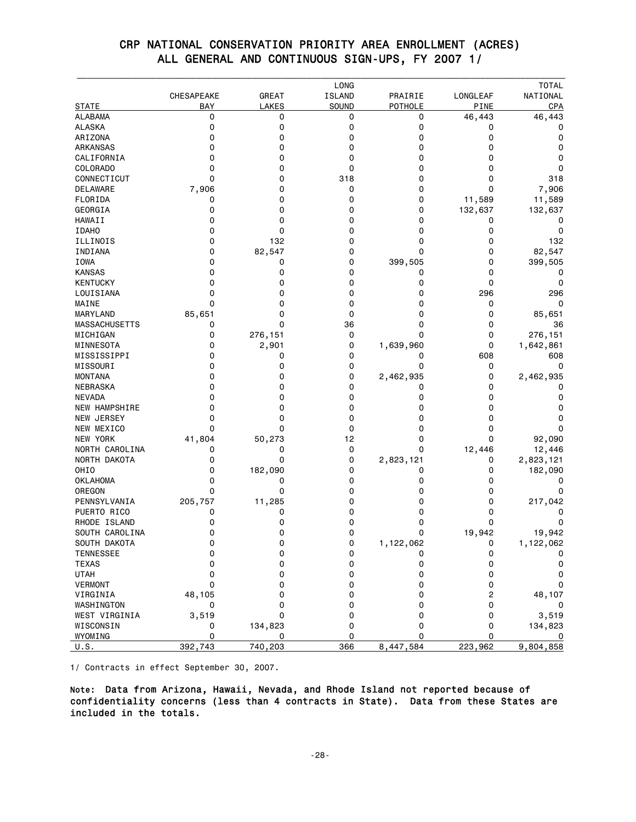|                                |            |              | LONG          |              |                | <b>TOTAL</b> |
|--------------------------------|------------|--------------|---------------|--------------|----------------|--------------|
|                                | CHESAPEAKE | <b>GREAT</b> | <b>ISLAND</b> | PRAIRIE      | LONGLEAF       | NATIONAL     |
| <b>STATE</b><br><b>ALABAMA</b> | BAY<br>0   | LAKES<br>0   | SOUND<br>0    | POTHOLE<br>0 | PINE<br>46,443 | CPA          |
| <b>ALASKA</b>                  | 0          | 0            | 0             | 0            | 0              | 46,443<br>0  |
| ARIZONA                        | 0          | 0            | 0             | 0            | 0              | 0            |
| ARKANSAS                       | 0          | 0            | 0             | 0            | 0              | 0            |
| CALIFORNIA                     | 0          | 0            | 0             | 0            | 0              | 0            |
| <b>COLORADO</b>                | 0          | 0            | 0             | 0            | 0              | 0            |
| CONNECTICUT                    | 0          | 0            | 318           | 0            | 0              | 318          |
| DELAWARE                       | 7,906      | 0            | 0             | 0            | 0              | 7,906        |
| FLORIDA                        | 0          | 0            | 0             | 0            | 11,589         | 11,589       |
| GEORGIA                        | 0          | 0            | 0             | 0            | 132,637        | 132,637      |
| HAWAII                         | 0          | 0            | 0             | 0            | 0              | 0            |
| <b>IDAHO</b>                   | 0          | 0            | 0             | 0            | 0              | 0            |
| ILLINOIS                       | 0          | 132          | 0             | 0            | 0              | 132          |
| INDIANA                        | 0          | 82,547       | 0             | 0            | 0              | 82,547       |
| <b>IOWA</b>                    | 0          | 0            | 0             | 399,505      | 0              | 399,505      |
| <b>KANSAS</b>                  | 0          | 0            | 0             | 0            | 0              | 0            |
| <b>KENTUCKY</b>                | 0          | 0            | 0             | 0            | 0              | 0            |
| LOUISIANA                      | 0          | 0            | 0             | 0            | 296            | 296          |
| MAINE                          | $\Omega$   | 0            | 0             | 0            | 0              | 0            |
| MARYLAND                       | 85,651     | 0            | 0             | 0            | 0              | 85,651       |
| <b>MASSACHUSETTS</b>           | 0          | 0            | 36            | 0            | 0              | 36           |
| MICHIGAN                       | 0          | 276,151      | 0             | 0            | 0              | 276,151      |
| MINNESOTA                      | 0          | 2,901        | 0             | 1,639,960    | 0              | 1,642,861    |
| MISSISSIPPI                    | 0          | 0            | 0             | 0            | 608            | 608          |
| MISSOURI                       | 0          | 0            | 0             | 0            | 0              | 0            |
| <b>MONTANA</b>                 | 0          | 0            | 0             | 2,462,935    | 0              | 2,462,935    |
| <b>NEBRASKA</b>                | 0          | 0            | 0             | 0            | 0              | 0            |
| <b>NEVADA</b>                  | 0          | 0            | 0             | 0            | 0              | 0            |
| <b>NEW HAMPSHIRE</b>           | 0          | 0            | 0             | 0            | 0              | 0            |
| NEW JERSEY                     | 0          | 0            | 0             | 0            | 0              | 0            |
| NEW MEXICO                     | 0          | 0            | 0             | 0            | 0              | 0            |
| NEW YORK                       | 41,804     | 50,273       | 12            | 0            | 0              | 92,090       |
| NORTH CAROLINA                 | 0          | 0            | 0             | 0            | 12,446         | 12,446       |
| NORTH DAKOTA                   | 0          | 0            | 0             | 2,823,121    | 0              | 2,823,121    |
| OHIO                           | 0          | 182,090      | 0             | 0            | 0              | 182,090      |
| <b>OKLAHOMA</b>                | 0          | 0            | 0             | 0            | 0              | 0            |
| OREGON                         | 0          | 0            | 0             | 0            | 0              | 0            |
| PENNSYLVANIA                   | 205,757    | 11,285       | 0             | 0            | 0              | 217,042      |
| PUERTO RICO                    | 0          | 0            | 0             | 0            | 0              | 0            |
| RHODE ISLAND                   | 0          | 0            | 0             | 0            | 0              | 0            |
| SOUTH CAROLINA                 | 0          | 0            | 0             | 0            | 19,942         | 19,942       |
| SOUTH DAKOTA                   | 0          | $\mathsf 0$  | 0             | 1,122,062    | 0              | 1,122,062    |
| <b>TENNESSEE</b>               | 0          | 0            | 0             | 0            | 0              |              |
| <b>TEXAS</b>                   | 0          | 0            | 0             | 0            | 0              | 0            |
| <b>UTAH</b>                    | 0          | 0            | 0             | 0            | 0              | 0            |
| <b>VERMONT</b>                 | 0          | 0            | 0             | 0            | 0              | 0            |
| VIRGINIA                       | 48,105     | 0            | 0             | 0            | 2              | 48,107       |
| WASHINGTON                     | 0          | 0            | 0             | 0            | 0              | 0            |
| WEST VIRGINIA                  | 3,519      | 0            | 0             | 0            | 0              | 3,519        |
| WISCONSIN                      | 0          | 134,823      | 0             | 0            | 0              | 134,823      |
| WYOMING                        | 0          | 0            | 0             | 0            | 0              | 0            |
| U.S.                           | 392,743    | 740,203      | 366           | 8,447,584    | 223,962        | 9,804,858    |

#### CRP NATIONAL CONSERVATION PRIORITY AREA ENROLLMENT (ACRES) ALL GENERAL AND CONTINUOUS SIGN-UPS, FY 2007 1/

1/ Contracts in effect September 30, 2007.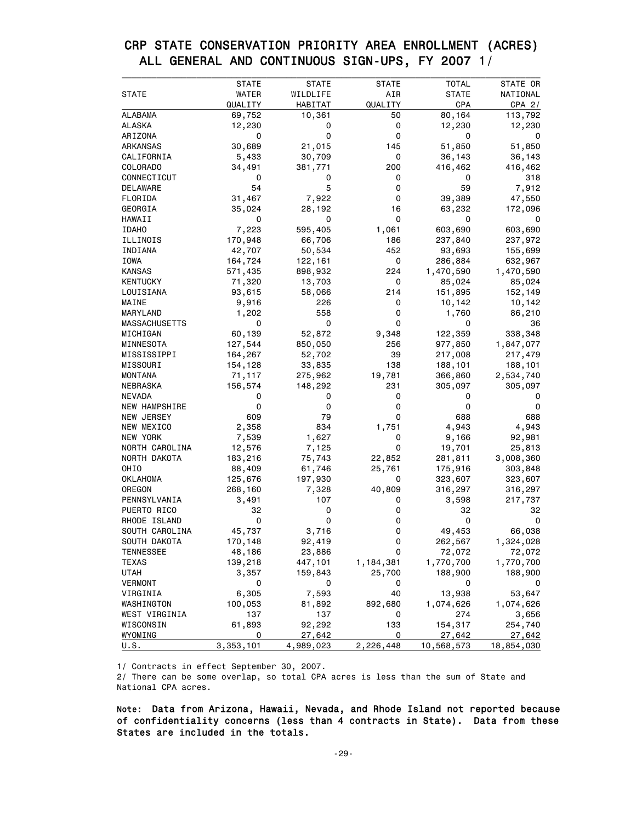### CRP STATE CONSERVATION PRIORITY AREA ENROLLMENT (ACRES) ALL GENERAL AND CONTINUOUS SIGN-UPS, FY 2007 1/

|                      | <b>STATE</b>   | <b>STATE</b>  | <b>STATE</b> | TOTAL            | STATE OR           |
|----------------------|----------------|---------------|--------------|------------------|--------------------|
| <b>STATE</b>         | WATER          | WILDLIFE      | AIR          | <b>STATE</b>     | NATIONAL           |
|                      | QUALITY        | HABITAT       | QUALITY      | CPA              | CPA $2/$           |
| <b>ALABAMA</b>       | 69,752         | 10,361        | 50           | 80,164           | 113,792            |
| ALASKA               | 12,230         | 0             | 0            | 12,230           | 12,230             |
| ARIZONA              | 0              | 0             | 0            | 0                | 0                  |
| ARKANSAS             | 30,689         | 21,015        | 145          | 51,850           | 51,850             |
| CALIFORNIA           | 5,433          | 30,709        | 0            | 36,143           | 36,143             |
| <b>COLORADO</b>      | 34,491         | 381,771       | 200          | 416,462          | 416,462            |
| CONNECTICUT          | 0              | 0             | 0            | 0                | 318                |
| DELAWARE             | 54             | 5             | 0            | 59               | 7,912              |
| FLORIDA              | 31,467         | 7,922         | 0            | 39,389           | 47,550             |
| GEORGIA              | 35,024         | 28,192        | 16           | 63,232           | 172,096            |
| HAWAII               | 0              | 0             | 0            | 0                | 0                  |
| <b>IDAHO</b>         | 7,223          | 595,405       | 1,061        | 603,690          | 603,690            |
| ILLINOIS             | 170,948        | 66,706        | 186          | 237,840          | 237,972            |
| INDIANA              | 42,707         | 50,534        | 452          | 93,693           | 155,699            |
| IOWA                 | 164,724        | 122,161       | 0            | 286,884          | 632,967            |
| KANSAS               | 571,435        | 898,932       | 224          | 1,470,590        | 1,470,590          |
| <b>KENTUCKY</b>      | 71,320         | 13,703        | 0            | 85,024           | 85,024             |
| LOUISIANA            | 93,615         | 58,066        | 214          | 151,895          | 152,149            |
| MAINE                | 9,916          | 226           | 0            | 10,142           | 10,142             |
| MARYLAND             | 1,202          | 558           | 0            | 1,760            | 86,210             |
| <b>MASSACHUSETTS</b> | 0              | 0             | 0            | 0                | 36                 |
| MICHIGAN             | 60,139         | 52,872        | 9,348        | 122,359          | 338,348            |
| MINNESOTA            | 127,544        | 850,050       | 256          | 977,850          | 1,847,077          |
| MISSISSIPPI          | 164,267        | 52,702        | 39           | 217,008          | 217,479            |
| MISSOURI             | 154,128        | 33,835        | 138          | 188,101          | 188,101            |
| MONTANA              | 71,117         | 275,962       | 19,781       | 366,860          | 2,534,740          |
| NEBRASKA             | 156,574        | 148,292       | 231          | 305,097          | 305,097            |
| <b>NEVADA</b>        | 0              | 0             | 0            | 0                |                    |
| NEW HAMPSHIRE        | 0              | 0             | 0            | 0                | 0                  |
| NEW JERSEY           | 609            | 79            | 0            | 688              | 688                |
| NEW MEXICO           | 2,358          | 834           | 1,751        | 4,943            | 4,943              |
| NEW YORK             | 7,539          | 1,627         | 0            | 9,166            | 92,981             |
| NORTH CAROLINA       | 12,576         | 7,125         | 0            | 19,701           | 25,813             |
| NORTH DAKOTA         | 183,216        | 75,743        | 22,852       | 281,811          | 3,008,360          |
| OHIO                 | 88,409         | 61,746        | 25,761       | 175,916          | 303,848            |
| OKLAHOMA             | 125,676        | 197,930       | 0            | 323,607          | 323,607            |
| OREGON               | 268,160        | 7,328         | 40,809       | 316,297          | 316,297            |
| PENNSYLVANIA         | 3,491          | 107           | 0            | 3,598            | 217,737            |
| PUERTO RICO          | 32             | 0             | 0            | 32               | 32                 |
| RHODE ISLAND         | 0              | 0             | 0            | 0                | 0                  |
| SOUTH CAROLINA       | 45,737         | 3,716         | 0            | 49,453           | 66,038             |
| SOUTH DAKOTA         | 170,148        | 92,419        | 0            | 262,567          | 1,324,028          |
| TENNESSEE            | 48,186         | 23,886        | 0            | 72,072           | 72,072             |
| <b>TEXAS</b>         | 139,218        | 447,101       | 1,184,381    | 1,770,700        | 1,770,700          |
| UTAH                 | 3,357          | 159,843       | 25,700       | 188,900          | 188,900            |
| <b>VERMONT</b>       | 0              | 0             | 0            | 0                | 0                  |
|                      |                | 7,593         | 40           |                  |                    |
| VIRGINIA             | 6,305          |               |              | 13,938           | 53,647             |
| WASHINGTON           | 100,053<br>137 | 81,892<br>137 | 892,680<br>0 | 1,074,626<br>274 | 1,074,626<br>3,656 |
| WEST VIRGINIA        |                |               | 133          |                  |                    |
| WISCONSIN            | 61,893         | 92,292        |              | 154,317          | 254,740            |
| WYOMING              | 0              | 27,642        | 0            | 27,642           | 27,642             |
| U.S.                 | 3,353,101      | 4,989,023     | 2,226,448    | 10,568,573       | 18,854,030         |

1/ Contracts in effect September 30, 2007.

2/ There can be some overlap, so total CPA acres is less than the sum of State and National CPA acres.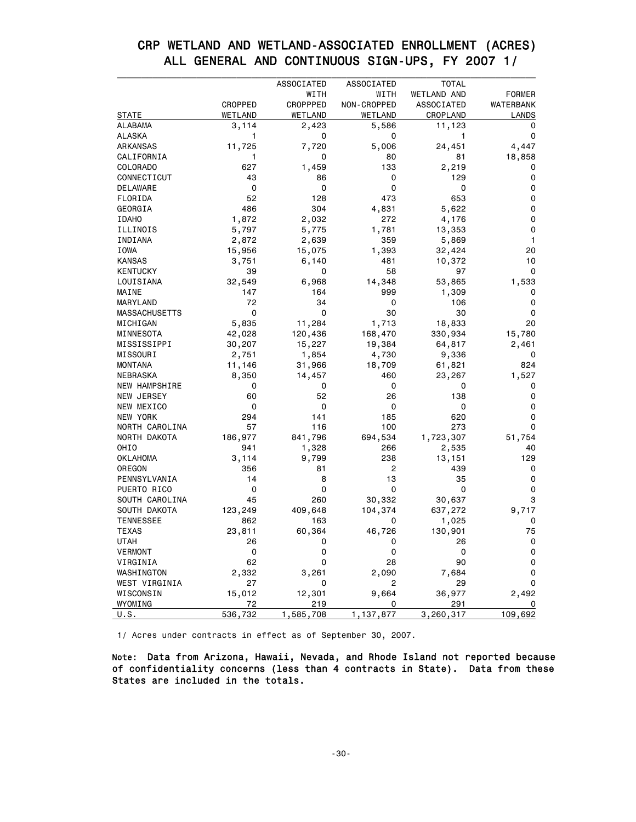| CRP WETLAND AND WETLAND-ASSOCIATED ENROLLMENT (ACRES) |  |
|-------------------------------------------------------|--|
| ALL GENERAL AND CONTINUOUS SIGN-UPS, FY 2007 1/       |  |
|                                                       |  |

|                      |             | ASSOCIATED | ASSOCIATED     | <b>TOTAL</b>      |               |
|----------------------|-------------|------------|----------------|-------------------|---------------|
|                      |             | WITH       | WITH           | WETLAND AND       | <b>FORMER</b> |
|                      | CROPPED     | CROPPPED   | NON-CROPPED    | <b>ASSOCIATED</b> | WATERBANK     |
| <b>STATE</b>         | WETLAND     | WETLAND    | WETLAND        | CROPLAND          | LANDS         |
| <b>ALABAMA</b>       | 3,114       | 2,423      | 5,586          | 11,123            | 0             |
| <b>ALASKA</b>        | 1           | 0          | 0              | 1                 | 0             |
| ARKANSAS             | 11,725      | 7,720      | 5,006          | 24,451            | 4,447         |
| CALIFORNIA           | 1           | 0          | 80             | 81                | 18,858        |
| COLORADO             | 627         | 1,459      | 133            | 2,219             | 0             |
| CONNECTICUT          | 43          | 86         | 0              | 129               | 0             |
| <b>DELAWARE</b>      | $\mathbf 0$ | 0          | 0              | $\mathbf 0$       | 0             |
| FLORIDA              | 52          | 128        | 473            | 653               | 0             |
| GEORGIA              | 486         | 304        | 4,831          | 5,622             | 0             |
| <b>IDAHO</b>         | 1,872       | 2,032      | 272            | 4,176             | 0             |
| ILLINOIS             | 5,797       | 5,775      | 1,781          | 13,353            | 0             |
| INDIANA              | 2,872       | 2,639      | 359            | 5,869             | 1             |
| IOWA                 | 15,956      | 15,075     | 1,393          | 32,424            | 20            |
| <b>KANSAS</b>        | 3,751       | 6,140      | 481            | 10,372            | 10            |
| <b>KENTUCKY</b>      | 39          | 0          | 58             | 97                | 0             |
| LOUISIANA            | 32,549      | 6,968      | 14,348         | 53,865            | 1,533         |
| MAINE                | 147         | 164        | 999            | 1,309             | 0             |
| MARYLAND             | 72          | 34         | 0              | 106               | 0             |
| <b>MASSACHUSETTS</b> | 0           | 0          | 30             | 30                | 0             |
| MICHIGAN             | 5,835       | 11,284     | 1,713          | 18,833            | 20            |
| MINNESOTA            | 42,028      | 120,436    | 168,470        | 330,934           | 15,780        |
| MISSISSIPPI          | 30,207      | 15,227     | 19,384         | 64,817            | 2,461         |
| MISSOURI             | 2,751       | 1,854      | 4,730          | 9,336             | 0             |
| <b>MONTANA</b>       | 11,146      | 31,966     | 18,709         | 61,821            | 824           |
| <b>NEBRASKA</b>      | 8,350       | 14,457     | 460            | 23,267            | 1,527         |
| <b>NEW HAMPSHIRE</b> | 0           | 0          | 0              | 0                 | 0             |
| NEW JERSEY           | 60          | 52         | 26             | 138               | 0             |
| NEW MEXICO           | 0           | 0          | 0              | 0                 | 0             |
| NEW YORK             | 294         | 141        | 185            | 620               | 0             |
| NORTH CAROLINA       | 57          | 116        | 100            | 273               | 0             |
| NORTH DAKOTA         | 186,977     | 841,796    | 694,534        | 1,723,307         | 51,754        |
| OHIO                 | 941         | 1,328      | 266            | 2,535             | 40            |
| <b>OKLAHOMA</b>      | 3,114       | 9,799      | 238            | 13,151            | 129           |
| OREGON               | 356         | 81         | 2              | 439               | 0             |
| PENNSYLVANIA         | 14          | 8          | 13             | 35                | 0             |
|                      | 0           | 0          | 0              | 0                 | 0             |
| PUERTO RICO          | 45          | 260        |                |                   | 3             |
| SOUTH CAROLINA       |             |            | 30,332         | 30,637            |               |
| SOUTH DAKOTA         | 123,249     | 409,648    | 104,374        | 637,272           | 9,717         |
| <b>TENNESSEE</b>     | 862         | 163        | 0              | 1,025             | 0             |
| <b>TEXAS</b>         | 23,811      | 60,364     | 46,726         | 130,901           | 75            |
| <b>UTAH</b>          | 26          | 0          | 0              | 26                | 0             |
| <b>VERMONT</b>       | 0           | 0          | 0              | 0                 | 0             |
| VIRGINIA             | 62          | 0          | 28             | 90                | 0             |
| WASHINGTON           | 2,332       | 3,261      | 2,090          | 7,684             | 0             |
| WEST VIRGINIA        | 27          | 0          | $\overline{2}$ | 29                | 0             |
| WISCONSIN            | 15,012      | 12,301     | 9,664          | 36,977            | 2,492         |
| WYOMING              | 72          | 219        | 0              | 291               | 0             |
| U.S.                 | 536,732     | 1,585,708  | 1,137,877      | 3,260,317         | 109,692       |

1/ Acres under contracts in effect as of September 30, 2007.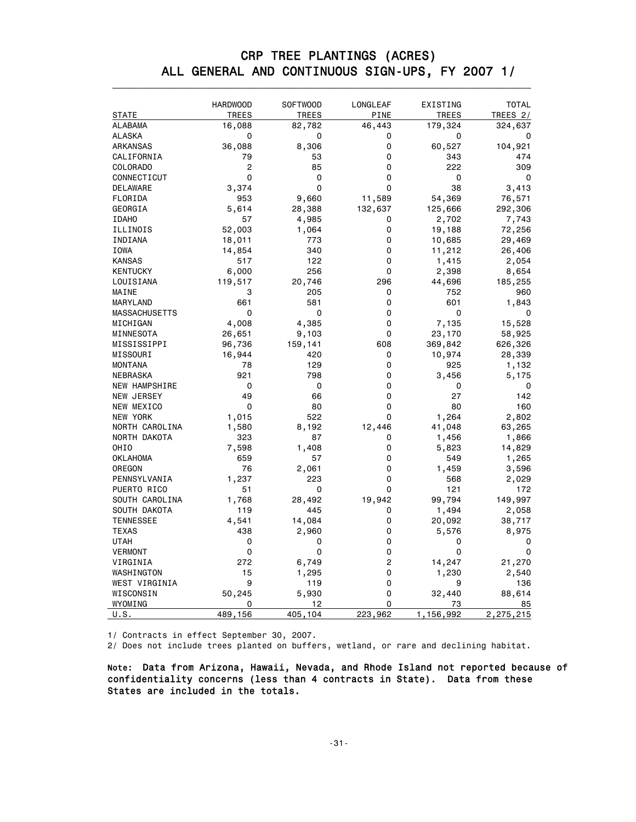| CRP TREE PLANTINGS (ACRES)                      |  |
|-------------------------------------------------|--|
| ALL GENERAL AND CONTINUOUS SIGN-UPS, FY 2007 1/ |  |
|                                                 |  |

|                      | <b>HARDWOOD</b> | <b>SOFTWOOD</b> | LONGLEAF    | EXISTING     | <b>TOTAL</b> |
|----------------------|-----------------|-----------------|-------------|--------------|--------------|
| <b>STATE</b>         | <b>TREES</b>    | <b>TREES</b>    | <b>PINE</b> | <b>TREES</b> | TREES 2/     |
| ALABAMA              | 16,088          | 82,782          | 46,443      | 179,324      | 324,637      |
| ALASKA               | 0               | 0               | 0           | 0            | 0            |
| ARKANSAS             | 36,088          | 8,306           | 0           | 60,527       | 104,921      |
| CALIFORNIA           | 79              | 53              | 0           | 343          | 474          |
| COLORADO             | $\overline{c}$  | 85              | 0           | 222          | 309          |
| CONNECTICUT          | $\mathbf 0$     | 0               | 0           | 0            | 0            |
| DELAWARE             | 3,374           | $\mathbf 0$     | $\Omega$    | 38           | 3,413        |
| FLORIDA              | 953             | 9,660           | 11,589      | 54,369       | 76,571       |
| GEORGIA              | 5,614           | 28,388          | 132,637     | 125,666      | 292,306      |
| <b>IDAHO</b>         | 57              | 4,985           | 0           | 2,702        | 7,743        |
| ILLINOIS             | 52,003          | 1,064           | 0           | 19,188       | 72,256       |
| INDIANA              | 18,011          | 773             | 0           | 10,685       | 29,469       |
| IOWA                 | 14,854          | 340             | 0           | 11,212       | 26,406       |
| <b>KANSAS</b>        | 517             | 122             | 0           | 1,415        | 2,054        |
| <b>KENTUCKY</b>      | 6,000           | 256             | 0           | 2,398        | 8,654        |
| LOUISIANA            | 119,517         | 20,746          | 296         | 44,696       | 185,255      |
| MAINE                | 3               | 205             | 0           | 752          | 960          |
| MARYLAND             | 661             | 581             | 0           | 601          | 1,843        |
| <b>MASSACHUSETTS</b> | 0               | 0               | 0           | 0            | 0            |
| MICHIGAN             | 4,008           | 4,385           | 0           | 7,135        | 15,528       |
| MINNESOTA            | 26,651          | 9,103           | 0           | 23,170       | 58,925       |
| MISSISSIPPI          | 96,736          | 159,141         | 608         | 369,842      | 626,326      |
| MISSOURI             | 16,944          | 420             | 0           | 10,974       | 28,339       |
| <b>MONTANA</b>       | 78              | 129             | 0           | 925          | 1,132        |
| NEBRASKA             | 921             | 798             | 0           | 3,456        | 5,175        |
| NEW HAMPSHIRE        | 0               | 0               | 0           | 0            | 0            |
| NEW JERSEY           | 49              | 66              | 0           | 27           | 142          |
| NEW MEXICO           | 0               | 80              | 0           | 80           | 160          |
| NEW YORK             | 1,015           | 522             | 0           | 1,264        | 2,802        |
| NORTH CAROLINA       | 1,580           | 8,192           | 12,446      | 41,048       | 63,265       |
| NORTH DAKOTA         | 323             | 87              | 0           | 1,456        | 1,866        |
| OHIO                 | 7,598           | 1,408           | 0           | 5,823        | 14,829       |
| OKLAHOMA             | 659             | 57              | 0           | 549          | 1,265        |
| OREGON               | 76              |                 | 0           | 1,459        |              |
|                      |                 | 2,061<br>223    | 0           | 568          | 3,596        |
| PENNSYLVANIA         | 1,237           |                 | 0           |              | 2,029        |
| PUERTO RICO          | 51              | 0               |             | 121          | 172          |
| SOUTH CAROLINA       | 1,768           | 28,492          | 19,942      | 99,794       | 149,997      |
| SOUTH DAKOTA         | 119             | 445             | 0           | 1,494        | 2,058        |
| <b>TENNESSEE</b>     | 4,541           | 14,084          | 0           | 20,092       | 38,717       |
| TEXAS                | 438             | 2,960           | 0           | 5,576        | 8,975        |
| <b>UTAH</b>          | 0               | 0               | 0           | 0            | 0            |
| VERMONT              | 0               | 0               | 0           | 0            | 0            |
| VIRGINIA             | 272             | 6,749           | 2           | 14,247       | 21,270       |
| WASHINGTON           | 15              | 1,295           | 0           | 1,230        | 2,540        |
| WEST VIRGINIA        | 9               | 119             | 0           | 9            | 136          |
| WISCONSIN            | 50,245          | 5,930           | 0           | 32,440       | 88,614       |
| WYOMING              | 0               | 12              | 0           | 73           | 85           |
| U.S.                 | 489,156         | 405,104         | 223,962     | 1,156,992    | 2,275,215    |

1/ Contracts in effect September 30, 2007.

 $2/$  Does not include trees planted on buffers, wetland, or rare and declining habitat.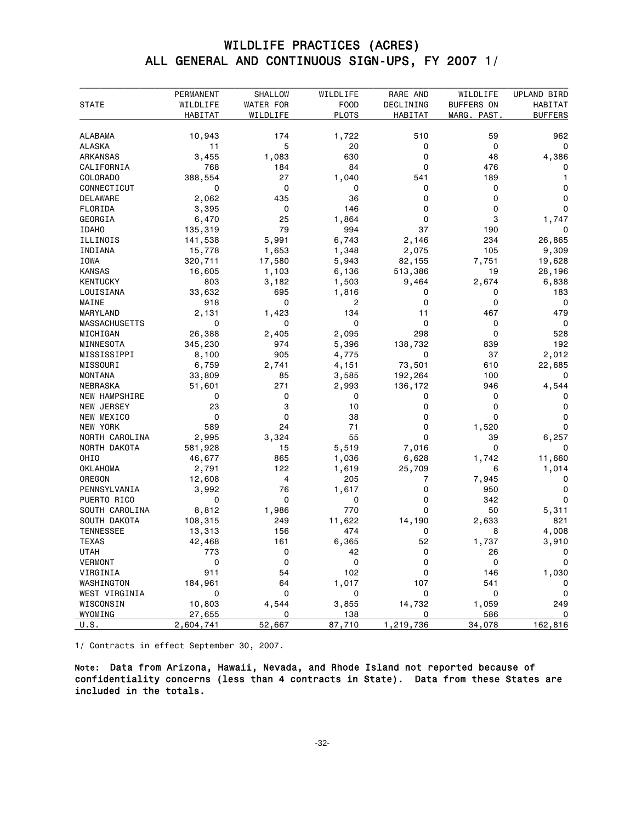### WILDLIFE PRACTICES (ACRES) ALL GENERAL AND CONTINUOUS SIGN-UPS, FY 2007 1/

|                             | PERMANENT    | SHALLOW   | WILDLIFE     | RARE AND  | WILDLIFE    | UPLAND BIRD      |
|-----------------------------|--------------|-----------|--------------|-----------|-------------|------------------|
| <b>STATE</b>                | WILDLIFE     | WATER FOR | F00D         | DECLINING | BUFFERS ON  | HABITAT          |
|                             | HABITAT      | WILDLIFE  | <b>PLOTS</b> | HABITAT   | MARG. PAST. | <b>BUFFERS</b>   |
| <b>ALABAMA</b>              | 10,943       | 174       | 1,722        | 510       | 59          | 962              |
| <b>ALASKA</b>               | 11           | 5         | 20           | 0         | 0           | 0                |
| ARKANSAS                    | 3,455        | 1,083     | 630          | 0         | 48          | 4,386            |
| CALIFORNIA                  | 768          | 184       | 84           | 0         | 476         | 0                |
| COLORADO                    | 388,554      | 27        | 1,040        | 541       | 189         |                  |
| CONNECTICUT                 | 0            | 0         | 0            | 0         | 0           | 0                |
| DELAWARE                    | 2,062        | 435       | 36           | 0         | 0           | 0                |
| FLORIDA                     | 3,395        | 0         | 146          | 0         | 0           | 0                |
| GEORGIA                     | 6,470        | 25        | 1,864        | 0         | 3           | 1,747            |
| <b>IDAHO</b>                | 135,319      | 79        | 994          | 37        | 190         | 0                |
| ILLINOIS                    | 141,538      | 5,991     | 6,743        | 2,146     | 234         | 26,865           |
| INDIANA                     | 15,778       | 1,653     | 1,348        | 2,075     | 105         | 9,309            |
| IOWA                        | 320,711      | 17,580    | 5,943        | 82,155    | 7,751       | 19,628           |
| <b>KANSAS</b>               | 16,605       | 1,103     | 6,136        | 513,386   | 19          | 28,196           |
| <b>KENTUCKY</b>             | 803          | 3,182     | 1,503        | 9,464     | 2,674       | 6,838            |
| LOUISIANA                   | 33,632       | 695       | 1,816        | 0         | 0           | 183              |
| MAINE                       | 918          | 0         | 2            | 0         | 0           | 0                |
| MARYLAND                    | 2,131        | 1,423     | 134          | 11        | 467         | 479              |
| <b>MASSACHUSETTS</b>        | 0            | 0         | $\mathbf 0$  | 0         | 0           | $\mathbf 0$      |
| MICHIGAN                    | 26,388       | 2,405     | 2,095        | 298       | 0           | 528              |
| MINNESOTA                   | 345,230      | 974       | 5,396        | 138,732   | 839         | 192              |
| MISSISSIPPI                 | 8,100        | 905       | 4,775        | 0         | 37          | 2,012            |
| MISSOURI                    | 6,759        | 2,741     | 4,151        | 73,501    | 610         | 22,685           |
| <b>MONTANA</b>              | 33,809       | 85        | 3,585        | 192,264   | 100         | 0                |
| NEBRASKA                    | 51,601       | 271       | 2,993        | 136,172   | 946         | 4,544            |
| <b>NEW HAMPSHIRE</b>        | 0            | 0         | 0            | 0         | 0           | 0                |
| NEW JERSEY                  | 23           | 3         | 10           | 0         | 0           | 0                |
| NEW MEXICO                  | 0            | 0         | 38           | 0         | 0           | 0                |
| NEW YORK                    | 589          | 24        | 71           | 0         | 1,520       | 0                |
| NORTH CAROLINA              | 2,995        | 3,324     | 55           | 0         | 39          | 6,257            |
| NORTH DAKOTA                | 581,928      | 15        | 5,519        | 7,016     | 0           |                  |
| OHIO                        | 46,677       | 865       | 1,036        | 6,628     | 1,742       | 11,660           |
| <b>OKLAHOMA</b>             | 2,791        | 122       | 1,619        | 25,709    | 6           | 1,014            |
| OREGON                      | 12,608       | 4         | 205          | 7         | 7,945       | 0                |
| PENNSYLVANIA                | 3,992        | 76        | 1,617        | 0         | 950         | 0                |
| PUERTO RICO                 | 0            | 0         | 0            | 0         | 342         | 0                |
| SOUTH CAROLINA              | 8,812        | 1,986     | 770          | 0         | 50          | 5,311            |
| SOUTH DAKOTA                | 108,315      | 249       | 11,622       | 14,190    | 2,633       | 821              |
| <b>TENNESSEE</b>            | 13,313       | 156       | 474          | 0         | 8           | 4,008            |
| <b>TEXAS</b>                | 42,468       | 161       | 6,365        | 52        | 1,737       | 3,910            |
| <b>UTAH</b>                 | 773          | 0         | 42           | 0         | 26          | 0                |
| <b>VERMONT</b><br>VIRGINIA  | 0<br>911     | 0<br>54   | 0<br>102     | 0<br>0    | 0           | 0<br>1,030       |
|                             |              |           |              |           | 146         |                  |
| WASHINGTON<br>WEST VIRGINIA | 184,961<br>0 | 64<br>0   | 1,017<br>0   | 107<br>0  | 541<br>0    | 0<br>$\mathbf 0$ |
| WISCONSIN                   | 10,803       | 4,544     | 3,855        | 14,732    | 1,059       | 249              |
| WYOMING                     | 27,655       | 0         | 138          | 0         | 586         | 0                |
|                             | 2,604,741    |           |              |           | 34,078      | 162,816          |
| U.S.                        |              | 52,667    | 87,710       | 1,219,736 |             |                  |

1/ Contracts in effect September 30, 2007.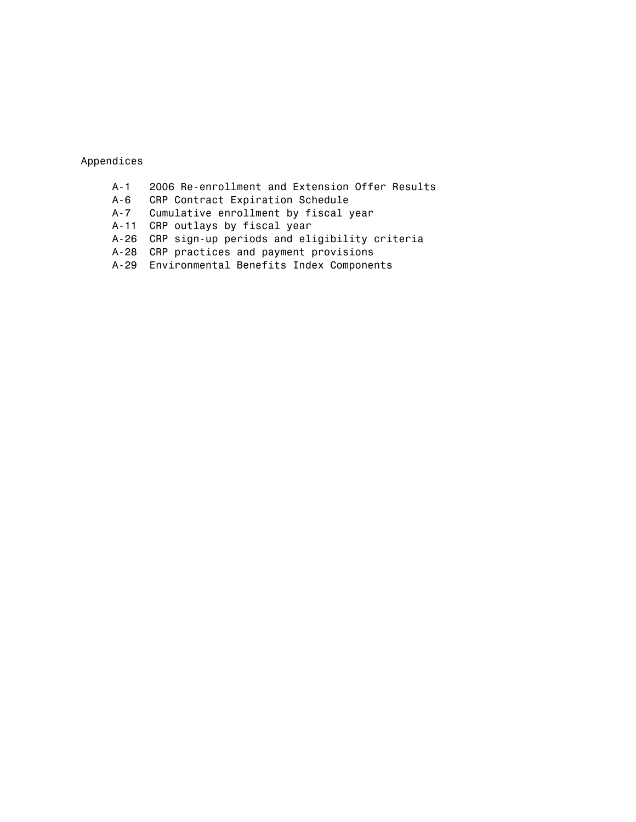Appendices

- A-1 2006 Re-enrollment and Extension Offer Results<br>A-6 CRP Contract Expiration Schedule
- 
- A-6 CRP Contract Expiration Schedule<br>A-7 Cumulative enrollment by fiscal Cumulative enrollment by fiscal year
- A-11 CRP outlays by fiscal year
- A-26 CRP sign-up periods and eligibility criteria
- A-28 CRP practices and payment provisions
- A-29 Environmental Benefits Index Components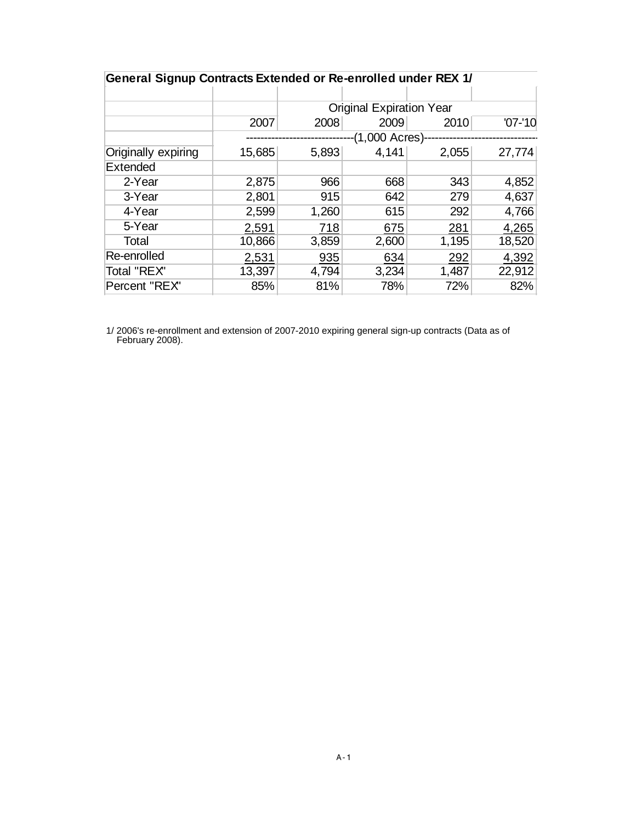| General Signup Contracts Extended or Re-enrolled under REX 1/ |        |       |                                 |       |             |  |  |  |  |
|---------------------------------------------------------------|--------|-------|---------------------------------|-------|-------------|--|--|--|--|
|                                                               |        |       |                                 |       |             |  |  |  |  |
|                                                               |        |       | <b>Original Expiration Year</b> |       |             |  |  |  |  |
|                                                               | 2007   | 2008  | 2009                            | 2010  | $'07 - 10'$ |  |  |  |  |
|                                                               |        |       | -(1,000 Acres)-                 |       |             |  |  |  |  |
| Originally expiring                                           | 15,685 | 5,893 | 4,141                           | 2,055 | 27,774      |  |  |  |  |
| Extended                                                      |        |       |                                 |       |             |  |  |  |  |
| 2-Year                                                        | 2,875  | 966   | 668                             | 343   | 4,852       |  |  |  |  |
| 3-Year                                                        | 2,801  | 915   | 642                             | 279   | 4,637       |  |  |  |  |
| 4-Year                                                        | 2,599  | 1,260 | 615                             | 292   | 4,766       |  |  |  |  |
| 5-Year                                                        | 2,591  | 718   | 675                             | 281   | 4,265       |  |  |  |  |
| Total                                                         | 10,866 | 3,859 | 2,600                           | 1,195 | 18,520      |  |  |  |  |
| Re-enrolled                                                   | 2,531  | 935   | 634                             | 292   | 4,392       |  |  |  |  |
| Total "REX"                                                   | 13,397 | 4,794 | 3,234                           | 1,487 | 22,912      |  |  |  |  |
| Percent "REX"                                                 | 85%    | 81%   | 78%                             | 72%   | 82%         |  |  |  |  |

 1/ 2006's re-enrollment and extension of 2007-2010 expiring general sign-up contracts (Data as of February 2008).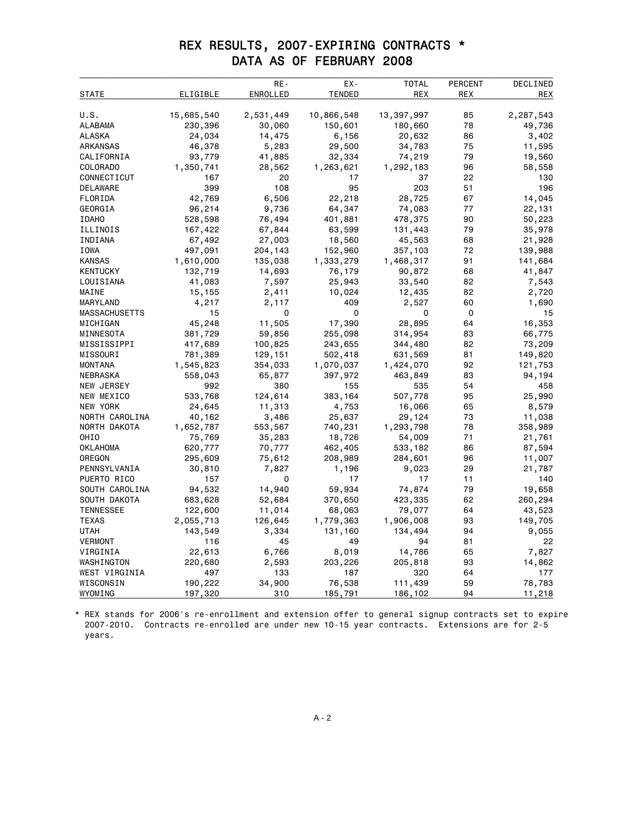### REX RESULTS, 2007-EXPIRING CONTRACTS \* DATA AS OF FEBRUARY 2008

|                      |            | RE-       | EX-           | <b>TOTAL</b> | <b>PERCENT</b> | DECLINED   |
|----------------------|------------|-----------|---------------|--------------|----------------|------------|
| STATE                | ELIGIBLE   | ENROLLED  | <b>TENDED</b> | REX          | REX            | <b>REX</b> |
|                      |            |           |               |              |                |            |
| U.S.                 | 15,685,540 | 2,531,449 | 10,866,548    | 13,397,997   | 85             | 2,287,543  |
| ALABAMA              | 230,396    | 30,060    | 150,601       | 180,660      | 78             | 49,736     |
| ALASKA               | 24,034     | 14,475    | 6,156         | 20,632       | 86             | 3,402      |
| ARKANSAS             | 46,378     | 5,283     | 29,500        | 34,783       | 75             | 11,595     |
| CALIFORNIA           | 93,779     | 41,885    | 32,334        | 74,219       | 79             | 19,560     |
| COLORADO             | 1,350,741  | 28,562    | 1,263,621     | 1,292,183    | 96             | 58,558     |
| CONNECTICUT          | 167        | 20        | 17            | 37           | 22             | 130        |
| DELAWARE             | 399        | 108       | 95            | 203          | 51             | 196        |
| FLORIDA              | 42,769     | 6,506     | 22,218        | 28,725       | 67             | 14,045     |
| GEORGIA              | 96,214     | 9,736     | 64,347        | 74,083       | 77             | 22,131     |
| <b>IDAHO</b>         | 528,598    | 76,494    | 401,881       | 478,375      | 90             | 50,223     |
| ILLINOIS             | 167,422    | 67,844    | 63,599        | 131,443      | 79             | 35,978     |
| INDIANA              | 67,492     | 27,003    | 18,560        | 45,563       | 68             | 21,928     |
| IOWA                 | 497,091    | 204,143   | 152,960       | 357,103      | 72             | 139,988    |
| <b>KANSAS</b>        | 1,610,000  | 135,038   | 1,333,279     | 1,468,317    | 91             | 141,684    |
| KENTUCKY             | 132,719    | 14,693    | 76,179        | 90,872       | 68             | 41,847     |
| LOUISIANA            | 41,083     | 7,597     | 25,943        | 33,540       | 82             | 7,543      |
| MAINE                | 15,155     | 2,411     | 10,024        | 12,435       | 82             | 2,720      |
| MARYLAND             | 4,217      | 2,117     | 409           | 2,527        | 60             | 1,690      |
| <b>MASSACHUSETTS</b> | 15         | 0         | 0             | 0            | 0              | 15         |
| MICHIGAN             | 45,248     | 11,505    | 17,390        | 28,895       | 64             | 16,353     |
| MINNESOTA            | 381,729    | 59,856    | 255,098       | 314,954      | 83             | 66,775     |
| MISSISSIPPI          | 417,689    | 100,825   | 243,655       | 344,480      | 82             | 73,209     |
| MISSOURI             | 781,389    | 129,151   | 502,418       | 631,569      | 81             | 149,820    |
| <b>MONTANA</b>       | 1,545,823  | 354,033   | 1,070,037     | 1,424,070    | 92             | 121,753    |
| NEBRASKA             | 558,043    | 65,877    | 397,972       | 463,849      | 83             | 94,194     |
| NEW JERSEY           | 992        | 380       | 155           | 535          | 54             | 458        |
| NEW MEXICO           | 533,768    | 124,614   | 383,164       | 507,778      | 95             | 25,990     |
| NEW YORK             | 24,645     | 11,313    | 4,753         | 16,066       | 65             | 8,579      |
| NORTH CAROLINA       | 40,162     | 3,486     | 25,637        | 29,124       | 73             | 11,038     |
| NORTH DAKOTA         | 1,652,787  | 553,567   | 740,231       | 1,293,798    | 78             | 358,989    |
| OHIO                 | 75,769     | 35,283    | 18,726        | 54,009       | 71             | 21,761     |
| OKLAHOMA             | 620,777    | 70,777    | 462,405       | 533,182      | 86             | 87,594     |
| OREGON               | 295,609    | 75,612    | 208,989       | 284,601      | 96             | 11,007     |
| PENNSYLVANIA         | 30,810     | 7,827     | 1,196         | 9,023        | 29             | 21,787     |
| PUERTO RICO          | 157        | 0         | 17            | 17           | 11             | 140        |
| SOUTH CAROLINA       | 94,532     | 14,940    | 59,934        | 74,874       | 79             | 19,658     |
| SOUTH DAKOTA         | 683,628    | 52,684    | 370,650       | 423,335      | 62             | 260,294    |
| <b>TENNESSEE</b>     | 122,600    | 11,014    | 68,063        | 79,077       | 64             | 43,523     |
| TEXAS                | 2,055,713  | 126,645   | 1,779,363     | 1,906,008    | 93             | 149,705    |
| UTAH                 | 143,549    | 3,334     | 131,160       | 134,494      | 94             | 9,055      |
| <b>VERMONT</b>       | 116        | 45        | 49            | 94           | 81             | 22         |
| VIRGINIA             | 22,613     | 6,766     | 8,019         | 14,786       | 65             | 7,827      |
| WASHINGTON           | 220,680    | 2,593     | 203,226       | 205,818      | 93             | 14,862     |
| WEST VIRGINIA        | 497        | 133       | 187           | 320          | 64             | 177        |
| WISCONSIN            | 190,222    | 34,900    | 76,538        | 111,439      | 59             | 78,783     |
| WYOMING              | 197,320    | 310       | 185,791       | 186,102      | 94             | 11,218     |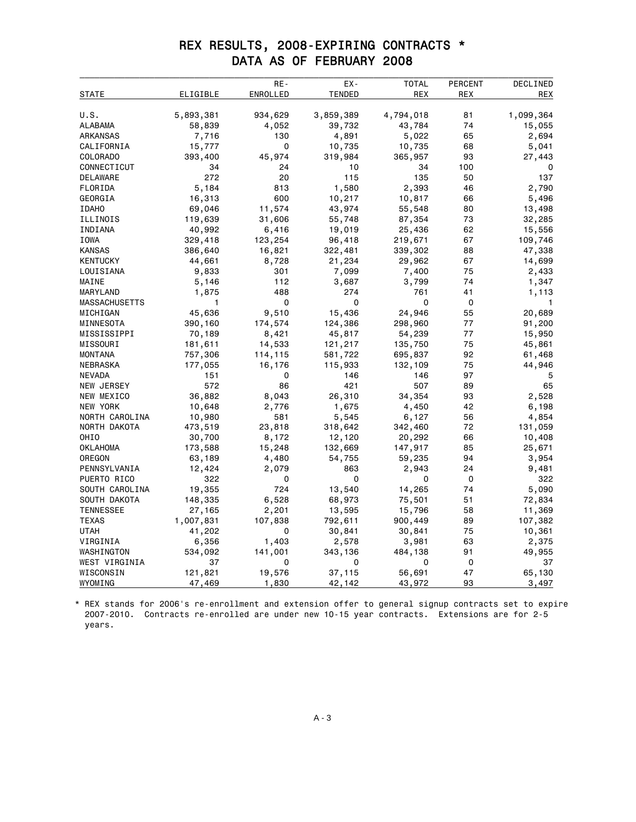### REX RESULTS, 2008-EXPIRING CONTRACTS \* DATA AS OF FEBRUARY 2008

|                      |           | RE-      | EX-           | <b>TOTAL</b> | PERCENT | DECLINED  |
|----------------------|-----------|----------|---------------|--------------|---------|-----------|
| STATE                | ELIGIBLE  | ENROLLED | <b>TENDED</b> | <b>REX</b>   | REX     | REX       |
|                      |           |          |               |              |         |           |
| U.S.                 | 5,893,381 | 934,629  | 3,859,389     | 4,794,018    | 81      | 1,099,364 |
| ALABAMA              | 58,839    | 4,052    | 39,732        | 43,784       | 74      | 15,055    |
| ARKANSAS             | 7,716     | 130      | 4,891         | 5,022        | 65      | 2,694     |
| CALIFORNIA           | 15,777    | 0        | 10,735        | 10,735       | 68      | 5,041     |
| COLORADO             | 393,400   | 45,974   | 319,984       | 365,957      | 93      | 27,443    |
| CONNECTICUT          | 34        | 24       | 10            | 34           | 100     | 0         |
| DELAWARE             | 272       | 20       | 115           | 135          | 50      | 137       |
| FLORIDA              | 5,184     | 813      | 1,580         | 2,393        | 46      | 2,790     |
| GEORGIA              | 16,313    | 600      | 10,217        | 10,817       | 66      | 5,496     |
| <b>IDAHO</b>         | 69,046    | 11,574   | 43,974        | 55,548       | 80      | 13,498    |
| ILLINOIS             | 119,639   | 31,606   | 55,748        | 87,354       | 73      | 32,285    |
| INDIANA              | 40,992    | 6,416    | 19,019        | 25,436       | 62      | 15,556    |
| <b>IOWA</b>          | 329,418   | 123,254  | 96,418        | 219,671      | 67      | 109,746   |
| <b>KANSAS</b>        | 386,640   | 16,821   | 322,481       | 339,302      | 88      | 47,338    |
| <b>KENTUCKY</b>      | 44,661    | 8,728    | 21,234        | 29,962       | 67      | 14,699    |
| LOUISIANA            | 9,833     | 301      | 7,099         | 7,400        | 75      | 2,433     |
| MAINE                | 5,146     | 112      | 3,687         | 3,799        | 74      | 1,347     |
| MARYLAND             | 1,875     | 488      | 274           | 761          | 41      | 1,113     |
| <b>MASSACHUSETTS</b> | 1         | 0        | 0             | 0            | 0       | 1         |
| MICHIGAN             | 45,636    | 9,510    | 15,436        | 24,946       | 55      | 20,689    |
| MINNESOTA            | 390,160   | 174,574  | 124,386       | 298,960      | 77      | 91,200    |
| MISSISSIPPI          | 70,189    | 8,421    | 45,817        | 54,239       | 77      | 15,950    |
| MISSOURI             | 181,611   | 14,533   | 121,217       | 135,750      | 75      | 45,861    |
| MONTANA              | 757,306   | 114,115  | 581,722       | 695,837      | 92      | 61,468    |
| NEBRASKA             | 177,055   | 16,176   | 115,933       | 132,109      | 75      | 44,946    |
| <b>NEVADA</b>        | 151       | 0        | 146           | 146          | 97      | 5         |
| NEW JERSEY           | 572       | 86       | 421           | 507          | 89      | 65        |
| NEW MEXICO           | 36,882    | 8,043    | 26,310        | 34,354       | 93      | 2,528     |
| NEW YORK             | 10,648    | 2,776    | 1,675         | 4,450        | 42      | 6,198     |
| NORTH CAROLINA       | 10,980    | 581      | 5,545         | 6,127        | 56      | 4,854     |
| NORTH DAKOTA         | 473,519   | 23,818   | 318,642       | 342,460      | 72      | 131,059   |
| OHI <sub>0</sub>     | 30,700    | 8,172    | 12,120        | 20,292       | 66      | 10,408    |
| <b>OKLAHOMA</b>      | 173,588   | 15,248   | 132,669       | 147,917      | 85      | 25,671    |
| OREGON               | 63,189    | 4,480    | 54,755        | 59,235       | 94      | 3,954     |
| PENNSYLVANIA         | 12,424    | 2,079    | 863           | 2,943        | 24      | 9,481     |
| PUERTO RICO          | 322       | 0        | 0             | 0            | 0       | 322       |
| SOUTH CAROLINA       | 19,355    | 724      | 13,540        | 14,265       | 74      | 5,090     |
| SOUTH DAKOTA         | 148,335   | 6,528    | 68,973        | 75,501       | 51      | 72,834    |
| <b>TENNESSEE</b>     | 27,165    | 2,201    | 13,595        | 15,796       | 58      | 11,369    |
| <b>TEXAS</b>         | 1,007,831 | 107,838  | 792,611       | 900,449      | 89      | 107,382   |
| <b>UTAH</b>          | 41,202    | 0        | 30,841        | 30,841       | 75      | 10,361    |
| VIRGINIA             | 6,356     | 1,403    | 2,578         | 3,981        | 63      | 2,375     |
| WASHINGTON           | 534,092   | 141,001  | 343,136       | 484,138      | 91      | 49,955    |
| WEST VIRGINIA        | 37        | 0        | 0             | 0            | 0       | 37        |
| WISCONSIN            | 121,821   | 19,576   | 37,115        | 56,691       | 47      | 65,130    |
| WYOMING              | 47,469    | 1,830    | 42,142        | 43,972       | 93      | 3,497     |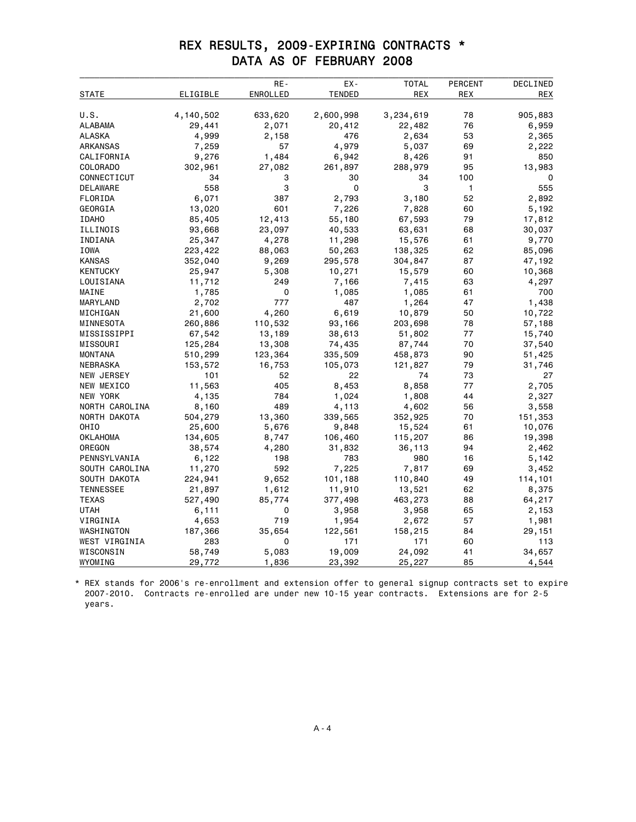### REX RESULTS, 2009-EXPIRING CONTRACTS \* DATA AS OF FEBRUARY 2008

|                  |           | RE-      | EX-           | <b>TOTAL</b> | <b>PERCENT</b> | DECLINED   |
|------------------|-----------|----------|---------------|--------------|----------------|------------|
| STATE            | ELIGIBLE  | ENROLLED | <b>TENDED</b> | <b>REX</b>   | REX            | <b>REX</b> |
|                  |           |          |               |              |                |            |
| U.S.             | 4,140,502 | 633,620  | 2,600,998     | 3,234,619    | 78             | 905,883    |
| ALABAMA          | 29,441    | 2,071    | 20,412        | 22,482       | 76             | 6,959      |
| ALASKA           | 4,999     | 2,158    | 476           | 2,634        | 53             | 2,365      |
| ARKANSAS         | 7,259     | 57       | 4,979         | 5,037        | 69             | 2,222      |
| CALIFORNIA       | 9,276     | 1,484    | 6,942         | 8,426        | 91             | 850        |
| COLORADO         | 302,961   | 27,082   | 261,897       | 288,979      | 95             | 13,983     |
| CONNECTICUT      | 34        | 3        | 30            | 34           | 100            | 0          |
| DELAWARE         | 558       | 3        | 0             | 3            | 1              | 555        |
| FLORIDA          | 6,071     | 387      | 2,793         | 3,180        | 52             | 2,892      |
| GEORGIA          | 13,020    | 601      | 7,226         | 7,828        | 60             | 5,192      |
| <b>IDAHO</b>     | 85,405    | 12,413   | 55,180        | 67,593       | 79             | 17,812     |
| ILLINOIS         | 93,668    | 23,097   | 40,533        | 63,631       | 68             | 30,037     |
| INDIANA          | 25,347    | 4,278    | 11,298        | 15,576       | 61             | 9,770      |
| IOWA             | 223,422   | 88,063   | 50,263        | 138,325      | 62             | 85,096     |
| <b>KANSAS</b>    | 352,040   | 9,269    | 295,578       | 304,847      | 87             | 47,192     |
| <b>KENTUCKY</b>  | 25,947    | 5,308    | 10,271        | 15,579       | 60             | 10,368     |
| LOUISIANA        | 11,712    | 249      | 7,166         | 7,415        | 63             | 4,297      |
| MAINE            | 1,785     | 0        | 1,085         | 1,085        | 61             | 700        |
| MARYLAND         | 2,702     | 777      | 487           | 1,264        | 47             | 1,438      |
| MICHIGAN         | 21,600    | 4,260    | 6,619         | 10,879       | 50             | 10,722     |
| MINNESOTA        | 260,886   | 110,532  | 93,166        | 203,698      | 78             | 57,188     |
| MISSISSIPPI      | 67,542    | 13,189   | 38,613        | 51,802       | 77             | 15,740     |
| MISSOURI         | 125,284   | 13,308   | 74,435        | 87,744       | 70             | 37,540     |
| MONTANA          | 510,299   | 123,364  | 335,509       | 458,873      | 90             | 51,425     |
| NEBRASKA         | 153,572   | 16,753   | 105,073       | 121,827      | 79             | 31,746     |
| NEW JERSEY       | 101       | 52       | 22            | 74           | 73             | 27         |
| NEW MEXICO       | 11,563    | 405      | 8,453         | 8,858        | 77             | 2,705      |
| NEW YORK         | 4,135     | 784      | 1,024         | 1,808        | 44             | 2,327      |
| NORTH CAROLINA   | 8,160     | 489      | 4,113         | 4,602        | 56             | 3,558      |
| NORTH DAKOTA     | 504,279   | 13,360   | 339,565       | 352,925      | 70             | 151,353    |
| OHIO             | 25,600    | 5,676    | 9,848         | 15,524       | 61             | 10,076     |
| <b>OKLAHOMA</b>  | 134,605   | 8,747    | 106,460       | 115,207      | 86             | 19,398     |
| OREGON           | 38,574    | 4,280    | 31,832        | 36,113       | 94             | 2,462      |
| PENNSYLVANIA     | 6,122     | 198      | 783           | 980          | 16             | 5,142      |
| SOUTH CAROLINA   | 11,270    | 592      | 7,225         | 7,817        | 69             | 3,452      |
| SOUTH DAKOTA     | 224,941   | 9,652    | 101,188       | 110,840      | 49             | 114,101    |
| <b>TENNESSEE</b> | 21,897    | 1,612    | 11,910        | 13,521       | 62             | 8,375      |
| <b>TEXAS</b>     | 527,490   | 85,774   | 377,498       | 463,273      | 88             | 64,217     |
| UTAH             | 6,111     | 0        | 3,958         | 3,958        | 65             | 2,153      |
| VIRGINIA         | 4,653     | 719      | 1,954         | 2,672        | 57             | 1,981      |
| WASHINGTON       | 187,366   | 35,654   | 122,561       | 158,215      | 84             | 29,151     |
| WEST VIRGINIA    | 283       | 0        | 171           | 171          | 60             | 113        |
| WISCONSIN        | 58,749    | 5,083    | 19,009        | 24,092       | 41             | 34,657     |
| WYOMING          | 29,772    | 1,836    | 23,392        | 25,227       | 85             | 4,544      |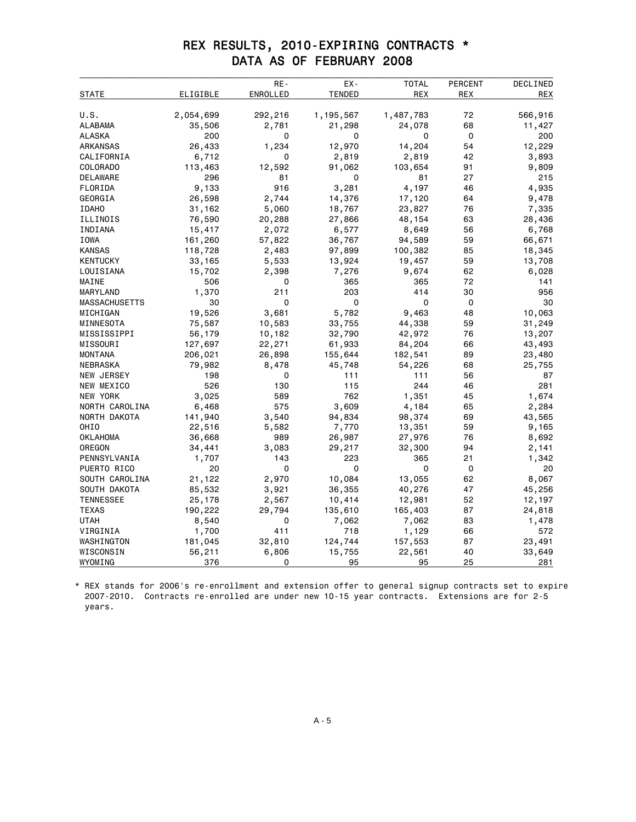### REX RESULTS, 2010-EXPIRING CONTRACTS \* DATA AS OF FEBRUARY 2008

| ELIGIBLE<br>ENROLLED<br>TENDED<br><b>REX</b><br>REX<br><b>REX</b><br><b>STATE</b><br>U.S.<br>2,054,699<br>292,216<br>1,195,567<br>1,487,783<br>566,916<br>72<br><b>ALABAMA</b><br>35,506<br>2,781<br>21,298<br>24,078<br>68<br>11,427<br>0<br>0<br>200<br>ALASKA<br>200<br>0<br>0<br>14,204<br>54<br>12,229<br>ARKANSAS<br>26,433<br>1,234<br>12,970<br>CALIFORNIA<br>6,712<br>2,819<br>2,819<br>42<br>3,893<br>0<br>COLORADO<br>113,463<br>12,592<br>91,062<br>103,654<br>91<br>9,809<br>296<br>27<br>215<br>DELAWARE<br>81<br>0<br>81<br>FLORIDA<br>9,133<br>916<br>3,281<br>4,197<br>46<br>4,935<br>GEORGIA<br>26,598<br>2,744<br>14,376<br>17,120<br>64<br>9,478<br>76<br><b>IDAHO</b><br>31,162<br>5,060<br>18,767<br>23,827<br>7,335<br>ILLINOIS<br>76,590<br>20,288<br>27,866<br>48,154<br>63<br>28,436<br>15,417<br>6,577<br>6,768<br>INDIANA<br>2,072<br>8,649<br>56<br><b>IOWA</b><br>161,260<br>57,822<br>36,767<br>94,589<br>59<br>66,671<br>118,728<br>97,899<br>18,345<br><b>KANSAS</b><br>2,483<br>100,382<br>85<br>59<br><b>KENTUCKY</b><br>33,165<br>5,533<br>13,924<br>19,457<br>13,708<br>2,398<br>7,276<br>9,674<br>62<br>LOUISIANA<br>15,702<br>6,028<br>72<br>506<br>141<br>MAINE<br>0<br>365<br>365<br>1,370<br>211<br>203<br>414<br>30<br>956<br>MARYLAND<br>0<br>$\Omega$<br>$\Omega$<br>30<br><b>MASSACHUSETTS</b><br>30<br>0<br>19,526<br>3,681<br>5,782<br>9,463<br>48<br>10,063<br>MICHIGAN<br>MINNESOTA<br>75,587<br>10,583<br>33,755<br>44,338<br>59<br>31,249<br>MISSISSIPPI<br>56,179<br>10,182<br>32,790<br>42,972<br>76<br>13,207<br>127,697<br>22,271<br>61,933<br>84,204<br>43,493<br>MISSOURI<br>66<br>206,021<br>155,644<br>89<br>23,480<br><b>MONTANA</b><br>26,898<br>182,541<br>NEBRASKA<br>79,982<br>8,478<br>45,748<br>54,226<br>68<br>25,755<br>NEW JERSEY<br>198<br>0<br>111<br>111<br>56<br>87<br>526<br>130<br>115<br>244<br>46<br>281<br>NEW MEXICO<br>762<br><b>NEW YORK</b><br>3,025<br>589<br>1,351<br>45<br>1,674<br>NORTH CAROLINA<br>6,468<br>575<br>3,609<br>65<br>2,284<br>4,184<br>NORTH DAKOTA<br>141,940<br>3,540<br>94,834<br>98,374<br>69<br>43,565<br>OHIO<br>22,516<br>5,582<br>7,770<br>13,351<br>59<br>9,165<br><b>OKLAHOMA</b><br>36,668<br>989<br>26,987<br>27,976<br>76<br>8,692<br>OREGON<br>34,441<br>32,300<br>94<br>3,083<br>29,217<br>2,141<br>1,707<br>143<br>223<br>365<br>21<br>1,342<br>PENNSYLVANIA<br>PUERTO RICO<br>20<br>0<br>0<br>0<br>20<br>0<br>21,122<br>10,084<br>13,055<br>62<br>8,067<br>SOUTH CAROLINA<br>2,970<br>85,532<br>SOUTH DAKOTA<br>3,921<br>36,355<br>40,276<br>47<br>45,256<br><b>TENNESSEE</b><br>25,178<br>2,567<br>10,414<br>12,981<br>52<br>12,197<br><b>TEXAS</b><br>190,222<br>29,794<br>165,403<br>87<br>135,610<br>24,818<br>UTAH<br>8,540<br>0<br>7,062<br>7,062<br>83<br>1,478<br>1,700<br>411<br>718<br>1,129<br>VIRGINIA<br>66<br>572<br>181,045<br>124,744<br>WASHINGTON<br>32,810<br>157,553<br>87<br>23,491<br>WISCONSIN<br>56,211<br>6,806<br>40<br>33,649<br>15,755<br>22,561 |         |     | RE- | EX- | <b>TOTAL</b> | PERCENT | DECLINED |
|-----------------------------------------------------------------------------------------------------------------------------------------------------------------------------------------------------------------------------------------------------------------------------------------------------------------------------------------------------------------------------------------------------------------------------------------------------------------------------------------------------------------------------------------------------------------------------------------------------------------------------------------------------------------------------------------------------------------------------------------------------------------------------------------------------------------------------------------------------------------------------------------------------------------------------------------------------------------------------------------------------------------------------------------------------------------------------------------------------------------------------------------------------------------------------------------------------------------------------------------------------------------------------------------------------------------------------------------------------------------------------------------------------------------------------------------------------------------------------------------------------------------------------------------------------------------------------------------------------------------------------------------------------------------------------------------------------------------------------------------------------------------------------------------------------------------------------------------------------------------------------------------------------------------------------------------------------------------------------------------------------------------------------------------------------------------------------------------------------------------------------------------------------------------------------------------------------------------------------------------------------------------------------------------------------------------------------------------------------------------------------------------------------------------------------------------------------------------------------------------------------------------------------------------------------------------------------------------------------------------------------------------------------------------------------------------------------------------------------------------------------------------------------------------------------------------------------------------------------------------------------------------------------------------------------------------------------------------------------------------------------|---------|-----|-----|-----|--------------|---------|----------|
|                                                                                                                                                                                                                                                                                                                                                                                                                                                                                                                                                                                                                                                                                                                                                                                                                                                                                                                                                                                                                                                                                                                                                                                                                                                                                                                                                                                                                                                                                                                                                                                                                                                                                                                                                                                                                                                                                                                                                                                                                                                                                                                                                                                                                                                                                                                                                                                                                                                                                                                                                                                                                                                                                                                                                                                                                                                                                                                                                                                                     |         |     |     |     |              |         |          |
|                                                                                                                                                                                                                                                                                                                                                                                                                                                                                                                                                                                                                                                                                                                                                                                                                                                                                                                                                                                                                                                                                                                                                                                                                                                                                                                                                                                                                                                                                                                                                                                                                                                                                                                                                                                                                                                                                                                                                                                                                                                                                                                                                                                                                                                                                                                                                                                                                                                                                                                                                                                                                                                                                                                                                                                                                                                                                                                                                                                                     |         |     |     |     |              |         |          |
|                                                                                                                                                                                                                                                                                                                                                                                                                                                                                                                                                                                                                                                                                                                                                                                                                                                                                                                                                                                                                                                                                                                                                                                                                                                                                                                                                                                                                                                                                                                                                                                                                                                                                                                                                                                                                                                                                                                                                                                                                                                                                                                                                                                                                                                                                                                                                                                                                                                                                                                                                                                                                                                                                                                                                                                                                                                                                                                                                                                                     |         |     |     |     |              |         |          |
|                                                                                                                                                                                                                                                                                                                                                                                                                                                                                                                                                                                                                                                                                                                                                                                                                                                                                                                                                                                                                                                                                                                                                                                                                                                                                                                                                                                                                                                                                                                                                                                                                                                                                                                                                                                                                                                                                                                                                                                                                                                                                                                                                                                                                                                                                                                                                                                                                                                                                                                                                                                                                                                                                                                                                                                                                                                                                                                                                                                                     |         |     |     |     |              |         |          |
|                                                                                                                                                                                                                                                                                                                                                                                                                                                                                                                                                                                                                                                                                                                                                                                                                                                                                                                                                                                                                                                                                                                                                                                                                                                                                                                                                                                                                                                                                                                                                                                                                                                                                                                                                                                                                                                                                                                                                                                                                                                                                                                                                                                                                                                                                                                                                                                                                                                                                                                                                                                                                                                                                                                                                                                                                                                                                                                                                                                                     |         |     |     |     |              |         |          |
|                                                                                                                                                                                                                                                                                                                                                                                                                                                                                                                                                                                                                                                                                                                                                                                                                                                                                                                                                                                                                                                                                                                                                                                                                                                                                                                                                                                                                                                                                                                                                                                                                                                                                                                                                                                                                                                                                                                                                                                                                                                                                                                                                                                                                                                                                                                                                                                                                                                                                                                                                                                                                                                                                                                                                                                                                                                                                                                                                                                                     |         |     |     |     |              |         |          |
|                                                                                                                                                                                                                                                                                                                                                                                                                                                                                                                                                                                                                                                                                                                                                                                                                                                                                                                                                                                                                                                                                                                                                                                                                                                                                                                                                                                                                                                                                                                                                                                                                                                                                                                                                                                                                                                                                                                                                                                                                                                                                                                                                                                                                                                                                                                                                                                                                                                                                                                                                                                                                                                                                                                                                                                                                                                                                                                                                                                                     |         |     |     |     |              |         |          |
|                                                                                                                                                                                                                                                                                                                                                                                                                                                                                                                                                                                                                                                                                                                                                                                                                                                                                                                                                                                                                                                                                                                                                                                                                                                                                                                                                                                                                                                                                                                                                                                                                                                                                                                                                                                                                                                                                                                                                                                                                                                                                                                                                                                                                                                                                                                                                                                                                                                                                                                                                                                                                                                                                                                                                                                                                                                                                                                                                                                                     |         |     |     |     |              |         |          |
|                                                                                                                                                                                                                                                                                                                                                                                                                                                                                                                                                                                                                                                                                                                                                                                                                                                                                                                                                                                                                                                                                                                                                                                                                                                                                                                                                                                                                                                                                                                                                                                                                                                                                                                                                                                                                                                                                                                                                                                                                                                                                                                                                                                                                                                                                                                                                                                                                                                                                                                                                                                                                                                                                                                                                                                                                                                                                                                                                                                                     |         |     |     |     |              |         |          |
|                                                                                                                                                                                                                                                                                                                                                                                                                                                                                                                                                                                                                                                                                                                                                                                                                                                                                                                                                                                                                                                                                                                                                                                                                                                                                                                                                                                                                                                                                                                                                                                                                                                                                                                                                                                                                                                                                                                                                                                                                                                                                                                                                                                                                                                                                                                                                                                                                                                                                                                                                                                                                                                                                                                                                                                                                                                                                                                                                                                                     |         |     |     |     |              |         |          |
|                                                                                                                                                                                                                                                                                                                                                                                                                                                                                                                                                                                                                                                                                                                                                                                                                                                                                                                                                                                                                                                                                                                                                                                                                                                                                                                                                                                                                                                                                                                                                                                                                                                                                                                                                                                                                                                                                                                                                                                                                                                                                                                                                                                                                                                                                                                                                                                                                                                                                                                                                                                                                                                                                                                                                                                                                                                                                                                                                                                                     |         |     |     |     |              |         |          |
|                                                                                                                                                                                                                                                                                                                                                                                                                                                                                                                                                                                                                                                                                                                                                                                                                                                                                                                                                                                                                                                                                                                                                                                                                                                                                                                                                                                                                                                                                                                                                                                                                                                                                                                                                                                                                                                                                                                                                                                                                                                                                                                                                                                                                                                                                                                                                                                                                                                                                                                                                                                                                                                                                                                                                                                                                                                                                                                                                                                                     |         |     |     |     |              |         |          |
|                                                                                                                                                                                                                                                                                                                                                                                                                                                                                                                                                                                                                                                                                                                                                                                                                                                                                                                                                                                                                                                                                                                                                                                                                                                                                                                                                                                                                                                                                                                                                                                                                                                                                                                                                                                                                                                                                                                                                                                                                                                                                                                                                                                                                                                                                                                                                                                                                                                                                                                                                                                                                                                                                                                                                                                                                                                                                                                                                                                                     |         |     |     |     |              |         |          |
|                                                                                                                                                                                                                                                                                                                                                                                                                                                                                                                                                                                                                                                                                                                                                                                                                                                                                                                                                                                                                                                                                                                                                                                                                                                                                                                                                                                                                                                                                                                                                                                                                                                                                                                                                                                                                                                                                                                                                                                                                                                                                                                                                                                                                                                                                                                                                                                                                                                                                                                                                                                                                                                                                                                                                                                                                                                                                                                                                                                                     |         |     |     |     |              |         |          |
|                                                                                                                                                                                                                                                                                                                                                                                                                                                                                                                                                                                                                                                                                                                                                                                                                                                                                                                                                                                                                                                                                                                                                                                                                                                                                                                                                                                                                                                                                                                                                                                                                                                                                                                                                                                                                                                                                                                                                                                                                                                                                                                                                                                                                                                                                                                                                                                                                                                                                                                                                                                                                                                                                                                                                                                                                                                                                                                                                                                                     |         |     |     |     |              |         |          |
|                                                                                                                                                                                                                                                                                                                                                                                                                                                                                                                                                                                                                                                                                                                                                                                                                                                                                                                                                                                                                                                                                                                                                                                                                                                                                                                                                                                                                                                                                                                                                                                                                                                                                                                                                                                                                                                                                                                                                                                                                                                                                                                                                                                                                                                                                                                                                                                                                                                                                                                                                                                                                                                                                                                                                                                                                                                                                                                                                                                                     |         |     |     |     |              |         |          |
|                                                                                                                                                                                                                                                                                                                                                                                                                                                                                                                                                                                                                                                                                                                                                                                                                                                                                                                                                                                                                                                                                                                                                                                                                                                                                                                                                                                                                                                                                                                                                                                                                                                                                                                                                                                                                                                                                                                                                                                                                                                                                                                                                                                                                                                                                                                                                                                                                                                                                                                                                                                                                                                                                                                                                                                                                                                                                                                                                                                                     |         |     |     |     |              |         |          |
|                                                                                                                                                                                                                                                                                                                                                                                                                                                                                                                                                                                                                                                                                                                                                                                                                                                                                                                                                                                                                                                                                                                                                                                                                                                                                                                                                                                                                                                                                                                                                                                                                                                                                                                                                                                                                                                                                                                                                                                                                                                                                                                                                                                                                                                                                                                                                                                                                                                                                                                                                                                                                                                                                                                                                                                                                                                                                                                                                                                                     |         |     |     |     |              |         |          |
|                                                                                                                                                                                                                                                                                                                                                                                                                                                                                                                                                                                                                                                                                                                                                                                                                                                                                                                                                                                                                                                                                                                                                                                                                                                                                                                                                                                                                                                                                                                                                                                                                                                                                                                                                                                                                                                                                                                                                                                                                                                                                                                                                                                                                                                                                                                                                                                                                                                                                                                                                                                                                                                                                                                                                                                                                                                                                                                                                                                                     |         |     |     |     |              |         |          |
|                                                                                                                                                                                                                                                                                                                                                                                                                                                                                                                                                                                                                                                                                                                                                                                                                                                                                                                                                                                                                                                                                                                                                                                                                                                                                                                                                                                                                                                                                                                                                                                                                                                                                                                                                                                                                                                                                                                                                                                                                                                                                                                                                                                                                                                                                                                                                                                                                                                                                                                                                                                                                                                                                                                                                                                                                                                                                                                                                                                                     |         |     |     |     |              |         |          |
|                                                                                                                                                                                                                                                                                                                                                                                                                                                                                                                                                                                                                                                                                                                                                                                                                                                                                                                                                                                                                                                                                                                                                                                                                                                                                                                                                                                                                                                                                                                                                                                                                                                                                                                                                                                                                                                                                                                                                                                                                                                                                                                                                                                                                                                                                                                                                                                                                                                                                                                                                                                                                                                                                                                                                                                                                                                                                                                                                                                                     |         |     |     |     |              |         |          |
|                                                                                                                                                                                                                                                                                                                                                                                                                                                                                                                                                                                                                                                                                                                                                                                                                                                                                                                                                                                                                                                                                                                                                                                                                                                                                                                                                                                                                                                                                                                                                                                                                                                                                                                                                                                                                                                                                                                                                                                                                                                                                                                                                                                                                                                                                                                                                                                                                                                                                                                                                                                                                                                                                                                                                                                                                                                                                                                                                                                                     |         |     |     |     |              |         |          |
|                                                                                                                                                                                                                                                                                                                                                                                                                                                                                                                                                                                                                                                                                                                                                                                                                                                                                                                                                                                                                                                                                                                                                                                                                                                                                                                                                                                                                                                                                                                                                                                                                                                                                                                                                                                                                                                                                                                                                                                                                                                                                                                                                                                                                                                                                                                                                                                                                                                                                                                                                                                                                                                                                                                                                                                                                                                                                                                                                                                                     |         |     |     |     |              |         |          |
|                                                                                                                                                                                                                                                                                                                                                                                                                                                                                                                                                                                                                                                                                                                                                                                                                                                                                                                                                                                                                                                                                                                                                                                                                                                                                                                                                                                                                                                                                                                                                                                                                                                                                                                                                                                                                                                                                                                                                                                                                                                                                                                                                                                                                                                                                                                                                                                                                                                                                                                                                                                                                                                                                                                                                                                                                                                                                                                                                                                                     |         |     |     |     |              |         |          |
|                                                                                                                                                                                                                                                                                                                                                                                                                                                                                                                                                                                                                                                                                                                                                                                                                                                                                                                                                                                                                                                                                                                                                                                                                                                                                                                                                                                                                                                                                                                                                                                                                                                                                                                                                                                                                                                                                                                                                                                                                                                                                                                                                                                                                                                                                                                                                                                                                                                                                                                                                                                                                                                                                                                                                                                                                                                                                                                                                                                                     |         |     |     |     |              |         |          |
|                                                                                                                                                                                                                                                                                                                                                                                                                                                                                                                                                                                                                                                                                                                                                                                                                                                                                                                                                                                                                                                                                                                                                                                                                                                                                                                                                                                                                                                                                                                                                                                                                                                                                                                                                                                                                                                                                                                                                                                                                                                                                                                                                                                                                                                                                                                                                                                                                                                                                                                                                                                                                                                                                                                                                                                                                                                                                                                                                                                                     |         |     |     |     |              |         |          |
|                                                                                                                                                                                                                                                                                                                                                                                                                                                                                                                                                                                                                                                                                                                                                                                                                                                                                                                                                                                                                                                                                                                                                                                                                                                                                                                                                                                                                                                                                                                                                                                                                                                                                                                                                                                                                                                                                                                                                                                                                                                                                                                                                                                                                                                                                                                                                                                                                                                                                                                                                                                                                                                                                                                                                                                                                                                                                                                                                                                                     |         |     |     |     |              |         |          |
|                                                                                                                                                                                                                                                                                                                                                                                                                                                                                                                                                                                                                                                                                                                                                                                                                                                                                                                                                                                                                                                                                                                                                                                                                                                                                                                                                                                                                                                                                                                                                                                                                                                                                                                                                                                                                                                                                                                                                                                                                                                                                                                                                                                                                                                                                                                                                                                                                                                                                                                                                                                                                                                                                                                                                                                                                                                                                                                                                                                                     |         |     |     |     |              |         |          |
|                                                                                                                                                                                                                                                                                                                                                                                                                                                                                                                                                                                                                                                                                                                                                                                                                                                                                                                                                                                                                                                                                                                                                                                                                                                                                                                                                                                                                                                                                                                                                                                                                                                                                                                                                                                                                                                                                                                                                                                                                                                                                                                                                                                                                                                                                                                                                                                                                                                                                                                                                                                                                                                                                                                                                                                                                                                                                                                                                                                                     |         |     |     |     |              |         |          |
|                                                                                                                                                                                                                                                                                                                                                                                                                                                                                                                                                                                                                                                                                                                                                                                                                                                                                                                                                                                                                                                                                                                                                                                                                                                                                                                                                                                                                                                                                                                                                                                                                                                                                                                                                                                                                                                                                                                                                                                                                                                                                                                                                                                                                                                                                                                                                                                                                                                                                                                                                                                                                                                                                                                                                                                                                                                                                                                                                                                                     |         |     |     |     |              |         |          |
|                                                                                                                                                                                                                                                                                                                                                                                                                                                                                                                                                                                                                                                                                                                                                                                                                                                                                                                                                                                                                                                                                                                                                                                                                                                                                                                                                                                                                                                                                                                                                                                                                                                                                                                                                                                                                                                                                                                                                                                                                                                                                                                                                                                                                                                                                                                                                                                                                                                                                                                                                                                                                                                                                                                                                                                                                                                                                                                                                                                                     |         |     |     |     |              |         |          |
|                                                                                                                                                                                                                                                                                                                                                                                                                                                                                                                                                                                                                                                                                                                                                                                                                                                                                                                                                                                                                                                                                                                                                                                                                                                                                                                                                                                                                                                                                                                                                                                                                                                                                                                                                                                                                                                                                                                                                                                                                                                                                                                                                                                                                                                                                                                                                                                                                                                                                                                                                                                                                                                                                                                                                                                                                                                                                                                                                                                                     |         |     |     |     |              |         |          |
|                                                                                                                                                                                                                                                                                                                                                                                                                                                                                                                                                                                                                                                                                                                                                                                                                                                                                                                                                                                                                                                                                                                                                                                                                                                                                                                                                                                                                                                                                                                                                                                                                                                                                                                                                                                                                                                                                                                                                                                                                                                                                                                                                                                                                                                                                                                                                                                                                                                                                                                                                                                                                                                                                                                                                                                                                                                                                                                                                                                                     |         |     |     |     |              |         |          |
|                                                                                                                                                                                                                                                                                                                                                                                                                                                                                                                                                                                                                                                                                                                                                                                                                                                                                                                                                                                                                                                                                                                                                                                                                                                                                                                                                                                                                                                                                                                                                                                                                                                                                                                                                                                                                                                                                                                                                                                                                                                                                                                                                                                                                                                                                                                                                                                                                                                                                                                                                                                                                                                                                                                                                                                                                                                                                                                                                                                                     |         |     |     |     |              |         |          |
|                                                                                                                                                                                                                                                                                                                                                                                                                                                                                                                                                                                                                                                                                                                                                                                                                                                                                                                                                                                                                                                                                                                                                                                                                                                                                                                                                                                                                                                                                                                                                                                                                                                                                                                                                                                                                                                                                                                                                                                                                                                                                                                                                                                                                                                                                                                                                                                                                                                                                                                                                                                                                                                                                                                                                                                                                                                                                                                                                                                                     |         |     |     |     |              |         |          |
|                                                                                                                                                                                                                                                                                                                                                                                                                                                                                                                                                                                                                                                                                                                                                                                                                                                                                                                                                                                                                                                                                                                                                                                                                                                                                                                                                                                                                                                                                                                                                                                                                                                                                                                                                                                                                                                                                                                                                                                                                                                                                                                                                                                                                                                                                                                                                                                                                                                                                                                                                                                                                                                                                                                                                                                                                                                                                                                                                                                                     |         |     |     |     |              |         |          |
|                                                                                                                                                                                                                                                                                                                                                                                                                                                                                                                                                                                                                                                                                                                                                                                                                                                                                                                                                                                                                                                                                                                                                                                                                                                                                                                                                                                                                                                                                                                                                                                                                                                                                                                                                                                                                                                                                                                                                                                                                                                                                                                                                                                                                                                                                                                                                                                                                                                                                                                                                                                                                                                                                                                                                                                                                                                                                                                                                                                                     |         |     |     |     |              |         |          |
|                                                                                                                                                                                                                                                                                                                                                                                                                                                                                                                                                                                                                                                                                                                                                                                                                                                                                                                                                                                                                                                                                                                                                                                                                                                                                                                                                                                                                                                                                                                                                                                                                                                                                                                                                                                                                                                                                                                                                                                                                                                                                                                                                                                                                                                                                                                                                                                                                                                                                                                                                                                                                                                                                                                                                                                                                                                                                                                                                                                                     |         |     |     |     |              |         |          |
|                                                                                                                                                                                                                                                                                                                                                                                                                                                                                                                                                                                                                                                                                                                                                                                                                                                                                                                                                                                                                                                                                                                                                                                                                                                                                                                                                                                                                                                                                                                                                                                                                                                                                                                                                                                                                                                                                                                                                                                                                                                                                                                                                                                                                                                                                                                                                                                                                                                                                                                                                                                                                                                                                                                                                                                                                                                                                                                                                                                                     |         |     |     |     |              |         |          |
|                                                                                                                                                                                                                                                                                                                                                                                                                                                                                                                                                                                                                                                                                                                                                                                                                                                                                                                                                                                                                                                                                                                                                                                                                                                                                                                                                                                                                                                                                                                                                                                                                                                                                                                                                                                                                                                                                                                                                                                                                                                                                                                                                                                                                                                                                                                                                                                                                                                                                                                                                                                                                                                                                                                                                                                                                                                                                                                                                                                                     |         |     |     |     |              |         |          |
|                                                                                                                                                                                                                                                                                                                                                                                                                                                                                                                                                                                                                                                                                                                                                                                                                                                                                                                                                                                                                                                                                                                                                                                                                                                                                                                                                                                                                                                                                                                                                                                                                                                                                                                                                                                                                                                                                                                                                                                                                                                                                                                                                                                                                                                                                                                                                                                                                                                                                                                                                                                                                                                                                                                                                                                                                                                                                                                                                                                                     |         |     |     |     |              |         |          |
|                                                                                                                                                                                                                                                                                                                                                                                                                                                                                                                                                                                                                                                                                                                                                                                                                                                                                                                                                                                                                                                                                                                                                                                                                                                                                                                                                                                                                                                                                                                                                                                                                                                                                                                                                                                                                                                                                                                                                                                                                                                                                                                                                                                                                                                                                                                                                                                                                                                                                                                                                                                                                                                                                                                                                                                                                                                                                                                                                                                                     |         |     |     |     |              |         |          |
|                                                                                                                                                                                                                                                                                                                                                                                                                                                                                                                                                                                                                                                                                                                                                                                                                                                                                                                                                                                                                                                                                                                                                                                                                                                                                                                                                                                                                                                                                                                                                                                                                                                                                                                                                                                                                                                                                                                                                                                                                                                                                                                                                                                                                                                                                                                                                                                                                                                                                                                                                                                                                                                                                                                                                                                                                                                                                                                                                                                                     |         |     |     |     |              |         |          |
|                                                                                                                                                                                                                                                                                                                                                                                                                                                                                                                                                                                                                                                                                                                                                                                                                                                                                                                                                                                                                                                                                                                                                                                                                                                                                                                                                                                                                                                                                                                                                                                                                                                                                                                                                                                                                                                                                                                                                                                                                                                                                                                                                                                                                                                                                                                                                                                                                                                                                                                                                                                                                                                                                                                                                                                                                                                                                                                                                                                                     |         |     |     |     |              |         |          |
|                                                                                                                                                                                                                                                                                                                                                                                                                                                                                                                                                                                                                                                                                                                                                                                                                                                                                                                                                                                                                                                                                                                                                                                                                                                                                                                                                                                                                                                                                                                                                                                                                                                                                                                                                                                                                                                                                                                                                                                                                                                                                                                                                                                                                                                                                                                                                                                                                                                                                                                                                                                                                                                                                                                                                                                                                                                                                                                                                                                                     |         |     |     |     |              |         |          |
|                                                                                                                                                                                                                                                                                                                                                                                                                                                                                                                                                                                                                                                                                                                                                                                                                                                                                                                                                                                                                                                                                                                                                                                                                                                                                                                                                                                                                                                                                                                                                                                                                                                                                                                                                                                                                                                                                                                                                                                                                                                                                                                                                                                                                                                                                                                                                                                                                                                                                                                                                                                                                                                                                                                                                                                                                                                                                                                                                                                                     | WYOMING | 376 | 0   | 95  | 95           | 25      | 281      |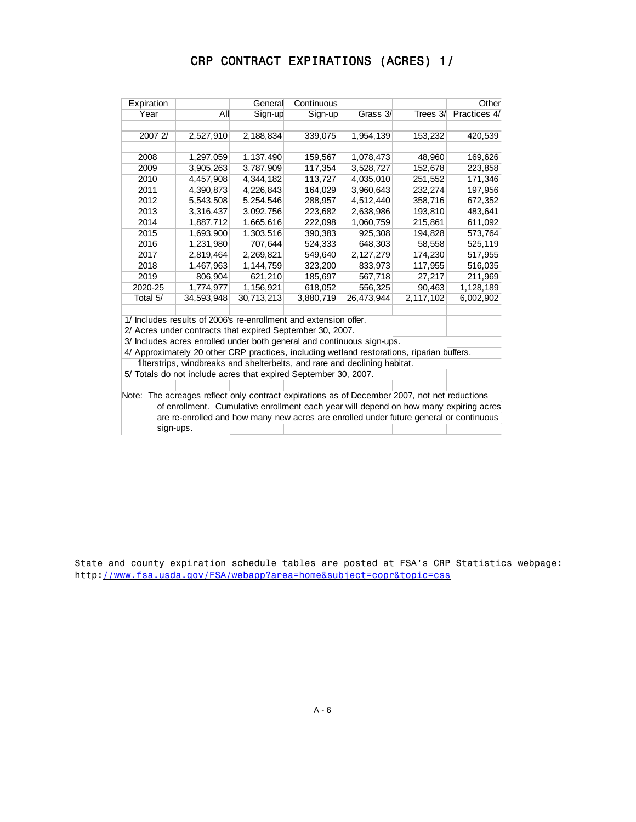# CRP CONTRACT EXPIRATIONS (ACRES) 1/

| Expiration |                                                                                              | General    | Continuous |            |           | Other        |
|------------|----------------------------------------------------------------------------------------------|------------|------------|------------|-----------|--------------|
| Year       | All                                                                                          | Sign-up    | Sign-up    | Grass 3/   | Trees 3/  | Practices 4/ |
|            |                                                                                              |            |            |            |           |              |
| 2007 2/    | 2,527,910                                                                                    | 2,188,834  | 339,075    | 1,954,139  | 153,232   | 420,539      |
|            |                                                                                              |            |            |            |           |              |
| 2008       | 1,297,059                                                                                    | 1,137,490  | 159,567    | 1,078,473  | 48,960    | 169,626      |
| 2009       | 3,905,263                                                                                    | 3,787,909  | 117,354    | 3,528,727  | 152,678   | 223,858      |
| 2010       | 4,457,908                                                                                    | 4,344,182  | 113,727    | 4,035,010  | 251,552   | 171,346      |
| 2011       | 4,390,873                                                                                    | 4,226,843  | 164,029    | 3,960,643  | 232,274   | 197,956      |
| 2012       | 5,543,508                                                                                    | 5,254,546  | 288,957    | 4,512,440  | 358,716   | 672,352      |
| 2013       | 3,316,437                                                                                    | 3,092,756  | 223,682    | 2,638,986  | 193,810   | 483,641      |
| 2014       | 1,887,712                                                                                    | 1,665,616  | 222,098    | 1,060,759  | 215,861   | 611,092      |
| 2015       | 1,693,900                                                                                    | 1,303,516  | 390,383    | 925,308    | 194,828   | 573,764      |
| 2016       | 1,231,980                                                                                    | 707,644    | 524,333    | 648,303    | 58,558    | 525,119      |
| 2017       | 2,819,464                                                                                    | 2,269,821  | 549,640    | 2,127,279  | 174,230   | 517,955      |
| 2018       | 1,467,963                                                                                    | 1,144,759  | 323,200    | 833,973    | 117,955   | 516,035      |
| 2019       | 806,904                                                                                      | 621,210    | 185,697    | 567,718    | 27,217    | 211,969      |
| 2020-25    | 1,774,977                                                                                    | 1,156,921  | 618,052    | 556,325    | 90,463    | 1,128,189    |
| Total 5/   | 34,593,948                                                                                   | 30,713,213 | 3,880,719  | 26,473,944 | 2,117,102 | 6,002,902    |
|            |                                                                                              |            |            |            |           |              |
|            | 1/ Includes results of 2006's re-enrollment and extension offer.                             |            |            |            |           |              |
|            | 2/ Acres under contracts that expired September 30, 2007.                                    |            |            |            |           |              |
|            | 3/ Includes acres enrolled under both general and continuous sign-ups.                       |            |            |            |           |              |
|            | 4/ Approximately 20 other CRP practices, including wetland restorations, riparian buffers,   |            |            |            |           |              |
|            | filterstrips, windbreaks and shelterbelts, and rare and declining habitat.                   |            |            |            |           |              |
|            | 5/ Totals do not include acres that expired September 30, 2007.                              |            |            |            |           |              |
|            |                                                                                              |            |            |            |           |              |
|            | Note: The acreages reflect only contract expirations as of December 2007, not net reductions |            |            |            |           |              |
|            | of enrollment. Cumulative enrollment each year will depend on how many expiring acres        |            |            |            |           |              |
|            | are re-enrolled and how many new acres are enrolled under future general or continuous       |            |            |            |           |              |
| sign-ups.  |                                                                                              |            |            |            |           |              |

State and county expiration schedule tables are posted at FSA's CRP Statistics webpage: http://www.fsa.usda.gov/FSA/webapp?area=home&subject=copr&topic=css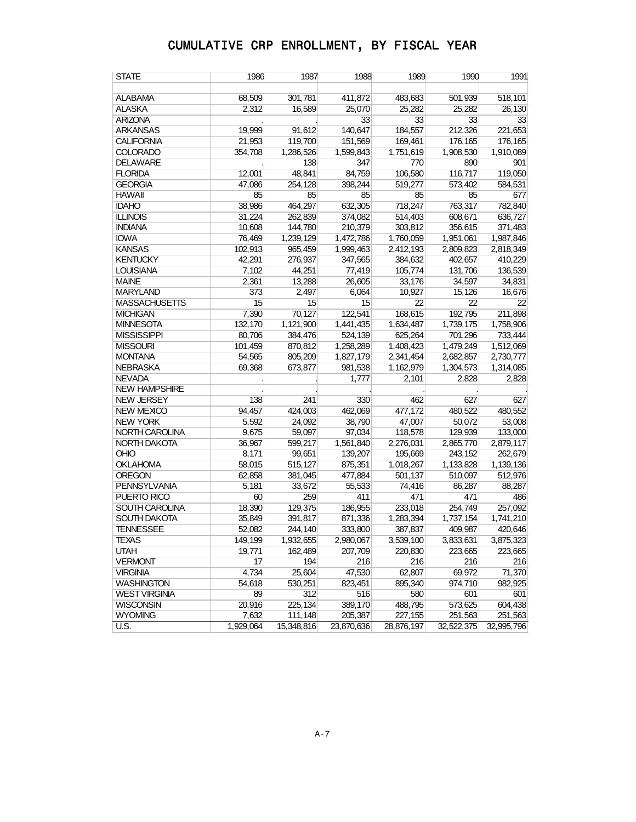| <b>STATE</b>         | 1986             | 1987       | 1988       | 1989       | 1990                 | 1991                 |
|----------------------|------------------|------------|------------|------------|----------------------|----------------------|
| <b>ALABAMA</b>       | 68,509           | 301,781    | 411,872    | 483,683    | 501,939              | 518,101              |
| <b>ALASKA</b>        | 2,312            | 16,589     | 25,070     | 25,282     | 25.282               | 26.130               |
| <b>ARIZONA</b>       |                  |            | 33         | 33         | 33                   | 33                   |
| <b>ARKANSAS</b>      | 19,999           | 91,612     | 140,647    | 184,557    | 212,326              | 221,653              |
| <b>CALIFORNIA</b>    | 21,953           | 119,700    | 151,569    | 169,461    | 176,165              | 176,165              |
| <b>COLORADO</b>      | 354,708          | 1,286,526  | 1,599,843  | 1,751,619  | 1,908,530            | 1,910,089            |
| <b>DELAWARE</b>      |                  | 138        | 347        | 770        | 890                  | 901                  |
| <b>FLORIDA</b>       | 12,001           | 48,841     | 84,759     | 106,580    | 116,717              | 119,050              |
| <b>GEORGIA</b>       | 47,086           | 254,128    | 398,244    | 519,277    | 573,402              | 584,531              |
| <b>HAWAII</b>        | 85               | 85         | 85         | 85         | 85                   | 677                  |
| <b>IDAHO</b>         | 38,986           | 464,297    | 632,305    | 718,247    | 763,317              | 782,840              |
| <b>ILLINOIS</b>      | 31,224           | 262,839    | 374,082    | 514,403    | 608,671              | 636,727              |
| <b>INDIANA</b>       |                  | 144,780    | 210,379    | 303,812    |                      |                      |
| <b>IOWA</b>          | 10,608<br>76,469 | 1,239,129  | 1,472,786  | 1,760,059  | 356,615<br>1,951,061 | 371,483<br>1,987,846 |
| <b>KANSAS</b>        |                  |            | 1,999,463  | 2,412,193  |                      |                      |
|                      | 102,913          | 965,459    |            |            | 2,809,823            | 2,818,349            |
| <b>KENTUCKY</b>      | 42,291           | 276,937    | 347,565    | 384,632    | 402,657              | 410,229              |
| <b>LOUISIANA</b>     | 7,102            | 44,251     | 77,419     | 105,774    | 131,706              | 136,539              |
| <b>MAINE</b>         | 2,361            | 13,288     | 26,605     | 33,176     | 34,597               | 34,831               |
| <b>MARYLAND</b>      | 373              | 2,497      | 6,064      | 10,927     | 15,126               | 16,676               |
| <b>MASSACHUSETTS</b> | 15               | 15         | 15         | 22         | 22                   | 22                   |
| <b>MICHIGAN</b>      | 7,390            | 70,127     | 122,541    | 168,615    | 192,795              | 211,898              |
| <b>MINNESOTA</b>     | 132,170          | 1,121,900  | 1,441,435  | 1,634,487  | 1,739,175            | 1,758,906            |
| <b>MISSISSIPPI</b>   | 80,706           | 384,476    | 524,139    | 625,264    | 701,296              | 733,444              |
| <b>MISSOURI</b>      | 101,459          | 870,812    | 1,258,289  | 1,408,423  | 1,479,249            | 1,512,069            |
| <b>MONTANA</b>       | 54,565           | 805,209    | 1,827,179  | 2,341,454  | 2,682,857            | 2,730,777            |
| <b>NEBRASKA</b>      | 69,368           | 673,877    | 981,538    | 1,162,979  | 1,304,573            | 1,314,085            |
| <b>NEVADA</b>        |                  |            | 1,777      | 2,101      | 2,828                | 2,828                |
| <b>NEW HAMPSHIRE</b> |                  |            |            |            |                      |                      |
| <b>NEW JERSEY</b>    | 138              | 241        | 330        | 462        | 627                  | 627                  |
| <b>NEW MEXICO</b>    | 94,457           | 424,003    | 462,069    | 477,172    | 480,522              | 480,552              |
| <b>NEW YORK</b>      | 5,592            | 24,092     | 38,790     | 47,007     | 50,072               | 53,008               |
| NORTH CAROLINA       | 9,675            | 59,097     | 97,034     | 118,578    | 129,939              | 133,000              |
| NORTH DAKOTA         | 36,967           | 599,217    | 1,561,840  | 2,276,031  | 2,865,770            | 2,879,117            |
| <b>OHIO</b>          | 8,171            | 99,651     | 139,207    | 195,669    | 243,152              | 262,679              |
| <b>OKLAHOMA</b>      | 58,015           | 515,127    | 875,351    | 1,018,267  | 1,133,828            | 1,139,136            |
| <b>OREGON</b>        | 62,858           | 381,045    | 477,884    | 501,137    | 510,097              | 512,976              |
| <b>PENNSYLVANIA</b>  | 5,181            | 33,672     | 55,533     | 74,416     | 86,287               | 88,287               |
| PUERTO RICO          | 60               | 259        | 411        | 471        | 471                  | 486                  |
| SOUTH CAROLINA       | 18,390           | 129,375    | 186,955    | 233,018    | 254,749              | 257,092              |
| <b>SOUTH DAKOTA</b>  | 35,849           | 391,817    | 871,336    | 1,283,394  | 1,737,154            | 1,741,210            |
| <b>TENNESSEE</b>     | 52,082           | 244,140    | 333,800    | 387,837    | 409,987              | 420,646              |
| <b>TEXAS</b>         | 149,199          | 1,932,655  | 2,980,067  | 3,539,100  | 3,833,631            | 3,875,323            |
| <b>UTAH</b>          | 19,771           | 162,489    | 207,709    | 220,830    | 223,665              | 223,665              |
| <b>VERMONT</b>       | 17               | 194        | 216        | 216        | 216                  | 216                  |
| <b>VIRGINIA</b>      | 4,734            | 25,604     | 47,530     | 62,807     | 69,972               | 71,370               |
| <b>WASHINGTON</b>    | 54,618           | 530,251    | 823,451    | 895,340    | 974,710              | 982,925              |
| WEST VIRGINIA        | 89               | 312        | 516        | 580        | 601                  | 601                  |
| <b>WISCONSIN</b>     | 20,916           | 225,134    | 389,170    | 488,795    | 573,625              | 604,438              |
| <b>WYOMING</b>       | 7,632            | 111,148    | 205,387    | 227,155    | 251,563              | 251,563              |
| <b>U.S.</b>          | 1,929,064        | 15,348,816 | 23,870,636 | 28,876,197 | 32,522,375           | 32,995,796           |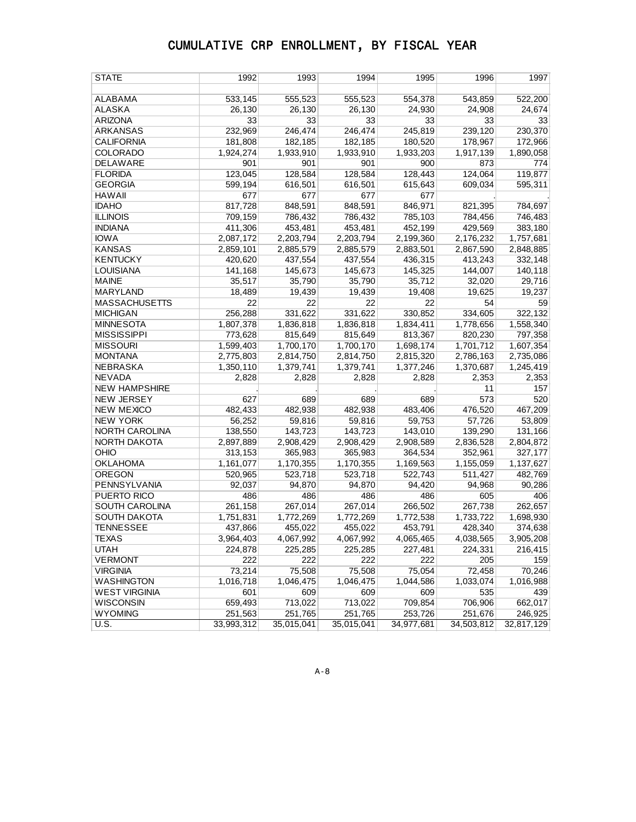| <b>STATE</b>         | 1992       | 1993       | 1994       | 1995       | 1996       | 1997       |
|----------------------|------------|------------|------------|------------|------------|------------|
|                      |            |            |            |            |            |            |
| <b>ALABAMA</b>       | 533,145    | 555,523    | 555,523    | 554,378    | 543,859    | 522,200    |
| <b>ALASKA</b>        | 26,130     | 26,130     | 26,130     | 24,930     | 24,908     | 24,674     |
| <b>ARIZONA</b>       | 33         | 33         | 33         | 33         | 33         | 33         |
| <b>ARKANSAS</b>      | 232,969    | 246,474    | 246,474    | 245,819    | 239,120    | 230,370    |
| <b>CALIFORNIA</b>    | 181,808    | 182,185    | 182,185    | 180,520    | 178,967    | 172,966    |
| COLORADO             | 1,924,274  | 1,933,910  | 1,933,910  | 1,933,203  | 1,917,139  | 1,890,058  |
| DELAWARE             | 901        | 901        | 901        | 900        | 873        | 774        |
| <b>FLORIDA</b>       | 123,045    | 128,584    | 128,584    | 128,443    | 124,064    | 119,877    |
| <b>GEORGIA</b>       | 599,194    | 616,501    | 616,501    | 615,643    | 609,034    | 595,311    |
| <b>HAWAII</b>        | 677        | 677        | 677        | 677        |            |            |
| <b>IDAHO</b>         | 817,728    | 848,591    | 848,591    | 846,971    | 821,395    | 784,697    |
| <b>ILLINOIS</b>      | 709,159    | 786,432    | 786,432    | 785,103    | 784,456    | 746,483    |
| <b>INDIANA</b>       | 411,306    | 453,481    | 453,481    | 452,199    | 429,569    | 383,180    |
| <b>IOWA</b>          | 2,087,172  | 2,203,794  | 2,203,794  | 2,199,360  | 2,176,232  | 1,757,681  |
| <b>KANSAS</b>        | 2,859,101  | 2,885,579  | 2,885,579  | 2,883,501  | 2,867,590  | 2,848,885  |
| <b>KENTUCKY</b>      | 420,620    | 437,554    | 437,554    | 436,315    | 413,243    | 332,148    |
| <b>LOUISIANA</b>     | 141,168    | 145,673    | 145,673    | 145,325    | 144,007    | 140,118    |
| <b>MAINE</b>         | 35,517     | 35,790     | 35,790     | 35,712     | 32,020     | 29,716     |
| <b>MARYLAND</b>      | 18,489     | 19,439     | 19,439     | 19,408     | 19,625     | 19,237     |
| <b>MASSACHUSETTS</b> | 22         | 22         | 22         | 22         | 54         | 59         |
| <b>MICHIGAN</b>      | 256,288    | 331,622    | 331,622    | 330,852    | 334,605    | 322,132    |
| <b>MINNESOTA</b>     | 1,807,378  | 1,836,818  | 1,836,818  | 1,834,411  | 1,778,656  | 1,558,340  |
| <b>MISSISSIPPI</b>   | 773,628    | 815,649    | 815,649    | 813,367    | 820,230    | 797,358    |
| <b>MISSOURI</b>      | 1,599,403  | 1,700,170  | 1,700,170  | 1,698,174  | 1,701,712  | 1,607,354  |
| <b>MONTANA</b>       | 2,775,803  | 2,814,750  | 2,814,750  | 2,815,320  | 2,786,163  | 2,735,086  |
| NEBRASKA             | 1,350,110  | 1,379,741  | 1,379,741  | 1,377,246  | 1,370,687  | 1,245,419  |
| <b>NEVADA</b>        | 2,828      | 2,828      | 2,828      | 2,828      | 2,353      | 2,353      |
| <b>NEW HAMPSHIRE</b> |            |            |            |            | 11         | 157        |
| <b>NEW JERSEY</b>    | 627        | 689        | 689        | 689        | 573        | 520        |
| <b>NEW MEXICO</b>    | 482,433    | 482,938    | 482,938    | 483,406    | 476,520    | 467,209    |
| <b>NEW YORK</b>      | 56,252     | 59,816     | 59,816     | 59,753     | 57,726     | 53,809     |
| NORTH CAROLINA       | 138,550    | 143,723    | 143,723    | 143,010    | 139,290    | 131,166    |
| NORTH DAKOTA         | 2,897,889  | 2,908,429  | 2,908,429  | 2,908,589  | 2,836,528  | 2,804,872  |
| OHIO                 | 313,153    | 365,983    | 365,983    | 364,534    | 352,961    | 327,177    |
| <b>OKLAHOMA</b>      | 1,161,077  | 1,170,355  | 1,170,355  | 1,169,563  | 1,155,059  | 1,137,627  |
| <b>OREGON</b>        | 520,965    | 523,718    | 523,718    | 522,743    | 511,427    | 482,769    |
| PENNSYLVANIA         | 92,037     | 94,870     | 94,870     | 94,420     | 94,968     | 90,286     |
| PUERTO RICO          | 486        | 486        | 486        | 486        | 605        | 406        |
| SOUTH CAROLINA       | 261,158    | 267,014    | 267,014    | 266,502    | 267,738    | 262,657    |
| SOUTH DAKOTA         | 1,751,831  | 1,772,269  | 1,772,269  | 1,772,538  | 1,733,722  | 1,698,930  |
| <b>TENNESSEE</b>     | 437,866    | 455,022    | 455,022    | 453,791    | 428,340    | 374,638    |
| <b>TEXAS</b>         | 3,964,403  | 4,067,992  | 4,067,992  | 4,065,465  | 4,038,565  | 3,905,208  |
| <b>UTAH</b>          | 224,878    | 225,285    | 225,285    | 227,481    | 224,331    | 216,415    |
| <b>VERMONT</b>       | 222        | 222        | 222        | 222        | 205        | 159        |
| <b>VIRGINIA</b>      | 73,214     | 75,508     | 75,508     | 75,054     | 72,458     | 70,246     |
| WASHINGTON           | 1,016,718  | 1,046,475  | 1,046,475  | 1,044,586  | 1,033,074  | 1,016,988  |
| <b>WEST VIRGINIA</b> | 601        | 609        | 609        | 609        | 535        | 439        |
| <b>WISCONSIN</b>     | 659,493    | 713,022    | 713,022    | 709,854    | 706,906    | 662,017    |
| <b>WYOMING</b>       | 251,563    | 251,765    | 251,765    | 253,726    | 251,676    | 246,925    |
| U.S.                 | 33,993,312 | 35,015,041 | 35,015,041 | 34,977,681 | 34,503,812 | 32,817,129 |
|                      |            |            |            |            |            |            |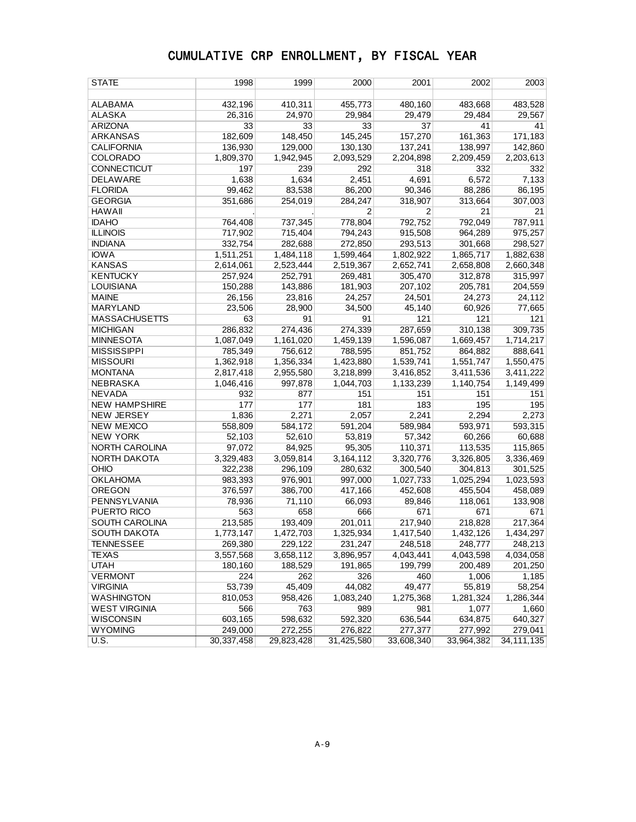| STATE                | 1998         | 1999       | 2000           | 2001           | 2002       | 2003         |
|----------------------|--------------|------------|----------------|----------------|------------|--------------|
|                      |              |            |                |                |            |              |
| ALABAMA              | 432,196      | 410,311    | 455,773        | 480,160        | 483,668    | 483,528      |
| <b>ALASKA</b>        | 26,316       | 24,970     | 29,984         | 29.479         | 29,484     | 29,567       |
| <b>ARIZONA</b>       | 33           | 33         | 33             | 37             | 41         | 41           |
| <b>ARKANSAS</b>      | 182,609      | 148,450    | 145,245        | 157,270        | 161,363    | 171,183      |
| <b>CALIFORNIA</b>    | 136,930      | 129,000    | 130,130        | 137,241        | 138,997    | 142,860      |
| <b>COLORADO</b>      | 1,809,370    | 1,942,945  | 2,093,529      | 2,204,898      | 2,209,459  | 2,203,613    |
| <b>CONNECTICUT</b>   | 197          | 239        | 292            | 318            | 332        | 332          |
| DELAWARE             | 1,638        | 1,634      | 2,451          | 4,691          | 6,572      | 7,133        |
| <b>FLORIDA</b>       | 99,462       | 83,538     | 86,200         | 90,346         | 88,286     | 86,195       |
| <b>GEORGIA</b>       | 351,686      | 254,019    | 284,247        | 318,907        | 313,664    | 307,003      |
| <b>HAWAII</b>        |              |            | $\overline{2}$ | $\overline{2}$ | 21         | 21           |
| <b>IDAHO</b>         | 764,408      | 737,345    | 778,804        | 792,752        | 792,049    | 787,911      |
| <b>ILLINOIS</b>      | 717,902      | 715,404    | 794,243        | 915,508        | 964,289    | 975,257      |
| <b>INDIANA</b>       | 332,754      | 282,688    | 272,850        | 293,513        | 301,668    | 298,527      |
| <b>IOWA</b>          | 1,511,251    | 1,484,118  | 1,599,464      | 1,802,922      | 1,865,717  | 1,882,638    |
| <b>KANSAS</b>        | 2,614,061    | 2,523,444  | 2,519,367      | 2,652,741      | 2,658,808  | 2,660,348    |
| <b>KENTUCKY</b>      | 257,924      | 252,791    | 269,481        | 305,470        | 312,878    | 315,997      |
| <b>LOUISIANA</b>     | 150,288      | 143,886    | 181,903        | 207,102        | 205,781    | 204,559      |
| <b>MAINE</b>         | 26,156       | 23,816     | 24,257         | 24,501         | 24,273     | 24,112       |
| MARYLAND             | 23,506       | 28,900     | 34,500         | 45,140         | 60,926     | 77,665       |
| <b>MASSACHUSETTS</b> | 63           | 91         | 91             | 121            | 121        | 121          |
| <b>MICHIGAN</b>      | 286,832      | 274,436    | 274,339        | 287,659        | 310,138    | 309,735      |
| <b>MINNESOTA</b>     | 1,087,049    | 1,161,020  | 1,459,139      | 1,596,087      | 1,669,457  | 1,714,217    |
| <b>MISSISSIPPI</b>   | 785,349      | 756,612    | 788,595        | 851,752        | 864,882    | 888,641      |
| <b>MISSOURI</b>      | 1,362,918    | 1,356,334  | 1,423,880      | 1,539,741      | 1,551,747  | 1,550,475    |
| <b>MONTANA</b>       | 2,817,418    | 2,955,580  | 3,218,899      | 3,416,852      | 3,411,536  | 3,411,222    |
| <b>NEBRASKA</b>      | 1,046,416    | 997,878    | 1,044,703      | 1,133,239      | 1,140,754  | 1,149,499    |
| <b>NEVADA</b>        | 932          | 877        | 151            | 151            | 151        | 151          |
| <b>NEW HAMPSHIRE</b> | 177          | 177        | 181            | 183            | 195        | 195          |
| <b>NEW JERSEY</b>    | 1,836        | 2,271      | 2,057          | 2,241          | 2,294      | 2,273        |
| <b>NEW MEXICO</b>    | 558,809      | 584,172    | 591,204        | 589,984        | 593,971    | 593,315      |
| <b>NEW YORK</b>      | 52,103       | 52,610     | 53,819         | 57,342         | 60,266     | 60,688       |
| NORTH CAROLINA       | 97,072       | 84,925     | 95,305         | 110,371        | 113,535    | 115,865      |
| NORTH DAKOTA         | 3,329,483    | 3,059,814  | 3,164,112      | 3,320,776      | 3,326,805  | 3,336,469    |
| <b>OHIO</b>          | 322,238      | 296,109    | 280,632        | 300,540        | 304,813    | 301,525      |
| <b>OKLAHOMA</b>      | 983,393      | 976,901    | 997,000        | 1,027,733      | 1,025,294  | 1,023,593    |
| <b>OREGON</b>        | 376,597      | 386,700    | 417,166        | 452,608        | 455,504    | 458,089      |
| PENNSYLVANIA         | 78,936       | 71,110     | 66,093         | 89,846         | 118,061    | 133,908      |
| PUERTO RICO          | 563          | 658        | 666            | 671            | 671        | 671          |
| SOUTH CAROLINA       | 213,585      | 193,409    | 201,011        | 217,940        | 218,828    | 217,364      |
| <b>SOUTH DAKOTA</b>  | 1,773,147    | 1,472,703  | 1,325,934      | 1,417,540      | 1,432,126  | 1,434,297    |
| TENNESSEE            | 269,380      | 229,122    | 231,247        | 248,518        | 248,777    | 248,213      |
| <b>TEXAS</b>         | 3,557,568    | 3,658,112  | 3,896,957      | 4,043,441      | 4,043,598  | 4,034,058    |
| <b>UTAH</b>          | 180,160      | 188,529    | 191,865        | 199,799        | 200,489    | 201,250      |
| <b>VERMONT</b>       | 224          | 262        | 326            | 460            | 1,006      | 1,185        |
| <b>VIRGINIA</b>      | 53,739       | 45,409     | 44,082         | 49,477         | 55,819     | 58,254       |
| WASHINGTON           | 810,053      | 958,426    | 1,083,240      | 1,275,368      | 1,281,324  | 1,286,344    |
| <b>WEST VIRGINIA</b> | 566          | 763        | 989            | 981            | 1,077      | 1,660        |
| WISCONSIN            | 603,165      | 598,632    | 592,320        | 636,544        | 634,875    | 640,327      |
| <b>WYOMING</b>       | 249,000      | 272,255    | 276,822        | 277,377        | 277,992    | 279,041      |
| U.S.                 | 30, 337, 458 | 29,823,428 | 31,425,580     | 33,608,340     | 33,964,382 | 34, 111, 135 |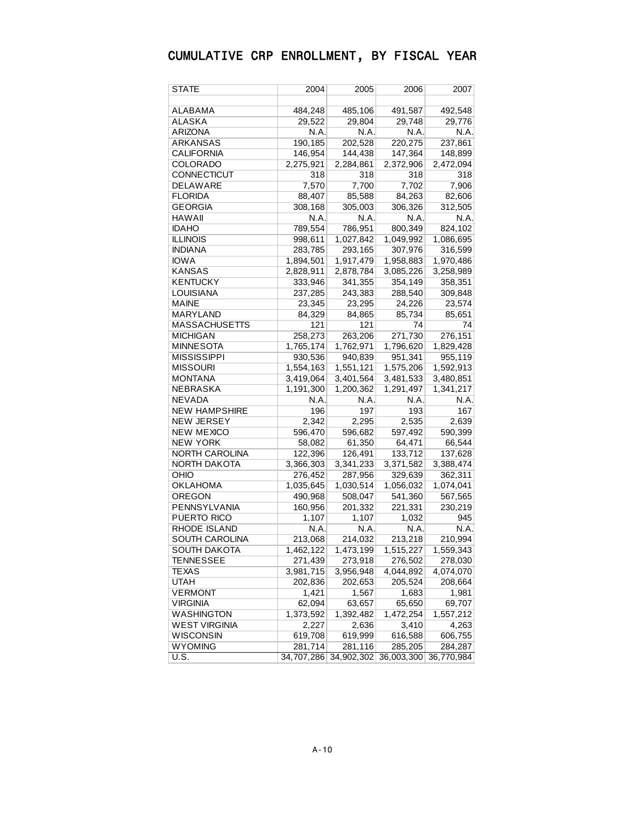| STATE                 | 2004       | 2005       | 2006       | 2007       |
|-----------------------|------------|------------|------------|------------|
|                       |            |            |            |            |
| ALABAMA               | 484,248    | 485,106    | 491,587    | 492,548    |
| ALASKA                | 29,522     | 29,804     | 29,748     | 29,776     |
| ARIZONA               | N.A.       | N.A.       | N.A.       | N.A.       |
| ARKANSAS              | 190,185    | 202,528    | 220,275    | 237,861    |
| CALIFORNIA            | 146,954    | 144,438    | 147,364    | 148,899    |
| COLORADO              | 2,275,921  | 2,284,861  | 2,372,906  | 2,472,094  |
| CONNECTICUT           | 318        | 318        | 318        | 318        |
| DELAWARE              | 7,570      | 7,700      | 7,702      | 7,906      |
| FLORIDA               | 88,407     | 85,588     | 84,263     | 82,606     |
| GEORGIA               | 308,168    | 305,003    | 306,326    | 312,505    |
| HAWAII                | N.A.       | N.A.       | N.A.       | N.A.       |
| <b>IDAHO</b>          | 789,554    | 786,951    | 800,349    | 824,102    |
| <b>ILLINOIS</b>       | 998,611    | 1,027,842  | 1,049,992  | 1,086,695  |
| INDIANA               | 283,785    | 293,165    | 307,976    | 316,599    |
| <b>IOWA</b>           | 1,894,501  | 1,917,479  | 1,958,883  | 1,970,486  |
| KANSAS                | 2,828,911  | 2,878,784  | 3,085,226  | 3,258,989  |
| KENTUCKY              | 333,946    | 341,355    | 354,149    | 358,351    |
| LOUISIANA             | 237,285    | 243,383    | 288,540    | 309,848    |
| MAINE                 | 23,345     | 23,295     | 24,226     | 23,574     |
| MARYLAND              | 84,329     | 84,865     | 85,734     | 85,651     |
| MASSACHUSETTS         | 121        | 121        | 74         | 74         |
| <b>MICHIGAN</b>       | 258,273    | 263,206    | 271,730    | 276,151    |
| MINNESOTA             | 1,765,174  | 1,762,971  | 1,796,620  | 1,829,428  |
| MISSISSIPPI           | 930,536    | 940,839    | 951,341    | 955,119    |
| <b>MISSOURI</b>       | 1,554,163  | 1,551,121  | 1,575,206  | 1,592,913  |
| MONTANA               | 3,419,064  | 3,401,564  | 3,481,533  | 3,480,851  |
| NEBRASKA              | 1,191,300  | 1,200,362  | 1,291,497  | 1,341,217  |
| NEVADA                | N.A.       | N.A.       | N.A.       | N.A.       |
| <b>NEW HAMPSHIRE</b>  | 196        | 197        | 193        | 167        |
| <b>NEW JERSEY</b>     | 2,342      | 2,295      | 2,535      | 2,639      |
| <b>NEW MEXICO</b>     | 596,470    | 596,682    | 597,492    | 590,399    |
| new York              | 58,082     | 61,350     | 64,471     | 66,544     |
| <b>NORTH CAROLINA</b> | 122,396    | 126,491    | 133,712    | 137,628    |
| NORTH DAKOTA          | 3,366,303  | 3,341,233  | 3,371,582  | 3,388,474  |
| OHIO                  | 276,452    | 287,956    | 329,639    | 362,311    |
| OKLAHOMA              | 1,035,645  | 1,030,514  | 1,056,032  | 1,074,041  |
| OREGON                | 490,968    | 508,047    | 541,360    | 567,565    |
| PENNSYLVANIA          | 160,956    | 201,332    | 221,331    | 230,219    |
| PUERTO RICO           | 1,107      | 1,107      | 1,032      | 945        |
| <b>RHODE ISLAND</b>   | N.A.       | N.A.       | N.A.       | N.A.       |
| SOUTH CAROLINA        | 213,068    | 214,032    | 213,218    | 210,994    |
| SOUTH DAKOTA          | 1,462,122  | 1,473,199  | 1,515,227  | 1,559,343  |
| <b>TENNESSEE</b>      | 271,439    | 273,918    | 276,502    | 278,030    |
| <b>TEXAS</b>          | 3,981,715  | 3,956,948  | 4,044,892  | 4,074,070  |
| <b>UTAH</b>           | 202,836    | 202,653    | 205,524    | 208,664    |
| <b>VERMONT</b>        | 1,421      | 1,567      | 1,683      | 1,981      |
| <b>VIRGINIA</b>       | 62,094     | 63,657     | 65,650     | 69,707     |
| <b>WASHINGTON</b>     | 1,373,592  | 1,392,482  | 1,472,254  | 1,557,212  |
| <b>WEST VIRGINIA</b>  | 2,227      | 2,636      | 3,410      | 4,263      |
| <b>WISCONSIN</b>      | 619,708    | 619,999    | 616,588    | 606,755    |
| <b>WYOMING</b>        | 281,714    | 281,116    | 285,205    | 284,287    |
| U.S.                  | 34,707,286 | 34,902,302 | 36,003,300 | 36,770,984 |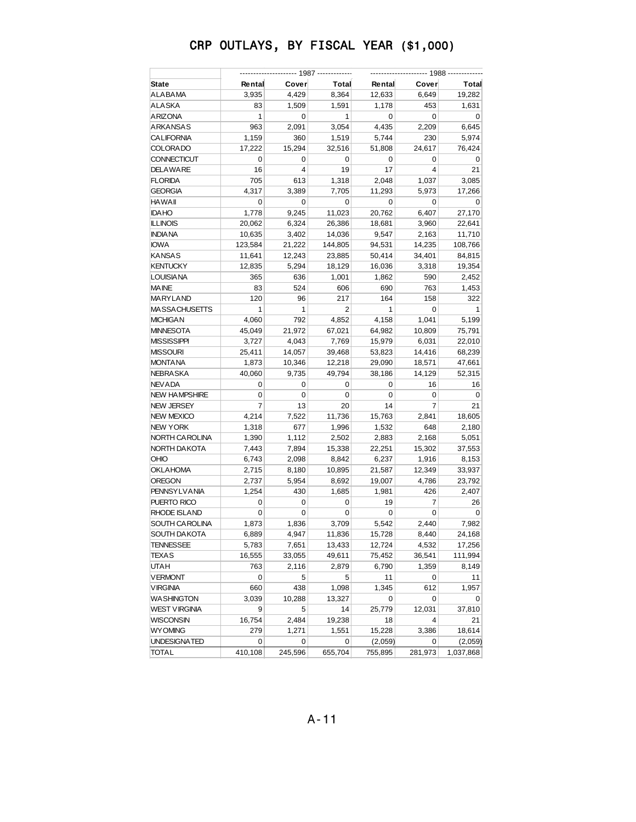| Cover<br><b>Total</b><br>Cover<br><b>State</b><br>Rental<br>Rental<br>Total<br>3,935<br>8,364<br>6,649<br>ALABAMA<br>4,429<br>12,633<br>19,282<br>ALASKA<br>83<br>1,509<br>1,591<br>1,178<br>453<br>1,631<br>ARIZONA<br>1<br>$\mathbf 0$<br>0<br>1<br>$\mathbf 0$<br>0<br>ARKANSAS<br>963<br>2,091<br>3,054<br>4,435<br>2,209<br>6,645<br><b>CALIFORNIA</b><br>1,159<br>360<br>1,519<br>5,744<br>230<br>5,974<br><b>COLORADO</b><br>17,222<br>15,294<br>32,516<br>24,617<br>76,424<br>51,808<br><b>CONNECTICUT</b><br>0<br>0<br>0<br>$\mathbf 0$<br>$\mathbf 0$<br>0<br>19<br>21<br><b>DELAWARE</b><br>16<br>4<br>17<br>4<br>705<br><b>FLORIDA</b><br>613<br>1,318<br>2,048<br>1,037<br>3,085<br><b>GEORGIA</b><br>4,317<br>3,389<br>7,705<br>11,293<br>5,973<br>17,266<br><b>HAWAII</b><br>0<br>0<br>0<br>0<br>0<br>0<br><b>IDAHO</b><br>1,778<br>9,245<br>11,023<br>20,762<br>6,407<br>27,170<br>20,062<br><b>ILLINOIS</b><br>6,324<br>26,386<br>18,681<br>3,960<br>22,641<br><b>INDIANA</b><br>10,635<br>3,402<br>9,547<br>2,163<br>11,710<br>14,036<br><b>IOWA</b><br>123,584<br>21,222<br>144,805<br>94,531<br>14,235<br>108,766<br><b>KANSAS</b><br>11,641<br>12,243<br>23,885<br>50,414<br>34,401<br>84,815<br><b>KENTUCKY</b><br>12,835<br>5,294<br>18,129<br>3,318<br>19,354<br>16,036<br><b>LOUISIANA</b><br>365<br>636<br>1,001<br>1,862<br>590<br>2,452<br><b>MAINE</b><br>83<br>524<br>690<br>763<br>1,453<br>606<br>MARYLAND<br>120<br>96<br>217<br>164<br>158<br>322<br>$\mathbf{1}$<br>1<br>$\overline{2}$<br>1<br>$\mathbf 0$<br><b>MASSACHUSETTS</b><br>1<br>4,852<br>4,158<br>1,041<br><b>MICHIGAN</b><br>4,060<br>792<br>5,199<br>21,972<br><b>MINNESOTA</b><br>45,049<br>67,021<br>10,809<br>75,791<br>64,982<br><b>MISSISSIPPI</b><br>3,727<br>4,043<br>7,769<br>15,979<br>6,031<br>22,010<br>25,411<br>14,057<br><b>MISSOURI</b><br>39,468<br>14,416<br>53,823<br>68,239<br><b>MONTANA</b><br>1,873<br>10,346<br>12,218<br>29,090<br>18,571<br>47,661<br>NEBRASKA<br>40,060<br>9,735<br>49,794<br>38,186<br>14,129<br>52,315<br><b>NEV ADA</b><br>0<br>0<br>0<br>$\mathbf 0$<br>16<br>16<br><b>NEW HAMPSHIRE</b><br>0<br>0<br>0<br>0<br>0<br>0<br>13<br>14<br><b>NEW JERSEY</b><br>7<br>20<br>7<br>21<br><b>NEW MEXICO</b><br>4,214<br>7,522<br>11,736<br>15,763<br>2,841<br>18,605<br><b>NEW YORK</b><br>677<br>1,318<br>1,996<br>1,532<br>648<br>2,180<br>NORTH CAROLINA<br>1,390<br>1,112<br>2,502<br>2,883<br>2,168<br>5,051<br>NORTH DAKOTA<br>7,443<br>7,894<br>15,338<br>22,251<br>15,302<br>37,553<br>OHIO<br>6,743<br>2,098<br>8,842<br>6,237<br>1,916<br>8,153<br><b>OKLAHOMA</b><br>2,715<br>8,180<br>10,895<br>21,587<br>12,349<br>33,937<br><b>OREGON</b><br>2,737<br>5,954<br>8,692<br>19,007<br>4,786<br>23,792<br><b>PENNSYLVANIA</b><br>1,254<br>430<br>1,685<br>1,981<br>426<br>2,407<br>PUERTO RICO<br>0<br>0<br>0<br>19<br>7<br>26<br><b>RHODE ISLAND</b><br>0<br>0<br>0<br>$\mathbf 0$<br>0<br>0<br>1,836<br>5,542<br>2,440<br>7,982<br>SOUTH CAROLINA<br>1,873<br>3,709<br>SOUTH DAKOTA<br>6,889<br>4,947<br>11,836<br>15,728<br>8,440<br>24,168<br><b>TENNESSEE</b><br>5,783<br>13,433<br>12,724<br>4,532<br>17,256<br>7,651<br><b>TEXAS</b><br>16,555<br>33,055<br>49,611<br>36,541<br>111,994<br>75,452<br><b>UTAH</b><br>2,116<br>1,359<br>8,149<br>763<br>2,879<br>6,790<br><b>VERMONT</b><br>$\mathbf 0$<br>5<br>5<br>11<br>0<br>11<br><b>VIRGINIA</b><br>1,345<br>612<br>1,957<br>660<br>438<br>1,098<br><b>WASHINGTON</b><br>3,039<br>10,288<br>13,327<br>0<br>0<br>0<br><b>WEST VIRGINIA</b><br>9<br>5<br>14<br>25,779<br>12,031<br>37,810<br><b>WISCONSIN</b><br>2,484<br>19,238<br>18<br>4<br>16,754<br>21<br><b>WYOMING</b><br>279<br>1,271<br>1,551<br>15,228<br>3,386<br>18,614<br>UNDESIGNATED<br>0<br>(2,059)<br>0<br>(2,059)<br>0<br>0 |              |         |         |         |         |         |           |  |
|------------------------------------------------------------------------------------------------------------------------------------------------------------------------------------------------------------------------------------------------------------------------------------------------------------------------------------------------------------------------------------------------------------------------------------------------------------------------------------------------------------------------------------------------------------------------------------------------------------------------------------------------------------------------------------------------------------------------------------------------------------------------------------------------------------------------------------------------------------------------------------------------------------------------------------------------------------------------------------------------------------------------------------------------------------------------------------------------------------------------------------------------------------------------------------------------------------------------------------------------------------------------------------------------------------------------------------------------------------------------------------------------------------------------------------------------------------------------------------------------------------------------------------------------------------------------------------------------------------------------------------------------------------------------------------------------------------------------------------------------------------------------------------------------------------------------------------------------------------------------------------------------------------------------------------------------------------------------------------------------------------------------------------------------------------------------------------------------------------------------------------------------------------------------------------------------------------------------------------------------------------------------------------------------------------------------------------------------------------------------------------------------------------------------------------------------------------------------------------------------------------------------------------------------------------------------------------------------------------------------------------------------------------------------------------------------------------------------------------------------------------------------------------------------------------------------------------------------------------------------------------------------------------------------------------------------------------------------------------------------------------------------------------------------------------------------------------------------------------------------------------------------------------------------------------------------------------------------------------------------------------------------------------------------------------------------------------------------------------------------------------------------------------------------------------------------------------------------------------------------------------------------------------------------------------------------------------------------------------------------------------------------------------------------------------------------------------------------------------------------------------------------------------------------------|--------------|---------|---------|---------|---------|---------|-----------|--|
|                                                                                                                                                                                                                                                                                                                                                                                                                                                                                                                                                                                                                                                                                                                                                                                                                                                                                                                                                                                                                                                                                                                                                                                                                                                                                                                                                                                                                                                                                                                                                                                                                                                                                                                                                                                                                                                                                                                                                                                                                                                                                                                                                                                                                                                                                                                                                                                                                                                                                                                                                                                                                                                                                                                                                                                                                                                                                                                                                                                                                                                                                                                                                                                                                                                                                                                                                                                                                                                                                                                                                                                                                                                                                                                                                                                                      |              |         |         |         |         |         |           |  |
|                                                                                                                                                                                                                                                                                                                                                                                                                                                                                                                                                                                                                                                                                                                                                                                                                                                                                                                                                                                                                                                                                                                                                                                                                                                                                                                                                                                                                                                                                                                                                                                                                                                                                                                                                                                                                                                                                                                                                                                                                                                                                                                                                                                                                                                                                                                                                                                                                                                                                                                                                                                                                                                                                                                                                                                                                                                                                                                                                                                                                                                                                                                                                                                                                                                                                                                                                                                                                                                                                                                                                                                                                                                                                                                                                                                                      |              |         |         |         |         |         |           |  |
|                                                                                                                                                                                                                                                                                                                                                                                                                                                                                                                                                                                                                                                                                                                                                                                                                                                                                                                                                                                                                                                                                                                                                                                                                                                                                                                                                                                                                                                                                                                                                                                                                                                                                                                                                                                                                                                                                                                                                                                                                                                                                                                                                                                                                                                                                                                                                                                                                                                                                                                                                                                                                                                                                                                                                                                                                                                                                                                                                                                                                                                                                                                                                                                                                                                                                                                                                                                                                                                                                                                                                                                                                                                                                                                                                                                                      |              |         |         |         |         |         |           |  |
|                                                                                                                                                                                                                                                                                                                                                                                                                                                                                                                                                                                                                                                                                                                                                                                                                                                                                                                                                                                                                                                                                                                                                                                                                                                                                                                                                                                                                                                                                                                                                                                                                                                                                                                                                                                                                                                                                                                                                                                                                                                                                                                                                                                                                                                                                                                                                                                                                                                                                                                                                                                                                                                                                                                                                                                                                                                                                                                                                                                                                                                                                                                                                                                                                                                                                                                                                                                                                                                                                                                                                                                                                                                                                                                                                                                                      |              |         |         |         |         |         |           |  |
|                                                                                                                                                                                                                                                                                                                                                                                                                                                                                                                                                                                                                                                                                                                                                                                                                                                                                                                                                                                                                                                                                                                                                                                                                                                                                                                                                                                                                                                                                                                                                                                                                                                                                                                                                                                                                                                                                                                                                                                                                                                                                                                                                                                                                                                                                                                                                                                                                                                                                                                                                                                                                                                                                                                                                                                                                                                                                                                                                                                                                                                                                                                                                                                                                                                                                                                                                                                                                                                                                                                                                                                                                                                                                                                                                                                                      |              |         |         |         |         |         |           |  |
|                                                                                                                                                                                                                                                                                                                                                                                                                                                                                                                                                                                                                                                                                                                                                                                                                                                                                                                                                                                                                                                                                                                                                                                                                                                                                                                                                                                                                                                                                                                                                                                                                                                                                                                                                                                                                                                                                                                                                                                                                                                                                                                                                                                                                                                                                                                                                                                                                                                                                                                                                                                                                                                                                                                                                                                                                                                                                                                                                                                                                                                                                                                                                                                                                                                                                                                                                                                                                                                                                                                                                                                                                                                                                                                                                                                                      |              |         |         |         |         |         |           |  |
|                                                                                                                                                                                                                                                                                                                                                                                                                                                                                                                                                                                                                                                                                                                                                                                                                                                                                                                                                                                                                                                                                                                                                                                                                                                                                                                                                                                                                                                                                                                                                                                                                                                                                                                                                                                                                                                                                                                                                                                                                                                                                                                                                                                                                                                                                                                                                                                                                                                                                                                                                                                                                                                                                                                                                                                                                                                                                                                                                                                                                                                                                                                                                                                                                                                                                                                                                                                                                                                                                                                                                                                                                                                                                                                                                                                                      |              |         |         |         |         |         |           |  |
|                                                                                                                                                                                                                                                                                                                                                                                                                                                                                                                                                                                                                                                                                                                                                                                                                                                                                                                                                                                                                                                                                                                                                                                                                                                                                                                                                                                                                                                                                                                                                                                                                                                                                                                                                                                                                                                                                                                                                                                                                                                                                                                                                                                                                                                                                                                                                                                                                                                                                                                                                                                                                                                                                                                                                                                                                                                                                                                                                                                                                                                                                                                                                                                                                                                                                                                                                                                                                                                                                                                                                                                                                                                                                                                                                                                                      |              |         |         |         |         |         |           |  |
|                                                                                                                                                                                                                                                                                                                                                                                                                                                                                                                                                                                                                                                                                                                                                                                                                                                                                                                                                                                                                                                                                                                                                                                                                                                                                                                                                                                                                                                                                                                                                                                                                                                                                                                                                                                                                                                                                                                                                                                                                                                                                                                                                                                                                                                                                                                                                                                                                                                                                                                                                                                                                                                                                                                                                                                                                                                                                                                                                                                                                                                                                                                                                                                                                                                                                                                                                                                                                                                                                                                                                                                                                                                                                                                                                                                                      |              |         |         |         |         |         |           |  |
|                                                                                                                                                                                                                                                                                                                                                                                                                                                                                                                                                                                                                                                                                                                                                                                                                                                                                                                                                                                                                                                                                                                                                                                                                                                                                                                                                                                                                                                                                                                                                                                                                                                                                                                                                                                                                                                                                                                                                                                                                                                                                                                                                                                                                                                                                                                                                                                                                                                                                                                                                                                                                                                                                                                                                                                                                                                                                                                                                                                                                                                                                                                                                                                                                                                                                                                                                                                                                                                                                                                                                                                                                                                                                                                                                                                                      |              |         |         |         |         |         |           |  |
|                                                                                                                                                                                                                                                                                                                                                                                                                                                                                                                                                                                                                                                                                                                                                                                                                                                                                                                                                                                                                                                                                                                                                                                                                                                                                                                                                                                                                                                                                                                                                                                                                                                                                                                                                                                                                                                                                                                                                                                                                                                                                                                                                                                                                                                                                                                                                                                                                                                                                                                                                                                                                                                                                                                                                                                                                                                                                                                                                                                                                                                                                                                                                                                                                                                                                                                                                                                                                                                                                                                                                                                                                                                                                                                                                                                                      |              |         |         |         |         |         |           |  |
|                                                                                                                                                                                                                                                                                                                                                                                                                                                                                                                                                                                                                                                                                                                                                                                                                                                                                                                                                                                                                                                                                                                                                                                                                                                                                                                                                                                                                                                                                                                                                                                                                                                                                                                                                                                                                                                                                                                                                                                                                                                                                                                                                                                                                                                                                                                                                                                                                                                                                                                                                                                                                                                                                                                                                                                                                                                                                                                                                                                                                                                                                                                                                                                                                                                                                                                                                                                                                                                                                                                                                                                                                                                                                                                                                                                                      |              |         |         |         |         |         |           |  |
|                                                                                                                                                                                                                                                                                                                                                                                                                                                                                                                                                                                                                                                                                                                                                                                                                                                                                                                                                                                                                                                                                                                                                                                                                                                                                                                                                                                                                                                                                                                                                                                                                                                                                                                                                                                                                                                                                                                                                                                                                                                                                                                                                                                                                                                                                                                                                                                                                                                                                                                                                                                                                                                                                                                                                                                                                                                                                                                                                                                                                                                                                                                                                                                                                                                                                                                                                                                                                                                                                                                                                                                                                                                                                                                                                                                                      |              |         |         |         |         |         |           |  |
|                                                                                                                                                                                                                                                                                                                                                                                                                                                                                                                                                                                                                                                                                                                                                                                                                                                                                                                                                                                                                                                                                                                                                                                                                                                                                                                                                                                                                                                                                                                                                                                                                                                                                                                                                                                                                                                                                                                                                                                                                                                                                                                                                                                                                                                                                                                                                                                                                                                                                                                                                                                                                                                                                                                                                                                                                                                                                                                                                                                                                                                                                                                                                                                                                                                                                                                                                                                                                                                                                                                                                                                                                                                                                                                                                                                                      |              |         |         |         |         |         |           |  |
|                                                                                                                                                                                                                                                                                                                                                                                                                                                                                                                                                                                                                                                                                                                                                                                                                                                                                                                                                                                                                                                                                                                                                                                                                                                                                                                                                                                                                                                                                                                                                                                                                                                                                                                                                                                                                                                                                                                                                                                                                                                                                                                                                                                                                                                                                                                                                                                                                                                                                                                                                                                                                                                                                                                                                                                                                                                                                                                                                                                                                                                                                                                                                                                                                                                                                                                                                                                                                                                                                                                                                                                                                                                                                                                                                                                                      |              |         |         |         |         |         |           |  |
|                                                                                                                                                                                                                                                                                                                                                                                                                                                                                                                                                                                                                                                                                                                                                                                                                                                                                                                                                                                                                                                                                                                                                                                                                                                                                                                                                                                                                                                                                                                                                                                                                                                                                                                                                                                                                                                                                                                                                                                                                                                                                                                                                                                                                                                                                                                                                                                                                                                                                                                                                                                                                                                                                                                                                                                                                                                                                                                                                                                                                                                                                                                                                                                                                                                                                                                                                                                                                                                                                                                                                                                                                                                                                                                                                                                                      |              |         |         |         |         |         |           |  |
|                                                                                                                                                                                                                                                                                                                                                                                                                                                                                                                                                                                                                                                                                                                                                                                                                                                                                                                                                                                                                                                                                                                                                                                                                                                                                                                                                                                                                                                                                                                                                                                                                                                                                                                                                                                                                                                                                                                                                                                                                                                                                                                                                                                                                                                                                                                                                                                                                                                                                                                                                                                                                                                                                                                                                                                                                                                                                                                                                                                                                                                                                                                                                                                                                                                                                                                                                                                                                                                                                                                                                                                                                                                                                                                                                                                                      |              |         |         |         |         |         |           |  |
|                                                                                                                                                                                                                                                                                                                                                                                                                                                                                                                                                                                                                                                                                                                                                                                                                                                                                                                                                                                                                                                                                                                                                                                                                                                                                                                                                                                                                                                                                                                                                                                                                                                                                                                                                                                                                                                                                                                                                                                                                                                                                                                                                                                                                                                                                                                                                                                                                                                                                                                                                                                                                                                                                                                                                                                                                                                                                                                                                                                                                                                                                                                                                                                                                                                                                                                                                                                                                                                                                                                                                                                                                                                                                                                                                                                                      |              |         |         |         |         |         |           |  |
|                                                                                                                                                                                                                                                                                                                                                                                                                                                                                                                                                                                                                                                                                                                                                                                                                                                                                                                                                                                                                                                                                                                                                                                                                                                                                                                                                                                                                                                                                                                                                                                                                                                                                                                                                                                                                                                                                                                                                                                                                                                                                                                                                                                                                                                                                                                                                                                                                                                                                                                                                                                                                                                                                                                                                                                                                                                                                                                                                                                                                                                                                                                                                                                                                                                                                                                                                                                                                                                                                                                                                                                                                                                                                                                                                                                                      |              |         |         |         |         |         |           |  |
|                                                                                                                                                                                                                                                                                                                                                                                                                                                                                                                                                                                                                                                                                                                                                                                                                                                                                                                                                                                                                                                                                                                                                                                                                                                                                                                                                                                                                                                                                                                                                                                                                                                                                                                                                                                                                                                                                                                                                                                                                                                                                                                                                                                                                                                                                                                                                                                                                                                                                                                                                                                                                                                                                                                                                                                                                                                                                                                                                                                                                                                                                                                                                                                                                                                                                                                                                                                                                                                                                                                                                                                                                                                                                                                                                                                                      |              |         |         |         |         |         |           |  |
|                                                                                                                                                                                                                                                                                                                                                                                                                                                                                                                                                                                                                                                                                                                                                                                                                                                                                                                                                                                                                                                                                                                                                                                                                                                                                                                                                                                                                                                                                                                                                                                                                                                                                                                                                                                                                                                                                                                                                                                                                                                                                                                                                                                                                                                                                                                                                                                                                                                                                                                                                                                                                                                                                                                                                                                                                                                                                                                                                                                                                                                                                                                                                                                                                                                                                                                                                                                                                                                                                                                                                                                                                                                                                                                                                                                                      |              |         |         |         |         |         |           |  |
|                                                                                                                                                                                                                                                                                                                                                                                                                                                                                                                                                                                                                                                                                                                                                                                                                                                                                                                                                                                                                                                                                                                                                                                                                                                                                                                                                                                                                                                                                                                                                                                                                                                                                                                                                                                                                                                                                                                                                                                                                                                                                                                                                                                                                                                                                                                                                                                                                                                                                                                                                                                                                                                                                                                                                                                                                                                                                                                                                                                                                                                                                                                                                                                                                                                                                                                                                                                                                                                                                                                                                                                                                                                                                                                                                                                                      |              |         |         |         |         |         |           |  |
|                                                                                                                                                                                                                                                                                                                                                                                                                                                                                                                                                                                                                                                                                                                                                                                                                                                                                                                                                                                                                                                                                                                                                                                                                                                                                                                                                                                                                                                                                                                                                                                                                                                                                                                                                                                                                                                                                                                                                                                                                                                                                                                                                                                                                                                                                                                                                                                                                                                                                                                                                                                                                                                                                                                                                                                                                                                                                                                                                                                                                                                                                                                                                                                                                                                                                                                                                                                                                                                                                                                                                                                                                                                                                                                                                                                                      |              |         |         |         |         |         |           |  |
|                                                                                                                                                                                                                                                                                                                                                                                                                                                                                                                                                                                                                                                                                                                                                                                                                                                                                                                                                                                                                                                                                                                                                                                                                                                                                                                                                                                                                                                                                                                                                                                                                                                                                                                                                                                                                                                                                                                                                                                                                                                                                                                                                                                                                                                                                                                                                                                                                                                                                                                                                                                                                                                                                                                                                                                                                                                                                                                                                                                                                                                                                                                                                                                                                                                                                                                                                                                                                                                                                                                                                                                                                                                                                                                                                                                                      |              |         |         |         |         |         |           |  |
|                                                                                                                                                                                                                                                                                                                                                                                                                                                                                                                                                                                                                                                                                                                                                                                                                                                                                                                                                                                                                                                                                                                                                                                                                                                                                                                                                                                                                                                                                                                                                                                                                                                                                                                                                                                                                                                                                                                                                                                                                                                                                                                                                                                                                                                                                                                                                                                                                                                                                                                                                                                                                                                                                                                                                                                                                                                                                                                                                                                                                                                                                                                                                                                                                                                                                                                                                                                                                                                                                                                                                                                                                                                                                                                                                                                                      |              |         |         |         |         |         |           |  |
|                                                                                                                                                                                                                                                                                                                                                                                                                                                                                                                                                                                                                                                                                                                                                                                                                                                                                                                                                                                                                                                                                                                                                                                                                                                                                                                                                                                                                                                                                                                                                                                                                                                                                                                                                                                                                                                                                                                                                                                                                                                                                                                                                                                                                                                                                                                                                                                                                                                                                                                                                                                                                                                                                                                                                                                                                                                                                                                                                                                                                                                                                                                                                                                                                                                                                                                                                                                                                                                                                                                                                                                                                                                                                                                                                                                                      |              |         |         |         |         |         |           |  |
|                                                                                                                                                                                                                                                                                                                                                                                                                                                                                                                                                                                                                                                                                                                                                                                                                                                                                                                                                                                                                                                                                                                                                                                                                                                                                                                                                                                                                                                                                                                                                                                                                                                                                                                                                                                                                                                                                                                                                                                                                                                                                                                                                                                                                                                                                                                                                                                                                                                                                                                                                                                                                                                                                                                                                                                                                                                                                                                                                                                                                                                                                                                                                                                                                                                                                                                                                                                                                                                                                                                                                                                                                                                                                                                                                                                                      |              |         |         |         |         |         |           |  |
|                                                                                                                                                                                                                                                                                                                                                                                                                                                                                                                                                                                                                                                                                                                                                                                                                                                                                                                                                                                                                                                                                                                                                                                                                                                                                                                                                                                                                                                                                                                                                                                                                                                                                                                                                                                                                                                                                                                                                                                                                                                                                                                                                                                                                                                                                                                                                                                                                                                                                                                                                                                                                                                                                                                                                                                                                                                                                                                                                                                                                                                                                                                                                                                                                                                                                                                                                                                                                                                                                                                                                                                                                                                                                                                                                                                                      |              |         |         |         |         |         |           |  |
|                                                                                                                                                                                                                                                                                                                                                                                                                                                                                                                                                                                                                                                                                                                                                                                                                                                                                                                                                                                                                                                                                                                                                                                                                                                                                                                                                                                                                                                                                                                                                                                                                                                                                                                                                                                                                                                                                                                                                                                                                                                                                                                                                                                                                                                                                                                                                                                                                                                                                                                                                                                                                                                                                                                                                                                                                                                                                                                                                                                                                                                                                                                                                                                                                                                                                                                                                                                                                                                                                                                                                                                                                                                                                                                                                                                                      |              |         |         |         |         |         |           |  |
|                                                                                                                                                                                                                                                                                                                                                                                                                                                                                                                                                                                                                                                                                                                                                                                                                                                                                                                                                                                                                                                                                                                                                                                                                                                                                                                                                                                                                                                                                                                                                                                                                                                                                                                                                                                                                                                                                                                                                                                                                                                                                                                                                                                                                                                                                                                                                                                                                                                                                                                                                                                                                                                                                                                                                                                                                                                                                                                                                                                                                                                                                                                                                                                                                                                                                                                                                                                                                                                                                                                                                                                                                                                                                                                                                                                                      |              |         |         |         |         |         |           |  |
|                                                                                                                                                                                                                                                                                                                                                                                                                                                                                                                                                                                                                                                                                                                                                                                                                                                                                                                                                                                                                                                                                                                                                                                                                                                                                                                                                                                                                                                                                                                                                                                                                                                                                                                                                                                                                                                                                                                                                                                                                                                                                                                                                                                                                                                                                                                                                                                                                                                                                                                                                                                                                                                                                                                                                                                                                                                                                                                                                                                                                                                                                                                                                                                                                                                                                                                                                                                                                                                                                                                                                                                                                                                                                                                                                                                                      |              |         |         |         |         |         |           |  |
|                                                                                                                                                                                                                                                                                                                                                                                                                                                                                                                                                                                                                                                                                                                                                                                                                                                                                                                                                                                                                                                                                                                                                                                                                                                                                                                                                                                                                                                                                                                                                                                                                                                                                                                                                                                                                                                                                                                                                                                                                                                                                                                                                                                                                                                                                                                                                                                                                                                                                                                                                                                                                                                                                                                                                                                                                                                                                                                                                                                                                                                                                                                                                                                                                                                                                                                                                                                                                                                                                                                                                                                                                                                                                                                                                                                                      |              |         |         |         |         |         |           |  |
|                                                                                                                                                                                                                                                                                                                                                                                                                                                                                                                                                                                                                                                                                                                                                                                                                                                                                                                                                                                                                                                                                                                                                                                                                                                                                                                                                                                                                                                                                                                                                                                                                                                                                                                                                                                                                                                                                                                                                                                                                                                                                                                                                                                                                                                                                                                                                                                                                                                                                                                                                                                                                                                                                                                                                                                                                                                                                                                                                                                                                                                                                                                                                                                                                                                                                                                                                                                                                                                                                                                                                                                                                                                                                                                                                                                                      |              |         |         |         |         |         |           |  |
|                                                                                                                                                                                                                                                                                                                                                                                                                                                                                                                                                                                                                                                                                                                                                                                                                                                                                                                                                                                                                                                                                                                                                                                                                                                                                                                                                                                                                                                                                                                                                                                                                                                                                                                                                                                                                                                                                                                                                                                                                                                                                                                                                                                                                                                                                                                                                                                                                                                                                                                                                                                                                                                                                                                                                                                                                                                                                                                                                                                                                                                                                                                                                                                                                                                                                                                                                                                                                                                                                                                                                                                                                                                                                                                                                                                                      |              |         |         |         |         |         |           |  |
|                                                                                                                                                                                                                                                                                                                                                                                                                                                                                                                                                                                                                                                                                                                                                                                                                                                                                                                                                                                                                                                                                                                                                                                                                                                                                                                                                                                                                                                                                                                                                                                                                                                                                                                                                                                                                                                                                                                                                                                                                                                                                                                                                                                                                                                                                                                                                                                                                                                                                                                                                                                                                                                                                                                                                                                                                                                                                                                                                                                                                                                                                                                                                                                                                                                                                                                                                                                                                                                                                                                                                                                                                                                                                                                                                                                                      |              |         |         |         |         |         |           |  |
|                                                                                                                                                                                                                                                                                                                                                                                                                                                                                                                                                                                                                                                                                                                                                                                                                                                                                                                                                                                                                                                                                                                                                                                                                                                                                                                                                                                                                                                                                                                                                                                                                                                                                                                                                                                                                                                                                                                                                                                                                                                                                                                                                                                                                                                                                                                                                                                                                                                                                                                                                                                                                                                                                                                                                                                                                                                                                                                                                                                                                                                                                                                                                                                                                                                                                                                                                                                                                                                                                                                                                                                                                                                                                                                                                                                                      |              |         |         |         |         |         |           |  |
|                                                                                                                                                                                                                                                                                                                                                                                                                                                                                                                                                                                                                                                                                                                                                                                                                                                                                                                                                                                                                                                                                                                                                                                                                                                                                                                                                                                                                                                                                                                                                                                                                                                                                                                                                                                                                                                                                                                                                                                                                                                                                                                                                                                                                                                                                                                                                                                                                                                                                                                                                                                                                                                                                                                                                                                                                                                                                                                                                                                                                                                                                                                                                                                                                                                                                                                                                                                                                                                                                                                                                                                                                                                                                                                                                                                                      |              |         |         |         |         |         |           |  |
|                                                                                                                                                                                                                                                                                                                                                                                                                                                                                                                                                                                                                                                                                                                                                                                                                                                                                                                                                                                                                                                                                                                                                                                                                                                                                                                                                                                                                                                                                                                                                                                                                                                                                                                                                                                                                                                                                                                                                                                                                                                                                                                                                                                                                                                                                                                                                                                                                                                                                                                                                                                                                                                                                                                                                                                                                                                                                                                                                                                                                                                                                                                                                                                                                                                                                                                                                                                                                                                                                                                                                                                                                                                                                                                                                                                                      |              |         |         |         |         |         |           |  |
|                                                                                                                                                                                                                                                                                                                                                                                                                                                                                                                                                                                                                                                                                                                                                                                                                                                                                                                                                                                                                                                                                                                                                                                                                                                                                                                                                                                                                                                                                                                                                                                                                                                                                                                                                                                                                                                                                                                                                                                                                                                                                                                                                                                                                                                                                                                                                                                                                                                                                                                                                                                                                                                                                                                                                                                                                                                                                                                                                                                                                                                                                                                                                                                                                                                                                                                                                                                                                                                                                                                                                                                                                                                                                                                                                                                                      |              |         |         |         |         |         |           |  |
|                                                                                                                                                                                                                                                                                                                                                                                                                                                                                                                                                                                                                                                                                                                                                                                                                                                                                                                                                                                                                                                                                                                                                                                                                                                                                                                                                                                                                                                                                                                                                                                                                                                                                                                                                                                                                                                                                                                                                                                                                                                                                                                                                                                                                                                                                                                                                                                                                                                                                                                                                                                                                                                                                                                                                                                                                                                                                                                                                                                                                                                                                                                                                                                                                                                                                                                                                                                                                                                                                                                                                                                                                                                                                                                                                                                                      |              |         |         |         |         |         |           |  |
|                                                                                                                                                                                                                                                                                                                                                                                                                                                                                                                                                                                                                                                                                                                                                                                                                                                                                                                                                                                                                                                                                                                                                                                                                                                                                                                                                                                                                                                                                                                                                                                                                                                                                                                                                                                                                                                                                                                                                                                                                                                                                                                                                                                                                                                                                                                                                                                                                                                                                                                                                                                                                                                                                                                                                                                                                                                                                                                                                                                                                                                                                                                                                                                                                                                                                                                                                                                                                                                                                                                                                                                                                                                                                                                                                                                                      |              |         |         |         |         |         |           |  |
|                                                                                                                                                                                                                                                                                                                                                                                                                                                                                                                                                                                                                                                                                                                                                                                                                                                                                                                                                                                                                                                                                                                                                                                                                                                                                                                                                                                                                                                                                                                                                                                                                                                                                                                                                                                                                                                                                                                                                                                                                                                                                                                                                                                                                                                                                                                                                                                                                                                                                                                                                                                                                                                                                                                                                                                                                                                                                                                                                                                                                                                                                                                                                                                                                                                                                                                                                                                                                                                                                                                                                                                                                                                                                                                                                                                                      |              |         |         |         |         |         |           |  |
|                                                                                                                                                                                                                                                                                                                                                                                                                                                                                                                                                                                                                                                                                                                                                                                                                                                                                                                                                                                                                                                                                                                                                                                                                                                                                                                                                                                                                                                                                                                                                                                                                                                                                                                                                                                                                                                                                                                                                                                                                                                                                                                                                                                                                                                                                                                                                                                                                                                                                                                                                                                                                                                                                                                                                                                                                                                                                                                                                                                                                                                                                                                                                                                                                                                                                                                                                                                                                                                                                                                                                                                                                                                                                                                                                                                                      |              |         |         |         |         |         |           |  |
|                                                                                                                                                                                                                                                                                                                                                                                                                                                                                                                                                                                                                                                                                                                                                                                                                                                                                                                                                                                                                                                                                                                                                                                                                                                                                                                                                                                                                                                                                                                                                                                                                                                                                                                                                                                                                                                                                                                                                                                                                                                                                                                                                                                                                                                                                                                                                                                                                                                                                                                                                                                                                                                                                                                                                                                                                                                                                                                                                                                                                                                                                                                                                                                                                                                                                                                                                                                                                                                                                                                                                                                                                                                                                                                                                                                                      |              |         |         |         |         |         |           |  |
|                                                                                                                                                                                                                                                                                                                                                                                                                                                                                                                                                                                                                                                                                                                                                                                                                                                                                                                                                                                                                                                                                                                                                                                                                                                                                                                                                                                                                                                                                                                                                                                                                                                                                                                                                                                                                                                                                                                                                                                                                                                                                                                                                                                                                                                                                                                                                                                                                                                                                                                                                                                                                                                                                                                                                                                                                                                                                                                                                                                                                                                                                                                                                                                                                                                                                                                                                                                                                                                                                                                                                                                                                                                                                                                                                                                                      |              |         |         |         |         |         |           |  |
|                                                                                                                                                                                                                                                                                                                                                                                                                                                                                                                                                                                                                                                                                                                                                                                                                                                                                                                                                                                                                                                                                                                                                                                                                                                                                                                                                                                                                                                                                                                                                                                                                                                                                                                                                                                                                                                                                                                                                                                                                                                                                                                                                                                                                                                                                                                                                                                                                                                                                                                                                                                                                                                                                                                                                                                                                                                                                                                                                                                                                                                                                                                                                                                                                                                                                                                                                                                                                                                                                                                                                                                                                                                                                                                                                                                                      |              |         |         |         |         |         |           |  |
|                                                                                                                                                                                                                                                                                                                                                                                                                                                                                                                                                                                                                                                                                                                                                                                                                                                                                                                                                                                                                                                                                                                                                                                                                                                                                                                                                                                                                                                                                                                                                                                                                                                                                                                                                                                                                                                                                                                                                                                                                                                                                                                                                                                                                                                                                                                                                                                                                                                                                                                                                                                                                                                                                                                                                                                                                                                                                                                                                                                                                                                                                                                                                                                                                                                                                                                                                                                                                                                                                                                                                                                                                                                                                                                                                                                                      |              |         |         |         |         |         |           |  |
|                                                                                                                                                                                                                                                                                                                                                                                                                                                                                                                                                                                                                                                                                                                                                                                                                                                                                                                                                                                                                                                                                                                                                                                                                                                                                                                                                                                                                                                                                                                                                                                                                                                                                                                                                                                                                                                                                                                                                                                                                                                                                                                                                                                                                                                                                                                                                                                                                                                                                                                                                                                                                                                                                                                                                                                                                                                                                                                                                                                                                                                                                                                                                                                                                                                                                                                                                                                                                                                                                                                                                                                                                                                                                                                                                                                                      |              |         |         |         |         |         |           |  |
|                                                                                                                                                                                                                                                                                                                                                                                                                                                                                                                                                                                                                                                                                                                                                                                                                                                                                                                                                                                                                                                                                                                                                                                                                                                                                                                                                                                                                                                                                                                                                                                                                                                                                                                                                                                                                                                                                                                                                                                                                                                                                                                                                                                                                                                                                                                                                                                                                                                                                                                                                                                                                                                                                                                                                                                                                                                                                                                                                                                                                                                                                                                                                                                                                                                                                                                                                                                                                                                                                                                                                                                                                                                                                                                                                                                                      |              |         |         |         |         |         |           |  |
|                                                                                                                                                                                                                                                                                                                                                                                                                                                                                                                                                                                                                                                                                                                                                                                                                                                                                                                                                                                                                                                                                                                                                                                                                                                                                                                                                                                                                                                                                                                                                                                                                                                                                                                                                                                                                                                                                                                                                                                                                                                                                                                                                                                                                                                                                                                                                                                                                                                                                                                                                                                                                                                                                                                                                                                                                                                                                                                                                                                                                                                                                                                                                                                                                                                                                                                                                                                                                                                                                                                                                                                                                                                                                                                                                                                                      |              |         |         |         |         |         |           |  |
|                                                                                                                                                                                                                                                                                                                                                                                                                                                                                                                                                                                                                                                                                                                                                                                                                                                                                                                                                                                                                                                                                                                                                                                                                                                                                                                                                                                                                                                                                                                                                                                                                                                                                                                                                                                                                                                                                                                                                                                                                                                                                                                                                                                                                                                                                                                                                                                                                                                                                                                                                                                                                                                                                                                                                                                                                                                                                                                                                                                                                                                                                                                                                                                                                                                                                                                                                                                                                                                                                                                                                                                                                                                                                                                                                                                                      |              |         |         |         |         |         |           |  |
|                                                                                                                                                                                                                                                                                                                                                                                                                                                                                                                                                                                                                                                                                                                                                                                                                                                                                                                                                                                                                                                                                                                                                                                                                                                                                                                                                                                                                                                                                                                                                                                                                                                                                                                                                                                                                                                                                                                                                                                                                                                                                                                                                                                                                                                                                                                                                                                                                                                                                                                                                                                                                                                                                                                                                                                                                                                                                                                                                                                                                                                                                                                                                                                                                                                                                                                                                                                                                                                                                                                                                                                                                                                                                                                                                                                                      |              |         |         |         |         |         |           |  |
|                                                                                                                                                                                                                                                                                                                                                                                                                                                                                                                                                                                                                                                                                                                                                                                                                                                                                                                                                                                                                                                                                                                                                                                                                                                                                                                                                                                                                                                                                                                                                                                                                                                                                                                                                                                                                                                                                                                                                                                                                                                                                                                                                                                                                                                                                                                                                                                                                                                                                                                                                                                                                                                                                                                                                                                                                                                                                                                                                                                                                                                                                                                                                                                                                                                                                                                                                                                                                                                                                                                                                                                                                                                                                                                                                                                                      |              |         |         |         |         |         |           |  |
|                                                                                                                                                                                                                                                                                                                                                                                                                                                                                                                                                                                                                                                                                                                                                                                                                                                                                                                                                                                                                                                                                                                                                                                                                                                                                                                                                                                                                                                                                                                                                                                                                                                                                                                                                                                                                                                                                                                                                                                                                                                                                                                                                                                                                                                                                                                                                                                                                                                                                                                                                                                                                                                                                                                                                                                                                                                                                                                                                                                                                                                                                                                                                                                                                                                                                                                                                                                                                                                                                                                                                                                                                                                                                                                                                                                                      | <b>TOTAL</b> | 410,108 | 245,596 | 655,704 | 755,895 | 281,973 | 1,037,868 |  |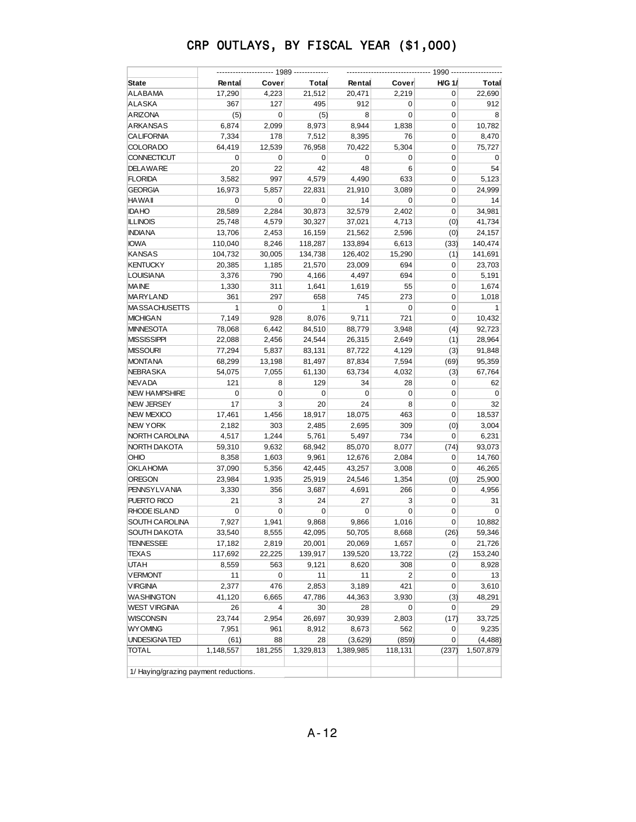|                                       |                        |                |                 | ---- 1990 ------- |                |               |                 |  |
|---------------------------------------|------------------------|----------------|-----------------|-------------------|----------------|---------------|-----------------|--|
| <b>State</b>                          | Rental                 | Cover          | Total           | Rental            | Cover          | <b>H/G 1/</b> | Total           |  |
| ALABAMA                               | 17,290                 | 4,223          | 21,512          | 20,471            | 2,219          | 0             | 22,690          |  |
| ALASKA                                | 367                    | 127            | 495             | 912               | 0              | 0             | 912             |  |
| <b>ARIZONA</b>                        | (5)                    | 0              | (5)             | 8                 | 0              | 0             | 8               |  |
| <b>ARKANSAS</b>                       | 6,874                  | 2,099          | 8,973           | 8,944             | 1,838          | 0             | 10,782          |  |
| <b>CALIFORNIA</b>                     | 7,334                  | 178            | 7,512           | 8,395             | 76             | 0             | 8,470           |  |
| <b>COLORADO</b>                       | 64,419                 | 12,539         | 76,958          | 70,422            | 5,304          | 0             | 75,727          |  |
| <b>CONNECTICUT</b>                    | 0                      | 0              | 0               | $\mathbf 0$       | 0              | 0             | 0               |  |
| <b>DELAWARE</b>                       | 20                     | 22             | 42              | 48                | 6              | 0             | 54              |  |
| <b>FLORIDA</b>                        | 3,582                  | 997            | 4,579           | 4,490             | 633            | 0             | 5,123           |  |
| <b>GEORGIA</b>                        | 16,973                 | 5,857          | 22,831          | 21,910            | 3,089          | 0             | 24,999          |  |
| <b>HAWAII</b>                         | 0                      | 0              | 0               | 14                | 0              | 0             | 14              |  |
| <b>IDAHO</b>                          | 28,589                 | 2,284          | 30,873          | 32,579            | 2,402          | 0             | 34,981          |  |
| <b>ILLINOIS</b>                       | 25,748                 | 4,579          | 30,327          | 37,021            | 4,713          | (0)           | 41,734          |  |
| <b>INDIANA</b>                        | 13,706                 | 2,453          | 16,159          | 21,562            | 2,596          | (0)           | 24,157          |  |
| <b>IOWA</b>                           | 110,040                | 8,246          | 118,287         | 133,894           | 6,613          | (33)          | 140,474         |  |
| <b>KANSAS</b>                         | 104,732                | 30,005         | 134,738         | 126,402           | 15,290         | (1)           | 141,691         |  |
| <b>KENTUCKY</b>                       | 20,385                 | 1,185          | 21,570          | 23,009            | 694            | 0             | 23,703          |  |
| <b>LOUISIANA</b>                      | 3,376                  | 790            | 4,166           | 4,497             | 694            | 0             | 5,191           |  |
| <b>MAINE</b>                          | 1,330                  | 311            | 1,641           | 1,619             | 55             | 0             | 1,674           |  |
| MARYLAND                              | 361                    | 297            | 658             | 745               | 273            | 0             | 1,018           |  |
| <b>MASSACHUSETTS</b>                  | $\mathbf{1}$           | 0              | 1               | $\mathbf{1}$      | 0              | 0             | $\mathbf{1}$    |  |
| <b>MICHIGAN</b>                       | 7,149                  | 928            | 8,076           | 9,711             | 721            | 0             | 10,432          |  |
| <b>MINNESOTA</b>                      | 78,068                 | 6,442          | 84,510          | 88,779            | 3,948          | (4)           | 92,723          |  |
| <b>MISSISSIPPI</b>                    | 22,088                 | 2,456          |                 |                   | 2,649          | (1)           |                 |  |
| <b>MISSOURI</b>                       |                        | 5,837          | 24,544          | 26,315            | 4,129          |               | 28,964          |  |
|                                       | 77,294                 |                | 83,131          | 87,722            |                | (3)           | 91,848          |  |
| <b>MONTANA</b>                        | 68,299                 | 13,198         | 81,497          | 87,834            | 7,594          | (69)          | 95,359          |  |
| <b>NEBRASKA</b><br><b>NEVADA</b>      | 54,075<br>121          | 7,055<br>8     | 61,130<br>129   | 63,734<br>34      | 4,032<br>28    | (3)<br>0      | 67,764<br>62    |  |
| <b>NEW HAMPSHIRE</b>                  | 0                      | 0              |                 | $\mathbf 0$       |                | 0             |                 |  |
| <b>NEW JERSEY</b>                     | 17                     | 3              | 0<br>20         | 24                | 0<br>8         | 0             | 0<br>32         |  |
| <b>NEW MEXICO</b>                     | 17,461                 | 1,456          |                 |                   | 463            | 0             |                 |  |
| <b>NEW YORK</b>                       | 2,182                  | 303            | 18,917<br>2,485 | 18,075<br>2,695   | 309            |               | 18,537<br>3,004 |  |
|                                       |                        |                |                 |                   |                | (0)<br>0      |                 |  |
| NORTH CAROLINA                        | 4,517                  | 1,244          | 5,761           | 5,497             | 734            |               | 6,231           |  |
| NORTH DAKOTA<br>OHIO                  | 59,310                 | 9,632          | 68,942          | 85,070            | 8,077          | (74)          | 93,073          |  |
|                                       | 8,358                  | 1,603<br>5,356 | 9,961           | 12,676            | 2,084          | 0             | 14,760          |  |
| <b>OKLAHOMA</b>                       | 37,090                 |                | 42,445          | 43,257            | 3,008          | 0             | 46,265          |  |
| <b>OREGON</b>                         | 23,984                 | 1,935          | 25,919          | 24,546            | 1,354          | (0)           | 25,900          |  |
| <b>PENNSYLVANIA</b>                   | 3,330                  | 356            | 3,687           | 4,691             | 266            | 0             | 4,956           |  |
| PUERTO RICO                           | 21                     | 3              | 24              | 27                | 3              | 0             | 31              |  |
| RHODE ISLAND                          | 0                      | 0              | 0               | 0                 | 0              | 0             | 0               |  |
| <b>SOUTH CAROLINA</b>                 | 7,927                  | 1,941          | 9,868           | 9,866             | 1,016          | 0             | 10,882          |  |
| SOUTH DAKOTA                          | 33,540                 | 8,555          | 42,095          | 50,705            | 8,668          | (26)          | 59,346          |  |
| <b>TENNESSEE</b>                      | 17,182                 | 2,819          | 20,001          | 20,069            | 1,657          | 0             | 21,726          |  |
| <b>TEXAS</b>                          | 117,692                | 22,225         | 139,917         | 139,520           | 13,722         | (2)           | 153,240         |  |
| <b>UTAH</b>                           | 8,559                  | 563            | 9,121           | 8,620             | 308            | 0             | 8,928           |  |
| <b>VERMONT</b>                        | 11                     | 0              | 11              | 11                | $\overline{2}$ | 0             | 13              |  |
| <b>VIRGINIA</b>                       | 2,377                  | 476            | 2,853           | 3,189             | 421            | 0             | 3,610           |  |
| <b>WASHINGTON</b>                     | 41,120                 | 6,665          | 47,786          | 44,363            | 3,930          | (3)           | 48,291          |  |
| <b>WEST VIRGINIA</b>                  | 26                     | 4              | 30              | 28                | 0              | 0             | 29              |  |
| <b>WISCONSIN</b>                      | 23,744                 | 2,954          | 26,697          | 30,939            | 2,803          | (17)          | 33,725          |  |
| <b>WYOMING</b>                        | 7,951                  | 961            | 8,912           | 8,673             | 562            | 0             | 9,235           |  |
| UNDESIGNATED                          | (61)                   | 88             | 28              | (3,629)           | (859)          | 0             | (4, 488)        |  |
| <b>TOTAL</b>                          | $\overline{1,}148,557$ | 181,255        | 1,329,813       | 1,389,985         | 118,131        | (237)         | 1,507,879       |  |
| 1/ Haying/grazing payment reductions. |                        |                |                 |                   |                |               |                 |  |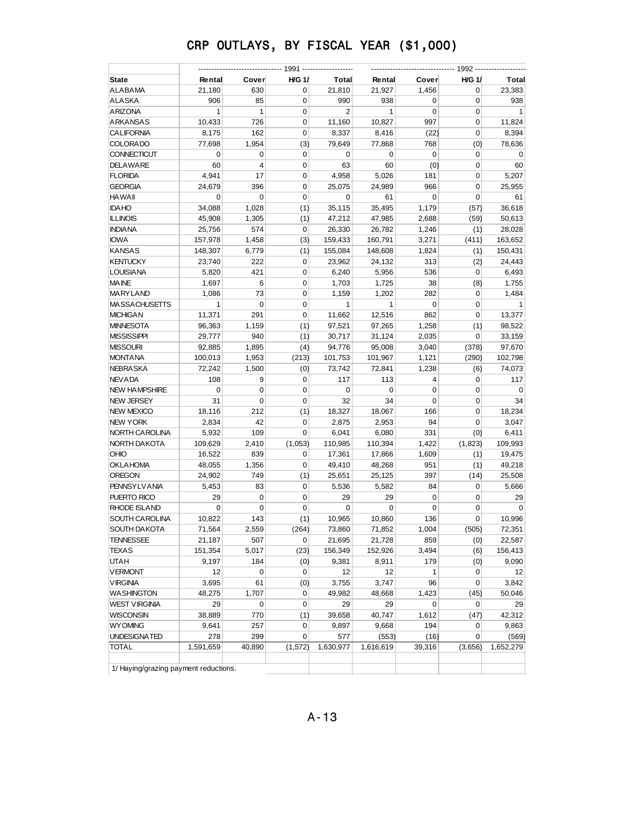| <b>State</b>                          | Rental       | Cover          | $H/G$ 1/    | Total          | Rental       | Cover       | H/G 1/      | Total        |
|---------------------------------------|--------------|----------------|-------------|----------------|--------------|-------------|-------------|--------------|
| ALABAMA                               | 21,180       | 630            | 0           | 21,810         | 21,927       | 1,456       | 0           | 23,383       |
| <b>ALASKA</b>                         | 906          | 85             | $\mathbf 0$ | 990            | 938          | 0           | 0           | 938          |
| <b>ARIZONA</b>                        | $\mathbf{1}$ | $\mathbf{1}$   | $\mathbf 0$ | $\overline{2}$ | $\mathbf{1}$ | $\mathbf 0$ | 0           | $\mathbf{1}$ |
| <b>ARKANSAS</b>                       | 10,433       | 726            | 0           | 11,160         | 10,827       | 997         | 0           | 11,824       |
| <b>CALIFORNIA</b>                     | 8,175        | 162            | 0           | 8,337          | 8,416        | (22)        | 0           | 8,394        |
| <b>COLORADO</b>                       | 77,698       | 1,954          | (3)         | 79,649         | 77,868       | 768         | (0)         | 78,636       |
| <b>CONNECTICUT</b>                    | 0            | 0              | 0           | 0              | 0            | 0           | 0           | 0            |
| <b>DELAWARE</b>                       | 60           | $\overline{4}$ | 0           | 63             | 60           | (0)         | 0           | 60           |
| <b>FLORIDA</b>                        | 4,941        | 17             | 0           | 4,958          | 5,026        | 181         | $\mathbf 0$ | 5,207        |
| <b>GEORGIA</b>                        | 24,679       | 396            | 0           | 25,075         | 24,989       | 966         | 0           | 25,955       |
| <b>HAWAII</b>                         | 0            | 0              | 0           | 0              | 61           | 0           | 0           | 61           |
| <b>IDAHO</b>                          | 34,088       | 1,028          | (1)         | 35,115         | 35,495       | 1,179       | (57)        | 36,618       |
| <b>ILLINOIS</b>                       | 45,908       | 1,305          | (1)         | 47,212         | 47,985       | 2,688       | (59)        | 50,613       |
| <b>INDIA NA</b>                       | 25,756       | 574            | $\mathbf 0$ | 26,330         | 26,782       | 1,246       | (1)         | 28,028       |
| <b>IOWA</b>                           | 157,978      | 1,458          | (3)         | 159,433        | 160,791      | 3,271       | (411)       | 163,652      |
| <b>KANSAS</b>                         | 148,307      | 6,779          | (1)         | 155,084        | 148,608      | 1,824       | (1)         | 150,431      |
| <b>KENTUCKY</b>                       | 23,740       | 222            | 0           | 23,962         | 24,132       | 313         | (2)         | 24,443       |
| <b>LOUISIANA</b>                      | 5,820        | 421            | 0           | 6,240          | 5,956        | 536         | 0           | 6,493        |
| <b>MAINE</b>                          | 1,697        | 6              | 0           | 1,703          | 1,725        | 38          | (8)         | 1,755        |
| <b>MARYLAND</b>                       | 1,086        | 73             | $\mathbf 0$ | 1,159          | 1,202        | 282         | 0           | 1,484        |
| <b>MASSACHUSETTS</b>                  | $\mathbf{1}$ | 0              | $\mathbf 0$ | $\mathbf{1}$   | $\mathbf{1}$ | 0           | $\mathbf 0$ | $\mathbf{1}$ |
| <b>MICHIGAN</b>                       | 11,371       | 291            | 0           | 11,662         | 12,516       | 862         | 0           | 13,377       |
| <b>MINNESOTA</b>                      | 96,363       | 1,159          | (1)         | 97,521         | 97,265       | 1,258       | (1)         | 98,522       |
| <b>MISSISSIPPI</b>                    | 29,777       | 940            | (1)         | 30,717         | 31,124       | 2,035       | 0           | 33,159       |
| <b>MISSOURI</b>                       | 92,885       | 1,895          | (4)         | 94,776         | 95,008       | 3,040       | (378)       | 97,670       |
| <b>MONTANA</b>                        | 100,013      | 1,953          | (213)       | 101,753        | 101,967      | 1,121       | (290)       | 102,798      |
| <b>NEBRA SKA</b>                      | 72,242       | 1,500          | (0)         | 73,742         | 72,841       | 1,238       | (6)         | 74,073       |
| <b>NEV ADA</b>                        | 108          | 9              | $\mathbf 0$ | 117            | 113          | 4           | 0           | 117          |
| <b>NEW HAMPSHIRE</b>                  | 0            | 0              | 0           | $\mathbf 0$    | 0            | 0           | 0           | 0            |
| <b>NEW JERSEY</b>                     | 31           | 0              | 0           | 32             | 34           | 0           | 0           | 34           |
| <b>NEW MEXICO</b>                     | 18,116       | 212            | (1)         | 18,327         | 18,067       | 166         | 0           | 18,234       |
| NEW YORK                              | 2,834        | 42             | 0           | 2,875          | 2,953        | 94          | $\mathbf 0$ | 3,047        |
| NORTH CAROLINA                        | 5,932        | 109            | 0           | 6,041          | 6,080        | 331         | (0)         | 6,411        |
| NORTH DAKOTA                          | 109,629      | 2,410          | (1,053)     | 110,985        | 110,394      | 1,422       | (1,823)     | 109,993      |
| <b>OHIO</b>                           | 16,522       | 839            | 0           | 17,361         | 17,866       | 1,609       | (1)         | 19,475       |
| <b>OKLAHOMA</b>                       | 48,055       | 1,356          | $\mathbf 0$ | 49,410         | 48,268       | 951         | (1)         | 49,218       |
| OREGON                                | 24,902       | 749            | (1)         | 25,651         | 25,125       | 397         | (14)        | 25,508       |
| <b>PENNSYLVANIA</b>                   | 5,453        | 83             | 0           | 5,536          | 5,582        | 84          | 0           | 5,666        |
| PUERTO RICO                           | 29           | 0              | $\mathbf 0$ | 29             | 29           | 0           | $\mathbf 0$ | 29           |
| RHODE ISLAND                          | $\mathbf 0$  | 0              | 0           | 0              | $\mathbf 0$  | 0           | 0           | $\mathbf 0$  |
| <b>SOUTH CAROLINA</b>                 | 10,822       | 143            | (1)         | 10,965         | 10,860       | 136         | 0           | 10,996       |
| SOUTH DAKOTA                          | 71,564       | 2,559          | (264)       | 73,860         | 71,852       | 1,004       | (505)       | 72,351       |
| TENNESSEE                             | 21,187       | 507            | 0           | 21,695         | 21,728       | 859         | (0)         | 22,587       |
| TEXAS                                 | 151,354      | 5,017          | (23)        | 156,349        | 152,926      | 3,494       | (6)         | 156,413      |
| <b>UTAH</b>                           | 9,197        | 184            | (0)         | 9,381          | 8,911        | 179         | (0)         | 9,090        |
| <b>VERMONT</b>                        | 12           | 0              | $\pmb{0}$   | 12             | 12           | 1           | 0           | 12           |
| <b>VIRGINIA</b>                       | 3,695        | 61             | (0)         | 3,755          | 3,747        | 96          | 0           | 3,842        |
| <b>WASHINGTON</b>                     | 48,275       | 1,707          | 0           | 49,982         | 48,668       | 1,423       | (45)        | 50,046       |
| <b>WEST VIRGINIA</b>                  | 29           | 0              | 0           | 29             | 29           | 0           | 0           | 29           |
| <b>WISCONSIN</b>                      | 38,889       | 770            | (1)         | 39,658         | 40,747       | 1,612       | (47)        | 42,312       |
| <b>WYOMING</b>                        | 9,641        | 257            | 0           | 9,897          | 9,668        | 194         | 0           | 9,863        |
| UNDESIGNATED                          | 278          | 299            | 0           | 577            | (553)        | (16)        | 0           | (569)        |
| <b>TOTAL</b>                          | 1,591,659    | 40,890         | (1, 572)    | 1,630,977      | 1,616,619    | 39,316      | (3,656)     | 1,652,279    |
| 1/ Haying/grazing payment reductions. |              |                |             |                |              |             |             |              |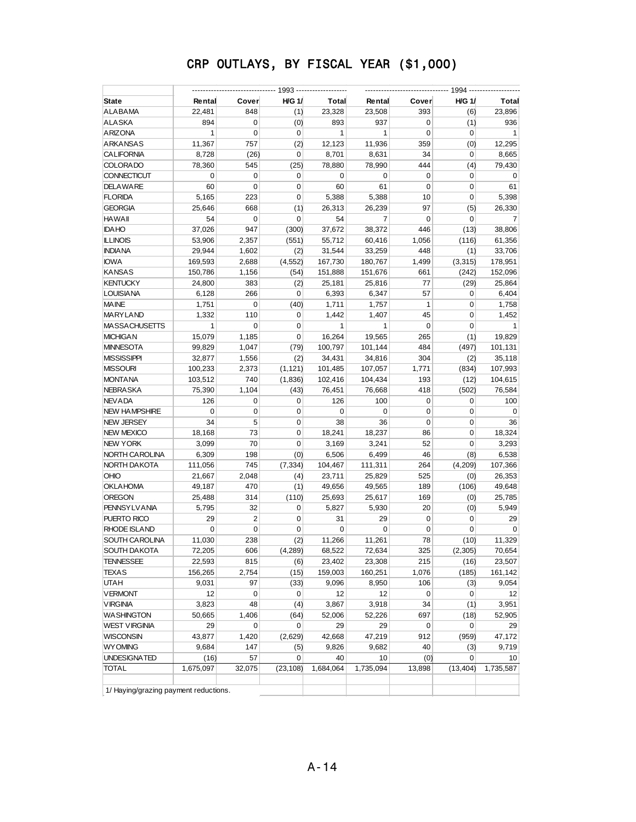| State                                 | Rental          | Cover          | <b>H/G 1/</b> | Total           | Rental          | Cover       | <b>H/G 1/</b> | Total           |  |
|---------------------------------------|-----------------|----------------|---------------|-----------------|-----------------|-------------|---------------|-----------------|--|
| ALABAMA                               | 22,481          | 848            | (1)           | 23,328          | 23,508          | 393         | (6)           | 23,896          |  |
| ALASKA                                | 894             | 0              | (0)           | 893             | 937             | 0           | (1)           | 936             |  |
| <b>ARIZONA</b>                        | $\mathbf{1}$    | 0              | $\mathbf 0$   | $\mathbf{1}$    | $\mathbf{1}$    | $\mathbf 0$ | $\mathbf 0$   | $\mathbf{1}$    |  |
| ARKANSAS                              | 11,367          | 757            | (2)           | 12,123          | 11,936          | 359         | (0)           | 12,295          |  |
| CALIFORNIA                            | 8,728           | (26)           | 0             | 8,701           | 8,631           | 34          | $\mathbf 0$   | 8,665           |  |
| <b>COLORADO</b>                       | 78,360          | 545            | (25)          | 78,880          | 78,990          | 444         | (4)           | 79,430          |  |
| CONNECTICUT                           | 0               | 0              | 0             | 0               | 0               | 0           | $\mathbf 0$   | 0               |  |
| DELAWARE                              | 60              | $\mathbf 0$    | 0             | 60              | 61              | 0           | 0             | 61              |  |
| <b>FLORIDA</b>                        | 5,165           | 223            | 0             | 5,388           | 5,388           | 10          | $\mathbf 0$   | 5,398           |  |
| GEORGIA                               | 25,646          | 668            | (1)           | 26,313          | 26,239          | 97          | (5)           | 26,330          |  |
| HAWAII                                | 54              | $\mathbf 0$    | 0             | 54              | 7               | 0           | 0             | 7               |  |
| <b>IDAHO</b>                          | 37,026          | 947            | (300)         | 37,672          | 38,372          | 446         | (13)          | 38,806          |  |
| <b>ILLINOIS</b>                       | 53,906          | 2,357          | (551)         | 55,712          | 60,416          | 1,056       | (116)         | 61,356          |  |
| <b>INDIANA</b>                        | 29,944          | 1,602          | (2)           | 31,544          | 33,259          | 448         | (1)           | 33,706          |  |
| <b>IOWA</b>                           | 169,593         | 2,688          | (4, 552)      | 167,730         | 180,767         | 1,499       | (3,315)       | 178,951         |  |
| <b>KANSAS</b>                         | 150,786         | 1,156          | (54)          | 151,888         | 151,676         | 661         | (242)         | 152,096         |  |
| <b>KENTUCKY</b>                       | 24,800          | 383            | (2)           | 25,181          | 25,816          | 77          | (29)          | 25,864          |  |
| LOUISIANA                             | 6,128           | 266            | 0             | 6,393           | 6,347           | 57          | 0             | 6,404           |  |
| <b>MAINE</b>                          | 1,751           | 0              | (40)          | 1,711           | 1,757           | 1           | 0             | 1,758           |  |
| MARYLAND                              | 1,332           | 110            | 0             | 1,442           | 1,407           | 45          | 0             | 1,452           |  |
| <b>MASSACHUSETTS</b>                  | $\mathbf{1}$    | 0              | 0             | $\mathbf{1}$    | $\mathbf{1}$    | 0           | $\mathbf 0$   | $\mathbf{1}$    |  |
| <b>MICHIGAN</b>                       | 15,079          | 1,185          | 0             | 16,264          | 19,565          | 265         | (1)           | 19,829          |  |
| <b>MINNESOTA</b>                      | 99,829          | 1,047          | (79)          | 100,797         | 101,144         | 484         | (497)         | 101,131         |  |
| <b>MISSISSIPPI</b>                    | 32,877          | 1,556          | (2)           | 34,431          | 34,816          | 304         | (2)           | 35,118          |  |
| <b>MISSOURI</b>                       | 100,233         | 2,373          | (1, 121)      | 101,485         | 107,057         | 1,771       | (834)         | 107,993         |  |
| <b>MONTANA</b>                        | 103,512         | 740            | (1,836)       | 102,416         | 104,434         | 193         | (12)          | 104,615         |  |
| <b>NEBRA SKA</b>                      | 75,390          | 1,104          | (43)          | 76,451          | 76,668          | 418         | (502)         | 76,584          |  |
| <b>NEVADA</b>                         | 126             | 0              | 0             | 126             | 100             | 0           | 0             | 100             |  |
| <b>NEW HAMPSHIRE</b>                  | 0               | 0              | 0             | 0               | 0               | 0           | 0             | 0               |  |
| <b>NEW JERSEY</b>                     | 34              | 5              | 0             | 38              | 36              | $\mathbf 0$ | 0             | 36              |  |
| <b>NEW MEXICO</b>                     | 18,168          | 73             | 0             | 18,241          | 18,237          | 86          | $\mathbf 0$   | 18,324          |  |
| NEW YORK                              | 3,099           | 70             | 0             | 3,169           | 3,241           | 52          | $\mathbf 0$   | 3,293           |  |
| NORTH CAROLINA                        | 6,309           | 198            | (0)           | 6,506           | 6,499           | 46          | (8)           | 6,538           |  |
| NORTH DAKOTA                          | 111,056         | 745            | (7, 334)      | 104,467         | 111,311         | 264         | (4,209)       | 107,366         |  |
| OHIO                                  | 21,667          | 2,048          | (4)           | 23,711          | 25,829          | 525         | (0)           | 26,353          |  |
| <b>OKLAHOMA</b>                       | 49,187          | 470            | (1)           | 49,656          | 49,565          | 189         | (106)         | 49,648          |  |
| OREGON                                | 25,488          | 314            | (110)         | 25,693          | 25,617          | 169         | (0)           | 25,785          |  |
| <b>PENNSYLVANIA</b>                   | 5,795           | 32             | 0             | 5,827           | 5,930           | 20          | (0)           | 5,949           |  |
| PUERTO RICO                           | 29              | $\overline{2}$ | 0             | 31              | 29              | 0           | $\mathbf 0$   | 29              |  |
| <b>RHODE ISLAND</b>                   | $\mathbf 0$     | $\mathbf 0$    | 0             | 0               | $\mathbf 0$     | 0           | 0             | $\mathbf 0$     |  |
| SOUTH CAROLINA                        | 11,030          | 238            | (2)           | 11,266          | 11,261          | 78          | (10)          | 11,329          |  |
| SOUTH DAKOTA                          | 72,205          | 606            | (4, 289)      | 68,522          | 72,634          | 325         | (2, 305)      | 70,654          |  |
| TENNESSEE                             | 22,593          | 815            | (6)           | 23,402          | 23,308          | 215         | (16)          | 23,507          |  |
| <b>TEXAS</b>                          | 156,265         | 2,754          | (15)          | 159,003         | 160,251         | 1,076       | (185)         | 161,142         |  |
| UTAH                                  | 9,031           | 97             | (33)          | 9,096           | 8,950           | 106         | (3)           | 9,054           |  |
| <b>VERMONT</b>                        | 12              | 0              | 0             | 12              | 12              | 0           | $\mathbf 0$   | 12              |  |
| <b>VIRGINIA</b>                       |                 | 48             |               |                 |                 | 34          |               |                 |  |
| <b>WASHINGTON</b>                     | 3,823<br>50,665 | 1,406          | (4)<br>(64)   | 3,867<br>52,006 | 3,918<br>52,226 | 697         | (1)<br>(18)   | 3,951<br>52,905 |  |
| WEST VIRGINIA                         | 29              | $\mathbf 0$    | 0             | 29              | 29              | 0           | 0             | 29              |  |
|                                       | 43,877          |                |               |                 | 47,219          |             |               | 47,172          |  |
| WISCONSIN                             |                 | 1,420          | (2,629)       | 42,668          |                 | 912         | (959)         |                 |  |
| <b>WYOMING</b>                        | 9,684           | 147            | (5)           | 9,826           | 9,682           | 40          | (3)           | 9,719           |  |
| UNDESIGNATED                          | (16)            | 57             | 0             | 40<br>1,684,064 | 10              | (0)         | 0             | 10              |  |
| <b>TOTAL</b>                          | 1,675,097       | 32,075         | (23, 108)     |                 | 1,735,094       | 13,898      | (13, 404)     | 1,735,587       |  |
| 1/ Haying/grazing payment reductions. |                 |                |               |                 |                 |             |               |                 |  |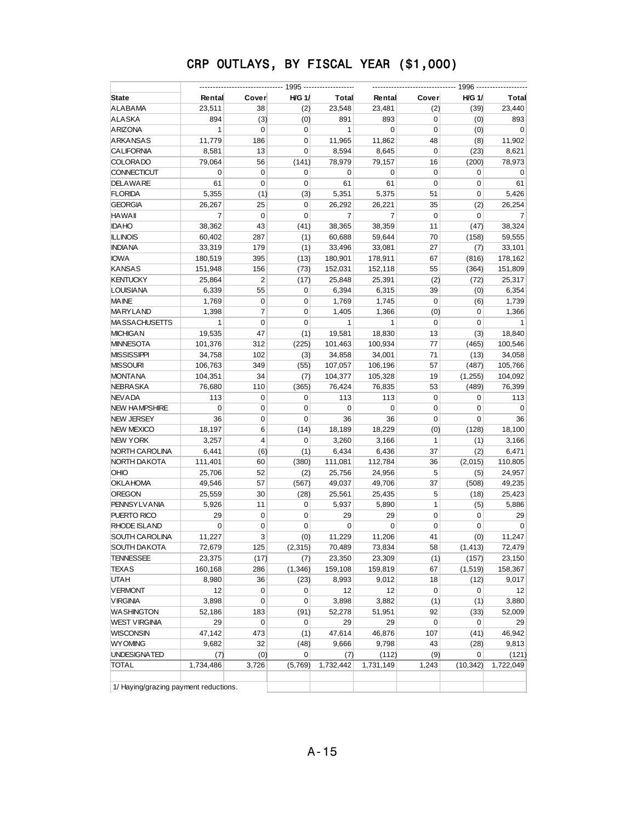| State                                 | Rental         | Cover          | <b>H/G 1/</b> | Total        | Rental       | Cover       | <b>H/G 1/</b> | Total        |
|---------------------------------------|----------------|----------------|---------------|--------------|--------------|-------------|---------------|--------------|
| ALABAMA                               | 23,511         | 38             | (2)           | 23,548       | 23,481       | (2)         | (39)          | 23,440       |
| ALASKA                                | 894            | (3)            | (0)           | 891          | 893          | 0           | (0)           | 893          |
| <b>ARIZONA</b>                        | $\mathbf{1}$   | $\mathbf 0$    | 0             | $\mathbf{1}$ | $\mathbf 0$  | 0           | (0)           | $\mathbf 0$  |
| <b>ARKANSAS</b>                       | 11,779         | 186            | 0             | 11,965       | 11,862       | 48          | (8)           | 11,902       |
| <b>CALIFORNIA</b>                     | 8,581          | 13             | $\mathbf 0$   | 8,594        | 8,645        | $\mathbf 0$ | (23)          | 8,621        |
| <b>COLORADO</b>                       | 79,064         | 56             | (141)         | 78,979       | 79,157       | 16          | (200)         | 78,973       |
| <b>CONNECTICUT</b>                    | 0              | $\mathbf 0$    | 0             | 0            | $\mathbf 0$  | 0           | 0             | 0            |
| <b>DELAWARE</b>                       | 61             | $\mathbf 0$    | 0             | 61           | 61           | 0           | 0             | 61           |
| <b>FLORIDA</b>                        | 5,355          | (1)            | (3)           | 5,351        | 5,375        | 51          | 0             | 5,426        |
| <b>GEORGIA</b>                        | 26,267         | 25             | 0             | 26,292       | 26,221       | 35          | (2)           | 26,254       |
| <b>HAWAII</b>                         | $\overline{7}$ | $\mathbf 0$    | 0             | 7            | 7            | 0           | 0             | 7            |
| <b>IDAHO</b>                          | 38,362         | 43             | (41)          | 38,365       | 38,359       | 11          | (47)          | 38,324       |
| <b>ILLINOIS</b>                       | 60,402         | 287            | (1)           | 60,688       | 59,644       | 70          | (158)         | 59,555       |
| <b>INDIANA</b>                        | 33,319         | 179            | (1)           | 33,496       | 33,081       | 27          | (7)           | 33,101       |
| <b>IOWA</b>                           | 180,519        | 395            | (13)          | 180,901      | 178,911      | 67          | (816)         | 178,162      |
| <b>KANSAS</b>                         | 151,948        | 156            | (73)          | 152,031      | 152,118      | 55          | (364)         | 151,809      |
| <b>KENTUCKY</b>                       | 25,864         | $\overline{2}$ | (17)          | 25,848       | 25,391       | (2)         | (72)          | 25,317       |
| LOUISIANA                             | 6,339          | 55             | 0             | 6,394        | 6,315        | 39          | (0)           | 6,354        |
| <b>MAINE</b>                          | 1,769          | $\pmb{0}$      | 0             | 1,769        | 1,745        | 0           | (6)           | 1,739        |
| MARYLAND                              | 1,398          | 7              | 0             | 1,405        | 1,366        | (0)         | 0             | 1,366        |
| <b>MASSACHUSETTS</b>                  | $\mathbf{1}$   | $\mathbf 0$    | $\mathbf 0$   | 1            | $\mathbf{1}$ | 0           | $\pmb{0}$     | $\mathbf{1}$ |
| <b>MICHIGAN</b>                       | 19,535         | 47             | (1)           | 19,581       | 18,830       | 13          | (3)           | 18,840       |
| MINNESOTA                             | 101,376        | 312            | (225)         | 101,463      | 100,934      | 77          | (465)         | 100,546      |
| MISSISSIPPI                           | 34,758         | 102            | (3)           | 34,858       | 34,001       | 71          | (13)          | 34,058       |
| <b>MISSOURI</b>                       | 106,763        | 349            | (55)          | 107,057      | 106,196      | 57          | (487)         | 105,766      |
| <b>MONTANA</b>                        | 104,351        | 34             | (7)           | 104,377      | 105,328      | 19          | (1,255)       | 104,092      |
| NEBRASKA                              | 76,680         | 110            | (365)         | 76,424       | 76,835       | 53          | (489)         | 76,399       |
| <b>NEVADA</b>                         | 113            | 0              | 0             | 113          | 113          | 0           | 0             | 113          |
| <b>NEW HAMPSHIRE</b>                  | $\mathbf 0$    | 0              | 0             | 0            | 0            | 0           | 0             | 0            |
| <b>NEW JERSEY</b>                     | 36             | 0              | 0             | 36           | 36           | 0           | 0             | 36           |
| <b>NEW MEXICO</b>                     | 18,197         | 6              | (14)          | 18,189       | 18,229       | (0)         | (128)         | 18,100       |
| <b>NEW YORK</b>                       | 3,257          | $\overline{4}$ | 0             | 3,260        | 3,166        | 1           | (1)           | 3,166        |
| NORTH CAROLINA                        | 6,441          | (6)            | (1)           | 6,434        | 6,436        | 37          | (2)           | 6,471        |
| NORTH DAKOTA                          | 111,401        | 60             | (380)         | 111,081      | 112,784      | 36          | (2,015)       | 110,805      |
| OHIO                                  | 25,706         | 52             | (2)           | 25,756       | 24,956       | 5           | (5)           | 24,957       |
| <b>OKLAHOMA</b>                       | 49,546         | 57             | (567)         | 49,037       | 49,706       | 37          | (508)         | 49,235       |
| <b>OREGON</b>                         | 25,559         | 30             | (28)          | 25,561       | 25,435       | 5           | (18)          | 25,423       |
| <b>PENNSYLVANIA</b>                   | 5,926          | 11             | 0             | 5,937        | 5,890        | 1           | (5)           | 5,886        |
| PUERTO RICO                           | 29             | $\mathbf 0$    | 0             | 29           | 29           | 0           | 0             | 29           |
| <b>RHODE ISLAND</b>                   | $\mathbf 0$    | 0              | 0             | $\mathbf 0$  | $\mathbf 0$  | 0           | 0             | $\mathbf 0$  |
| SOUTH CAROLINA                        | 11,227         | $\mathsf 3$    | (0)           | 11,229       | 11,206       | 41          | (0)           | 11,247       |
| SOUTH DAKOTA                          | 72,679         | 125            | (2, 315)      | 70,489       | 73,834       | 58          | (1, 413)      | 72,479       |
| TENNESSEE                             | 23,375         | (17)           | (7)           | 23,350       | 23,309       | (1)         | (157)         | 23,150       |
| <b>TEXAS</b>                          | 160,168        | 286            | (1,346)       | 159,108      | 159,819      | 67          | (1,519)       | 158,367      |
| <b>UTAH</b>                           | 8,980          | 36             | (23)          | 8,993        | 9,012        | 18          | (12)          | 9,017        |
| <b>VERMONT</b>                        | 12             | 0              | 0             | 12           | 12           | 0           | 0             | 12           |
| <b>VIRGINIA</b>                       | 3,898          | 0              | 0             | 3,898        | 3,882        | (1)         | (1)           | 3,880        |
| <b>WASHINGTON</b>                     | 52,186         | 183            | (91)          | 52,278       | 51,951       | 92          | (33)          | 52,009       |
| <b>WEST VIRGINIA</b>                  | 29             | 0              | 0             | 29           | 29           | 0           | 0             | 29           |
| <b>WISCONSIN</b>                      | 47,142         | 473            | (1)           | 47,614       | 46,876       | 107         | (41)          | 46,942       |
| <b>WYOMING</b>                        | 9,682          | 32             | (48)          | 9,666        | 9,798        | 43          | (28)          | 9,813        |
| UNDESIGNATED                          | (7)            | (0)            | 0             | (7)          | (112)        | (9)         | 0             | (121)        |
| <b>TOTAL</b>                          | 1,734,486      | 3,726          | (5,769)       | 1,732,442    | 1,731,149    | 1,243       | (10, 342)     | 1,722,049    |
|                                       |                |                |               |              |              |             |               |              |
| 1/ Haying/grazing payment reductions. |                |                |               |              |              |             |               |              |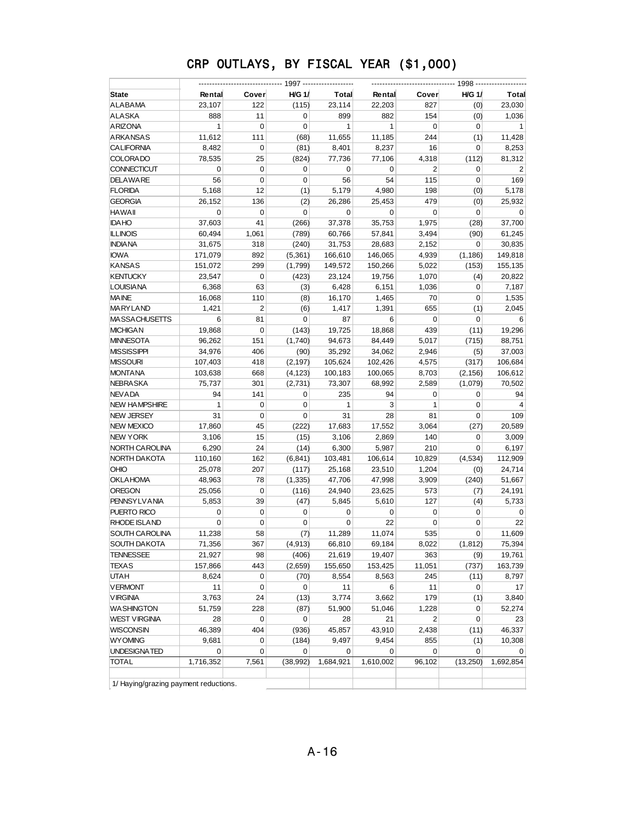| State                | Rental       | Cover          | <b>H/G 1/</b> | Total        | Rental       | Cover          | <b>H/G 1/</b> | Total          |
|----------------------|--------------|----------------|---------------|--------------|--------------|----------------|---------------|----------------|
| ALABAMA              | 23,107       | 122            | (115)         | 23,114       | 22,203       | 827            | (0)           | 23,030         |
| ALASKA               | 888          | 11             | 0             | 899          | 882          | 154            | (0)           | 1,036          |
| <b>ARIZONA</b>       | $\mathbf{1}$ | $\mathbf 0$    | 0             | $\mathbf{1}$ | $\mathbf{1}$ | $\mathbf 0$    | 0             | $\mathbf{1}$   |
| ARKANSAS             | 11,612       | 111            | (68)          | 11,655       | 11,185       | 244            | (1)           | 11,428         |
| <b>CALIFORNIA</b>    | 8,482        | $\mathbf 0$    | (81)          | 8,401        | 8,237        | 16             | $\mathbf 0$   | 8,253          |
| <b>COLORADO</b>      | 78,535       | 25             | (824)         | 77,736       | 77,106       | 4,318          | (112)         | 81,312         |
| <b>CONNECTICUT</b>   | $\mathbf 0$  | $\mathbf 0$    | 0             | 0            | 0            | $\overline{2}$ | 0             | $\overline{2}$ |
| <b>DELAWARE</b>      | 56           | $\mathbf 0$    | 0             | 56           | 54           | 115            | 0             | 169            |
| <b>FLORIDA</b>       | 5,168        | 12             | (1)           | 5,179        | 4,980        | 198            | (0)           | 5,178          |
| <b>GEORGIA</b>       | 26,152       | 136            | (2)           | 26,286       | 25,453       | 479            | (0)           | 25,932         |
| <b>HAWAII</b>        | $\mathbf 0$  | $\mathbf 0$    | $\mathbf 0$   | 0            | 0            | 0              | 0             | 0              |
| <b>IDAHO</b>         | 37,603       | 41             | (266)         | 37,378       | 35,753       | 1,975          | (28)          | 37,700         |
| <b>ILLINOIS</b>      | 60,494       | 1,061          | (789)         | 60,766       | 57,841       | 3,494          | (90)          | 61,245         |
| <b>INDIANA</b>       | 31,675       | 318            | (240)         | 31,753       | 28,683       | 2,152          | 0             | 30,835         |
| <b>IOWA</b>          | 171,079      | 892            | (5,361)       | 166,610      | 146,065      | 4,939          | (1, 186)      | 149,818        |
| <b>KANSAS</b>        | 151,072      | 299            | (1,799)       | 149,572      | 150,266      | 5,022          | (153)         | 155,135        |
| <b>KENTUCKY</b>      | 23,547       | $\mathbf 0$    | (423)         | 23,124       | 19,756       | 1,070          | (4)           | 20,822         |
| <b>LOUISIANA</b>     | 6,368        | 63             | (3)           | 6,428        | 6,151        | 1,036          | 0             | 7,187          |
| <b>MAINE</b>         | 16,068       | 110            | (8)           | 16,170       | 1,465        | 70             | 0             | 1,535          |
| MARYLAND             | 1,421        | $\overline{2}$ | (6)           | 1,417        | 1,391        | 655            | (1)           | 2,045          |
| <b>MASSACHUSETTS</b> | 6            | 81             | 0             | 87           | 6            | 0              | 0             | 6              |
| <b>MICHIGAN</b>      | 19,868       | $\mathbf 0$    | (143)         | 19,725       | 18,868       | 439            | (11)          | 19,296         |
| <b>MINNESOTA</b>     | 96,262       | 151            | (1,740)       | 94,673       | 84,449       | 5,017          | (715)         | 88,751         |
| MISSISSIPPI          | 34,976       | 406            | (90)          | 35,292       | 34,062       | 2,946          | (5)           | 37,003         |
| MISSOURI             | 107,403      | 418            | (2, 197)      | 105,624      | 102,426      | 4,575          | (317)         | 106,684        |
| MONTANA              | 103,638      | 668            | (4, 123)      | 100,183      | 100,065      | 8,703          | (2, 156)      | 106,612        |
| <b>NEBRA SKA</b>     | 75,737       | 301            | (2,731)       | 73,307       | 68,992       | 2,589          | (1,079)       | 70,502         |
| <b>NEVADA</b>        | 94           | 141            | 0             | 235          | 94           | 0              | 0             | 94             |
| <b>NEW HAMPSHIRE</b> | $\mathbf{1}$ | 0              | 0             | 1            | 3            | $\mathbf{1}$   | 0             | $\overline{4}$ |
| NEW JERSEY           | 31           | $\mathbf 0$    | $\pmb{0}$     | 31           | 28           | 81             | 0             | 109            |
| <b>NEW MEXICO</b>    | 17,860       | 45             | (222)         | 17,683       | 17,552       | 3,064          | (27)          | 20,589         |
| NEW YORK             | 3,106        | 15             | (15)          | 3,106        | 2,869        | 140            | 0             | 3,009          |
| NORTH CAROLINA       | 6,290        | 24             | (14)          | 6,300        | 5,987        | 210            | 0             | 6,197          |
| NORTH DA KOTA        | 110,160      | 162            | (6, 841)      | 103,481      | 106,614      | 10,829         | (4, 534)      | 112,909        |
| OHIO                 | 25,078       | 207            | (117)         | 25,168       | 23,510       | 1,204          | (0)           | 24,714         |
| <b>OKLAHOMA</b>      | 48,963       | 78             | (1, 335)      | 47,706       | 47,998       | 3,909          | (240)         | 51,667         |
| OREGON               | 25,056       | $\pmb{0}$      | (116)         | 24,940       | 23,625       | 573            | (7)           | 24,191         |
| <b>PENNSYLVANIA</b>  | 5,853        | 39             | (47)          | 5,845        | 5,610        | 127            | (4)           | 5,733          |
| PUERTO RICO          | $\mathbf 0$  | 0              | 0             | $\mathbf 0$  | 0            | 0              | 0             | 0              |
| RHODE ISLAND         | $\mathbf 0$  | $\mathbf 0$    | $\mathbf 0$   | $\mathbf 0$  | 22           | 0              | 0             | 22             |
| SOUTH CAROLINA       | 11,238       | 58             | (7)           | 11,289       | 11,074       | 535            | 0             | 11,609         |
| SOUTH DAKOTA         | 71,356       | 367            | (4, 913)      | 66,810       | 69,184       | 8,022          | (1, 812)      | 75,394         |
| TENNESSEE            | 21,927       | 98             | (406)         | 21,619       | 19,407       | 363            | (9)           | 19,761         |
| TEXAS                | 157,866      | 443            | (2,659)       | 155,650      | 153,425      | 11,051         | (737)         | 163,739        |
| UTAH                 | 8,624        | $\pmb{0}$      | (70)          | 8,554        | 8,563        | 245            | (11)          | 8,797          |
| <b>VERMONT</b>       | 11           | $\mathbf 0$    | 0             | 11           | 6            | 11             | 0             | 17             |
| <b>VIRGINIA</b>      | 3,763        | 24             | (13)          | 3,774        | 3,662        | 179            | (1)           | 3,840          |
| <b>WA SHINGTON</b>   | 51,759       | 228            | (87)          | 51,900       | 51,046       | 1,228          | 0             | 52,274         |
| WEST VIRGINIA        | 28           | 0              | 0             | 28           | 21           | $\overline{2}$ | 0             | 23             |
| WISCONSIN            | 46,389       | 404            | (936)         | 45,857       | 43,910       | 2,438          | (11)          | 46,337         |
| <b>WYOMING</b>       | 9,681        | 0              | (184)         | 9,497        | 9,454        | 855            | (1)           | 10,308         |
| UNDESIGNATED         | $\mathbf 0$  | 0              | 0             | 0            | 0            | 0              | 0             | 0              |
| <b>TOTAL</b>         | 1,716,352    | 7,561          | (38, 992)     | 1,684,921    | 1,610,002    | 96,102         | (13, 250)     | 1,692,854      |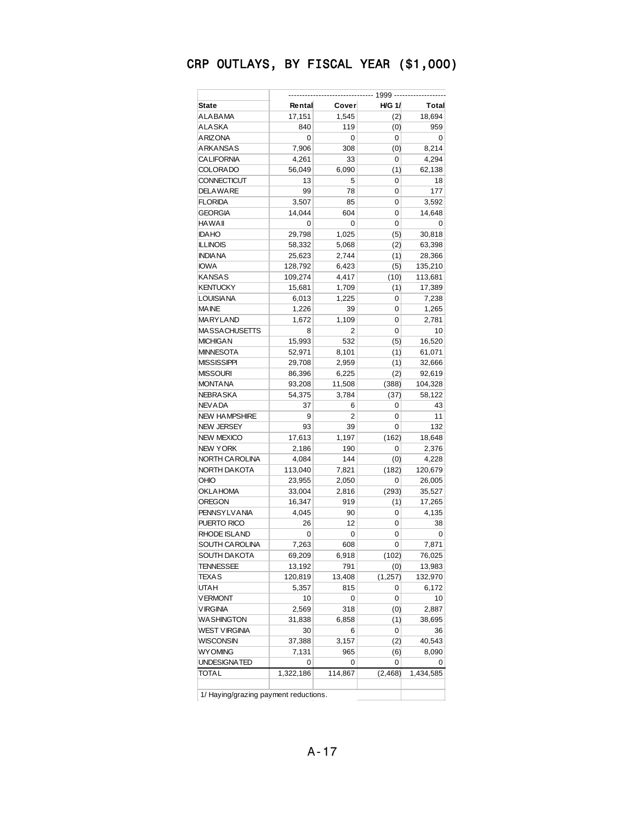|                       |                | ---- 1999 ------- |               |              |
|-----------------------|----------------|-------------------|---------------|--------------|
| State                 | Rental         | Cover             | <b>H/G 1/</b> | <b>Total</b> |
| ALABAMA               | 17,151         | 1,545             | (2)           | 18,694       |
| ALASKA                | 840            | 119               | (0)           | 959          |
| ARIZONA               | 0              | 0                 | 0             | 0            |
| ARKANSAS              | 7,906          | 308               | (0)           | 8,214        |
| <b>CALIFORNIA</b>     | 4,261          | 33                | 0             | 4,294        |
| <b>COLORADO</b>       | 56,049         | 6,090             | (1)           | 62,138       |
| CONNECTICUT           | 13             | 5                 | 0             | 18           |
| DELAWARE              | 99             | 78                | 0             | 177          |
| <b>FLORIDA</b>        | 3,507          | 85                | 0             | 3,592        |
| GEORGIA               | 14,044         | 604               | 0             | 14,648       |
| HAWAII                | 0              | 0                 | 0             | 0            |
| <b>IDAHO</b>          | 29,798         | 1,025             | (5)           | 30,818       |
| <b>ILLINOIS</b>       | 58,332         | 5,068             | (2)           | 63,398       |
| <b>INDIA NA</b>       | 25,623         | 2,744             | (1)           | 28,366       |
| <b>IOWA</b>           | 128,792        | 6,423             | (5)           | 135,210      |
| KANSAS                | 109,274        | 4,417             | (10)          | 113,681      |
| KENTUCKY              | 15,681         | 1,709             | (1)           | 17,389       |
| <b>LOUISIANA</b>      | 6,013          | 1,225             | 0             | 7,238        |
| MA INE                | 1,226          | 39                | 0             | 1,265        |
| MARYLAND              | 1,672          | 1,109             | 0             | 2,781        |
| <b>MASSACHUSETTS</b>  | 8              | 2                 | 0             | 10           |
| <b>MICHIGAN</b>       | 15,993         | 532               | (5)           | 16,520       |
| <b>MINNESOTA</b>      | 52,971         | 8,101             | (1)           | 61,071       |
| MISSISSIPPI           | 29,708         | 2,959             | (1)           | 32,666       |
| <b>MISSOURI</b>       | 86,396         | 6,225             | (2)           | 92,619       |
| <b>MONTANA</b>        | 93,208         | 11,508            | (388)         | 104,328      |
| NEBRA SKA             | 54,375         | 3,784             | (37)          | 58,122       |
| NEVADA                | 37             | 6                 | 0             | 43           |
| <b>NEW HAMPSHIRE</b>  | 9              | 2                 | 0             | 11           |
| NEW JERSEY            | 93             | 39                | 0             | 132          |
| <b>NEW MEXICO</b>     | 17,613         | 1,197             | (162)         | 18,648       |
| <b>NEW YORK</b>       | 2,186          | 190               | 0             |              |
| NORTH CA ROLINA       | 4,084          | 144               |               | 2,376        |
| NORTH DA KOTA         |                |                   | (0)           | 4,228        |
| OHIO                  | 113,040        | 7,821             | (182)<br>0    | 120,679      |
|                       | 23,955         | 2,050             | (293)         | 26,005       |
| OKLAHOMA              | 33,004         | 2,816             |               | 35,527       |
| OREGON                | 16,347         | 919               | (1)           | 17,265       |
| <b>PENNSYLVANIA</b>   | 4,045          | 90                | 0             | 4,135        |
| PUERTO RICO           | 26             | 12                | 0             | 38           |
| RHODE ISLAND          | 0              | 0                 | 0             | 0            |
| <b>SOUTH CAROLINA</b> | 7,263          | 608               | 0             | 7,871        |
| SOUTH DAKOTA          | 69,209         | 6,918             | (102)         | 76,025       |
| TENNESSEE             | 13,192         | 791               | (0)           | 13,983       |
| TEXAS                 | 120,819        | 13,408            | (1, 257)      | 132,970      |
| UTAH                  | 5,357          | 815               | 0             | 6,172        |
| <b>VERMONT</b>        | 10             | 0                 | 0             | 10           |
| <b>VIRGINIA</b>       | 2,569          | 318               | (0)           | 2,887        |
| <b>WASHINGTON</b>     | 31,838         | 6,858             | (1)           | 38,695       |
| WEST VIRGINIA         | 30             | 6                 | 0             | 36           |
| WISCONSIN             | 37,388         | 3,157             | (2)           | 40,543       |
| <b>WYOMING</b>        | 7,131          | 965               | (6)           | 8,090        |
| UNDESIGNATED          | 0<br>1,322,186 | 0                 | 0             | 0            |
| TOTAL                 |                | 114,867           | (2, 468)      | 1,434,585    |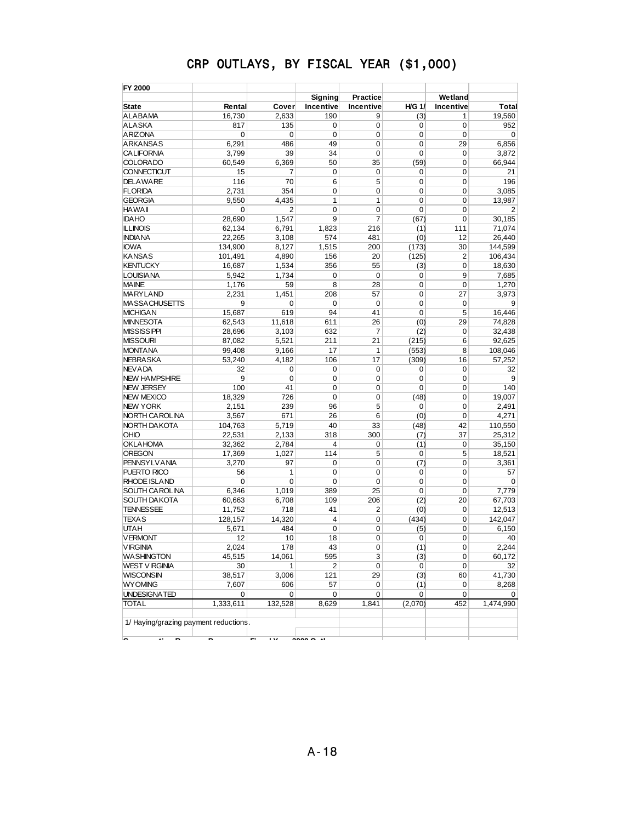| FY 2000                                    |                  |                          |                |                  |                  |                |                 |
|--------------------------------------------|------------------|--------------------------|----------------|------------------|------------------|----------------|-----------------|
|                                            |                  |                          | Signing        | Practice         |                  | Wetland        |                 |
| <b>State</b>                               | Rental           | Cover                    | Incentive      | <b>Incentive</b> | <b>H/G 1/</b>    | Incentive      | Total           |
| <b>ALABAMA</b>                             | 16.730           | 2,633                    | 190            | 9                | (3)              | 1              | 19,560          |
| <b>ALASKA</b>                              | 817              | 135                      | 0              | 0                | 0                | 0              | 952             |
| <b>ARIZONA</b>                             | 0                | 0                        | $\mathbf 0$    | 0                | $\mathbf 0$      | $\mathbf 0$    | $\mathbf 0$     |
| <b>ARKANSAS</b>                            | 6,291            | 486                      | 49             | 0                | $\mathbf 0$      | 29             | 6,856           |
| <b>CALIFORNIA</b>                          | 3,799            | 39                       | 34             | 0                | $\mathbf 0$      | $\mathbf 0$    | 3,872           |
| <b>COLORADO</b>                            | 60,549           | 6,369                    | 50             | 35               | (59)             | $\mathbf 0$    | 66,944          |
| <b>CONNECTICUT</b>                         | 15               | 7                        | $\mathbf 0$    | 0                | $\mathbf 0$      | $\mathbf 0$    | 21              |
| <b>DELAWARE</b>                            | 116              | 70                       | 6              | 5                | $\mathbf 0$      | $\mathbf 0$    | 196             |
| <b>FLORIDA</b>                             | 2,731            | 354                      | $\mathbf 0$    | 0                | $\mathbf 0$      | 0              | 3,085           |
| <b>GEORGIA</b>                             | 9,550            | 4,435                    | 1              | 1                | $\mathbf 0$      | $\mathbf 0$    | 13,987          |
| <b>HAWAII</b>                              | 0                | 2                        | $\mathbf 0$    | 0                | $\mathbf 0$      | $\mathbf 0$    | $\overline{2}$  |
| <b>IDAHO</b>                               | 28.690           | 1,547                    | 9              | 7                | (67)             | $\mathbf 0$    | 30,185          |
| <b>ILLINOIS</b>                            | 62,134           | 6,791                    | 1,823          | 216              | (1)              | 111            | 71,074          |
| <b>INDIANA</b>                             | 22,265           | 3,108                    | 574            | 481              | (0)              | 12             | 26,440          |
| <b>IOWA</b>                                | 134,900          | 8,127                    | 1,515          | 200              | (173)            | 30             | 144,599         |
| <b>KANSAS</b>                              | 101,491          | 4,890                    | 156            | 20               | (125)            | $\overline{2}$ | 106,434         |
| <b>KENTUCKY</b>                            | 16,687           | 1,534                    | 356            | 55               | (3)              | 0              | 18,630          |
| <b>LOUISIANA</b>                           | 5,942            | 1,734                    | 0              | 0                | 0                | 9              | 7,685           |
| <b>MAINE</b>                               | 1,176            | 59                       | 8              | 28               | $\mathbf 0$      | 0              | 1,270           |
| <b>MARYLAND</b>                            | 2,231            | 1,451                    | 208            | 57               | $\mathbf 0$      | 27             | 3,973           |
| <b>MASSACHUSETTS</b>                       | 9                | 0                        | $\mathbf 0$    | 0                | $\mathbf 0$      | $\mathbf 0$    | 9               |
| <b>MICHIGAN</b>                            | 15,687           | 619                      | 94             | 41               | $\mathbf 0$      | 5              | 16,446          |
| <b>MINNESOTA</b>                           | 62,543           | 11,618                   | 611            | 26               | (0)              | 29             | 74,828          |
| <b>MISSISSIPPI</b>                         | 28,696           | 3,103                    | 632            | 7                | (2)              | 0              | 32,438          |
| <b>MISSOURI</b>                            | 87,082           | 5,521                    | 211            | 21               | (215)            | 6              | 92,625          |
| <b>MONTANA</b>                             | 99,408           | 9,166                    | 17             | 1                | (553)            | 8              | 108,046         |
| <b>NEBRASKA</b>                            | 53,240           | 4,182                    | 106            | 17               | (309)            | 16             | 57,252          |
| <b>NEVADA</b><br><b>NEW HAMPSHIRE</b>      | 32<br>9          | 0<br>$\mathbf 0$         | 0              | 0                | 0                | 0              | 32              |
| <b>NEW JERSEY</b>                          | 100              | 41                       | 0<br>0         | 0<br>0           | 0<br>$\mathbf 0$ | 0<br>0         | 9<br>140        |
| <b>NEW MEXICO</b>                          |                  | 726                      | 0              | 0                |                  | 0              |                 |
| <b>NEW YORK</b>                            | 18,329           |                          |                | 5                | (48)             |                | 19,007          |
|                                            | 2,151            | 239                      | 96             |                  | 0                | 0              | 2,491           |
| NORTH CAROLINA<br>NORTH DAKOTA             | 3,567<br>104,763 | 671<br>5,719             | 26<br>40       | 6<br>33          | (0)<br>(48)      | 0<br>42        | 4,271           |
| OHIO                                       | 22,531           |                          | 318            | 300              |                  | 37             | 110,550         |
| <b>OKLAHOMA</b>                            | 32,362           | 2,133<br>2,784           | $\overline{4}$ | 0                | (7)              | 0              | 25,312          |
| <b>OREGON</b>                              |                  | 1,027                    | 114            | 5                | (1)              | 5              | 35,150          |
| <b>PENNSYLVANIA</b>                        | 17,369<br>3,270  | 97                       | $\mathbf 0$    | 0                | 0<br>(7)         | 0              | 18,521<br>3,361 |
| PUERTO RICO                                | 56               | 1                        | 0              | 0                | 0                | 0              | 57              |
| <b>RHODE ISLAND</b>                        | 0                | 0                        | $\mathbf 0$    | 0                | $\mathbf 0$      | 0              | $\mathbf 0$     |
| SOUTH CAROLINA                             | 6,346            | 1,019                    | 389            | 25               | $\mathbf 0$      | 0              | 7.779           |
| <b>SOUTH DAKOTA</b>                        | 60,663           | 6,708                    | 109            | 206              | (2)              | 20             | 67,703          |
| <b>TENNESSEE</b>                           | 11,752           | 718                      | 41             | 2                | (0)              | 0              | 12,513          |
| <b>TEXAS</b>                               | 128,157          | 14,320                   | 4              | 0                | (434)            | 0              | 142,047         |
| <b>UTAH</b>                                | 5,671            | 484                      | $\mathbf 0$    | 0                | (5)              | 0              | 6,150           |
| <b>VERMONT</b>                             | 12               | 10                       | 18             | 0                | 0                | 0              | 40              |
|                                            |                  |                          |                |                  |                  |                | 2,244           |
| V IRGINIA<br><b>WASHINGTON</b>             | 2,024<br>45,515  | 178<br>14,061            | 43<br>595      | 0<br>3           | (1)              | 0<br>0         | 60,172          |
| <b>WEST VIRGINIA</b>                       | 30               | $\mathbf{1}$             | 2              | 0                | (3)<br>0         | 0              | 32              |
| <b>WISCONSIN</b>                           | 38,517           | 3,006                    | 121            | 29               | (3)              | 60             | 41,730          |
| <b>WYOMING</b>                             | 7,607            | 606                      | 57             | 0                | (1)              | 0              | 8,268           |
| UNDESIGNATED                               | 0                | 0                        | 0              | 0                | 0                | 0              | $\overline{0}$  |
| <b>TOTAL</b>                               | 1,333,611        | 132,528                  | 8,629          | 1,841            | (2,070)          | 452            | 1,474,990       |
|                                            |                  |                          |                |                  |                  |                |                 |
| 1/ Haying/grazing payment reductions.<br>◚ |                  | $\overline{\phantom{a}}$ | $\sim$         |                  |                  |                |                 |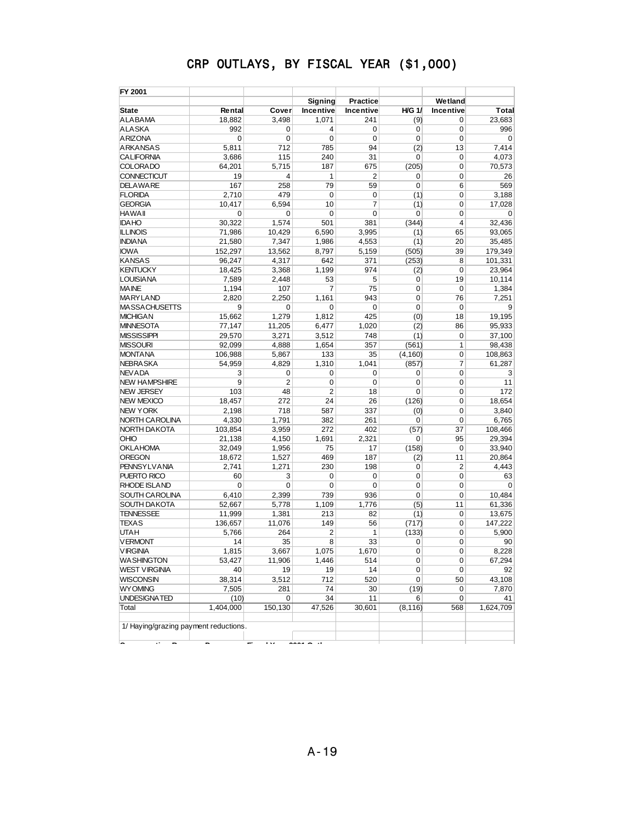| FY 2001                                          |           |                      |             |                 |               |                |             |
|--------------------------------------------------|-----------|----------------------|-------------|-----------------|---------------|----------------|-------------|
|                                                  |           |                      | Signing     | <b>Practice</b> |               | Wetland        |             |
| State                                            | Rental    | Cover                | Incentive   | Incentive       | <b>H/G 1/</b> | Incentive      | Total       |
| <b>ALABAMA</b>                                   | 18,882    | 3,498                | 1,071       | 241             | (9)           | 0              | 23,683      |
| <b>ALASKA</b>                                    | 992       | 0                    | 4           | 0               | 0             | 0              | 996         |
| <b>ARIZONA</b>                                   | 0         | $\mathbf 0$          | $\mathbf 0$ | $\mathbf 0$     | $\mathbf 0$   | $\mathbf 0$    | $\mathbf 0$ |
| <b>ARKANSAS</b>                                  | 5,811     | 712                  | 785         | 94              | (2)           | 13             | 7,414       |
| <b>CALIFORNIA</b>                                | 3,686     | 115                  | 240         | 31              | 0             | $\mathbf 0$    | 4.073       |
| <b>COLORADO</b>                                  | 64,201    | 5,715                | 187         | 675             | (205)         | 0              | 70,573      |
| CONNECTICUT                                      | 19        | 4                    | 1           | $\overline{2}$  | 0             | $\mathbf 0$    | 26          |
| <b>DELAWARE</b>                                  | 167       | 258                  | 79          | 59              | 0             | 6              | 569         |
| <b>FLORIDA</b>                                   | 2,710     | 479                  | 0           | $\mathbf 0$     | (1)           | $\mathbf 0$    | 3.188       |
| <b>GEORGIA</b>                                   | 10,417    | 6,594                | 10          | $\overline{7}$  | (1)           | $\mathbf 0$    | 17,028      |
| <b>HAWAII</b>                                    | 0         | $\mathbf 0$          | 0           | $\mathbf 0$     | 0             | $\mathbf 0$    | $\mathbf 0$ |
| <b>IDAHO</b>                                     | 30,322    | 1,574                | 501         | 381             | (344)         | $\overline{4}$ | 32.436      |
| <b>ILLINOIS</b>                                  | 71,986    | 10,429               | 6,590       | 3,995           | (1)           | 65             | 93,065      |
| <b>INDIANA</b>                                   | 21,580    | 7,347                | 1,986       | 4,553           | (1)           | 20             | 35,485      |
| <b>IOWA</b>                                      | 152,297   | 13,562               | 8,797       | 5,159           | (505)         | 39             | 179,349     |
| <b>KANSAS</b>                                    | 96,247    | 4,317                | 642         | 371             | (253)         | 8              | 101,331     |
| <b>KENTUCKY</b>                                  | 18,425    | 3,368                | 1,199       | 974             | (2)           | $\mathbf 0$    | 23,964      |
| <b>LOUISIANA</b>                                 | 7,589     | 2,448                | 53          | 5               | 0             | 19             | 10,114      |
| <b>MAINE</b>                                     | 1,194     | 107                  | 7           | 75              | 0             | $\mathbf 0$    | 1,384       |
| <b>MARYLAND</b>                                  | 2.820     | 2,250                | 1,161       | 943             | 0             | 76             | 7,251       |
| <b>MASSACHUSETTS</b>                             | 9         | 0                    | 0           | $\mathbf 0$     | $\mathbf 0$   | $\mathbf 0$    | 9           |
| <b>MICHIGAN</b>                                  | 15,662    | 1,279                | 1,812       | 425             | (0)           | 18             | 19,195      |
| <b>MINNESOTA</b>                                 | 77,147    | 11,205               | 6,477       | 1,020           | (2)           | 86             | 95,933      |
| <b>MISSISSIPPI</b>                               | 29,570    | 3,271                | 3,512       | 748             | (1)           | $\mathbf 0$    | 37,100      |
| <b>MISSOURI</b>                                  | 92,099    | 4,888                | 1,654       | 357             | (561)         | 1              | 98,438      |
| <b>MONTANA</b>                                   | 106,988   | 5,867                | 133         | 35              | (4, 160)      | $\mathbf 0$    | 108,863     |
| <b>NEBRASKA</b>                                  | 54,959    | 4,829                | 1,310       | 1,041           | (857)         | 7              | 61.287      |
| <b>NEVADA</b>                                    | 3         | 0                    | 0           | $\mathbf 0$     | 0             | $\mathbf 0$    | 3           |
| <b>NEW HAMPSHIRE</b>                             | 9         | $\overline{2}$       | 0           | $\mathbf 0$     | $\mathbf 0$   | $\mathbf 0$    | 11          |
| <b>NEW JERSEY</b>                                | 103       | 48                   | 2           | 18              | $\mathbf 0$   | $\mathbf 0$    | 172         |
| <b>NEW MEXICO</b>                                | 18,457    | 272                  | 24          | 26              | (126)         | $\mathbf 0$    | 18,654      |
| <b>NEW YORK</b>                                  | 2,198     | 718                  | 587         | 337             | (0)           | $\mathbf 0$    | 3,840       |
| NORTH CAROLINA                                   | 4,330     | 1,791                | 382         | 261             | 0             | $\mathbf 0$    | 6,765       |
| NORTH DAKOTA                                     | 103,854   | 3,959                | 272         | 402             | (57)          | 37             | 108,466     |
| OHIO                                             | 21,138    | 4,150                | 1,691       | 2,321           | 0             | 95             | 29,394      |
| <b>OKLAHOMA</b>                                  | 32,049    | 1,956                | 75          | 17              | (158)         | $\mathbf 0$    | 33,940      |
| OREGON                                           | 18,672    | 1,527                | 469         | 187             | (2)           | 11             | 20,864      |
| <b>PENNSYLVANIA</b>                              | 2,741     | 1,271                | 230         | 198             | 0             | $\overline{2}$ | 4,443       |
| PUERTO RICO                                      | 60        | 3                    | 0           | 0               | 0             | $\mathbf 0$    | 63          |
| <b>RHODE ISLAND</b>                              | 0         | 0                    | 0           | $\mathbf 0$     | 0             | $\mathbf 0$    | $\mathbf 0$ |
| SOUTH CAROLINA                                   | 6,410     | 2,399                | 739         | 936             | 0             | 0              | 10,484      |
| <b>SOUTH DAKOTA</b>                              | 52,667    | 5,778                | 1,109       | 1,776           | (5)           | 11             | 61,336      |
| <b>TENNESSEE</b>                                 | 11,999    | 1,381                | 213         | 82              | (1)           | 0              | 13,675      |
| <b>TEXAS</b>                                     | 136,657   | 11,076               | 149         | 56              | (717)         | $\mathbf 0$    | 147,222     |
| UTAH                                             | 5.766     | 264                  | 2           | 1               | (133)         | 0              | 5,900       |
| <b>VERMONT</b>                                   | 14        | 35                   | 8           | 33              | 0             | 0              | 90          |
| <b>VIRGINIA</b>                                  | 1,815     | 3,667                | 1,075       | 1,670           | $\pmb{0}$     | $\pmb{0}$      | 8,228       |
| <b>WASHINGTON</b>                                | 53,427    | 11,906               | 1,446       | 514             | 0             | 0              | 67,294      |
| <b>WEST VIRGINIA</b>                             | 40        | 19                   | 19          | 14              | 0             | 0              | 92          |
| <b>WISCONSIN</b>                                 | 38,314    | 3,512                | 712         | 520             | 0             | 50             | 43,108      |
| <b>WY OMING</b>                                  | 7,505     | 281                  | 74          | 30              | (19)          | 0              | 7,870       |
| UNDESIGNATED                                     | (10)      | 0                    | 34          | 11              | 6             | 0              | 41          |
| Total                                            | 1,404,000 | 150, 130             | 47,526      | 30,601          | (8, 116)      | 568            | 1,624,709   |
| 1/ Haying/grazing payment reductions.<br>∽<br>., |           | $\ddot{\phantom{0}}$ |             |                 |               |                |             |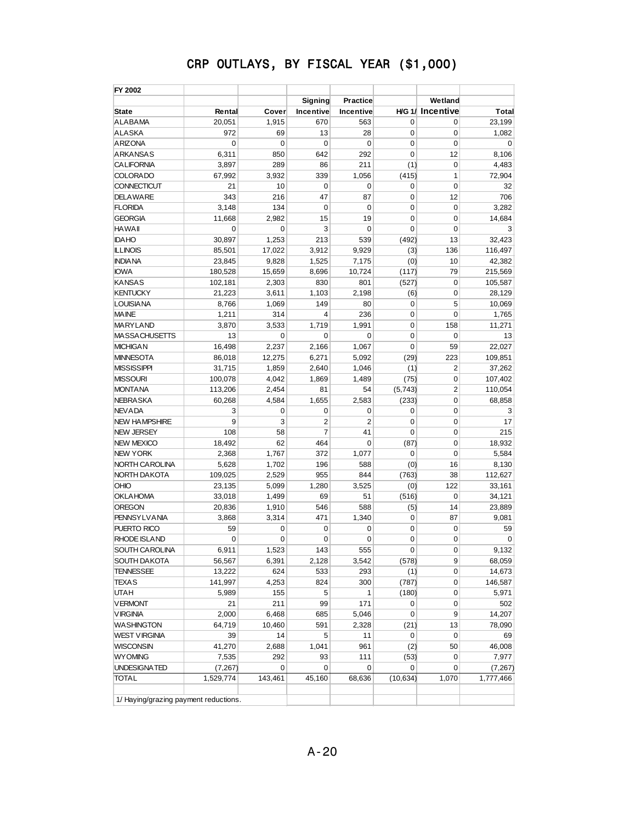| FY 2002                               |                   |         |                |                 |             |                        |             |
|---------------------------------------|-------------------|---------|----------------|-----------------|-------------|------------------------|-------------|
|                                       |                   |         | Signing        | <b>Practice</b> |             | Wetland                |             |
| <b>State</b>                          | Rental            | Cover   | Incentive      | Incentive       |             | <b>HG 1/ Incentive</b> | Total       |
| <b>ALABAMA</b>                        | 20,051            | 1,915   | 670            | 563             | $\mathbf 0$ | 0                      | 23,199      |
| <b>ALASKA</b>                         | 972               | 69      | 13             | 28              | $\mathbf 0$ | 0                      | 1,082       |
| <b>ARIZONA</b>                        | 0                 | 0       | $\mathbf 0$    | $\mathbf 0$     | $\mathbf 0$ | $\mathbf 0$            | $\mathbf 0$ |
| <b>ARKANSAS</b>                       | 6,311             | 850     | 642            | 292             | 0           | 12                     | 8,106       |
| <b>CALIFORNIA</b>                     | 3,897             | 289     | 86             | 211             | (1)         | $\mathbf 0$            | 4,483       |
| <b>COLORADO</b>                       | 67,992            | 3,932   | 339            | 1,056           | (415)       | $\mathbf{1}$           | 72,904      |
| <b>CONNECTICUT</b>                    | 21                | 10      | $\mathbf 0$    | $\mathbf 0$     | $\mathbf 0$ | $\mathbf 0$            | 32          |
| <b>DELAWARE</b>                       | 343               | 216     | 47             | 87              | $\mathbf 0$ | 12                     | 706         |
| <b>FLORIDA</b>                        | 3,148             | 134     | $\mathbf 0$    | $\mathbf 0$     | $\mathbf 0$ | $\mathbf 0$            | 3.282       |
| <b>GEORGIA</b>                        | 11,668            | 2,982   | 15             | 19              | $\mathbf 0$ | 0                      | 14,684      |
| <b>HAWAII</b>                         | 0                 | 0       | 3              | $\mathbf 0$     | $\mathbf 0$ | 0                      | 3           |
| <b>IDAHO</b>                          | 30,897            | 1,253   | 213            | 539             | (492)       | 13                     | 32,423      |
| <b>ILLINOIS</b>                       | 85,501            | 17,022  | 3,912          | 9,929           | (3)         | 136                    | 116,497     |
| <b>INDIANA</b>                        | 23,845            | 9,828   | 1,525          | 7,175           | (0)         | 10                     | 42,382      |
| <b>IOWA</b>                           | 180,528           | 15,659  | 8,696          | 10,724          | (117)       | 79                     | 215,569     |
| <b>KANSAS</b>                         | 102,181           | 2,303   | 830            | 801             | (527)       | $\mathbf 0$            | 105,587     |
| <b>KENTUCKY</b>                       | 21,223            | 3,611   | 1,103          | 2,198           | (6)         | $\mathbf 0$            | 28,129      |
| <b>LOUISIANA</b>                      | 8,766             | 1,069   | 149            | 80              | $\mathbf 0$ | 5                      | 10,069      |
| <b>MAINE</b>                          | 1,211             | 314     | $\overline{4}$ | 236             | 0           | $\mathbf 0$            | 1,765       |
| <b>MARYLAND</b>                       | 3,870             | 3,533   | 1,719          | 1.991           | 0           | 158                    | 11,271      |
| <b>MASSACHUSETTS</b>                  | 13                | 0       | $\Omega$       | $\mathbf 0$     | $\mathbf 0$ | $\mathbf 0$            | 13          |
| <b>MICHIGAN</b>                       | 16,498            | 2,237   | 2,166          | 1,067           | $\mathbf 0$ | 59                     | 22,027      |
| <b>MINNESOTA</b>                      | 86,018            | 12,275  | 6,271          | 5,092           | (29)        | 223                    | 109,851     |
| <b>MISSISSIPPI</b>                    |                   | 1,859   |                |                 |             | $\overline{2}$         |             |
|                                       | 31,715<br>100,078 |         | 2,640          | 1,046           | (1)         | $\mathbf 0$            | 37,262      |
| <b>MISSOURI</b>                       |                   | 4,042   | 1,869          | 1,489           | (75)        |                        | 107,402     |
| <b>MONTANA</b>                        | 113,206           | 2,454   | 81             | 54              | (5,743)     | $\overline{2}$         | 110,054     |
| <b>NEBRA SKA</b>                      | 60,268            | 4,584   | 1,655          | 2,583           | (233)       | 0                      | 68,858      |
| <b>NEV ADA</b>                        | 3                 | 0       | 0              | $\mathbf 0$     | $\mathbf 0$ | $\overline{0}$         | 3           |
| <b>NEW HAMPSHIRE</b>                  | 9                 | 3       | $\overline{2}$ | $\overline{2}$  | $\mathbf 0$ | $\mathbf 0$            | 17          |
| <b>NEW JERSEY</b>                     | 108               | 58      | 7              | 41              | $\mathbf 0$ | $\mathbf 0$            | 215         |
| <b>NEW MEXICO</b>                     | 18,492            | 62      | 464            | $\mathbf 0$     | (87)        | $\mathbf 0$            | 18,932      |
| <b>NEW YORK</b>                       | 2,368             | 1,767   | 372            | 1,077           | 0           | $\mathbf 0$            | 5,584       |
| NORTH CAROLINA                        | 5,628             | 1,702   | 196            | 588             | (0)         | 16                     | 8,130       |
| NORTH DAKOTA                          | 109,025           | 2,529   | 955            | 844             | (763)       | 38                     | 112,627     |
| OHIO                                  | 23,135            | 5,099   | 1.280          | 3,525           | (0)         | 122                    | 33,161      |
| <b>OKLAHOMA</b>                       | 33,018            | 1,499   | 69             | 51              | (516)       | $\mathbf 0$            | 34,121      |
| <b>OREGON</b>                         | 20,836            | 1,910   | 546            | 588             | (5)         | 14                     | 23,889      |
| <b>PENNSYLVANIA</b>                   | 3.868             | 3,314   | 471            | 1.340           | 0           | 87                     | 9,081       |
| PUERTO RICO                           | 59                | 0       | 0              | $\mathbf 0$     | $\mathbf 0$ | $\mathbf 0$            | 59          |
| <b>RHODE ISLAND</b>                   | 0                 | 0       | 0              | 0               | 0           | 0                      | 0           |
| SOUTH CAROLINA                        | 6,911             | 1,523   | 143            | 555             | 0           | 0                      | 9,132       |
| SOUTH DAKOTA                          | 56,567            | 6,391   | 2,128          | 3,542           | (578)       | 9                      | 68,059      |
| <b>TENNESSEE</b>                      | 13,222            | 624     | 533            | 293             | (1)         | 0                      | 14,673      |
| <b>TEXAS</b>                          | 141,997           | 4,253   | 824            | 300             | (787)       | 0                      | 146,587     |
| UTAH                                  | 5,989             | 155     | 5              | 1               | (180)       | 0                      | 5,971       |
| <b>VERMONT</b>                        | 21                | 211     | 99             | 171             | 0           | $\mathbf 0$            | 502         |
| <b>VIRGINIA</b>                       | 2,000             | 6,468   | 685            | 5,046           | 0           | 9                      | 14,207      |
| <b>WASHINGTON</b>                     | 64,719            | 10,460  | 591            | 2,328           | (21)        | 13                     | 78,090      |
| <b>WEST VIRGINIA</b>                  | 39                | 14      | 5              | 11              | 0           | 0                      | 69          |
| <b>WISCONSIN</b>                      | 41,270            | 2,688   | 1,041          | 961             | (2)         | 50                     | 46,008      |
| <b>WYOMING</b>                        | 7,535             | 292     | 93             | 111             | (53)        | 0                      | 7,977       |
| UNDESIGNATED                          | (7, 267)          | 0       | 0              | 0               | 0           | 0                      | (7, 267)    |
| <b>TOTAL</b>                          | 1,529,774         | 143,461 | 45,160         | 68,636          | (10, 634)   | 1,070                  | 1,777,466   |
|                                       |                   |         |                |                 |             |                        |             |
| 1/ Haying/grazing payment reductions. |                   |         |                |                 |             |                        |             |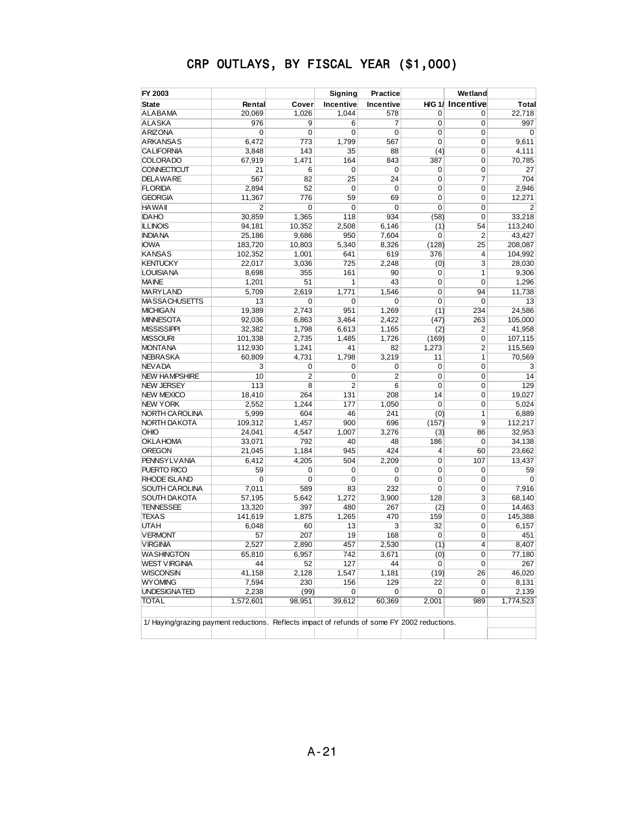| FY 2003                                                                                      |                |        | <b>Signing</b> | Practice  |                  | Wetland                |           |
|----------------------------------------------------------------------------------------------|----------------|--------|----------------|-----------|------------------|------------------------|-----------|
| <b>State</b>                                                                                 | Rental         | Cover  | Incentive      | Incentive |                  | <b>HG 1/ Incentive</b> | Total     |
| <b>ALABAMA</b>                                                                               | 20,069         | 1,026  | 1,044          | 578       | 0                | 0                      | 22,718    |
| <b>ALASKA</b>                                                                                | 976            | 9      | 6              | 7         | $\overline{0}$   | $\mathbf 0$            | 997       |
| <b>ARIZONA</b>                                                                               | 0              | 0      | 0              | 0         | 0                | 0                      | 0         |
| <b>ARKANSAS</b>                                                                              | 6,472          | 773    | 1,799          | 567       | 0                | $\overline{0}$         | 9,611     |
| <b>CALIFORNIA</b>                                                                            | 3,848          | 143    | 35             | 88        | (4)              | 0                      | 4,111     |
| <b>COLORADO</b>                                                                              | 67,919         | 1,471  | 164            | 843       | 387              | 0                      | 70,785    |
| <b>CONNECTICUT</b>                                                                           | 21             | 6      | 0              | 0         | 0                | 0                      | 27        |
| <b>DELAWARE</b>                                                                              | 567            | 82     | 25             | 24        | 0                | $\overline{7}$         | 704       |
| <b>FLORIDA</b>                                                                               | 2,894          | 52     | 0              | 0         | 0                | 0                      | 2,946     |
| <b>GEORGIA</b>                                                                               | 11,367         | 776    | 59             | 69        | 0                | $\overline{0}$         | 12,271    |
| <b>HAWAII</b>                                                                                | $\overline{c}$ | 0      | 0              | 0         | 0                | $\mathbf 0$            | 2         |
| <b>IDAHO</b>                                                                                 | 30,859         | 1,365  | 118            | 934       | (58)             | $\overline{0}$         | 33,218    |
| <b>ILLINOIS</b>                                                                              | 94,181         | 10,352 | 2,508          | 6,146     | (1)              | 54                     | 113,240   |
| <b>INDIANA</b>                                                                               | 25,186         | 9,686  | 950            | 7,604     | 0                | $\overline{2}$         | 43,427    |
| <b>IOWA</b>                                                                                  | 183,720        | 10,803 | 5,340          | 8,326     | (128)            | 25                     | 208,087   |
| <b>KANSAS</b>                                                                                | 102,352        | 1,001  | 641            | 619       | 376              | $\overline{4}$         | 104,992   |
| <b>KENTUCKY</b>                                                                              | 22,017         | 3,036  | 725            | 2,248     | (0)              | 3                      | 28,030    |
| <b>LOUISIANA</b>                                                                             | 8,698          | 355    | 161            | 90        | 0                | $\mathbf{1}$           | 9,306     |
| <b>MAINE</b>                                                                                 | 1,201          | 51     | 1              | 43        | 0                | $\mathbf 0$            | 1,296     |
| <b>MARYLAND</b>                                                                              | 5,709          | 2,619  | 1,771          | 1.546     | $\mathbf 0$      | 94                     | 11,738    |
| <b>MASSACHUSETTS</b>                                                                         | 13             | 0      | 0              | 0         | $\mathbf 0$      | $\mathbf 0$            | 13        |
| <b>MICHIGAN</b>                                                                              | 19,389         | 2,743  | 951            | 1,269     | (1)              | 234                    | 24,586    |
| <b>MINNESOTA</b>                                                                             | 92,036         | 6,863  | 3,464          | 2,422     | (47)             | 263                    | 105,000   |
| <b>MISSISSIPPI</b>                                                                           | 32,382         | 1,798  | 6,613          | 1,165     | (2)              | $\overline{2}$         | 41,958    |
| <b>MISSOURI</b>                                                                              | 101,338        | 2,735  | 1,485          | 1,726     | (169)            | $\mathbf 0$            | 107,115   |
| <b>MONTANA</b>                                                                               | 112,930        | 1,241  | 41             | 82        | 1,273            | $\overline{2}$         | 115,569   |
| <b>NEBRASKA</b>                                                                              | 60,809         | 4,731  | 1.798          | 3,219     | 11               | $\mathbf{1}$           | 70,569    |
| <b>NEV ADA</b>                                                                               | 3              | 0      | 0              | 0         | 0                | $\mathbf 0$            | 3         |
| <b>NEW HAMPSHIRE</b>                                                                         | 10             | 2      | $\mathbf 0$    | 2         | $\mathbf 0$      | $\mathbf 0$            | 14        |
| <b>NEW JERSEY</b>                                                                            | 113            | 8      | $\overline{2}$ | 6         | $\mathbf 0$      | $\mathbf 0$            | 129       |
| <b>NEW MEXICO</b>                                                                            | 18,410         | 264    | 131            | 208       | 14               | $\mathbf 0$            | 19,027    |
| <b>NEW YORK</b>                                                                              | 2,552          | 1,244  | 177            | 1,050     | $\mathbf 0$      | $\mathbf 0$            | 5,024     |
| NORTH CAROLINA                                                                               | 5,999          | 604    | 46             | 241       | (0)              | $\mathbf{1}$           | 6,889     |
| NORTH DAKOTA                                                                                 | 109,312        | 1,457  | 900            | 696       | (157)            | 9                      | 112,217   |
| OHIO                                                                                         | 24,041         | 4,547  | 1,007          | 3,276     | (3)              | 86                     | 32,953    |
| <b>OKLAHOMA</b>                                                                              |                | 792    | 40             | 48        |                  | $\mathbf 0$            | 34,138    |
| <b>OREGON</b>                                                                                | 33,071         | 1,184  | 945            | 424       | 186<br>4         | 60                     | 23,662    |
| <b>PENNSYLVANIA</b>                                                                          | 21,045         | 4,205  | 504            |           |                  |                        |           |
| PUERTO RICO                                                                                  | 6,412          | 0      | $\mathbf 0$    | 2,209     | 0<br>$\mathbf 0$ | 107<br>0               | 13,437    |
|                                                                                              | 59             | 0      | 0              | 0         |                  |                        | 59        |
| <b>RHODE ISLAND</b>                                                                          | 0              |        |                | 0         | 0<br>$\mathbf 0$ | 0                      | 0         |
| SOUTH CAROLINA                                                                               | 7,011          | 589    | 83             | 232       |                  | 0                      | 7,916     |
| SOUTH DAKOTA<br><b>TENNESSEE</b>                                                             | 57,195         | 5,642  | 1,272          | 3,900     | 128              | 3                      | 68,140    |
|                                                                                              | 13,320         | 397    | 480            | 267       | (2)              | 0                      | 14,463    |
| <b>TEXAS</b><br><b>UTAH</b>                                                                  | 141,619        | 1,875  | 1,265          | 470       | 159              | 0                      | 145,388   |
|                                                                                              | 6,048          | 60     | 13             | 3         | 32               | 0                      | 6,157     |
| <b>VERMONT</b>                                                                               | 57             | 207    | 19             | 168       | $\overline{0}$   | 0                      | 451       |
| <b>VIRGINIA</b>                                                                              | 2,527          | 2,890  | 457            | 2,530     | (1)              | 4                      | 8,407     |
| <b>WASHINGTON</b>                                                                            | 65,810         | 6,957  | 742            | 3,671     | (0)              | 0                      | 77,180    |
| <b>WEST VIRGINIA</b>                                                                         | 44             | 52     | 127            | 44        | 0                | 0                      | 267       |
| <b>WISCONSIN</b>                                                                             | 41,158         | 2,128  | 1,547          | 1,181     | (19)             | 26                     | 46,020    |
| <b>WYOMING</b>                                                                               | 7,594          | 230    | 156            | 129       | 22               | 0                      | 8,131     |
| UNDESIGNATED                                                                                 | 2,238          | (99)   | 0              | 0         | 0                | 0                      | 2,139     |
| <b>TOTAL</b>                                                                                 | 1,572,601      | 98,951 | 39,612         | 60,369    | 2,001            | 989                    | 1,774,523 |
| 1/ Haying/grazing payment reductions. Reflects impact of refunds of some FY 2002 reductions. |                |        |                |           |                  |                        |           |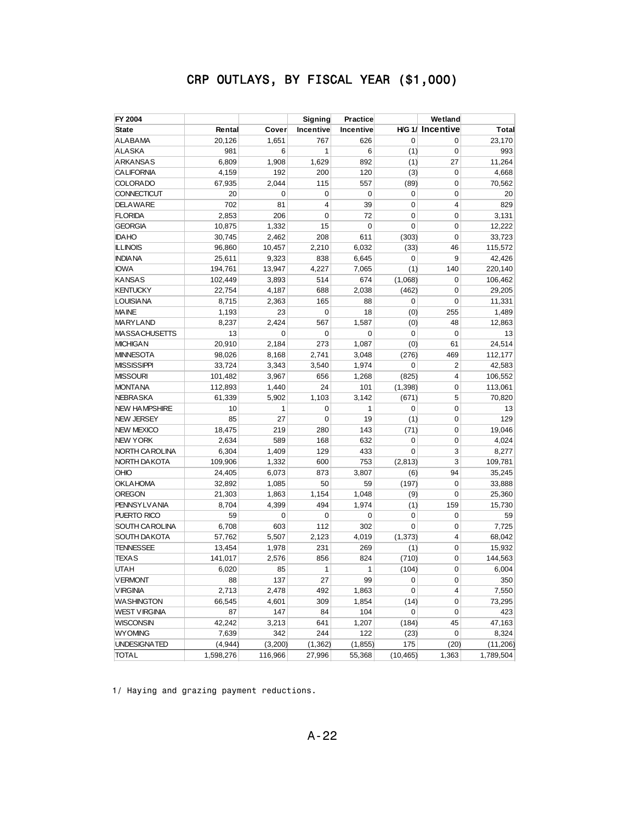| FY 2004                           |           |             | Signing        | Practice     |             | Wetland                 |           |
|-----------------------------------|-----------|-------------|----------------|--------------|-------------|-------------------------|-----------|
| <b>State</b>                      | Rental    | Cover       | Incentive      | Incentive    |             | <b>H/G 1/ Incentive</b> | Total     |
| <b>ALABAMA</b>                    | 20,126    | 1,651       | 767            | 626          | 0           | $\Omega$                | 23,170    |
| <b>ALASKA</b>                     | 981       | 6           | 1              | 6            | (1)         | 0                       | 993       |
| <b>ARKANSAS</b>                   | 6,809     | 1,908       | 1,629          | 892          | (1)         | 27                      | 11,264    |
| <b>CALIFORNIA</b>                 | 4,159     | 192         | 200            | 120          | (3)         | 0                       | 4,668     |
| <b>COLORADO</b>                   | 67,935    | 2,044       | 115            | 557          | (89)        | 0                       | 70,562    |
| <b>CONNECTICUT</b>                | 20        | $\mathbf 0$ | 0              | 0            | 0           | 0                       | 20        |
| <b>DELAWARE</b>                   | 702       | 81          | $\overline{4}$ | 39           | $\mathbf 0$ | $\overline{\mathbf{4}}$ | 829       |
| <b>FLORIDA</b>                    | 2,853     | 206         | 0              | 72           | 0           | 0                       | 3,131     |
| <b>GEORGIA</b>                    | 10,875    | 1,332       | 15             | 0            | 0           | 0                       | 12,222    |
| <b>IDAHO</b>                      | 30,745    | 2,462       | 208            | 611          | (303)       | 0                       | 33,723    |
| <b>ILLINOIS</b>                   | 96,860    | 10,457      | 2,210          | 6,032        | (33)        | 46                      | 115,572   |
| <b>INDIANA</b>                    | 25,611    | 9,323       | 838            | 6,645        | 0           | 9                       | 42,426    |
| <b>IOWA</b>                       | 194,761   | 13,947      | 4,227          | 7,065        | (1)         | 140                     | 220,140   |
| <b>KANSAS</b>                     | 102,449   | 3,893       | 514            | 674          | (1,068)     | 0                       | 106,462   |
| <b>KENTUCKY</b>                   | 22,754    | 4,187       | 688            | 2,038        | (462)       | 0                       | 29,205    |
| <b>LOUISIANA</b>                  | 8,715     | 2,363       | 165            | 88           | 0           | 0                       | 11,331    |
| <b>MAINE</b>                      | 1,193     | 23          | $\mathbf 0$    | 18           | (0)         | 255                     | 1,489     |
| <b>MARYLAND</b>                   | 8,237     | 2,424       | 567            | 1,587        | (0)         | 48                      | 12,863    |
| <b>MASSACHUSETTS</b>              | 13        | 0           | 0              | 0            | $\mathbf 0$ | $\Omega$                | 13        |
| <b>MICHIGAN</b>                   | 20,910    | 2,184       | 273            | 1,087        | (0)         | 61                      | 24,514    |
| <b>MINNESOTA</b>                  | 98,026    | 8,168       | 2,741          | 3,048        | (276)       | 469                     | 112,177   |
| <b>MISSISSIPPI</b>                | 33,724    | 3,343       | 3,540          | 1,974        | 0           | $\overline{2}$          | 42,583    |
| <b>MISSOURI</b>                   | 101,482   | 3,967       | 656            | 1,268        | (825)       | $\overline{\mathbf{4}}$ | 106,552   |
| <b>MONTANA</b>                    | 112,893   | 1,440       | 24             | 101          | (1, 398)    | $\mathbf 0$             | 113,061   |
| <b>NEBRA SKA</b>                  | 61,339    | 5,902       | 1,103          | 3,142        | (671)       | 5                       | 70,820    |
| <b>NEW HAMPSHIRE</b>              | 10        | 1           | 0              | $\mathbf{1}$ | 0           | 0                       | 13        |
| <b>NEW JERSEY</b>                 | 85        | 27          | $\mathbf 0$    | 19           | (1)         | 0                       | 129       |
| <b>NEW MEXICO</b>                 | 18,475    | 219         | 280            | 143          | (71)        | 0                       | 19,046    |
| <b>NEW YORK</b>                   | 2,634     | 589         | 168            | 632          | 0           | 0                       | 4,024     |
| NORTH CAROLINA                    | 6,304     | 1,409       | 129            | 433          | 0           | 3                       | 8,277     |
| NORTH DAKOTA                      | 109,906   | 1,332       | 600            | 753          | (2, 813)    | 3                       | 109,781   |
| OHIO                              | 24,405    | 6,073       | 873            | 3,807        | (6)         | 94                      | 35,245    |
| <b>OKLAHOMA</b>                   | 32,892    | 1,085       | 50             | 59           | (197)       | 0                       | 33,888    |
| <b>OREGON</b>                     | 21,303    | 1,863       | 1,154          | 1,048        | (9)         | 0                       | 25,360    |
| <b>PENNSYLVANIA</b>               | 8,704     | 4,399       | 494            | 1,974        | (1)         | 159                     | 15,730    |
| PUERTO RICO                       | 59        | $\mathbf 0$ | $\mathbf 0$    | 0            | 0           | 0                       | 59        |
| SOUTH CAROLINA                    | 6,708     | 603         | 112            | 302          | 0           | 0                       | 7,725     |
| <b>SOUTH DAKOTA</b>               | 57,762    | 5,507       | 2,123          | 4,019        | (1, 373)    | 4                       | 68,042    |
| <b>TENNESSEE</b>                  | 13,454    | 1,978       | 231            | 269          | (1)         | 0                       | 15,932    |
| <b>TEXAS</b>                      | 141,017   | 2,576       | 856            | 824          | (710)       | 0                       | 144,563   |
| UTAH                              |           | 85          | 1              | $\mathbf{1}$ |             | 0                       | 6,004     |
|                                   | 6,020     |             |                |              | (104)       |                         |           |
| <b>VERMONT</b><br><b>VIRGINIA</b> | 88        | 137         | 27             | 99           | 0           | 0                       | 350       |
|                                   | 2,713     | 2,478       | 492            | 1,863        | 0           | 4                       | 7,550     |
| <b>WASHINGTON</b>                 | 66,545    | 4,601       | 309            | 1,854        | (14)        | 0                       | 73,295    |
| <b>WEST VIRGINIA</b>              | 87        | 147         | 84             | 104          | 0           | 0                       | 423       |
| <b>WISCONSIN</b>                  | 42,242    | 3,213       | 641            | 1,207        | (184)       | 45                      | 47,163    |
| <b>WYOMING</b>                    | 7,639     | 342         | 244            | 122          | (23)        | 0                       | 8,324     |
| UNDESIGNATED                      | (4,944)   | (3,200)     | (1, 362)       | (1, 855)     | 175         | (20)                    | (11, 206) |
| TOTAL                             | 1,598,276 | 116,966     | 27,996         | 55,368       | (10, 465)   | 1,363                   | 1,789,504 |

1/ Haying and grazing payment reductions.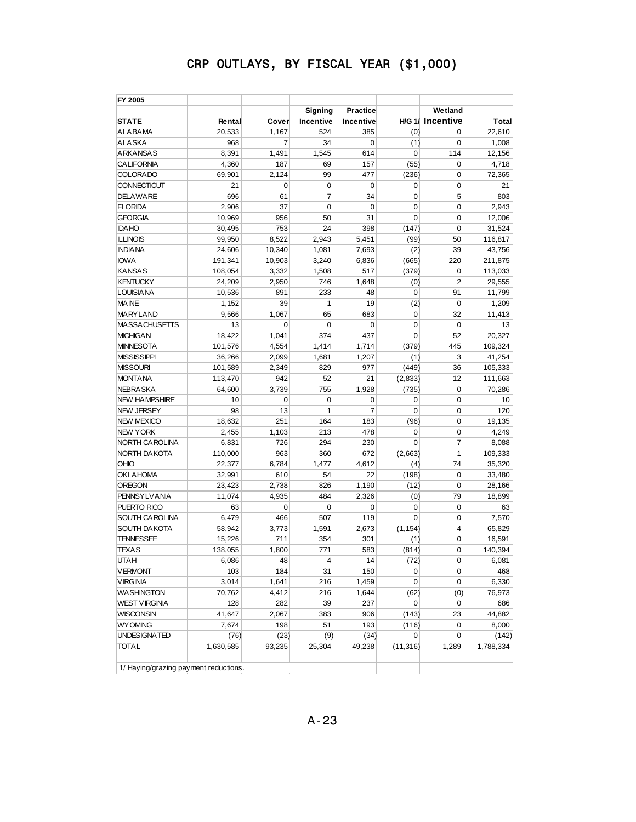| FY 2005              |           |        |             |                |             |                        |           |
|----------------------|-----------|--------|-------------|----------------|-------------|------------------------|-----------|
|                      |           |        | Signing     | Practice       |             | Wetland                |           |
| <b>STATE</b>         | Rental    | Cover  | Incentive   | Incentive      |             | <b>HG 1/ Incentive</b> | Total     |
| <b>ALABAMA</b>       | 20,533    | 1,167  | 524         | 385            | (0)         | 0                      | 22,610    |
| <b>ALASKA</b>        | 968       | 7      | 34          | $\mathbf 0$    | (1)         | 0                      | 1,008     |
| <b>ARKANSAS</b>      | 8,391     | 1,491  | 1.545       | 614            | 0           | 114                    | 12,156    |
| <b>CALIFORNIA</b>    | 4,360     | 187    | 69          | 157            | (55)        | 0                      | 4,718     |
| <b>COLORADO</b>      | 69,901    | 2,124  | 99          | 477            | (236)       | 0                      | 72,365    |
| CONNECTICUT          | 21        | 0      | 0           | $\mathbf 0$    | 0           | 0                      | 21        |
| <b>DELAWARE</b>      | 696       | 61     | 7           | 34             | 0           | 5                      | 803       |
| <b>FLORIDA</b>       | 2,906     | 37     | $\mathbf 0$ | $\mathbf 0$    | 0           | $\mathbf 0$            | 2,943     |
| <b>GEORGIA</b>       | 10,969    | 956    | 50          | 31             | $\mathbf 0$ | 0                      | 12,006    |
| <b>IDAHO</b>         | 30,495    | 753    | 24          | 398            | (147)       | 0                      | 31,524    |
| <b>ILLINOIS</b>      | 99,950    | 8,522  | 2,943       | 5,451          | (99)        | 50                     | 116,817   |
| <b>INDIANA</b>       | 24,606    | 10,340 | 1,081       | 7,693          | (2)         | 39                     | 43,756    |
| <b>IOWA</b>          | 191,341   | 10,903 | 3,240       | 6,836          | (665)       | 220                    | 211,875   |
| <b>KANSAS</b>        | 108,054   | 3,332  | 1,508       | 517            | (379)       | 0                      | 113,033   |
| <b>KENTUCKY</b>      | 24,209    | 2,950  | 746         | 1,648          | (0)         | $\overline{2}$         | 29,555    |
| <b>LOUISIANA</b>     | 10,536    | 891    | 233         | 48             | $\mathbf 0$ | 91                     | 11,799    |
| <b>MAINE</b>         | 1,152     | 39     | 1           | 19             | (2)         | 0                      | 1,209     |
| <b>MARYLAND</b>      | 9,566     | 1.067  | 65          | 683            | $\mathbf 0$ | 32                     | 11,413    |
| <b>MASSACHUSETTS</b> | 13        | 0      | 0           | $\mathbf 0$    | 0           | 0                      | 13        |
| <b>MICHIGAN</b>      | 18,422    | 1.041  | 374         | 437            | $\mathbf 0$ | 52                     | 20,327    |
| <b>MINNESOTA</b>     | 101,576   | 4,554  | 1,414       | 1,714          | (379)       | 445                    | 109,324   |
| <b>MISSISSIPPI</b>   | 36,266    | 2,099  | 1,681       | 1,207          | (1)         | 3                      | 41,254    |
| <b>MISSOURI</b>      | 101,589   | 2,349  | 829         | 977            | (449)       | 36                     | 105,333   |
| <b>MONTANA</b>       | 113,470   | 942    | 52          | 21             | (2,833)     | 12                     | 111,663   |
| <b>NEBRA SKA</b>     | 64,600    | 3,739  | 755         | 1,928          | (735)       | 0                      | 70,286    |
| <b>NEW HAMPSHIRE</b> | 10        | 0      | 0           | 0              | 0           | 0                      | 10        |
| <b>NEW JERSEY</b>    | 98        | 13     | 1           | $\overline{7}$ | $\mathbf 0$ | 0                      | 120       |
| <b>NEW MEXICO</b>    | 18,632    | 251    | 164         | 183            | (96)        | 0                      | 19,135    |
| <b>NEW YORK</b>      | 2,455     | 1,103  | 213         | 478            | 0           | 0                      | 4,249     |
| NORTH CAROLINA       | 6,831     | 726    | 294         | 230            | $\mathbf 0$ | 7                      | 8,088     |
| NORTH DAKOTA         | 110,000   | 963    | 360         | 672            | (2,663)     | 1                      | 109,333   |
| OHIO                 | 22,377    | 6,784  | 1,477       | 4,612          | (4)         | 74                     | 35,320    |
| <b>OKLAHOMA</b>      | 32,991    | 610    | 54          | 22             | (198)       | 0                      | 33,480    |
| <b>OREGON</b>        | 23,423    | 2,738  | 826         | 1,190          | (12)        | 0                      | 28,166    |
| <b>PENNSYLVANIA</b>  | 11,074    | 4,935  | 484         | 2,326          | (0)         | 79                     | 18,899    |
| PUERTO RICO          | 63        | 0      | 0           | $\mathbf 0$    | 0           | 0                      | 63        |
| SOUTH CAROLINA       | 6,479     | 466    | 507         | 119            | 0           | 0                      | 7,570     |
| <b>SOUTH DAKOTA</b>  | 58,942    | 3,773  | 1,591       | 2,673          | (1, 154)    | 4                      | 65,829    |
| <b>TENNESSEE</b>     | 15,226    | 711    | 354         | 301            | (1)         | 0                      | 16,591    |
| <b>TEXAS</b>         | 138,055   | 1,800  | 771         | 583            | (814)       | 0                      | 140,394   |
| UIAH                 | 6,086     | 48     | 4           | 14             | (72)        | 0                      | 6,081     |
| <b>VERMONT</b>       | 103       | 184    | 31          | 150            | 0           | 0                      | 468       |
| <b>VIRGINIA</b>      | 3,014     | 1,641  | 216         | 1,459          | 0           | 0                      | 6,330     |
| <b>WASHINGTON</b>    | 70,762    | 4,412  | 216         | 1,644          | (62)        | (0)                    | 76,973    |
| WEST VIRGINIA        | 128       | 282    | 39          | 237            | 0           | 0                      | 686       |
| <b>WISCONSIN</b>     | 41,647    | 2,067  | 383         | 906            | (143)       | 23                     | 44,882    |
| <b>WYOMING</b>       | 7,674     | 198    | 51          | 193            | (116)       | 0                      | 8,000     |
| <b>UNDESIGNATED</b>  | (76)      | (23)   | (9)         | (34)           | 0           | 0                      | (142)     |
| <b>TOTAL</b>         | 1,630,585 | 93,235 | 25,304      | 49,238         | (11, 316)   | 1,289                  | 1,788,334 |
|                      |           |        |             |                |             |                        |           |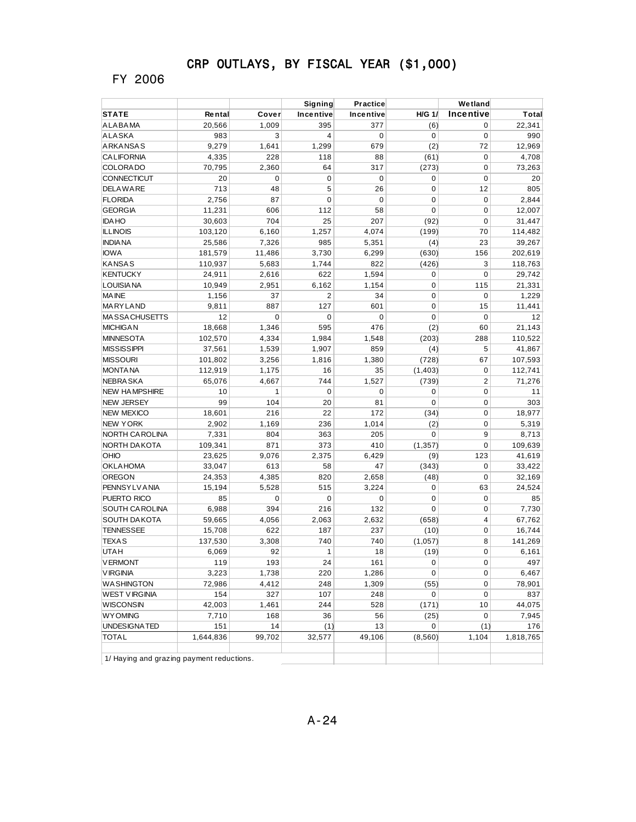### FY 2006

|                                           |               |              | Signing        | Practice     |               | Wetland        |               |
|-------------------------------------------|---------------|--------------|----------------|--------------|---------------|----------------|---------------|
| <b>STATE</b>                              | Rental        | Cover        | Incentive      | Incentive    | <b>H/G 1/</b> | Incentive      | Total         |
| <b>ALABAMA</b>                            | 20,566        | 1,009        | 395            | 377          | (6)           | 0              | 22,341        |
| <b>ALASKA</b>                             | 983           | 3            | 4              | 0            | 0             | 0              | 990           |
| ARKANSAS                                  | 9,279         | 1,641        | 1,299          | 679          | (2)           | 72             | 12,969        |
| <b>CALIFORNIA</b>                         | 4,335         | 228          | 118            | 88           | (61)          | 0              | 4,708         |
| <b>COLORADO</b>                           | 70,795        | 2,360        | 64             | 317          | (273)         | 0              | 73,263        |
| CONNECTICUT                               | 20            | 0            | $\mathbf 0$    | 0            | 0             | 0              | 20            |
| <b>DELAWARE</b>                           | 713           | 48           | 5              | 26           | 0             | 12             | 805           |
| <b>FLORIDA</b>                            | 2,756         | 87           | $\mathbf 0$    | $\mathbf 0$  | 0             | 0              | 2,844         |
| <b>GEORGIA</b>                            | 11,231        | 606          | 112            | 58           | 0             | $\mathbf 0$    | 12,007        |
| <b>IDA HO</b>                             | 30,603        | 704          | 25             | 207          | (92)          | 0              | 31,447        |
| <b>ILLINOIS</b>                           | 103,120       | 6,160        | 1,257          | 4,074        | (199)         | 70             | 114,482       |
| <b>INDIA NA</b>                           | 25,586        | 7,326        | 985            | 5,351        | (4)           | 23             | 39,267        |
| <b>IOWA</b>                               | 181,579       | 11,486       | 3,730          | 6,299        | (630)         | 156            | 202,619       |
| KANSAS                                    | 110,937       | 5,683        | 1,744          | 822          | (426)         | 3              | 118,763       |
| <b>KENTUCKY</b>                           | 24,911        | 2,616        | 622            | 1,594        | 0             | 0              | 29,742        |
| <b>LOUISIANA</b>                          | 10,949        | 2,951        | 6,162          | 1,154        | 0             | 115            | 21,331        |
| <b>MAINE</b>                              | 1,156         | 37           | $\overline{2}$ | 34           | 0             | 0              | 1,229         |
| <b>MARYLAND</b>                           | 9,811         | 887          | 127            | 601          | 0             | 15             | 11,441        |
| MA SSA CHUSETTS                           | 12            | $\mathbf 0$  | 0              | 0            | 0             | 0              | 12            |
| <b>MICHIGAN</b>                           | 18,668        | 1,346        | 595            | 476          | (2)           | 60             | 21,143        |
| <b>MINNESOTA</b>                          | 102,570       | 4,334        | 1,984          | 1,548        | (203)         | 288            | 110,522       |
| <b>MISSISSIPPI</b>                        | 37,561        | 1,539        | 1,907          | 859          | (4)           | 5              | 41,867        |
| <b>MISSOURI</b>                           | 101,802       | 3,256        | 1,816          | 1,380        | (728)         | 67             | 107,593       |
| <b>MONTANA</b>                            | 112,919       | 1,175        | 16             | 35           | (1, 403)      | 0              | 112,741       |
| <b>NEBRA SKA</b>                          | 65,076        | 4,667        | 744            | 1,527        | (739)         | $\mathbf 2$    | 71,276        |
| <b>NEW HAMPSHIRE</b>                      | 10            | 1            | $\mathbf 0$    | 0            | 0             | $\mathbf 0$    | 11            |
| <b>NEW JERSEY</b>                         | 99            | 104          | 20             | 81           | 0             | 0              | 303           |
| <b>NEW MEXICO</b>                         | 18,601        | 216          | 22             | 172          | (34)          | 0              | 18,977        |
| <b>NEW YORK</b>                           | 2,902         | 1,169        | 236            | 1,014        | (2)           | 0              | 5,319         |
| <b>NORTH CAROLINA</b>                     | 7,331         | 804          | 363            | 205          | 0             | 9              | 8,713         |
| NORTH DA KOTA                             | 109,341       | 871          | 373            | 410          | (1, 357)      | 0              | 109,639       |
| OHIO                                      | 23,625        | 9,076        | 2,375          | 6,429        | (9)           | 123            | 41,619        |
| <b>OKLAHOMA</b>                           | 33,047        | 613          | 58             | 47           | (343)         | 0              | 33,422        |
| <b>OREGON</b>                             | 24,353        | 4,385        | 820            | 2,658        | (48)          | 0              | 32,169        |
| <b>PENNSY LV ANIA</b>                     | 15,194        | 5,528        | 515            | 3,224        | 0             | 63             | 24,524        |
| PUERTO RICO                               | 85            | 0            | $\mathbf 0$    | $\mathbf 0$  | 0             | 0              | 85            |
| <b>SOUTH CAROLINA</b>                     | 6,988         | 394          | 216            | 132          | 0             | 0              | 7,730         |
| <b>SOUTH DAKOTA</b>                       | 59,665        | 4,056        | 2,063          | 2,632        | (658)         | $\overline{4}$ | 67,762        |
| <b>TENNESSEE</b>                          | 15,708        | 622          | 187            | 237          | (10)          | 0              | 16,744        |
| <b>TEXAS</b>                              | 137,530       | 3,308        | 740            | 740          | (1,057)       | 8              | 141,269       |
| <b>UTAH</b>                               | 6,069         | 92           | 1              | 18           | (19)          | 0              | 6,161         |
| <b>VERMONT</b>                            | 119           | 193          | 24             | 161          | 0             | 0              | 497           |
| <b>VIRGINIA</b>                           | 3,223         | 1,738        | 220            | 1,286        | 0             | 0              | 6,467         |
|                                           |               |              | 248            |              |               |                |               |
| <b>WASHINGTON</b><br><b>WEST VIRGINIA</b> | 72,986<br>154 | 4,412<br>327 | 107            | 1,309<br>248 | (55)<br>0     | 0<br>0         | 78,901<br>837 |
| <b>WISCONSIN</b>                          | 42,003        |              | 244            | 528          | (171)         | 10             | 44,075        |
| <b>WYOMING</b>                            | 7,710         | 1,461        |                |              | (25)          | 0              | 7,945         |
| <b>UNDESIGNATED</b>                       | 151           | 168          | 36             | 56<br>13     | 0             |                | 176           |
| <b>TOTAL</b>                              |               | 14           | (1)            |              |               | (1)            |               |
|                                           | 1,644,836     | 99,702       | 32,577         | 49,106       | (8, 560)      | 1,104          | 1,818,765     |
| 1/ Haying and grazing payment reductions. |               |              |                |              |               |                |               |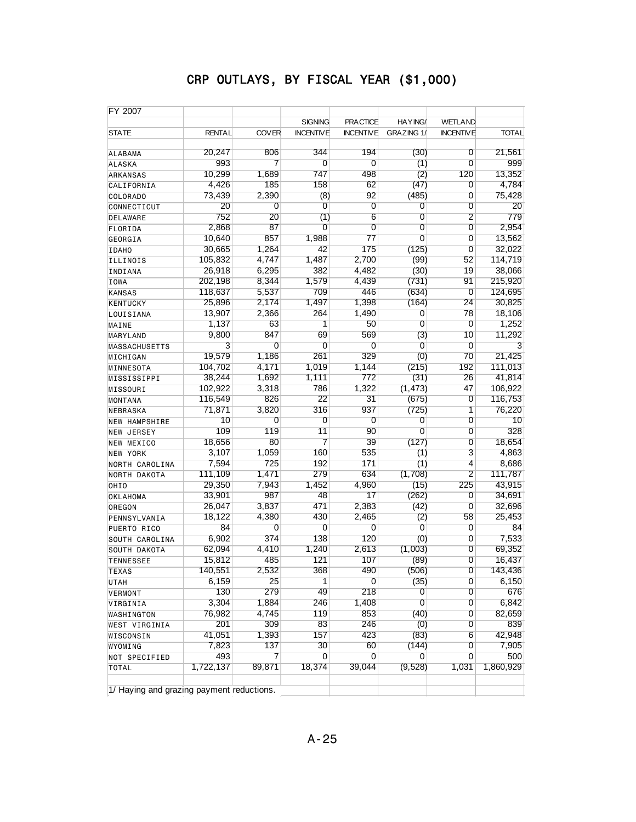| FY 2007                                   |               |              |                  |                  |                |                  |              |
|-------------------------------------------|---------------|--------------|------------------|------------------|----------------|------------------|--------------|
|                                           |               |              | <b>SIGNING</b>   | <b>PRACTICE</b>  | HAYING/        | <b>WETLAND</b>   |              |
| <b>STATE</b>                              | <b>RENTAL</b> | <b>COVER</b> | <b>INCENTIVE</b> | <b>INCENTIVE</b> | GRAZING 1/     | <b>INCENTIVE</b> | <b>TOTAL</b> |
|                                           |               |              |                  |                  |                |                  |              |
| <b>ALABAMA</b>                            | 20,247        | 806          | 344              | 194              | (30)           | 0                | 21,561       |
| <b>ALASKA</b>                             | 993           | 7            | 0                | $\overline{0}$   | (1)            | $\overline{0}$   | 999          |
| <b>ARKANSAS</b>                           | 10,299        | 1,689        | 747              | 498              | (2)            | 120              | 13,352       |
| CALIFORNIA                                | 4,426         | 185          | 158              | 62               | (47)           | 0                | 4,784        |
| <b>COLORADO</b>                           | 73,439        | 2,390        | (8)              | 92               | (485)          | $\overline{0}$   | 75,428       |
| CONNECTICUT                               | 20            | 0            | 0                | 0                | 0              | 0                | 20           |
| <b>DELAWARE</b>                           | 752           | 20           | (1)              | 6                | 0              | $\overline{2}$   | 779          |
| FLORIDA                                   | 2.868         | 87           | 0                | $\overline{0}$   | 0              | $\overline{0}$   | 2,954        |
| GEORGIA                                   | 10,640        | 857          | 1,988            | 77               | 0              | $\overline{0}$   | 13,562       |
| <b>IDAHO</b>                              | 30,665        | 1,264        | 42               | 175              | (125)          | 0                | 32.022       |
| ILLINOIS                                  | 105,832       | 4,747        | 1,487            | 2,700            | (99)           | 52               | 114,719      |
| INDIANA                                   | 26,918        | 6,295        | 382              | 4,482            | (30)           | 19               | 38,066       |
| <b>IOWA</b>                               | 202,198       | 8,344        | 1,579            | 4,439            | (731)          | 91               | 215,920      |
| <b>KANSAS</b>                             | 118,637       | 5,537        | 709              | 446              | (634)          | $\overline{0}$   | 124,695      |
| <b>KENTUCKY</b>                           | 25,896        | 2,174        | 1,497            | 1,398            | (164)          | 24               | 30,825       |
| LOUISIANA                                 | 13,907        | 2,366        | 264              | 1.490            | 0              | 78               | 18,106       |
| MAINE                                     | 1,137         | 63           | 1                | 50               | 0              | $\overline{0}$   | 1,252        |
| MARYLAND                                  | 9,800         | 847          | 69               | 569              | (3)            | 10               | 11,292       |
| MASSACHUSETTS                             | 3             | 0            | 0                | 0                | 0              | 0                | 3            |
| MICHIGAN                                  | 19,579        | 1,186        | 261              | 329              | (0)            | 70               | 21,425       |
| MINNESOTA                                 | 104,702       | 4,171        | 1,019            | 1,144            | (215)          | 192              | 111,013      |
| MISSISSIPPI                               | 38,244        | 1,692        | 1,111            | 772              | (31)           | 26               | 41,814       |
| MISSOURI                                  | 102,922       | 3,318        | 786              | 1,322            | (1, 473)       | 47               | 106,922      |
| <b>MONTANA</b>                            | 116,549       | 826          | 22               | 31               | (675)          | 0                | 116,753      |
| NEBRASKA                                  | 71,871        | 3,820        | 316              | 937              | (725)          | 1                | 76,220       |
| <b>NEW HAMPSHIRE</b>                      | 10            | 0            | 0                | 0                | 0              | 0                | 10           |
| <b>NEW JERSEY</b>                         | 109           | 119          | 11               | 90               | $\overline{0}$ | $\overline{0}$   | 328          |
| NEW MEXICO                                | 18,656        | 80           | 7                | 39               | (127)          | 0                | 18,654       |
| NEW YORK                                  | 3,107         | 1,059        | 160              | 535              | (1)            | 3                | 4,863        |
| NORTH CAROLINA                            | 7,594         | 725          | 192              | 171              | (1)            | 4                | 8,686        |
| NORTH DAKOTA                              | 111,109       | 1,471        | 279              | 634              | (1,708)        | $\overline{2}$   | 111,787      |
| OHIO                                      | 29,350        | 7,943        | 1,452            | 4,960            | (15)           | 225              | 43,915       |
| <b>OKLAHOMA</b>                           | 33,901        | 987          | 48               | 17               | (262)          | $\overline{0}$   | 34,691       |
| OREGON                                    | 26,047        | 3,837        | 471              | 2,383            | (42)           | 0                | 32,696       |
| PENNSYLVANIA                              | 18,122        | 4,380        | 430              | 2,465            | (2)            | 58               | 25,453       |
| PUERTO RICO                               | 84            | 0            | 0                | 0                | 0              | 0                | 84           |
| SOUTH CAROLINA                            | 6,902         | 374          | 138              | 120              | (0)            | 0                | 7,533        |
| SOUTH DAKOTA                              | 62,094        | 4,410        | 1,240            | 2,613            | (1,003)        | 0                | 69,352       |
| <b>TENNESSEE</b>                          | 15,812        | 485          | 121              | 107              | (89)           | 0                | 16,437       |
| TEXAS                                     | 140,551       | 2,532        | 368              | 490              | (506)          | $\overline{0}$   | 143,436      |
| UTAH                                      | 6,159         | 25           | 1                | 0                | (35)           | 0                | 6,150        |
| <b>VERMONT</b>                            | 130           | 279          | 49               | 218              | 0              | 0                | 676          |
| VIRGINIA                                  | 3,304         | 1,884        | 246              | 1,408            | 0              | $\overline{0}$   | 6,842        |
| WASHINGTON                                | 76,982        | 4,745        | 119              | 853              | (40)           | $\overline{0}$   | 82,659       |
| WEST VIRGINIA                             | 201           | 309          | 83               | 246              | (0)            | $\overline{0}$   | 839          |
| WISCONSIN                                 | 41,051        | 1,393        | 157              | 423              | (83)           | 6                | 42,948       |
| WYOMING                                   | 7,823         | 137          | 30               | 60               | (144)          | 0                | 7,905        |
| NOT SPECIFIED                             | 493           | 7            | 0                | $\overline{0}$   | 0              | $\overline{0}$   | 500          |
| <b>TOTAL</b>                              | 1,722,137     | 89,871       | 18,374           | 39,044           | (9, 528)       | 1,031            | 1,860,929    |
| 1/ Haying and grazing payment reductions. |               |              |                  |                  |                |                  |              |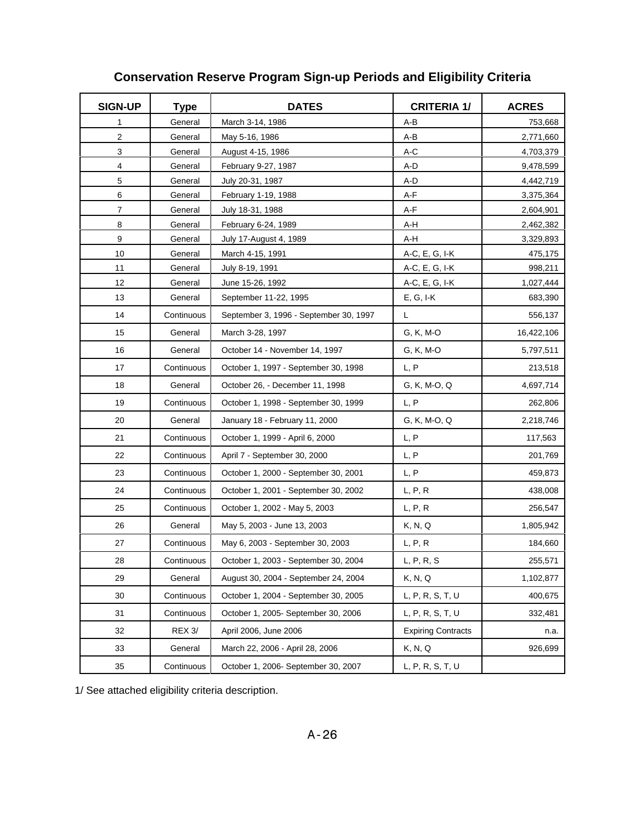| <b>SIGN-UP</b>          | <b>Type</b> | <b>DATES</b>                           | <b>CRITERIA 1/</b>                            | <b>ACRES</b> |
|-------------------------|-------------|----------------------------------------|-----------------------------------------------|--------------|
| 1                       | General     | March 3-14, 1986                       | A-B                                           | 753,668      |
| $\overline{\mathbf{c}}$ | General     | May 5-16, 1986                         | A-B                                           | 2,771,660    |
| 3                       | General     | August 4-15, 1986                      | A-C                                           | 4,703,379    |
| 4                       | General     | February 9-27, 1987                    | A-D                                           | 9,478,599    |
| 5                       | General     | July 20-31, 1987                       | A-D                                           | 4,442,719    |
| 6                       | General     | February 1-19, 1988                    | A-F                                           | 3,375,364    |
| $\overline{7}$          | General     | July 18-31, 1988                       | $A-F$                                         | 2,604,901    |
| 8                       | General     | February 6-24, 1989                    | A-H                                           | 2,462,382    |
| 9                       | General     | July 17-August 4, 1989                 | A-H                                           | 3,329,893    |
| 10                      | General     | March 4-15, 1991                       | A-C, E, G, I-K                                | 475,175      |
| 11                      | General     | July 8-19, 1991                        | A-C, E, G, I-K                                | 998,211      |
| 12                      | General     | June 15-26, 1992                       | A-C, E, G, I-K                                | 1,027,444    |
| 13                      | General     | September 11-22, 1995                  | $E, G, I-K$                                   | 683,390      |
| 14                      | Continuous  | September 3, 1996 - September 30, 1997 | L                                             | 556,137      |
| 15                      | General     | March 3-28, 1997                       | G, K, M-O                                     | 16,422,106   |
| 16                      | General     | October 14 - November 14, 1997         | G, K, M-O                                     | 5,797,511    |
| 17                      | Continuous  | October 1, 1997 - September 30, 1998   | L, P                                          | 213,518      |
| 18                      | General     | October 26, - December 11, 1998        | G, K, M-O, Q                                  | 4,697,714    |
| 19                      | Continuous  | October 1, 1998 - September 30, 1999   | L, P                                          | 262,806      |
| 20                      | General     | January 18 - February 11, 2000         | G, K, M-O, Q                                  | 2,218,746    |
| 21                      | Continuous  | October 1, 1999 - April 6, 2000        | L, P                                          | 117,563      |
| 22                      | Continuous  | April 7 - September 30, 2000           | L, P                                          | 201,769      |
| 23                      | Continuous  | October 1, 2000 - September 30, 2001   | L, P                                          | 459,873      |
| 24                      | Continuous  | October 1, 2001 - September 30, 2002   | L, P, R                                       | 438,008      |
| 25                      | Continuous  | October 1, 2002 - May 5, 2003          | L, P, R                                       | 256,547      |
| 26                      | General     | May 5, 2003 - June 13, 2003            | K, N, Q                                       | 1,805,942    |
| 27                      | Continuous  | May 6, 2003 - September 30, 2003       | L, P, R                                       | 184,660      |
| 28                      | Continuous  | October 1, 2003 - September 30, 2004   | $\mathsf{L},\mathsf{P},\mathsf{R},\mathsf{S}$ | 255,571      |
| 29                      | General     | August 30, 2004 - September 24, 2004   | K, N, Q                                       | 1,102,877    |
| 30                      | Continuous  | October 1, 2004 - September 30, 2005   | L, P, R, S, T, U                              | 400,675      |
| 31                      | Continuous  | October 1, 2005- September 30, 2006    | L, P, R, S, T, U                              | 332,481      |
| 32                      | REX 3/      | April 2006, June 2006                  | <b>Expiring Contracts</b>                     | n.a.         |
| 33                      | General     | March 22, 2006 - April 28, 2006        | K, N, Q                                       | 926,699      |
| 35                      | Continuous  | October 1, 2006- September 30, 2007    | L, P, R, S, T, U                              |              |

# **Conservation Reserve Program Sign-up Periods and Eligibility Criteria**

1/ See attached eligibility criteria description.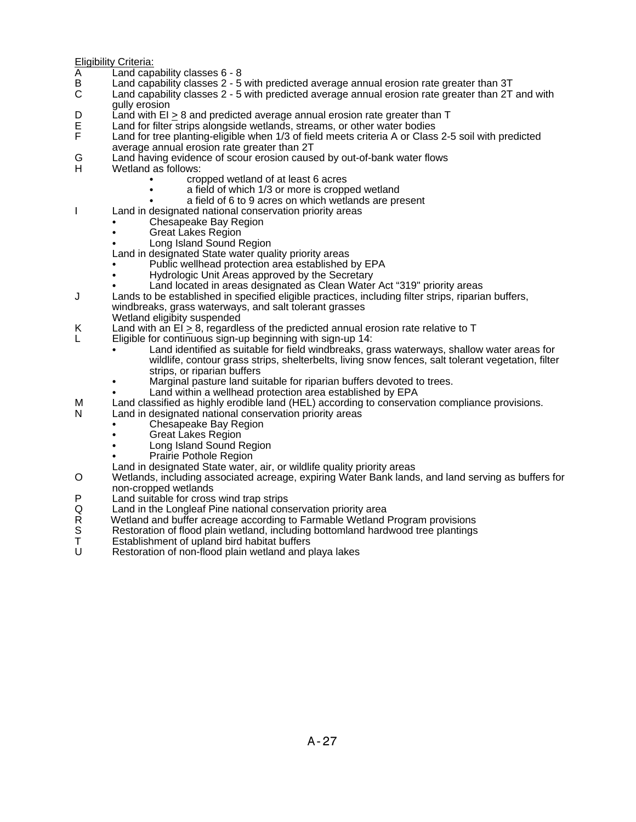Eligibility Criteria:

- 
- A Land capability classes 6 8<br>B Land capability classes 2 5<br>C Land capability classes 2 5 Land capability classes 2 - 5 with predicted average annual erosion rate greater than 3T
- Land capability classes 2 5 with predicted average annual erosion rate greater than 2T and with gully erosion
- D Land with  $EI \geq 8$  and predicted average annual erosion rate greater than T<br>E Land for filter strips alongside wetlands, streams, or other water bodies
- E Land for filter strips alongside wetlands, streams, or other water bodies<br>F Land for tree planting-eligible when 1/3 of field meets criteria A or Class
- Land for tree planting-eligible when 1/3 of field meets criteria A or Class 2-5 soil with predicted average annual erosion rate greater than 2T
- G Land having evidence of scour erosion caused by out-of-bank water flows<br>H Wetland as follows:
- Wetland as follows:
	- cropped wetland of at least 6 acres
	- a field of which 1/3 or more is cropped wetland
	- a field of 6 to 9 acres on which wetlands are present
- I Land in designated national conservation priority areas
	- Chesapeake Bay Region
	- Great Lakes Region
	- Long Island Sound Region
	- Land in designated State water quality priority areas
	- Public wellhead protection area established by EPA
	- Hydrologic Unit Areas approved by the Secretary
	- Land located in areas designated as Clean Water Act "319" priority areas
- J Lands to be established in specified eligible practices, including filter strips, riparian buffers, windbreaks, grass waterways, and salt tolerant grasses
	- Wetland eligibity suspended
- K Land with an  $EI \geq 8$ , regardless of the predicted annual erosion rate relative to T
	- L Eligible for continuous sign-up beginning with sign-up 14:
		- Land identified as suitable for field windbreaks, grass waterways, shallow water areas for wildlife, contour grass strips, shelterbelts, living snow fences, salt tolerant vegetation, filter strips, or riparian buffers
		- Marginal pasture land suitable for riparian buffers devoted to trees.
		- Land within a wellhead protection area established by EPA
- M Land classified as highly erodible land (HEL) according to conservation compliance provisions.
- N Land in designated national conservation priority areas
	- Chesapeake Bay Region
		- Great Lakes Region
		- Long Island Sound Region
		- Prairie Pothole Region
	- Land in designated State water, air, or wildlife quality priority areas
- O Wetlands, including associated acreage, expiring Water Bank lands, and land serving as buffers for non-cropped wetlands
- P Land suitable for cross wind trap strips<br>Q Land in the Longleaf Pine national cons
- 
- Q Land in the Longleaf Pine national conservation priority area<br>R Wetland and buffer acreage according to Farmable Wetland I<br>S Restoration of flood plain wetland, including bottomland hard Wetland and buffer acreage according to Farmable Wetland Program provisions
- S Restoration of flood plain wetland, including bottomland hardwood tree plantings<br>T Establishment of upland bird habitat buffers
- T Establishment of upland bird habitat buffers<br>U Restoration of non-flood plain wetland and p
- Restoration of non-flood plain wetland and playa lakes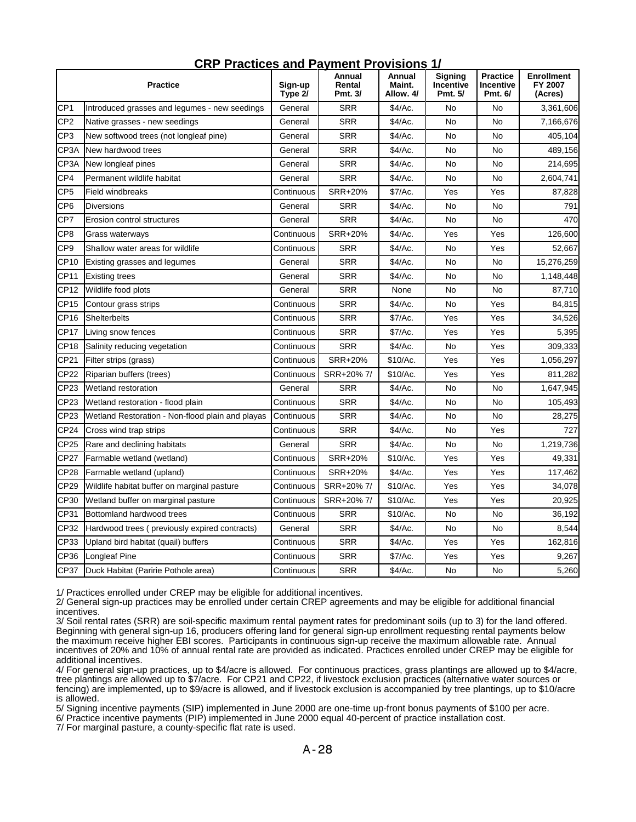| <b>Practice</b> |                                                  | Sign-up<br>Type 2/ | Annual<br>Rental<br>Pmt. 3/ | Annual<br>Maint.<br>Allow. 4/ | <b>Signing</b><br>Incentive<br>Pmt. 5/ | <b>Practice</b><br>Incentive<br>Pmt. 6/ | <b>Enrollment</b><br>FY 2007<br>(Acres) |
|-----------------|--------------------------------------------------|--------------------|-----------------------------|-------------------------------|----------------------------------------|-----------------------------------------|-----------------------------------------|
| CP <sub>1</sub> | Introduced grasses and legumes - new seedings    | General            | <b>SRR</b>                  | \$4/Ac.                       | No                                     | No                                      | 3,361,606                               |
| CP <sub>2</sub> | Native grasses - new seedings                    | General            | <b>SRR</b>                  | \$4/Ac.                       | No                                     | <b>No</b>                               | 7,166,676                               |
| CP3             | New softwood trees (not longleaf pine)           | General            | <b>SRR</b>                  | \$4/Ac.                       | No                                     | <b>No</b>                               | 405,104                                 |
| CP3A            | New hardwood trees                               | General            | <b>SRR</b>                  | \$4/Ac.                       | No                                     | No                                      | 489,156                                 |
| CP3A            | New longleaf pines                               | General            | <b>SRR</b>                  | \$4/Ac.                       | No                                     | No                                      | 214,695                                 |
| CP4             | Permanent wildlife habitat                       | General            | <b>SRR</b>                  | \$4/Ac.                       | No                                     | No                                      | 2,604,741                               |
| CP5             | <b>Field windbreaks</b>                          | Continuous         | SRR+20%                     | \$7/Ac.                       | Yes                                    | Yes                                     | 87,828                                  |
| CP <sub>6</sub> | <b>Diversions</b>                                | General            | <b>SRR</b>                  | \$4/Ac.                       | No                                     | <b>No</b>                               | 791                                     |
| CP7             | Erosion control structures                       | General            | <b>SRR</b>                  | \$4/Ac.                       | No                                     | No                                      | 470                                     |
| CP <sub>8</sub> | Grass waterways                                  | Continuous         | <b>SRR+20%</b>              | \$4/Ac.                       | Yes                                    | Yes                                     | 126,600                                 |
| CP <sub>9</sub> | Shallow water areas for wildlife                 | Continuous         | <b>SRR</b>                  | \$4/Ac.                       | No                                     | Yes                                     | 52,667                                  |
| CP10            | Existing grasses and legumes                     | General            | <b>SRR</b>                  | \$4/Ac.                       | No                                     | No                                      | 15,276,259                              |
| CP11            | <b>Existing trees</b>                            | General            | <b>SRR</b>                  | \$4/Ac.                       | No                                     | No                                      | 1,148,448                               |
| CP12            | Wildlife food plots                              | General            | <b>SRR</b>                  | None                          | No                                     | No                                      | 87,710                                  |
| <b>CP15</b>     | Contour grass strips                             | Continuous         | <b>SRR</b>                  | \$4/Ac.                       | No                                     | Yes                                     | 84,815                                  |
| CP16            | Shelterbelts                                     | Continuous         | <b>SRR</b>                  | \$7/Ac.                       | Yes                                    | Yes                                     | 34,526                                  |
| CP17            | Living snow fences                               | Continuous         | <b>SRR</b>                  | \$7/Ac.                       | Yes                                    | Yes                                     | 5,395                                   |
| <b>CP18</b>     | Salinity reducing vegetation                     | Continuous         | <b>SRR</b>                  | \$4/Ac.                       | No                                     | Yes                                     | 309,333                                 |
| CP21            | Filter strips (grass)                            | Continuous         | SRR+20%                     | \$10/Ac.                      | Yes                                    | Yes                                     | 1,056,297                               |
| CP22            | Riparian buffers (trees)                         | Continuous         | SRR+20% 7/                  | \$10/Ac.                      | Yes                                    | Yes                                     | 811,282                                 |
| CP23            | Wetland restoration                              | General            | <b>SRR</b>                  | \$4/Ac.                       | No                                     | No                                      | 1,647,945                               |
| CP23            | Wetland restoration - flood plain                | Continuous         | <b>SRR</b>                  | \$4/Ac.                       | No                                     | No                                      | 105,493                                 |
| CP23            | Wetland Restoration - Non-flood plain and playas | Continuous         | <b>SRR</b>                  | \$4/Ac.                       | No                                     | No                                      | 28,275                                  |
| CP24            | Cross wind trap strips                           | Continuous         | <b>SRR</b>                  | \$4/Ac.                       | No                                     | Yes                                     | 727                                     |
| CP25            | Rare and declining habitats                      | General            | <b>SRR</b>                  | \$4/Ac.                       | No                                     | <b>No</b>                               | 1,219,736                               |
| <b>CP27</b>     | Farmable wetland (wetland)                       | Continuous         | SRR+20%                     | \$10/Ac.                      | Yes                                    | Yes                                     | 49,331                                  |
| CP28            | Farmable wetland (upland)                        | Continuous         | <b>SRR+20%</b>              | \$4/Ac.                       | Yes                                    | Yes                                     | 117,462                                 |
| CP29            | Wildlife habitat buffer on marginal pasture      | Continuous         | SRR+20%7/                   | \$10/Ac.                      | Yes                                    | Yes                                     | 34,078                                  |
| CP30            | Wetland buffer on marginal pasture               | Continuous         | SRR+20% 7/                  | \$10/Ac.                      | Yes                                    | Yes                                     | 20,925                                  |
| CP31            | Bottomland hardwood trees                        | Continuous         | <b>SRR</b>                  | \$10/Ac.                      | No                                     | No                                      | 36,192                                  |
| CP32            | Hardwood trees (previously expired contracts)    | General            | <b>SRR</b>                  | \$4/Ac.                       | No                                     | <b>No</b>                               | 8,544                                   |
| CP33            | Upland bird habitat (quail) buffers              | Continuous         | <b>SRR</b>                  | \$4/Ac.                       | Yes                                    | Yes                                     | 162,816                                 |
| CP36            | <b>Longleaf Pine</b>                             | Continuous         | <b>SRR</b>                  | \$7/Ac.                       | Yes                                    | Yes                                     | 9,267                                   |
| CP37            | Duck Habitat (Paririe Pothole area)              | Continuous         | <b>SRR</b>                  | \$4/Ac.                       | No                                     | No                                      | 5,260                                   |

#### **CRP Practices and Payment Provisions 1/**

1/ Practices enrolled under CREP may be eligible for additional incentives.

2/ General sign-up practices may be enrolled under certain CREP agreements and may be eligible for additional financial incentives.

3/ Soil rental rates (SRR) are soil-specific maximum rental payment rates for predominant soils (up to 3) for the land offered. Beginning with general sign-up 16, producers offering land for general sign-up enrollment requesting rental payments below the maximum receive higher EBI scores. Participants in continuous sign-up receive the maximum allowable rate. Annual incentives of 20% and 10% of annual rental rate are provided as indicated. Practices enrolled under CREP may be eligible for additional incentives.

4/ For general sign-up practices, up to \$4/acre is allowed. For continuous practices, grass plantings are allowed up to \$4/acre, tree plantings are allowed up to \$7/acre. For CP21 and CP22, if livestock exclusion practices (alternative water sources or fencing) are implemented, up to \$9/acre is allowed, and if livestock exclusion is accompanied by tree plantings, up to \$10/acre is allowed.

5/ Signing incentive payments (SIP) implemented in June 2000 are one-time up-front bonus payments of \$100 per acre.

6/ Practice incentive payments (PIP) implemented in June 2000 equal 40-percent of practice installation cost.

7/ For marginal pasture, a county-specific flat rate is used.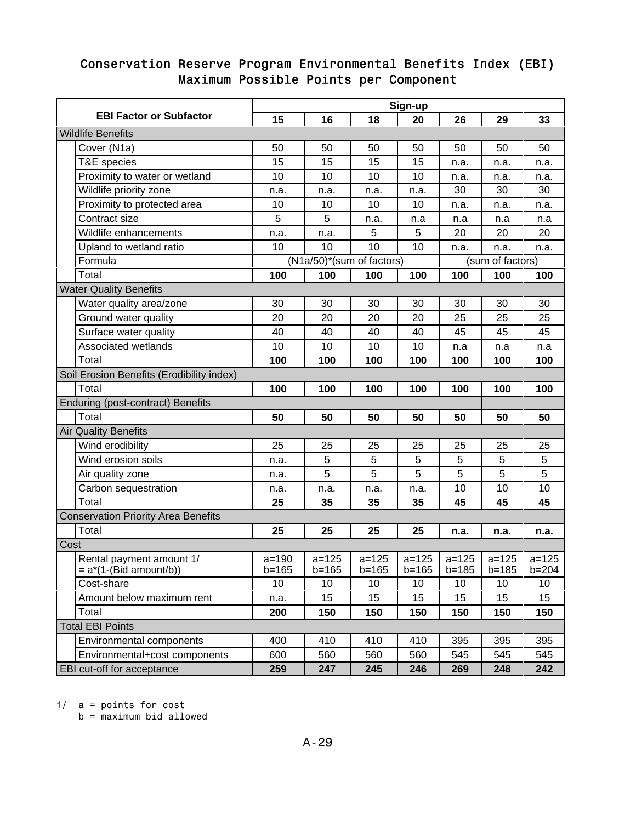### Conservation Reserve Program Environmental Benefits Index (EBI) Maximum Possible Points per Component

|                                                       | Sign-up                   |                        |                        |                        |                        |                        |                        |  |  |  |  |
|-------------------------------------------------------|---------------------------|------------------------|------------------------|------------------------|------------------------|------------------------|------------------------|--|--|--|--|
| <b>EBI Factor or Subfactor</b>                        | 15                        | 16                     | 18                     | 20                     | 26                     | 29                     | 33                     |  |  |  |  |
| <b>Wildlife Benefits</b>                              |                           |                        |                        |                        |                        |                        |                        |  |  |  |  |
| Cover (N1a)                                           | 50                        | 50                     | 50                     | 50                     | 50                     | 50                     | 50                     |  |  |  |  |
| T&E species                                           | 15                        | 15                     | 15                     | 15                     | n.a.                   | n.a.                   | n.a.                   |  |  |  |  |
| Proximity to water or wetland                         | 10                        | 10                     | 10                     | 10                     | n.a.                   | n.a.                   | n.a.                   |  |  |  |  |
| Wildlife priority zone                                | n.a.                      | n.a.                   | n.a.                   | n.a.                   | 30                     | 30                     | 30                     |  |  |  |  |
| Proximity to protected area                           | 10                        | 10                     | 10                     | 10                     | n.a.                   | n.a.                   | n.a.                   |  |  |  |  |
| Contract size                                         | 5                         | 5                      | n.a.                   | n.a                    | n.a                    | n.a                    | n.a                    |  |  |  |  |
| Wildlife enhancements                                 | n.a.                      | n.a.                   | 5                      | 5                      | 20                     | 20                     | 20                     |  |  |  |  |
| Upland to wetland ratio                               | 10                        | 10                     | 10                     | 10                     | n.a.                   | n.a.                   | n.a.                   |  |  |  |  |
| Formula                                               | (N1a/50)*(sum of factors) |                        |                        | (sum of factors)       |                        |                        |                        |  |  |  |  |
| Total                                                 | 100                       | 100                    | 100                    | 100                    | 100                    | 100                    | 100                    |  |  |  |  |
| <b>Water Quality Benefits</b>                         |                           |                        |                        |                        |                        |                        |                        |  |  |  |  |
| Water quality area/zone                               | 30                        | 30                     | 30                     | 30                     | 30                     | 30                     | 30                     |  |  |  |  |
| Ground water quality                                  | 20                        | 20                     | 20                     | 20                     | 25                     | 25                     | 25                     |  |  |  |  |
| Surface water quality                                 | 40                        | 40                     | 40                     | 40                     | 45                     | 45                     | 45                     |  |  |  |  |
| Associated wetlands                                   | 10                        | 10                     | 10                     | 10                     | n.a                    | n.a                    | n.a                    |  |  |  |  |
| Total                                                 | 100                       | 100                    | 100                    | 100                    | 100                    | 100                    | 100                    |  |  |  |  |
| Soil Erosion Benefits (Erodibility index)             |                           |                        |                        |                        |                        |                        |                        |  |  |  |  |
| Total                                                 | 100                       | 100                    | 100                    | 100                    | 100                    | 100                    | 100                    |  |  |  |  |
| <b>Enduring (post-contract) Benefits</b>              |                           |                        |                        |                        |                        |                        |                        |  |  |  |  |
| Total                                                 | 50                        | 50                     | 50                     | 50                     | 50                     | 50                     | 50                     |  |  |  |  |
| <b>Air Quality Benefits</b>                           |                           |                        |                        |                        |                        |                        |                        |  |  |  |  |
| Wind erodibility                                      | 25                        | 25                     | 25                     | 25                     | 25                     | 25                     | 25                     |  |  |  |  |
| Wind erosion soils                                    | n.a.                      | 5                      | 5                      | 5                      | 5                      | 5                      | 5                      |  |  |  |  |
| Air quality zone                                      | n.a.                      | 5                      | 5                      | 5                      | 5                      | 5                      | 5                      |  |  |  |  |
| Carbon sequestration                                  | n.a.                      | n.a.                   | n.a.                   | n.a.                   | 10                     | 10                     | 10                     |  |  |  |  |
| Total                                                 | 25                        | 35                     | 35                     | 35                     | 45                     | 45                     | 45                     |  |  |  |  |
| <b>Conservation Priority Area Benefits</b>            |                           |                        |                        |                        |                        |                        |                        |  |  |  |  |
| Total                                                 | 25                        | 25                     | 25                     | 25                     | n.a.                   | n.a.                   | n.a.                   |  |  |  |  |
| Cost                                                  |                           |                        |                        |                        |                        |                        |                        |  |  |  |  |
| Rental payment amount 1/<br>$= a^*(1-(Bid amount/b))$ | $a = 190$<br>$b = 165$    | $a = 125$<br>$b = 165$ | $a = 125$<br>$b = 165$ | $a = 125$<br>$b = 165$ | $a = 125$<br>$b = 185$ | $a = 125$<br>$b = 185$ | $a = 125$<br>$b = 204$ |  |  |  |  |
| Cost-share                                            | 10                        | 10                     | 10                     | 10                     | 10                     | 10                     | 10                     |  |  |  |  |
| Amount below maximum rent                             | n.a.                      | 15                     | 15                     | 15                     | 15                     | 15                     | 15                     |  |  |  |  |
| Total                                                 | 200                       | 150                    | 150                    | 150                    | 150                    | 150                    | 150                    |  |  |  |  |
| <b>Total EBI Points</b>                               |                           |                        |                        |                        |                        |                        |                        |  |  |  |  |
| <b>Environmental components</b>                       | 400                       | 410                    | 410                    | 410                    | 395                    | 395                    | 395                    |  |  |  |  |
| Environmental+cost components                         | 600                       | 560                    | 560                    | 560                    | 545                    | 545                    | 545                    |  |  |  |  |
| EBI cut-off for acceptance                            | 259                       | 247                    | 245                    | 246                    | 269                    | 248                    | 242                    |  |  |  |  |

1/ a = points for cost

b = maximum bid allowed